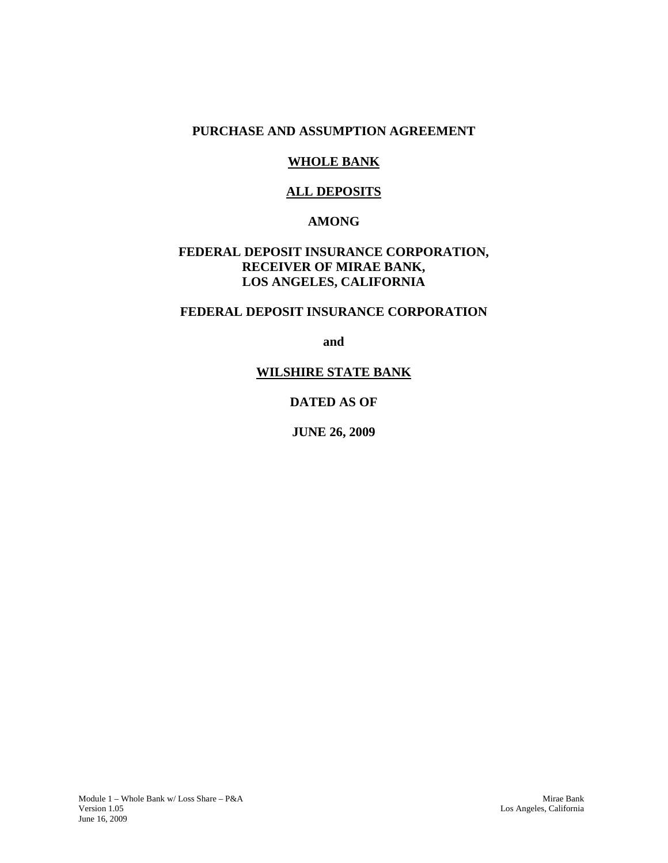#### **PURCHASE AND ASSUMPTION AGREEMENT**

### **WHOLE BANK**

### **ALL DEPOSITS**

## **AMONG**

### **FEDERAL DEPOSIT INSURANCE CORPORATION, RECEIVER OF MIRAE BANK, LOS ANGELES, CALIFORNIA**

#### **FEDERAL DEPOSIT INSURANCE CORPORATION**

**and** 

### **WILSHIRE STATE BANK**

### **DATED AS OF**

**JUNE 26, 2009**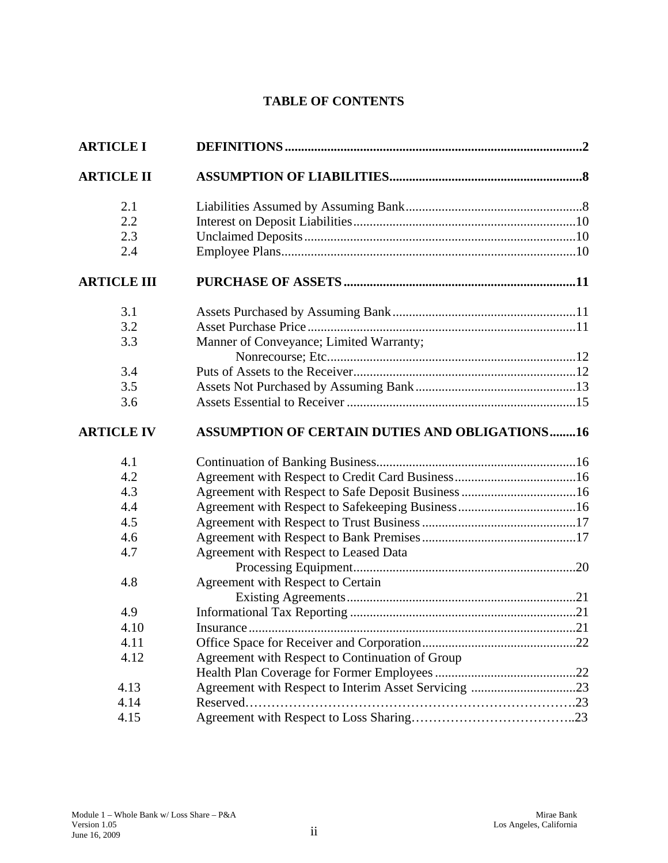# **TABLE OF CONTENTS**

| <b>ARTICLE I</b>   |                                                       |  |
|--------------------|-------------------------------------------------------|--|
| <b>ARTICLE II</b>  |                                                       |  |
| 2.1                |                                                       |  |
| 2.2                |                                                       |  |
| 2.3                |                                                       |  |
| 2.4                |                                                       |  |
| <b>ARTICLE III</b> |                                                       |  |
| 3.1                |                                                       |  |
| 3.2                |                                                       |  |
| 3.3                | Manner of Conveyance; Limited Warranty;               |  |
|                    |                                                       |  |
| 3.4                |                                                       |  |
| 3.5                |                                                       |  |
| 3.6                |                                                       |  |
| <b>ARTICLE IV</b>  | <b>ASSUMPTION OF CERTAIN DUTIES AND OBLIGATIONS16</b> |  |
| 4.1                |                                                       |  |
| 4.2                |                                                       |  |
| 4.3                |                                                       |  |
| 4.4                |                                                       |  |
| 4.5                |                                                       |  |
| 4.6                |                                                       |  |
| 4.7                | Agreement with Respect to Leased Data                 |  |
|                    |                                                       |  |
| 4.8                | Agreement with Respect to Certain                     |  |
|                    |                                                       |  |
| 4.9                |                                                       |  |
| 4.10               |                                                       |  |
| 4.11               |                                                       |  |
| 4.12               | Agreement with Respect to Continuation of Group       |  |
|                    |                                                       |  |
| 4.13               | Agreement with Respect to Interim Asset Servicing 23  |  |
| 4.14               |                                                       |  |
| 4.15               |                                                       |  |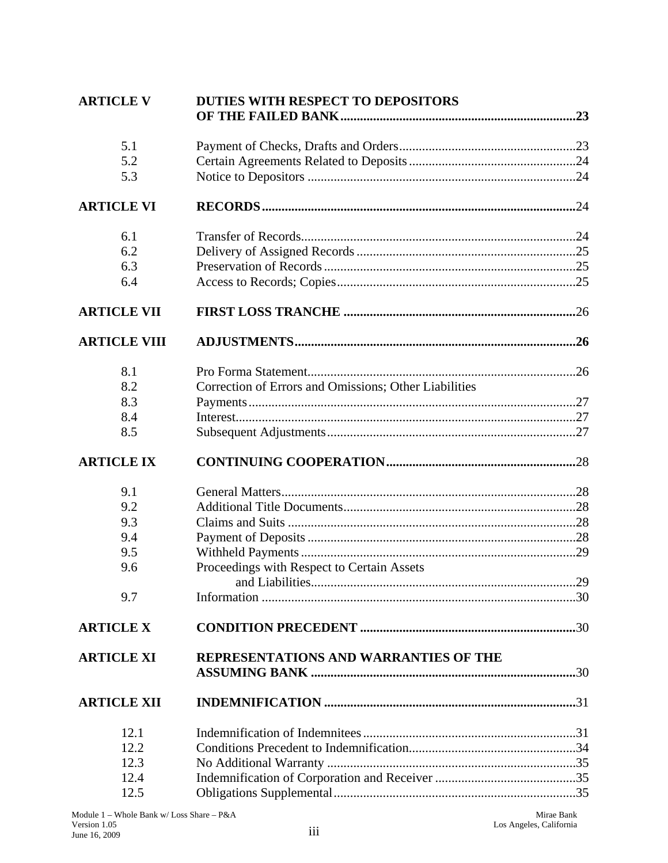| <b>ARTICLE V</b>    | <b>DUTIES WITH RESPECT TO DEPOSITORS</b>              |  |
|---------------------|-------------------------------------------------------|--|
|                     |                                                       |  |
| 5.1                 |                                                       |  |
| 5.2                 |                                                       |  |
| 5.3                 |                                                       |  |
|                     |                                                       |  |
| <b>ARTICLE VI</b>   |                                                       |  |
| 6.1                 |                                                       |  |
| 6.2                 |                                                       |  |
| 6.3                 |                                                       |  |
| 6.4                 |                                                       |  |
| <b>ARTICLE VII</b>  |                                                       |  |
| <b>ARTICLE VIII</b> |                                                       |  |
| 8.1                 |                                                       |  |
| 8.2                 | Correction of Errors and Omissions; Other Liabilities |  |
| 8.3                 |                                                       |  |
| 8.4                 |                                                       |  |
| 8.5                 |                                                       |  |
| <b>ARTICLE IX</b>   |                                                       |  |
| 9.1                 |                                                       |  |
| 9.2                 |                                                       |  |
| 9.3                 |                                                       |  |
| 9.4                 |                                                       |  |
| 9.5                 |                                                       |  |
| 9.6                 | Proceedings with Respect to Certain Assets            |  |
|                     |                                                       |  |
| 9.7                 |                                                       |  |
| <b>ARTICLE X</b>    |                                                       |  |
| <b>ARTICLE XI</b>   | <b>REPRESENTATIONS AND WARRANTIES OF THE</b>          |  |
| <b>ARTICLE XII</b>  |                                                       |  |
| 12.1                |                                                       |  |
| 12.2                |                                                       |  |
| 12.3                |                                                       |  |
| 12.4                |                                                       |  |
| 12.5                |                                                       |  |
|                     |                                                       |  |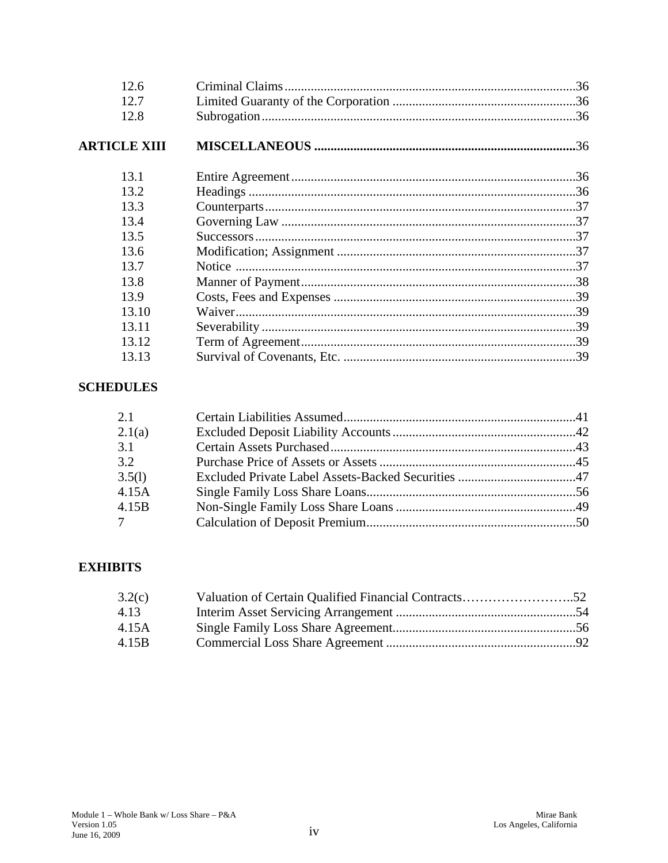| 12.6                |  |
|---------------------|--|
| 12.7                |  |
| 12.8                |  |
| <b>ARTICLE XIII</b> |  |
| 13.1                |  |
| 13.2                |  |
| 13.3                |  |
| 13.4                |  |
| 13.5                |  |
| 13.6                |  |
| 13.7                |  |
| 13.8                |  |
| 13.9                |  |
| 13.10               |  |
| 13.11               |  |
| 13.12               |  |
| 13.13               |  |

# **SCHEDULES**

| 2.1    |  |
|--------|--|
| 2.1(a) |  |
| 3.1    |  |
| 3.2    |  |
| 3.5(l) |  |
| 4.15A  |  |
| 4.15B  |  |
| 7      |  |

# **EXHIBITS**

| 3.2(c) |  |
|--------|--|
| 4.13   |  |
| 4.15A  |  |
| 4.15B  |  |
|        |  |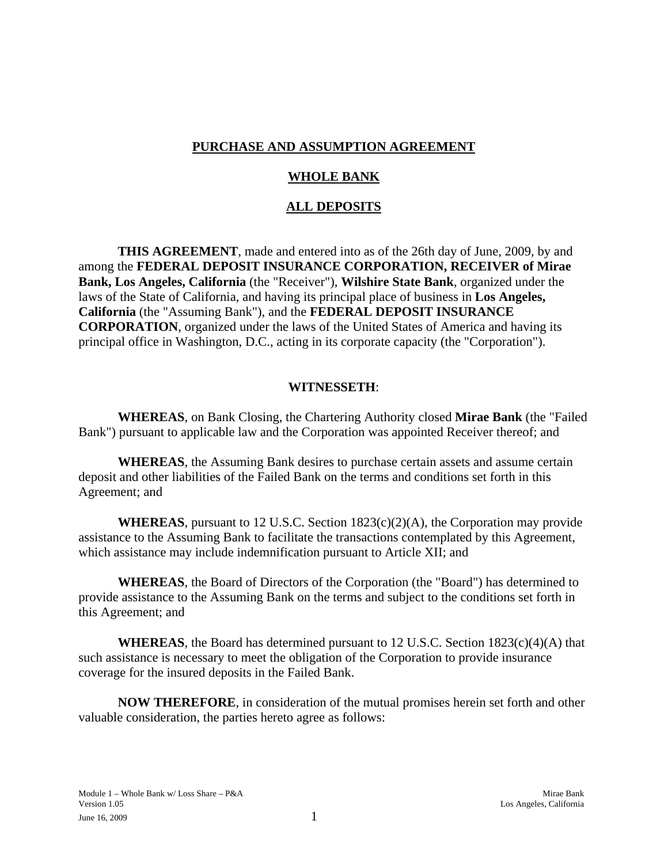## **PURCHASE AND ASSUMPTION AGREEMENT**

# **WHOLE BANK**

## **ALL DEPOSITS**

 **THIS AGREEMENT**, made and entered into as of the 26th day of June, 2009, by and among the **FEDERAL DEPOSIT INSURANCE CORPORATION, RECEIVER of Mirae Bank, Los Angeles, California** (the "Receiver"), **Wilshire State Bank**, organized under the laws of the State of California, and having its principal place of business in **Los Angeles, California** (the "Assuming Bank"), and the **FEDERAL DEPOSIT INSURANCE CORPORATION**, organized under the laws of the United States of America and having its principal office in Washington, D.C., acting in its corporate capacity (the "Corporation").

### **WITNESSETH**:

**WHEREAS**, on Bank Closing, the Chartering Authority closed **Mirae Bank** (the "Failed Bank") pursuant to applicable law and the Corporation was appointed Receiver thereof; and

**WHEREAS**, the Assuming Bank desires to purchase certain assets and assume certain deposit and other liabilities of the Failed Bank on the terms and conditions set forth in this Agreement; and

**WHEREAS**, pursuant to 12 U.S.C. Section 1823(c)(2)(A), the Corporation may provide assistance to the Assuming Bank to facilitate the transactions contemplated by this Agreement, which assistance may include indemnification pursuant to Article XII; and

**WHEREAS**, the Board of Directors of the Corporation (the "Board") has determined to provide assistance to the Assuming Bank on the terms and subject to the conditions set forth in this Agreement; and

**WHEREAS**, the Board has determined pursuant to 12 U.S.C. Section 1823(c)(4)(A) that such assistance is necessary to meet the obligation of the Corporation to provide insurance coverage for the insured deposits in the Failed Bank.

 **NOW THEREFORE**, in consideration of the mutual promises herein set forth and other valuable consideration, the parties hereto agree as follows: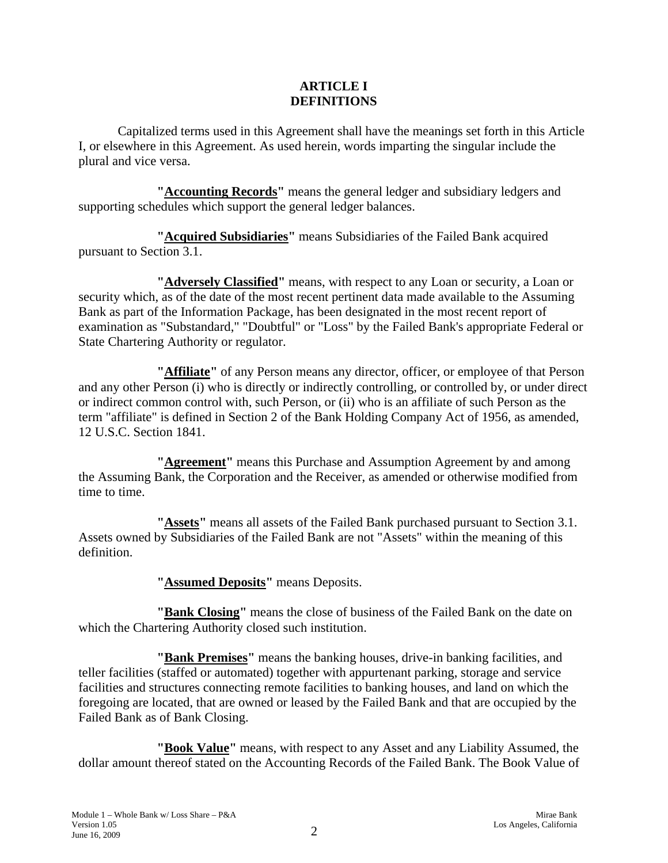### **ARTICLE I DEFINITIONS**

<span id="page-5-1"></span><span id="page-5-0"></span>Capitalized terms used in this Agreement shall have the meanings set forth in this Article I, or elsewhere in this Agreement. As used herein, words imparting the singular include the plural and vice versa.

**"Accounting Records"** means the general ledger and subsidiary ledgers and supporting schedules which support the general ledger balances.

**"Acquired Subsidiaries"** means Subsidiaries of the Failed Bank acquired pursuant to Section 3.1.

**"Adversely Classified"** means, with respect to any Loan or security, a Loan or security which, as of the date of the most recent pertinent data made available to the Assuming Bank as part of the Information Package, has been designated in the most recent report of examination as "Substandard," "Doubtful" or "Loss" by the Failed Bank's appropriate Federal or State Chartering Authority or regulator.

**"Affiliate"** of any Person means any director, officer, or employee of that Person and any other Person (i) who is directly or indirectly controlling, or controlled by, or under direct or indirect common control with, such Person, or (ii) who is an affiliate of such Person as the term "affiliate" is defined in Section 2 of the Bank Holding Company Act of 1956, as amended, 12 U.S.C. Section 1841.

**"Agreement"** means this Purchase and Assumption Agreement by and among the Assuming Bank, the Corporation and the Receiver, as amended or otherwise modified from time to time.

**"Assets"** means all assets of the Failed Bank purchased pursuant to Section 3.1. Assets owned by Subsidiaries of the Failed Bank are not "Assets" within the meaning of this definition.

**"Assumed Deposits"** means Deposits.

**"Bank Closing"** means the close of business of the Failed Bank on the date on which the Chartering Authority closed such institution.

**"Bank Premises"** means the banking houses, drive-in banking facilities, and teller facilities (staffed or automated) together with appurtenant parking, storage and service facilities and structures connecting remote facilities to banking houses, and land on which the foregoing are located, that are owned or leased by the Failed Bank and that are occupied by the Failed Bank as of Bank Closing.

**"Book Value"** means, with respect to any Asset and any Liability Assumed, the dollar amount thereof stated on the Accounting Records of the Failed Bank. The Book Value of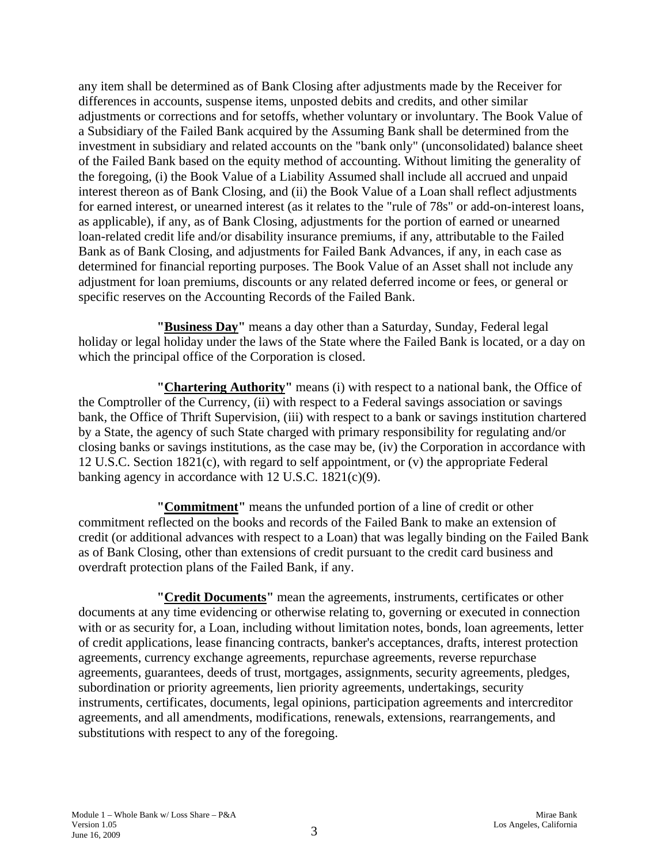<span id="page-6-0"></span>any item shall be determined as of Bank Closing after adjustments made by the Receiver for differences in accounts, suspense items, unposted debits and credits, and other similar adjustments or corrections and for setoffs, whether voluntary or involuntary. The Book Value of a Subsidiary of the Failed Bank acquired by the Assuming Bank shall be determined from the investment in subsidiary and related accounts on the "bank only" (unconsolidated) balance sheet of the Failed Bank based on the equity method of accounting. Without limiting the generality of the foregoing, (i) the Book Value of a Liability Assumed shall include all accrued and unpaid interest thereon as of Bank Closing, and (ii) the Book Value of a Loan shall reflect adjustments for earned interest, or unearned interest (as it relates to the "rule of 78s" or add-on-interest loans, as applicable), if any, as of Bank Closing, adjustments for the portion of earned or unearned loan-related credit life and/or disability insurance premiums, if any, attributable to the Failed Bank as of Bank Closing, and adjustments for Failed Bank Advances, if any, in each case as determined for financial reporting purposes. The Book Value of an Asset shall not include any adjustment for loan premiums, discounts or any related deferred income or fees, or general or specific reserves on the Accounting Records of the Failed Bank.

**"Business Day"** means a day other than a Saturday, Sunday, Federal legal holiday or legal holiday under the laws of the State where the Failed Bank is located, or a day on which the principal office of the Corporation is closed.

**"Chartering Authority"** means (i) with respect to a national bank, the Office of the Comptroller of the Currency, (ii) with respect to a Federal savings association or savings bank, the Office of Thrift Supervision, (iii) with respect to a bank or savings institution chartered by a State, the agency of such State charged with primary responsibility for regulating and/or closing banks or savings institutions, as the case may be, (iv) the Corporation in accordance with 12 U.S.C. Section 1821(c), with regard to self appointment, or (v) the appropriate Federal banking agency in accordance with 12 U.S.C. 1821(c)(9).

**"Commitment"** means the unfunded portion of a line of credit or other commitment reflected on the books and records of the Failed Bank to make an extension of credit (or additional advances with respect to a Loan) that was legally binding on the Failed Bank as of Bank Closing, other than extensions of credit pursuant to the credit card business and overdraft protection plans of the Failed Bank, if any.

**"Credit Documents"** mean the agreements, instruments, certificates or other documents at any time evidencing or otherwise relating to, governing or executed in connection with or as security for, a Loan, including without limitation notes, bonds, loan agreements, letter of credit applications, lease financing contracts, banker's acceptances, drafts, interest protection agreements, currency exchange agreements, repurchase agreements, reverse repurchase agreements, guarantees, deeds of trust, mortgages, assignments, security agreements, pledges, subordination or priority agreements, lien priority agreements, undertakings, security instruments, certificates, documents, legal opinions, participation agreements and intercreditor agreements, and all amendments, modifications, renewals, extensions, rearrangements, and substitutions with respect to any of the foregoing.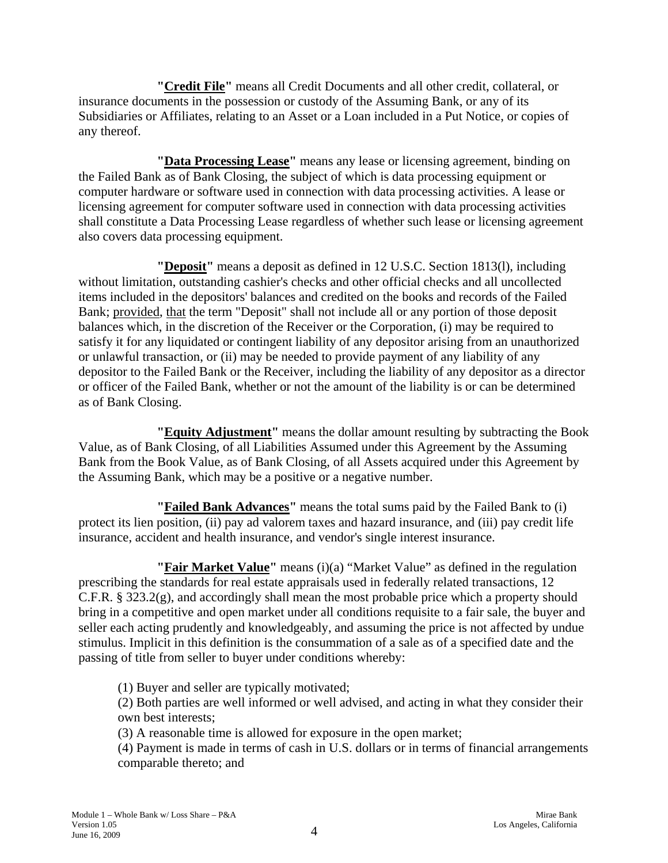<span id="page-7-0"></span> **"Credit File"** means all Credit Documents and all other credit, collateral, or insurance documents in the possession or custody of the Assuming Bank, or any of its Subsidiaries or Affiliates, relating to an Asset or a Loan included in a Put Notice, or copies of any thereof.

**"Data Processing Lease"** means any lease or licensing agreement, binding on the Failed Bank as of Bank Closing, the subject of which is data processing equipment or computer hardware or software used in connection with data processing activities. A lease or licensing agreement for computer software used in connection with data processing activities shall constitute a Data Processing Lease regardless of whether such lease or licensing agreement also covers data processing equipment.

**"Deposit"** means a deposit as defined in 12 U.S.C. Section 1813(l), including without limitation, outstanding cashier's checks and other official checks and all uncollected items included in the depositors' balances and credited on the books and records of the Failed Bank; provided, that the term "Deposit" shall not include all or any portion of those deposit balances which, in the discretion of the Receiver or the Corporation, (i) may be required to satisfy it for any liquidated or contingent liability of any depositor arising from an unauthorized or unlawful transaction, or (ii) may be needed to provide payment of any liability of any depositor to the Failed Bank or the Receiver, including the liability of any depositor as a director or officer of the Failed Bank, whether or not the amount of the liability is or can be determined as of Bank Closing.

**"Equity Adjustment"** means the dollar amount resulting by subtracting the Book Value, as of Bank Closing, of all Liabilities Assumed under this Agreement by the Assuming Bank from the Book Value, as of Bank Closing, of all Assets acquired under this Agreement by the Assuming Bank, which may be a positive or a negative number.

**"Failed Bank Advances"** means the total sums paid by the Failed Bank to (i) protect its lien position, (ii) pay ad valorem taxes and hazard insurance, and (iii) pay credit life insurance, accident and health insurance, and vendor's single interest insurance.

**"Fair Market Value"** means (i)(a) "Market Value" as defined in the regulation prescribing the standards for real estate appraisals used in federally related transactions, 12 C.F.R. § 323.2(g), and accordingly shall mean the most probable price which a property should bring in a competitive and open market under all conditions requisite to a fair sale, the buyer and seller each acting prudently and knowledgeably, and assuming the price is not affected by undue stimulus. Implicit in this definition is the consummation of a sale as of a specified date and the passing of title from seller to buyer under conditions whereby:

(1) Buyer and seller are typically motivated;

(2) Both parties are well informed or well advised, and acting in what they consider their own best interests;

(3) A reasonable time is allowed for exposure in the open market;

(4) Payment is made in terms of cash in U.S. dollars or in terms of financial arrangements comparable thereto; and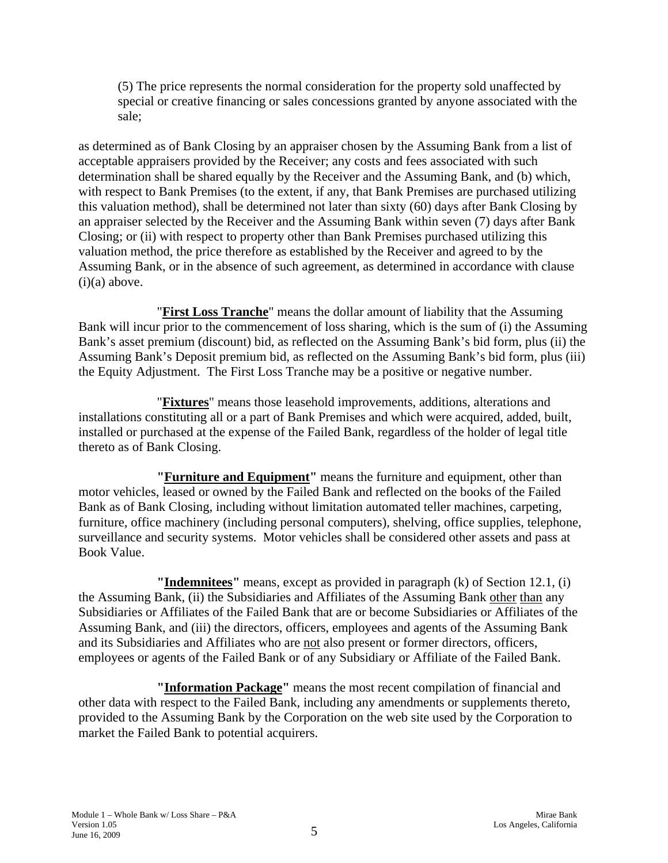(5) The price represents the normal consideration for the property sold unaffected by special or creative financing or sales concessions granted by anyone associated with the sale;

as determined as of Bank Closing by an appraiser chosen by the Assuming Bank from a list of acceptable appraisers provided by the Receiver; any costs and fees associated with such determination shall be shared equally by the Receiver and the Assuming Bank, and (b) which, with respect to Bank Premises (to the extent, if any, that Bank Premises are purchased utilizing this valuation method), shall be determined not later than sixty (60) days after Bank Closing by an appraiser selected by the Receiver and the Assuming Bank within seven (7) days after Bank Closing; or (ii) with respect to property other than Bank Premises purchased utilizing this valuation method, the price therefore as established by the Receiver and agreed to by the Assuming Bank, or in the absence of such agreement, as determined in accordance with clause  $(i)(a)$  above.

"**First Loss Tranche**" means the dollar amount of liability that the Assuming Bank will incur prior to the commencement of loss sharing, which is the sum of (i) the Assuming Bank's asset premium (discount) bid, as reflected on the Assuming Bank's bid form, plus (ii) the Assuming Bank's Deposit premium bid, as reflected on the Assuming Bank's bid form, plus (iii) the Equity Adjustment. The First Loss Tranche may be a positive or negative number.

"**Fixtures**" means those leasehold improvements, additions, alterations and installations constituting all or a part of Bank Premises and which were acquired, added, built, installed or purchased at the expense of the Failed Bank, regardless of the holder of legal title thereto as of Bank Closing.

**"Furniture and Equipment"** means the furniture and equipment, other than motor vehicles, leased or owned by the Failed Bank and reflected on the books of the Failed Bank as of Bank Closing, including without limitation automated teller machines, carpeting, furniture, office machinery (including personal computers), shelving, office supplies, telephone, surveillance and security systems. Motor vehicles shall be considered other assets and pass at Book Value.

**"Indemnitees"** means, except as provided in paragraph (k) of Section 12.1, (i) the Assuming Bank, (ii) the Subsidiaries and Affiliates of the Assuming Bank other than any Subsidiaries or Affiliates of the Failed Bank that are or become Subsidiaries or Affiliates of the Assuming Bank, and (iii) the directors, officers, employees and agents of the Assuming Bank and its Subsidiaries and Affiliates who are not also present or former directors, officers, employees or agents of the Failed Bank or of any Subsidiary or Affiliate of the Failed Bank.

**"Information Package"** means the most recent compilation of financial and other data with respect to the Failed Bank, including any amendments or supplements thereto, provided to the Assuming Bank by the Corporation on the web site used by the Corporation to market the Failed Bank to potential acquirers.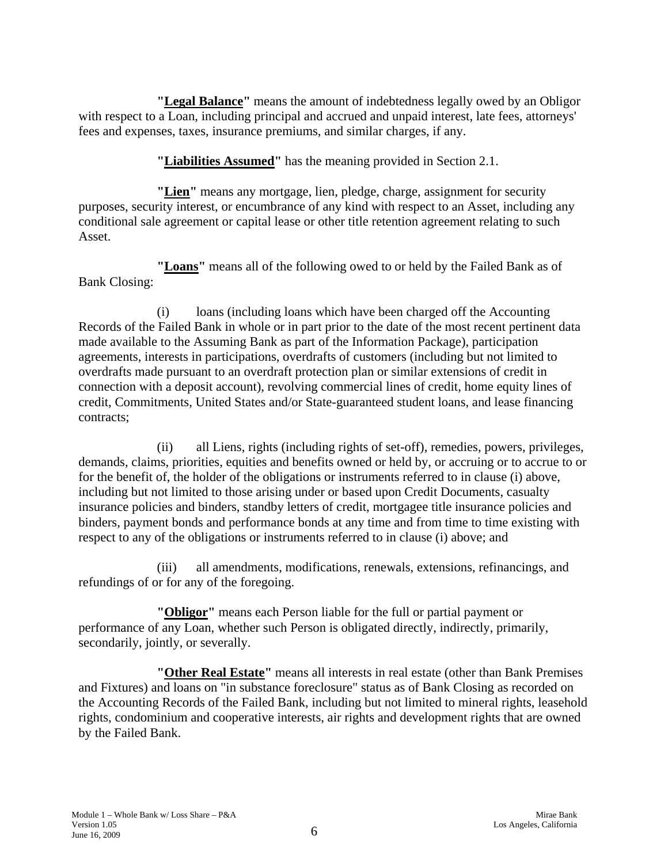**"Legal Balance"** means the amount of indebtedness legally owed by an Obligor with respect to a Loan, including principal and accrued and unpaid interest, late fees, attorneys' fees and expenses, taxes, insurance premiums, and similar charges, if any.

**"Liabilities Assumed"** has the meaning provided in Section 2.1.

**"Lien"** means any mortgage, lien, pledge, charge, assignment for security purposes, security interest, or encumbrance of any kind with respect to an Asset, including any conditional sale agreement or capital lease or other title retention agreement relating to such Asset.

**"Loans"** means all of the following owed to or held by the Failed Bank as of Bank Closing:

(i) loans (including loans which have been charged off the Accounting Records of the Failed Bank in whole or in part prior to the date of the most recent pertinent data made available to the Assuming Bank as part of the Information Package), participation agreements, interests in participations, overdrafts of customers (including but not limited to overdrafts made pursuant to an overdraft protection plan or similar extensions of credit in connection with a deposit account), revolving commercial lines of credit, home equity lines of credit, Commitments, United States and/or State-guaranteed student loans, and lease financing contracts;

(ii) all Liens, rights (including rights of set-off), remedies, powers, privileges, demands, claims, priorities, equities and benefits owned or held by, or accruing or to accrue to or for the benefit of, the holder of the obligations or instruments referred to in clause (i) above, including but not limited to those arising under or based upon Credit Documents, casualty insurance policies and binders, standby letters of credit, mortgagee title insurance policies and binders, payment bonds and performance bonds at any time and from time to time existing with respect to any of the obligations or instruments referred to in clause (i) above; and

(iii) all amendments, modifications, renewals, extensions, refinancings, and refundings of or for any of the foregoing.

**"Obligor"** means each Person liable for the full or partial payment or performance of any Loan, whether such Person is obligated directly, indirectly, primarily, secondarily, jointly, or severally.

**"Other Real Estate"** means all interests in real estate (other than Bank Premises and Fixtures) and loans on "in substance foreclosure" status as of Bank Closing as recorded on the Accounting Records of the Failed Bank, including but not limited to mineral rights, leasehold rights, condominium and cooperative interests, air rights and development rights that are owned by the Failed Bank.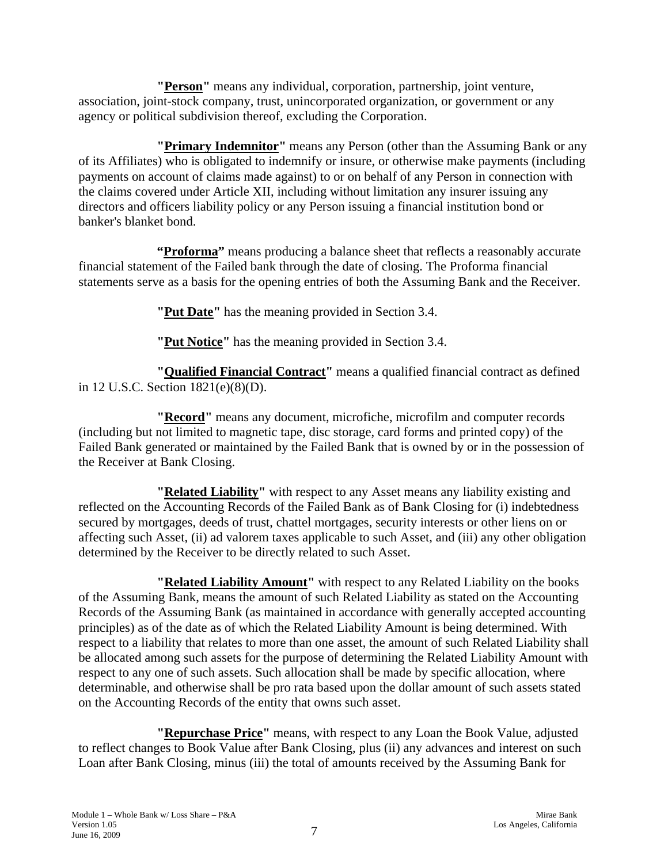**"Person"** means any individual, corporation, partnership, joint venture, association, joint-stock company, trust, unincorporated organization, or government or any agency or political subdivision thereof, excluding the Corporation.

**"Primary Indemnitor"** means any Person (other than the Assuming Bank or any of its Affiliates) who is obligated to indemnify or insure, or otherwise make payments (including payments on account of claims made against) to or on behalf of any Person in connection with the claims covered under Article XII, including without limitation any insurer issuing any directors and officers liability policy or any Person issuing a financial institution bond or banker's blanket bond.

**"Proforma"** means producing a balance sheet that reflects a reasonably accurate financial statement of the Failed bank through the date of closing. The Proforma financial statements serve as a basis for the opening entries of both the Assuming Bank and the Receiver.

**"Put Date"** has the meaning provided in Section 3.4.

**"Put Notice"** has the meaning provided in Section 3.4.

**"Qualified Financial Contract"** means a qualified financial contract as defined in 12 U.S.C. Section 1821(e)(8)(D).

**"Record"** means any document, microfiche, microfilm and computer records (including but not limited to magnetic tape, disc storage, card forms and printed copy) of the Failed Bank generated or maintained by the Failed Bank that is owned by or in the possession of the Receiver at Bank Closing.

**"Related Liability"** with respect to any Asset means any liability existing and reflected on the Accounting Records of the Failed Bank as of Bank Closing for (i) indebtedness secured by mortgages, deeds of trust, chattel mortgages, security interests or other liens on or affecting such Asset, (ii) ad valorem taxes applicable to such Asset, and (iii) any other obligation determined by the Receiver to be directly related to such Asset.

**"Related Liability Amount"** with respect to any Related Liability on the books of the Assuming Bank, means the amount of such Related Liability as stated on the Accounting Records of the Assuming Bank (as maintained in accordance with generally accepted accounting principles) as of the date as of which the Related Liability Amount is being determined. With respect to a liability that relates to more than one asset, the amount of such Related Liability shall be allocated among such assets for the purpose of determining the Related Liability Amount with respect to any one of such assets. Such allocation shall be made by specific allocation, where determinable, and otherwise shall be pro rata based upon the dollar amount of such assets stated on the Accounting Records of the entity that owns such asset.

 **"Repurchase Price"** means, with respect to any Loan the Book Value, adjusted to reflect changes to Book Value after Bank Closing, plus (ii) any advances and interest on such Loan after Bank Closing, minus (iii) the total of amounts received by the Assuming Bank for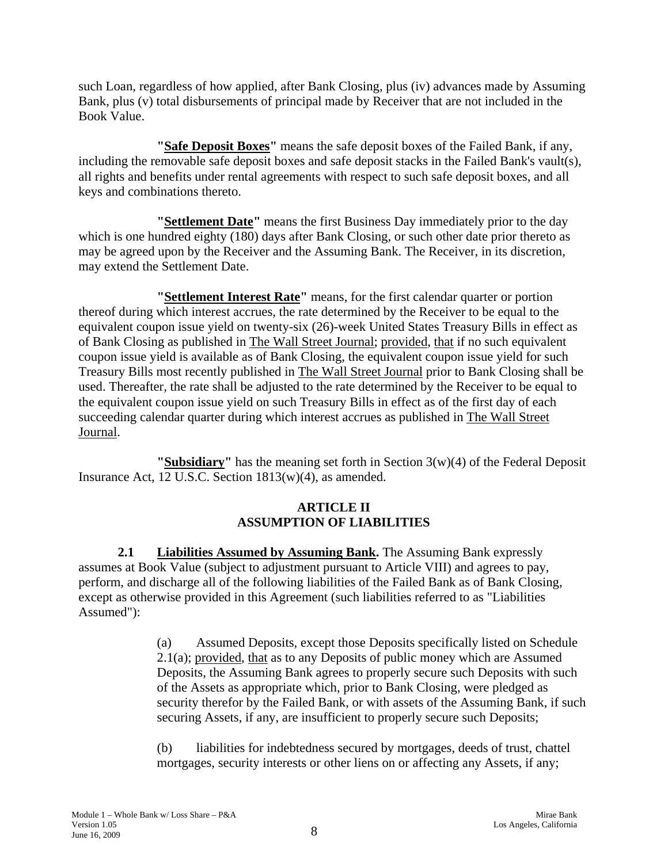such Loan, regardless of how applied, after Bank Closing, plus (iv) advances made by Assuming Bank, plus (v) total disbursements of principal made by Receiver that are not included in the Book Value.

**"Safe Deposit Boxes"** means the safe deposit boxes of the Failed Bank, if any, including the removable safe deposit boxes and safe deposit stacks in the Failed Bank's vault(s), all rights and benefits under rental agreements with respect to such safe deposit boxes, and all keys and combinations thereto.

**"Settlement Date"** means the first Business Day immediately prior to the day which is one hundred eighty (180) days after Bank Closing, or such other date prior thereto as may be agreed upon by the Receiver and the Assuming Bank. The Receiver, in its discretion, may extend the Settlement Date.

**"Settlement Interest Rate"** means, for the first calendar quarter or portion thereof during which interest accrues, the rate determined by the Receiver to be equal to the equivalent coupon issue yield on twenty-six (26)-week United States Treasury Bills in effect as of Bank Closing as published in The Wall Street Journal; provided, that if no such equivalent coupon issue yield is available as of Bank Closing, the equivalent coupon issue yield for such Treasury Bills most recently published in The Wall Street Journal prior to Bank Closing shall be used. Thereafter, the rate shall be adjusted to the rate determined by the Receiver to be equal to the equivalent coupon issue yield on such Treasury Bills in effect as of the first day of each succeeding calendar quarter during which interest accrues as published in The Wall Street Journal.

**"Subsidiary"** has the meaning set forth in Section 3(w)(4) of the Federal Deposit Insurance Act, 12 U.S.C. Section 1813(w)(4), as amended.

## **ARTICLE II ASSUMPTION OF LIABILITIES**

<span id="page-11-1"></span><span id="page-11-0"></span> **2.1 Liabilities Assumed by Assuming Bank.** The Assuming Bank expressly assumes at Book Value (subject to adjustment pursuant to Article VIII) and agrees to pay, perform, and discharge all of the following liabilities of the Failed Bank as of Bank Closing, except as otherwise provided in this Agreement (such liabilities referred to as "Liabilities Assumed"):

> (a) Assumed Deposits, except those Deposits specifically listed on Schedule 2.1(a); provided, that as to any Deposits of public money which are Assumed Deposits, the Assuming Bank agrees to properly secure such Deposits with such of the Assets as appropriate which, prior to Bank Closing, were pledged as security therefor by the Failed Bank, or with assets of the Assuming Bank, if such securing Assets, if any, are insufficient to properly secure such Deposits;

(b) liabilities for indebtedness secured by mortgages, deeds of trust, chattel mortgages, security interests or other liens on or affecting any Assets, if any;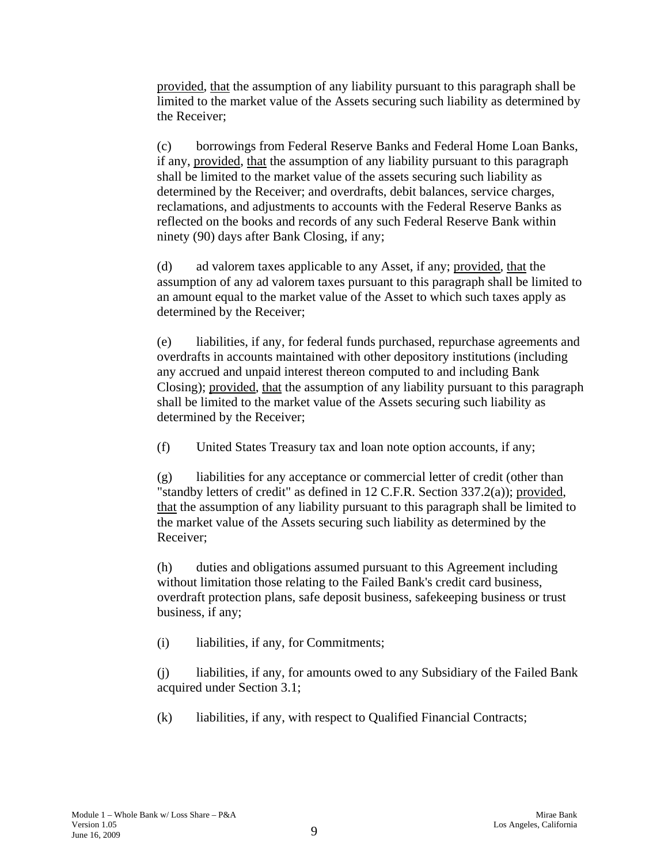provided, that the assumption of any liability pursuant to this paragraph shall be limited to the market value of the Assets securing such liability as determined by the Receiver;

(c) borrowings from Federal Reserve Banks and Federal Home Loan Banks, if any, provided, that the assumption of any liability pursuant to this paragraph shall be limited to the market value of the assets securing such liability as determined by the Receiver; and overdrafts, debit balances, service charges, reclamations, and adjustments to accounts with the Federal Reserve Banks as reflected on the books and records of any such Federal Reserve Bank within ninety (90) days after Bank Closing, if any;

(d) ad valorem taxes applicable to any Asset, if any; provided, that the assumption of any ad valorem taxes pursuant to this paragraph shall be limited to an amount equal to the market value of the Asset to which such taxes apply as determined by the Receiver;

(e) liabilities, if any, for federal funds purchased, repurchase agreements and overdrafts in accounts maintained with other depository institutions (including any accrued and unpaid interest thereon computed to and including Bank Closing); provided, that the assumption of any liability pursuant to this paragraph shall be limited to the market value of the Assets securing such liability as determined by the Receiver;

(f) United States Treasury tax and loan note option accounts, if any;

(g) liabilities for any acceptance or commercial letter of credit (other than "standby letters of credit" as defined in 12 C.F.R. Section 337.2(a)); provided, that the assumption of any liability pursuant to this paragraph shall be limited to the market value of the Assets securing such liability as determined by the Receiver;

(h) duties and obligations assumed pursuant to this Agreement including without limitation those relating to the Failed Bank's credit card business, overdraft protection plans, safe deposit business, safekeeping business or trust business, if any;

(i) liabilities, if any, for Commitments;

(j) liabilities, if any, for amounts owed to any Subsidiary of the Failed Bank acquired under Section 3.1;

(k) liabilities, if any, with respect to Qualified Financial Contracts;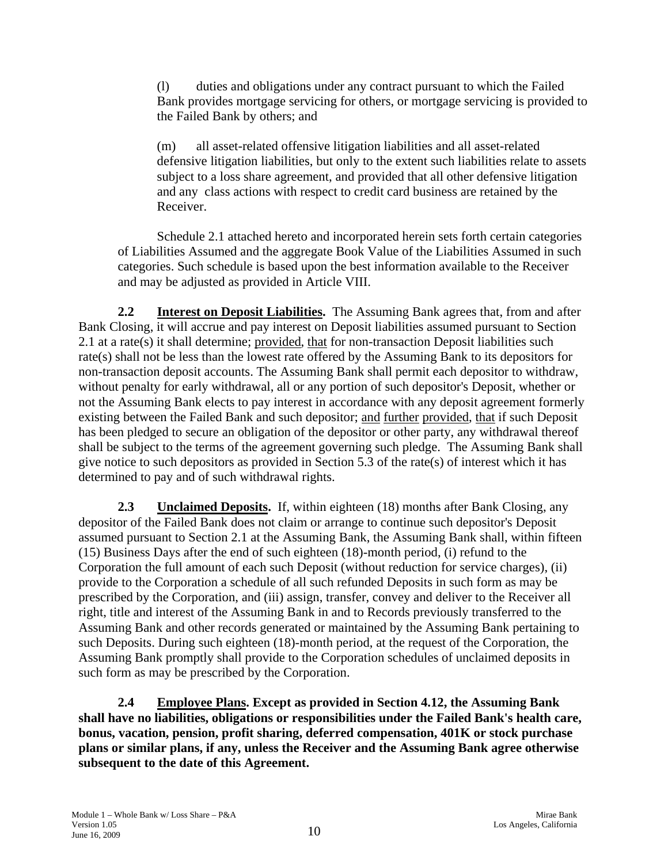(l) duties and obligations under any contract pursuant to which the Failed Bank provides mortgage servicing for others, or mortgage servicing is provided to the Failed Bank by others; and

(m) all asset-related offensive litigation liabilities and all asset-related defensive litigation liabilities, but only to the extent such liabilities relate to assets subject to a loss share agreement, and provided that all other defensive litigation and any class actions with respect to credit card business are retained by the Receiver.

Schedule 2.1 attached hereto and incorporated herein sets forth certain categories of Liabilities Assumed and the aggregate Book Value of the Liabilities Assumed in such categories. Such schedule is based upon the best information available to the Receiver and may be adjusted as provided in Article VIII.

<span id="page-13-0"></span>**2.2 Interest on Deposit Liabilities.** The Assuming Bank agrees that, from and after Bank Closing, it will accrue and pay interest on Deposit liabilities assumed pursuant to Section 2.1 at a rate(s) it shall determine; provided, that for non-transaction Deposit liabilities such rate(s) shall not be less than the lowest rate offered by the Assuming Bank to its depositors for non-transaction deposit accounts. The Assuming Bank shall permit each depositor to withdraw, without penalty for early withdrawal, all or any portion of such depositor's Deposit, whether or not the Assuming Bank elects to pay interest in accordance with any deposit agreement formerly existing between the Failed Bank and such depositor; and further provided, that if such Deposit has been pledged to secure an obligation of the depositor or other party, any withdrawal thereof shall be subject to the terms of the agreement governing such pledge. The Assuming Bank shall give notice to such depositors as provided in Section 5.3 of the rate(s) of interest which it has determined to pay and of such withdrawal rights.

<span id="page-13-1"></span>**2.3 Unclaimed Deposits.** If, within eighteen (18) months after Bank Closing, any depositor of the Failed Bank does not claim or arrange to continue such depositor's Deposit assumed pursuant to Section 2.1 at the Assuming Bank, the Assuming Bank shall, within fifteen (15) Business Days after the end of such eighteen (18)-month period, (i) refund to the Corporation the full amount of each such Deposit (without reduction for service charges), (ii) provide to the Corporation a schedule of all such refunded Deposits in such form as may be prescribed by the Corporation, and (iii) assign, transfer, convey and deliver to the Receiver all right, title and interest of the Assuming Bank in and to Records previously transferred to the Assuming Bank and other records generated or maintained by the Assuming Bank pertaining to such Deposits. During such eighteen (18)-month period, at the request of the Corporation, the Assuming Bank promptly shall provide to the Corporation schedules of unclaimed deposits in such form as may be prescribed by the Corporation.

<span id="page-13-2"></span>**2.4 Employee Plans. Except as provided in Section 4.12, the Assuming Bank shall have no liabilities, obligations or responsibilities under the Failed Bank's health care, bonus, vacation, pension, profit sharing, deferred compensation, 401K or stock purchase plans or similar plans, if any, unless the Receiver and the Assuming Bank agree otherwise subsequent to the date of this Agreement.**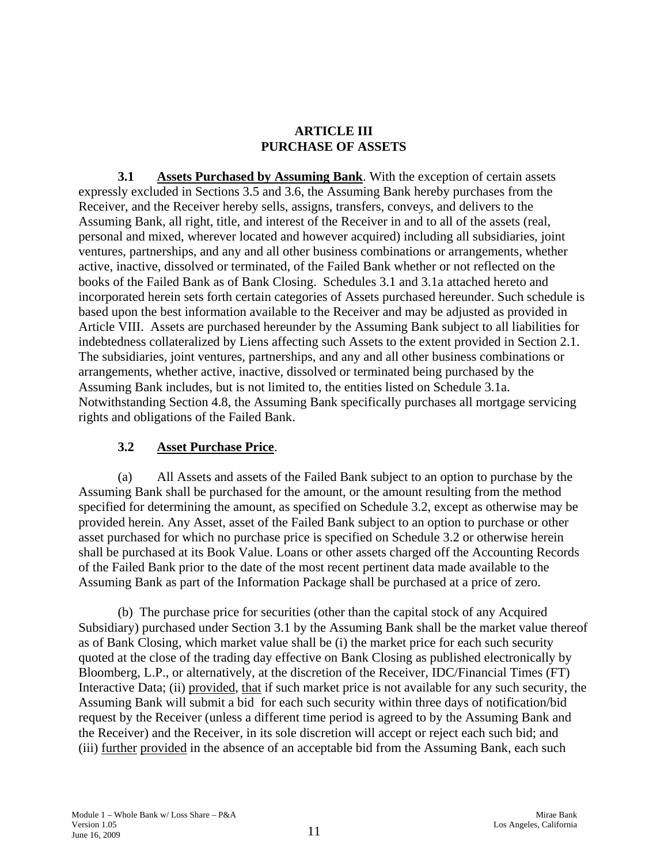### **ARTICLE III PURCHASE OF ASSETS**

<span id="page-14-1"></span><span id="page-14-0"></span>Assuming Bank includes, but is not limited to, the entities listed on Schedule 3.1a. **3.1** Assets Purchased by Assuming Bank. With the exception of certain assets expressly excluded in Sections 3.5 and 3.6, the Assuming Bank hereby purchases from the Receiver, and the Receiver hereby sells, assigns, transfers, conveys, and delivers to the Assuming Bank, all right, title, and interest of the Receiver in and to all of the assets (real, personal and mixed, wherever located and however acquired) including all subsidiaries, joint ventures, partnerships, and any and all other business combinations or arrangements, whether active, inactive, dissolved or terminated, of the Failed Bank whether or not reflected on the books of the Failed Bank as of Bank Closing. Schedules 3.1 and 3.1a attached hereto and incorporated herein sets forth certain categories of Assets purchased hereunder. Such schedule is based upon the best information available to the Receiver and may be adjusted as provided in Article VIII. Assets are purchased hereunder by the Assuming Bank subject to all liabilities for indebtedness collateralized by Liens affecting such Assets to the extent provided in Section 2.1. The subsidiaries, joint ventures, partnerships, and any and all other business combinations or arrangements, whether active, inactive, dissolved or terminated being purchased by the Notwithstanding Section 4.8, the Assuming Bank specifically purchases all mortgage servicing rights and obligations of the Failed Bank.

## **3.2 Asset Purchase Price**.

<span id="page-14-2"></span>(a) All Assets and assets of the Failed Bank subject to an option to purchase by the Assuming Bank shall be purchased for the amount, or the amount resulting from the method specified for determining the amount, as specified on Schedule 3.2, except as otherwise may be provided herein. Any Asset, asset of the Failed Bank subject to an option to purchase or other asset purchased for which no purchase price is specified on Schedule 3.2 or otherwise herein shall be purchased at its Book Value. Loans or other assets charged off the Accounting Records of the Failed Bank prior to the date of the most recent pertinent data made available to the Assuming Bank as part of the Information Package shall be purchased at a price of zero.

(b) The purchase price for securities (other than the capital stock of any Acquired Subsidiary) purchased under Section 3.1 by the Assuming Bank shall be the market value thereof as of Bank Closing, which market value shall be (i) the market price for each such security quoted at the close of the trading day effective on Bank Closing as published electronically by Bloomberg, L.P., or alternatively, at the discretion of the Receiver, IDC/Financial Times (FT) Interactive Data; (ii) provided, that if such market price is not available for any such security, the Assuming Bank will submit a bid for each such security within three days of notification/bid request by the Receiver (unless a different time period is agreed to by the Assuming Bank and the Receiver) and the Receiver, in its sole discretion will accept or reject each such bid; and (iii) further provided in the absence of an acceptable bid from the Assuming Bank, each such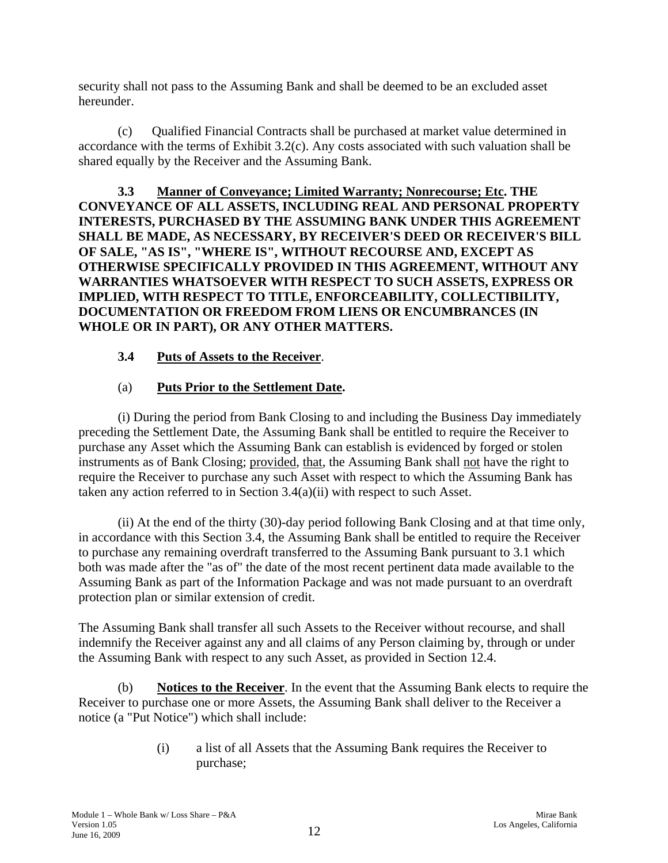security shall not pass to the Assuming Bank and shall be deemed to be an excluded asset hereunder.

(c) Qualified Financial Contracts shall be purchased at market value determined in accordance with the terms of Exhibit 3.2(c). Any costs associated with such valuation shall be shared equally by the Receiver and the Assuming Bank.

<span id="page-15-0"></span>**3.3 Manner of Conveyance; Limited Warranty; Nonrecourse; Etc. THE CONVEYANCE OF ALL ASSETS, INCLUDING REAL AND PERSONAL PROPERTY INTERESTS, PURCHASED BY THE ASSUMING BANK UNDER THIS AGREEMENT SHALL BE MADE, AS NECESSARY, BY RECEIVER'S DEED OR RECEIVER'S BILL OF SALE, "AS IS", "WHERE IS", WITHOUT RECOURSE AND, EXCEPT AS OTHERWISE SPECIFICALLY PROVIDED IN THIS AGREEMENT, WITHOUT ANY WARRANTIES WHATSOEVER WITH RESPECT TO SUCH ASSETS, EXPRESS OR IMPLIED, WITH RESPECT TO TITLE, ENFORCEABILITY, COLLECTIBILITY, DOCUMENTATION OR FREEDOM FROM LIENS OR ENCUMBRANCES (IN WHOLE OR IN PART), OR ANY OTHER MATTERS.** 

## **3.4 Puts of Assets to the Receiver**.

## (a) **Puts Prior to the Settlement Date.**

<span id="page-15-1"></span>(i) During the period from Bank Closing to and including the Business Day immediately preceding the Settlement Date, the Assuming Bank shall be entitled to require the Receiver to purchase any Asset which the Assuming Bank can establish is evidenced by forged or stolen instruments as of Bank Closing; provided, that, the Assuming Bank shall not have the right to require the Receiver to purchase any such Asset with respect to which the Assuming Bank has taken any action referred to in Section 3.4(a)(ii) with respect to such Asset.

(ii) At the end of the thirty (30)-day period following Bank Closing and at that time only, in accordance with this Section 3.4, the Assuming Bank shall be entitled to require the Receiver to purchase any remaining overdraft transferred to the Assuming Bank pursuant to 3.1 which both was made after the "as of" the date of the most recent pertinent data made available to the Assuming Bank as part of the Information Package and was not made pursuant to an overdraft protection plan or similar extension of credit.

The Assuming Bank shall transfer all such Assets to the Receiver without recourse, and shall indemnify the Receiver against any and all claims of any Person claiming by, through or under the Assuming Bank with respect to any such Asset, as provided in Section 12.4.

(b) **Notices to the Receiver**. In the event that the Assuming Bank elects to require the Receiver to purchase one or more Assets, the Assuming Bank shall deliver to the Receiver a notice (a "Put Notice") which shall include:

> (i) a list of all Assets that the Assuming Bank requires the Receiver to purchase;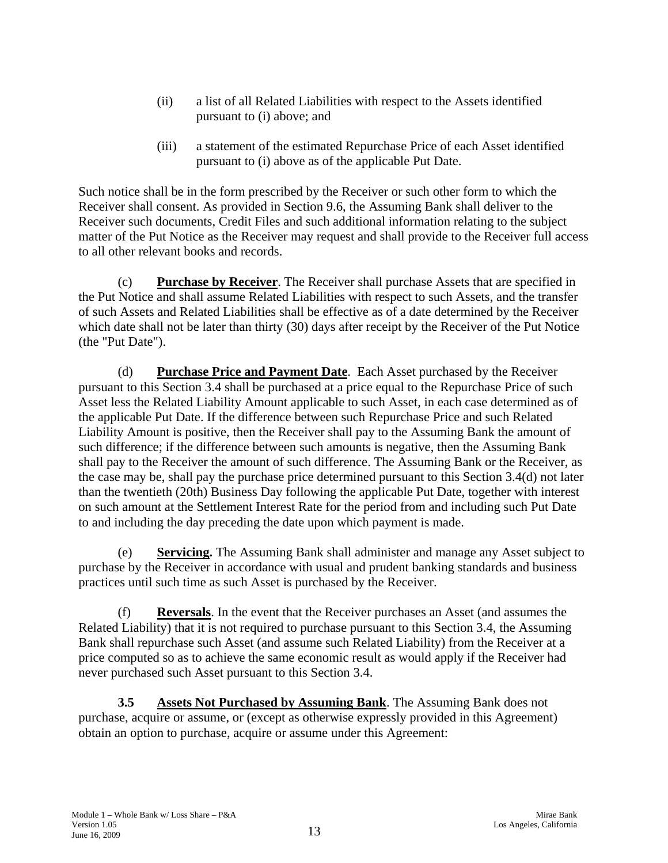- (ii) a list of all Related Liabilities with respect to the Assets identified pursuant to (i) above; and
- (iii) a statement of the estimated Repurchase Price of each Asset identified pursuant to (i) above as of the applicable Put Date.

Such notice shall be in the form prescribed by the Receiver or such other form to which the Receiver shall consent. As provided in Section 9.6, the Assuming Bank shall deliver to the Receiver such documents, Credit Files and such additional information relating to the subject matter of the Put Notice as the Receiver may request and shall provide to the Receiver full access to all other relevant books and records.

(c) **Purchase by Receiver**. The Receiver shall purchase Assets that are specified in the Put Notice and shall assume Related Liabilities with respect to such Assets, and the transfer of such Assets and Related Liabilities shall be effective as of a date determined by the Receiver which date shall not be later than thirty (30) days after receipt by the Receiver of the Put Notice (the "Put Date").

(d) **Purchase Price and Payment Date**. Each Asset purchased by the Receiver pursuant to this Section 3.4 shall be purchased at a price equal to the Repurchase Price of such Asset less the Related Liability Amount applicable to such Asset, in each case determined as of the applicable Put Date. If the difference between such Repurchase Price and such Related Liability Amount is positive, then the Receiver shall pay to the Assuming Bank the amount of such difference; if the difference between such amounts is negative, then the Assuming Bank shall pay to the Receiver the amount of such difference. The Assuming Bank or the Receiver, as the case may be, shall pay the purchase price determined pursuant to this Section 3.4(d) not later than the twentieth (20th) Business Day following the applicable Put Date, together with interest on such amount at the Settlement Interest Rate for the period from and including such Put Date to and including the day preceding the date upon which payment is made.

(e) **Servicing.** The Assuming Bank shall administer and manage any Asset subject to purchase by the Receiver in accordance with usual and prudent banking standards and business practices until such time as such Asset is purchased by the Receiver.

(f) **Reversals**. In the event that the Receiver purchases an Asset (and assumes the Related Liability) that it is not required to purchase pursuant to this Section 3.4, the Assuming Bank shall repurchase such Asset (and assume such Related Liability) from the Receiver at a price computed so as to achieve the same economic result as would apply if the Receiver had never purchased such Asset pursuant to this Section 3.4.

<span id="page-16-0"></span>**3.5 Assets Not Purchased by Assuming Bank**. The Assuming Bank does not purchase, acquire or assume, or (except as otherwise expressly provided in this Agreement) obtain an option to purchase, acquire or assume under this Agreement: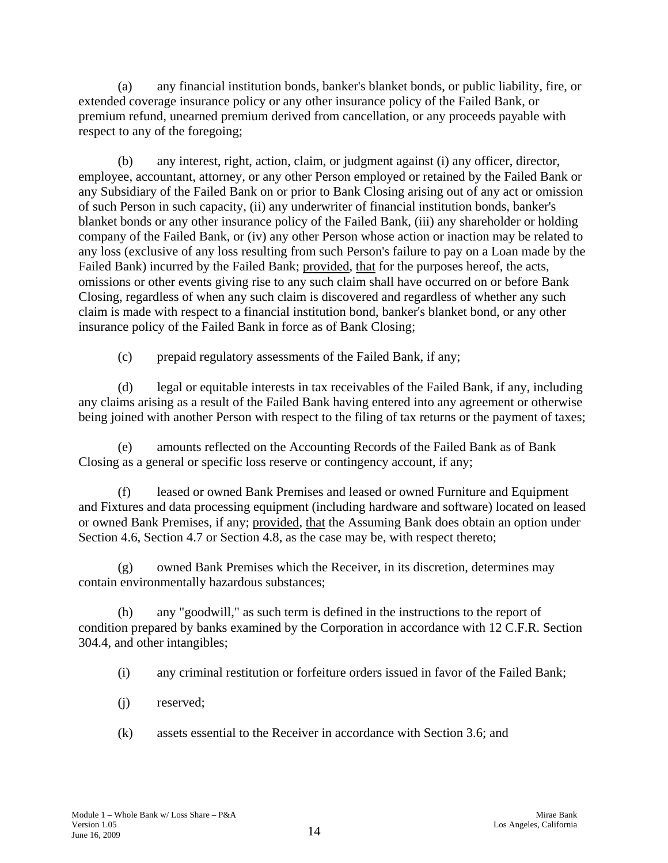(a) any financial institution bonds, banker's blanket bonds, or public liability, fire, or extended coverage insurance policy or any other insurance policy of the Failed Bank, or premium refund, unearned premium derived from cancellation, or any proceeds payable with respect to any of the foregoing;

(b) any interest, right, action, claim, or judgment against (i) any officer, director, employee, accountant, attorney, or any other Person employed or retained by the Failed Bank or any Subsidiary of the Failed Bank on or prior to Bank Closing arising out of any act or omission of such Person in such capacity, (ii) any underwriter of financial institution bonds, banker's blanket bonds or any other insurance policy of the Failed Bank, (iii) any shareholder or holding company of the Failed Bank, or (iv) any other Person whose action or inaction may be related to any loss (exclusive of any loss resulting from such Person's failure to pay on a Loan made by the Failed Bank) incurred by the Failed Bank; provided, that for the purposes hereof, the acts, omissions or other events giving rise to any such claim shall have occurred on or before Bank Closing, regardless of when any such claim is discovered and regardless of whether any such claim is made with respect to a financial institution bond, banker's blanket bond, or any other insurance policy of the Failed Bank in force as of Bank Closing;

(c) prepaid regulatory assessments of the Failed Bank, if any;

(d) legal or equitable interests in tax receivables of the Failed Bank, if any, including any claims arising as a result of the Failed Bank having entered into any agreement or otherwise being joined with another Person with respect to the filing of tax returns or the payment of taxes;

(e) amounts reflected on the Accounting Records of the Failed Bank as of Bank Closing as a general or specific loss reserve or contingency account, if any;

(f) leased or owned Bank Premises and leased or owned Furniture and Equipment and Fixtures and data processing equipment (including hardware and software) located on leased or owned Bank Premises, if any; provided, that the Assuming Bank does obtain an option under Section 4.6, Section 4.7 or Section 4.8, as the case may be, with respect thereto;

(g) owned Bank Premises which the Receiver, in its discretion, determines may contain environmentally hazardous substances;

(h) any "goodwill," as such term is defined in the instructions to the report of condition prepared by banks examined by the Corporation in accordance with 12 C.F.R. Section 304.4, and other intangibles;

- (i) any criminal restitution or forfeiture orders issued in favor of the Failed Bank;
- (j) reserved;
- (k) assets essential to the Receiver in accordance with Section 3.6; and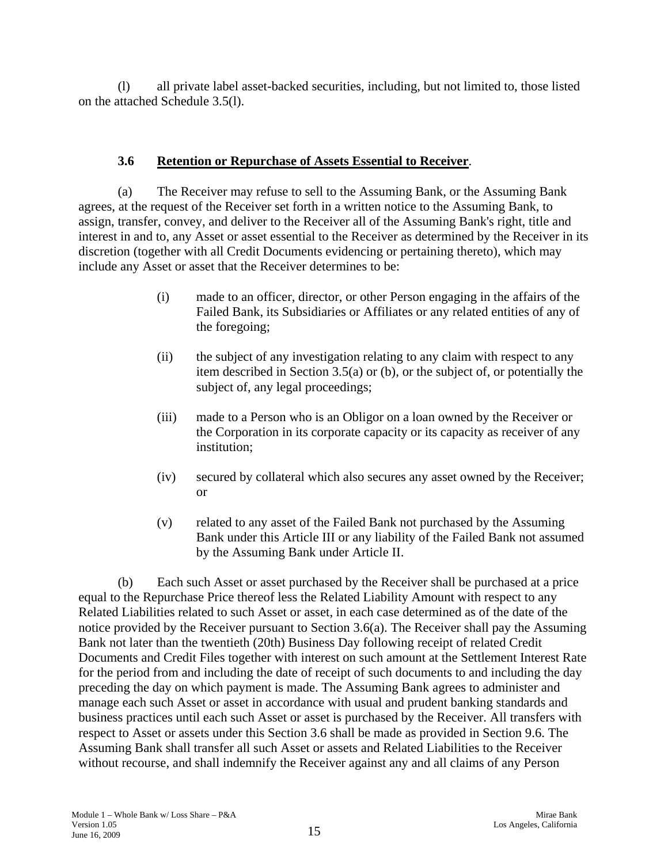(l) all private label asset-backed securities, including, but not limited to, those listed on the attached Schedule 3.5(l).

## **3.6 Retention or Repurchase of Assets Essential to Receiver**.

<span id="page-18-0"></span>(a) The Receiver may refuse to sell to the Assuming Bank, or the Assuming Bank agrees, at the request of the Receiver set forth in a written notice to the Assuming Bank, to assign, transfer, convey, and deliver to the Receiver all of the Assuming Bank's right, title and interest in and to, any Asset or asset essential to the Receiver as determined by the Receiver in its discretion (together with all Credit Documents evidencing or pertaining thereto), which may include any Asset or asset that the Receiver determines to be:

- (i) made to an officer, director, or other Person engaging in the affairs of the Failed Bank, its Subsidiaries or Affiliates or any related entities of any of the foregoing;
- (ii) the subject of any investigation relating to any claim with respect to any item described in Section 3.5(a) or (b), or the subject of, or potentially the subject of, any legal proceedings;
- (iii) made to a Person who is an Obligor on a loan owned by the Receiver or the Corporation in its corporate capacity or its capacity as receiver of any institution;
- (iv) secured by collateral which also secures any asset owned by the Receiver; or
- (v) related to any asset of the Failed Bank not purchased by the Assuming Bank under this Article III or any liability of the Failed Bank not assumed by the Assuming Bank under Article II.

(b) Each such Asset or asset purchased by the Receiver shall be purchased at a price equal to the Repurchase Price thereof less the Related Liability Amount with respect to any Related Liabilities related to such Asset or asset, in each case determined as of the date of the notice provided by the Receiver pursuant to Section 3.6(a). The Receiver shall pay the Assuming Bank not later than the twentieth (20th) Business Day following receipt of related Credit Documents and Credit Files together with interest on such amount at the Settlement Interest Rate for the period from and including the date of receipt of such documents to and including the day preceding the day on which payment is made. The Assuming Bank agrees to administer and manage each such Asset or asset in accordance with usual and prudent banking standards and business practices until each such Asset or asset is purchased by the Receiver. All transfers with respect to Asset or assets under this Section 3.6 shall be made as provided in Section 9.6. The Assuming Bank shall transfer all such Asset or assets and Related Liabilities to the Receiver without recourse, and shall indemnify the Receiver against any and all claims of any Person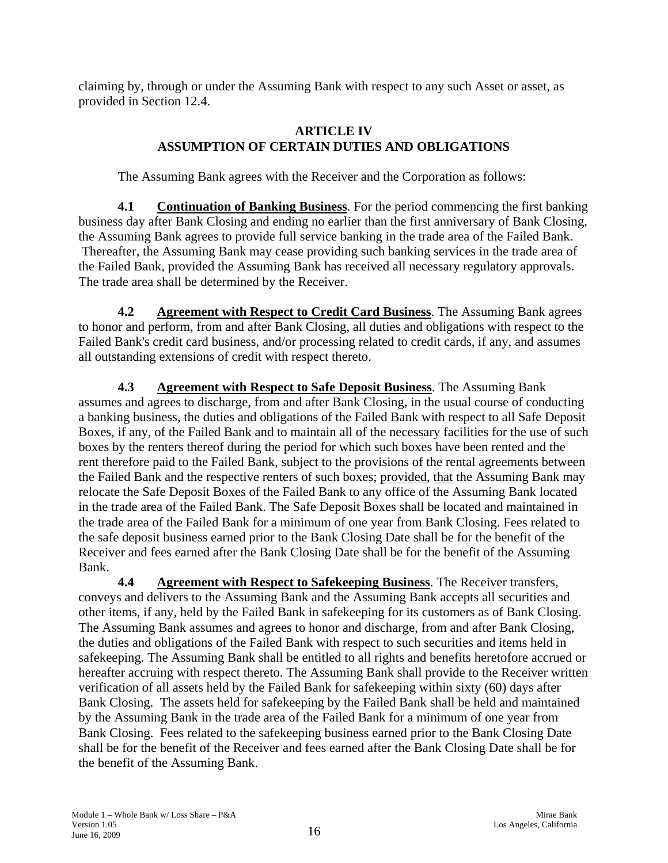claiming by, through or under the Assuming Bank with respect to any such Asset or asset, as provided in Section 12.4.

## **ARTICLE IV ASSUMPTION OF CERTAIN DUTIES AND OBLIGATIONS**

The Assuming Bank agrees with the Receiver and the Corporation as follows:

<span id="page-19-1"></span><span id="page-19-0"></span>**4.1 Continuation of Banking Business**. For the period commencing the first banking business day after Bank Closing and ending no earlier than the first anniversary of Bank Closing, the Assuming Bank agrees to provide full service banking in the trade area of the Failed Bank. Thereafter, the Assuming Bank may cease providing such banking services in the trade area of the Failed Bank, provided the Assuming Bank has received all necessary regulatory approvals. The trade area shall be determined by the Receiver.

<span id="page-19-2"></span>**4.2 Agreement with Respect to Credit Card Business**. The Assuming Bank agrees to honor and perform, from and after Bank Closing, all duties and obligations with respect to the Failed Bank's credit card business, and/or processing related to credit cards, if any, and assumes all outstanding extensions of credit with respect thereto.

**4.3 Agreement with Respect to Safe Deposit Business**. The Assuming Bank assumes and agrees to discharge, from and after Bank Closing, in the usual course of conducting a banking business, the duties and obligations of the Failed Bank with respect to all Safe Deposit Boxes, if any, of the Failed Bank and to maintain all of the necessary facilities for the use of such boxes by the renters thereof during the period for which such boxes have been rented and the rent therefore paid to the Failed Bank, subject to the provisions of the rental agreements between the Failed Bank and the respective renters of such boxes; provided, that the Assuming Bank may relocate the Safe Deposit Boxes of the Failed Bank to any office of the Assuming Bank located in the trade area of the Failed Bank. The Safe Deposit Boxes shall be located and maintained in the trade area of the Failed Bank for a minimum of one year from Bank Closing. Fees related to the safe deposit business earned prior to the Bank Closing Date shall be for the benefit of the Receiver and fees earned after the Bank Closing Date shall be for the benefit of the Assuming Bank.

<span id="page-19-3"></span>**4.4 Agreement with Respect to Safekeeping Business**. The Receiver transfers, conveys and delivers to the Assuming Bank and the Assuming Bank accepts all securities and other items, if any, held by the Failed Bank in safekeeping for its customers as of Bank Closing. The Assuming Bank assumes and agrees to honor and discharge, from and after Bank Closing, the duties and obligations of the Failed Bank with respect to such securities and items held in safekeeping. The Assuming Bank shall be entitled to all rights and benefits heretofore accrued or hereafter accruing with respect thereto. The Assuming Bank shall provide to the Receiver written verification of all assets held by the Failed Bank for safekeeping within sixty (60) days after Bank Closing. The assets held for safekeeping by the Failed Bank shall be held and maintained by the Assuming Bank in the trade area of the Failed Bank for a minimum of one year from Bank Closing. Fees related to the safekeeping business earned prior to the Bank Closing Date shall be for the benefit of the Receiver and fees earned after the Bank Closing Date shall be for the benefit of the Assuming Bank.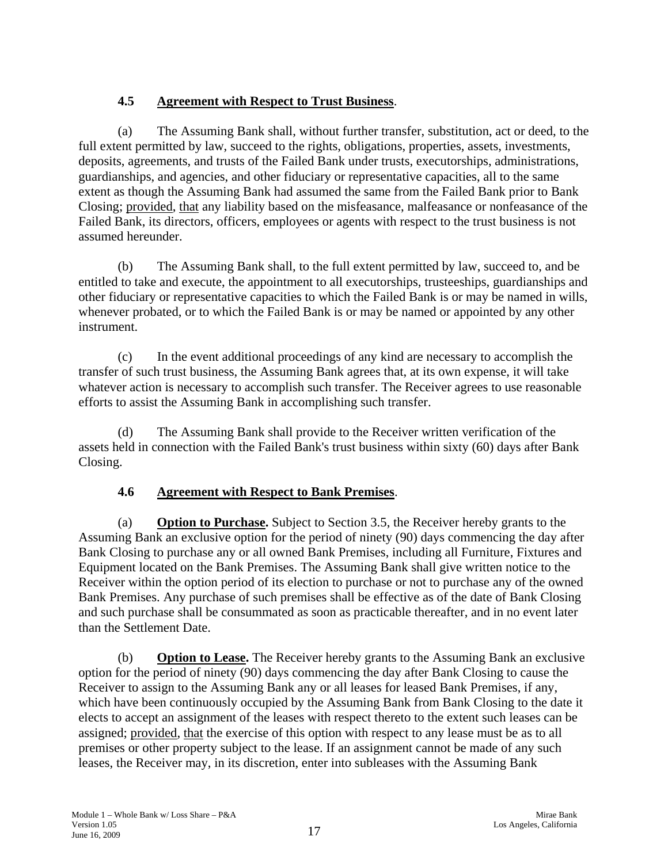# **4.5 Agreement with Respect to Trust Business**.

<span id="page-20-0"></span>(a) The Assuming Bank shall, without further transfer, substitution, act or deed, to the full extent permitted by law, succeed to the rights, obligations, properties, assets, investments, deposits, agreements, and trusts of the Failed Bank under trusts, executorships, administrations, guardianships, and agencies, and other fiduciary or representative capacities, all to the same extent as though the Assuming Bank had assumed the same from the Failed Bank prior to Bank Closing; provided, that any liability based on the misfeasance, malfeasance or nonfeasance of the Failed Bank, its directors, officers, employees or agents with respect to the trust business is not assumed hereunder.

(b) The Assuming Bank shall, to the full extent permitted by law, succeed to, and be entitled to take and execute, the appointment to all executorships, trusteeships, guardianships and other fiduciary or representative capacities to which the Failed Bank is or may be named in wills, whenever probated, or to which the Failed Bank is or may be named or appointed by any other instrument.

(c) In the event additional proceedings of any kind are necessary to accomplish the transfer of such trust business, the Assuming Bank agrees that, at its own expense, it will take whatever action is necessary to accomplish such transfer. The Receiver agrees to use reasonable efforts to assist the Assuming Bank in accomplishing such transfer.

(d) The Assuming Bank shall provide to the Receiver written verification of the assets held in connection with the Failed Bank's trust business within sixty (60) days after Bank Closing.

# **4.6 Agreement with Respect to Bank Premises**.

<span id="page-20-1"></span>(a) **Option to Purchase.** Subject to Section 3.5, the Receiver hereby grants to the Assuming Bank an exclusive option for the period of ninety (90) days commencing the day after Bank Closing to purchase any or all owned Bank Premises, including all Furniture, Fixtures and Equipment located on the Bank Premises. The Assuming Bank shall give written notice to the Receiver within the option period of its election to purchase or not to purchase any of the owned Bank Premises. Any purchase of such premises shall be effective as of the date of Bank Closing and such purchase shall be consummated as soon as practicable thereafter, and in no event later than the Settlement Date.

(b) **Option to Lease.** The Receiver hereby grants to the Assuming Bank an exclusive option for the period of ninety (90) days commencing the day after Bank Closing to cause the Receiver to assign to the Assuming Bank any or all leases for leased Bank Premises, if any, which have been continuously occupied by the Assuming Bank from Bank Closing to the date it elects to accept an assignment of the leases with respect thereto to the extent such leases can be assigned; provided, that the exercise of this option with respect to any lease must be as to all premises or other property subject to the lease. If an assignment cannot be made of any such leases, the Receiver may, in its discretion, enter into subleases with the Assuming Bank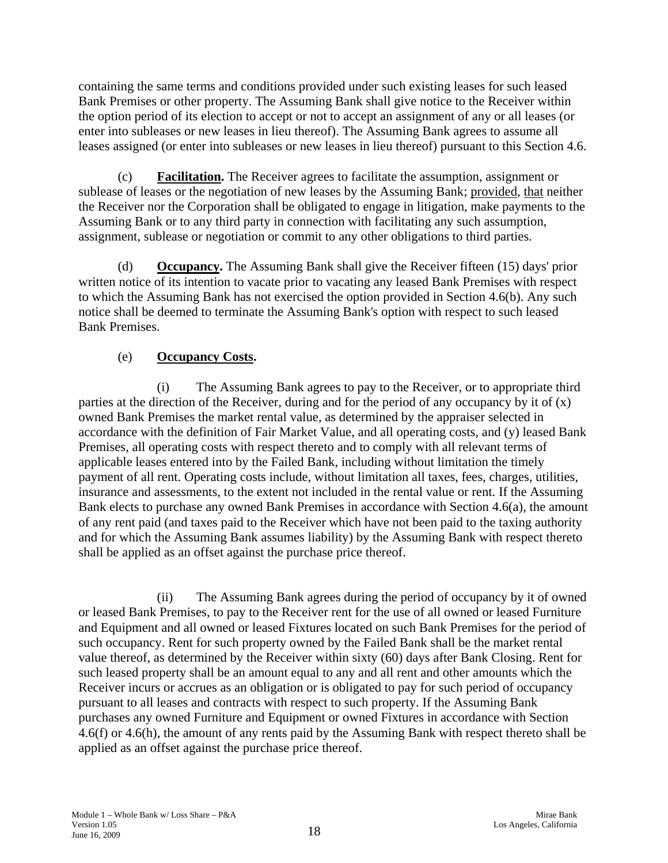containing the same terms and conditions provided under such existing leases for such leased Bank Premises or other property. The Assuming Bank shall give notice to the Receiver within the option period of its election to accept or not to accept an assignment of any or all leases (or enter into subleases or new leases in lieu thereof). The Assuming Bank agrees to assume all leases assigned (or enter into subleases or new leases in lieu thereof) pursuant to this Section 4.6.

(c) **Facilitation.** The Receiver agrees to facilitate the assumption, assignment or sublease of leases or the negotiation of new leases by the Assuming Bank; provided, that neither the Receiver nor the Corporation shall be obligated to engage in litigation, make payments to the Assuming Bank or to any third party in connection with facilitating any such assumption, assignment, sublease or negotiation or commit to any other obligations to third parties.

(d) **Occupancy.** The Assuming Bank shall give the Receiver fifteen (15) days' prior written notice of its intention to vacate prior to vacating any leased Bank Premises with respect to which the Assuming Bank has not exercised the option provided in Section 4.6(b). Any such notice shall be deemed to terminate the Assuming Bank's option with respect to such leased Bank Premises.

# (e) **Occupancy Costs.**

(i) The Assuming Bank agrees to pay to the Receiver, or to appropriate third parties at the direction of the Receiver, during and for the period of any occupancy by it of (x) owned Bank Premises the market rental value, as determined by the appraiser selected in accordance with the definition of Fair Market Value, and all operating costs, and (y) leased Bank Premises, all operating costs with respect thereto and to comply with all relevant terms of applicable leases entered into by the Failed Bank, including without limitation the timely payment of all rent. Operating costs include, without limitation all taxes, fees, charges, utilities, insurance and assessments, to the extent not included in the rental value or rent. If the Assuming Bank elects to purchase any owned Bank Premises in accordance with Section 4.6(a), the amount of any rent paid (and taxes paid to the Receiver which have not been paid to the taxing authority and for which the Assuming Bank assumes liability) by the Assuming Bank with respect thereto shall be applied as an offset against the purchase price thereof.

(ii) The Assuming Bank agrees during the period of occupancy by it of owned or leased Bank Premises, to pay to the Receiver rent for the use of all owned or leased Furniture and Equipment and all owned or leased Fixtures located on such Bank Premises for the period of such occupancy. Rent for such property owned by the Failed Bank shall be the market rental value thereof, as determined by the Receiver within sixty (60) days after Bank Closing. Rent for such leased property shall be an amount equal to any and all rent and other amounts which the Receiver incurs or accrues as an obligation or is obligated to pay for such period of occupancy pursuant to all leases and contracts with respect to such property. If the Assuming Bank purchases any owned Furniture and Equipment or owned Fixtures in accordance with Section 4.6(f) or 4.6(h), the amount of any rents paid by the Assuming Bank with respect thereto shall be applied as an offset against the purchase price thereof.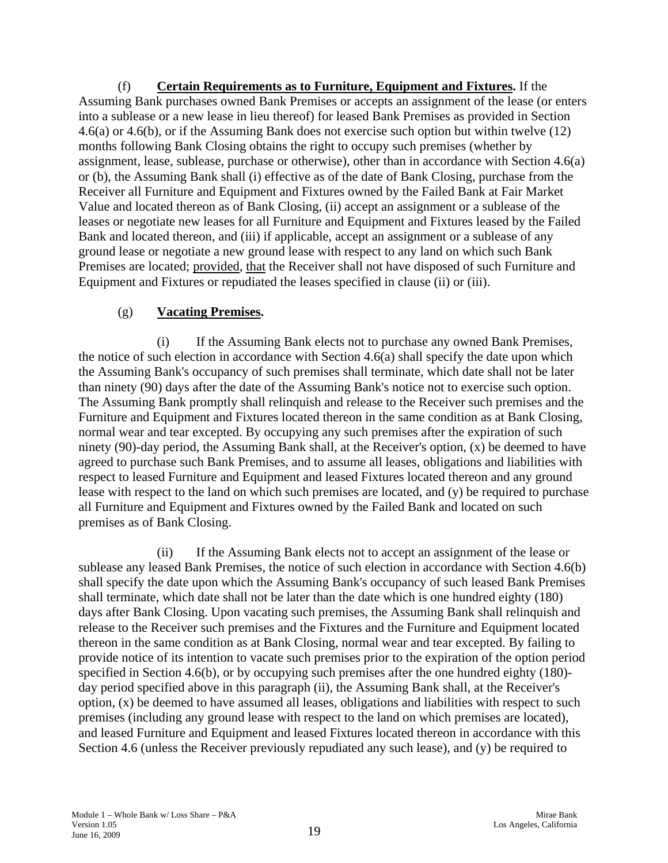(f) **Certain Requirements as to Furniture, Equipment and Fixtures.** If the Assuming Bank purchases owned Bank Premises or accepts an assignment of the lease (or enters into a sublease or a new lease in lieu thereof) for leased Bank Premises as provided in Section 4.6(a) or 4.6(b), or if the Assuming Bank does not exercise such option but within twelve (12) months following Bank Closing obtains the right to occupy such premises (whether by assignment, lease, sublease, purchase or otherwise), other than in accordance with Section 4.6(a) or (b), the Assuming Bank shall (i) effective as of the date of Bank Closing, purchase from the Receiver all Furniture and Equipment and Fixtures owned by the Failed Bank at Fair Market Value and located thereon as of Bank Closing, (ii) accept an assignment or a sublease of the leases or negotiate new leases for all Furniture and Equipment and Fixtures leased by the Failed Bank and located thereon, and (iii) if applicable, accept an assignment or a sublease of any ground lease or negotiate a new ground lease with respect to any land on which such Bank Premises are located; provided, that the Receiver shall not have disposed of such Furniture and Equipment and Fixtures or repudiated the leases specified in clause (ii) or (iii).

# (g) **Vacating Premises.**

(i) If the Assuming Bank elects not to purchase any owned Bank Premises, the notice of such election in accordance with Section 4.6(a) shall specify the date upon which the Assuming Bank's occupancy of such premises shall terminate, which date shall not be later than ninety (90) days after the date of the Assuming Bank's notice not to exercise such option. The Assuming Bank promptly shall relinquish and release to the Receiver such premises and the Furniture and Equipment and Fixtures located thereon in the same condition as at Bank Closing, normal wear and tear excepted. By occupying any such premises after the expiration of such ninety (90)-day period, the Assuming Bank shall, at the Receiver's option, (x) be deemed to have agreed to purchase such Bank Premises, and to assume all leases, obligations and liabilities with respect to leased Furniture and Equipment and leased Fixtures located thereon and any ground lease with respect to the land on which such premises are located, and (y) be required to purchase all Furniture and Equipment and Fixtures owned by the Failed Bank and located on such premises as of Bank Closing.

(ii) If the Assuming Bank elects not to accept an assignment of the lease or sublease any leased Bank Premises, the notice of such election in accordance with Section 4.6(b) shall specify the date upon which the Assuming Bank's occupancy of such leased Bank Premises shall terminate, which date shall not be later than the date which is one hundred eighty (180) days after Bank Closing. Upon vacating such premises, the Assuming Bank shall relinquish and release to the Receiver such premises and the Fixtures and the Furniture and Equipment located thereon in the same condition as at Bank Closing, normal wear and tear excepted. By failing to provide notice of its intention to vacate such premises prior to the expiration of the option period specified in Section 4.6(b), or by occupying such premises after the one hundred eighty (180) day period specified above in this paragraph (ii), the Assuming Bank shall, at the Receiver's option, (x) be deemed to have assumed all leases, obligations and liabilities with respect to such premises (including any ground lease with respect to the land on which premises are located), and leased Furniture and Equipment and leased Fixtures located thereon in accordance with this Section 4.6 (unless the Receiver previously repudiated any such lease), and (y) be required to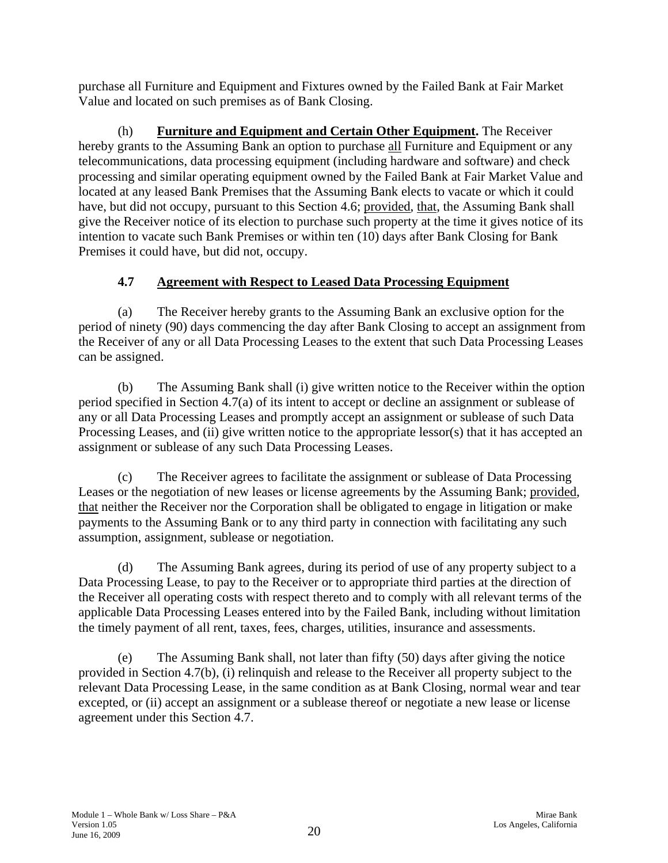purchase all Furniture and Equipment and Fixtures owned by the Failed Bank at Fair Market Value and located on such premises as of Bank Closing.

(h) **Furniture and Equipment and Certain Other Equipment.** The Receiver hereby grants to the Assuming Bank an option to purchase all Furniture and Equipment or any telecommunications, data processing equipment (including hardware and software) and check processing and similar operating equipment owned by the Failed Bank at Fair Market Value and located at any leased Bank Premises that the Assuming Bank elects to vacate or which it could have, but did not occupy, pursuant to this Section 4.6; provided, that, the Assuming Bank shall give the Receiver notice of its election to purchase such property at the time it gives notice of its intention to vacate such Bank Premises or within ten (10) days after Bank Closing for Bank Premises it could have, but did not, occupy.

# **4.7 Agreement with Respect to Leased Data Processing Equipment**

<span id="page-23-0"></span>(a) The Receiver hereby grants to the Assuming Bank an exclusive option for the period of ninety (90) days commencing the day after Bank Closing to accept an assignment from the Receiver of any or all Data Processing Leases to the extent that such Data Processing Leases can be assigned.

(b) The Assuming Bank shall (i) give written notice to the Receiver within the option period specified in Section 4.7(a) of its intent to accept or decline an assignment or sublease of any or all Data Processing Leases and promptly accept an assignment or sublease of such Data Processing Leases, and (ii) give written notice to the appropriate lessor(s) that it has accepted an assignment or sublease of any such Data Processing Leases.

(c) The Receiver agrees to facilitate the assignment or sublease of Data Processing Leases or the negotiation of new leases or license agreements by the Assuming Bank; provided, that neither the Receiver nor the Corporation shall be obligated to engage in litigation or make payments to the Assuming Bank or to any third party in connection with facilitating any such assumption, assignment, sublease or negotiation.

(d) The Assuming Bank agrees, during its period of use of any property subject to a Data Processing Lease, to pay to the Receiver or to appropriate third parties at the direction of the Receiver all operating costs with respect thereto and to comply with all relevant terms of the applicable Data Processing Leases entered into by the Failed Bank, including without limitation the timely payment of all rent, taxes, fees, charges, utilities, insurance and assessments.

(e) The Assuming Bank shall, not later than fifty (50) days after giving the notice provided in Section 4.7(b), (i) relinquish and release to the Receiver all property subject to the relevant Data Processing Lease, in the same condition as at Bank Closing, normal wear and tear excepted, or (ii) accept an assignment or a sublease thereof or negotiate a new lease or license agreement under this Section 4.7.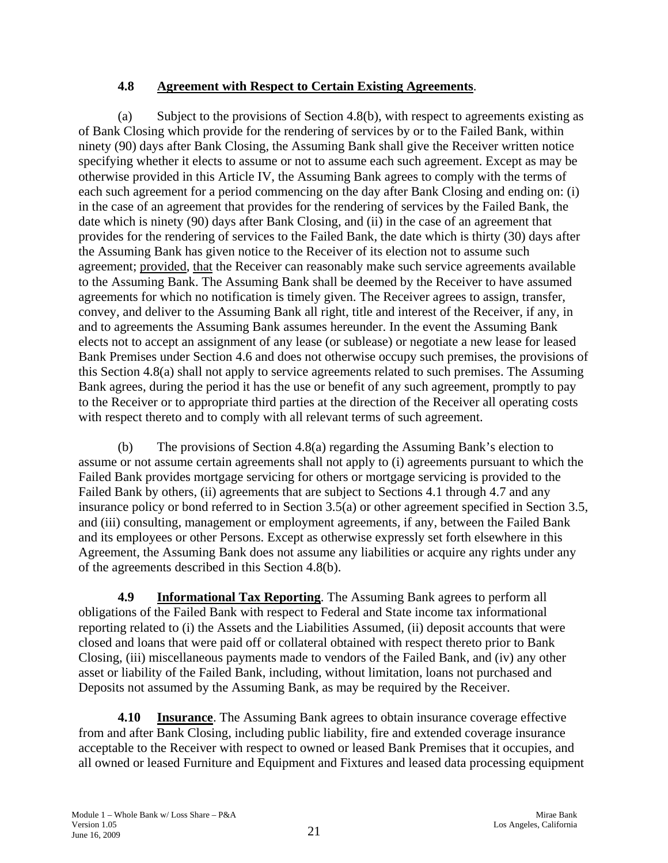# **4.8 Agreement with Respect to Certain Existing Agreements**.

(a) Subject to the provisions of Section 4.8(b), with respect to agreements existing as of Bank Closing which provide for the rendering of services by or to the Failed Bank, within ninety (90) days after Bank Closing, the Assuming Bank shall give the Receiver written notice specifying whether it elects to assume or not to assume each such agreement. Except as may be otherwise provided in this Article IV, the Assuming Bank agrees to comply with the terms of each such agreement for a period commencing on the day after Bank Closing and ending on: (i) in the case of an agreement that provides for the rendering of services by the Failed Bank, the date which is ninety (90) days after Bank Closing, and (ii) in the case of an agreement that provides for the rendering of services to the Failed Bank, the date which is thirty (30) days after the Assuming Bank has given notice to the Receiver of its election not to assume such agreement; provided, that the Receiver can reasonably make such service agreements available to the Assuming Bank. The Assuming Bank shall be deemed by the Receiver to have assumed agreements for which no notification is timely given. The Receiver agrees to assign, transfer, convey, and deliver to the Assuming Bank all right, title and interest of the Receiver, if any, in and to agreements the Assuming Bank assumes hereunder. In the event the Assuming Bank elects not to accept an assignment of any lease (or sublease) or negotiate a new lease for leased Bank Premises under Section 4.6 and does not otherwise occupy such premises, the provisions of this Section 4.8(a) shall not apply to service agreements related to such premises. The Assuming Bank agrees, during the period it has the use or benefit of any such agreement, promptly to pay to the Receiver or to appropriate third parties at the direction of the Receiver all operating costs with respect thereto and to comply with all relevant terms of such agreement.

(b) The provisions of Section 4.8(a) regarding the Assuming Bank's election to assume or not assume certain agreements shall not apply to (i) agreements pursuant to which the Failed Bank provides mortgage servicing for others or mortgage servicing is provided to the Failed Bank by others, (ii) agreements that are subject to Sections 4.1 through 4.7 and any insurance policy or bond referred to in Section 3.5(a) or other agreement specified in Section 3.5, and (iii) consulting, management or employment agreements, if any, between the Failed Bank and its employees or other Persons. Except as otherwise expressly set forth elsewhere in this Agreement, the Assuming Bank does not assume any liabilities or acquire any rights under any of the agreements described in this Section 4.8(b).

<span id="page-24-1"></span>**4.9 Informational Tax Reporting**. The Assuming Bank agrees to perform all obligations of the Failed Bank with respect to Federal and State income tax informational reporting related to (i) the Assets and the Liabilities Assumed, (ii) deposit accounts that were closed and loans that were paid off or collateral obtained with respect thereto prior to Bank Closing, (iii) miscellaneous payments made to vendors of the Failed Bank, and (iv) any other asset or liability of the Failed Bank, including, without limitation, loans not purchased and Deposits not assumed by the Assuming Bank, as may be required by the Receiver.

<span id="page-24-2"></span><span id="page-24-0"></span>**4.10 Insurance**. The Assuming Bank agrees to obtain insurance coverage effective from and after Bank Closing, including public liability, fire and extended coverage insurance acceptable to the Receiver with respect to owned or leased Bank Premises that it occupies, and all owned or leased Furniture and Equipment and Fixtures and leased data processing equipment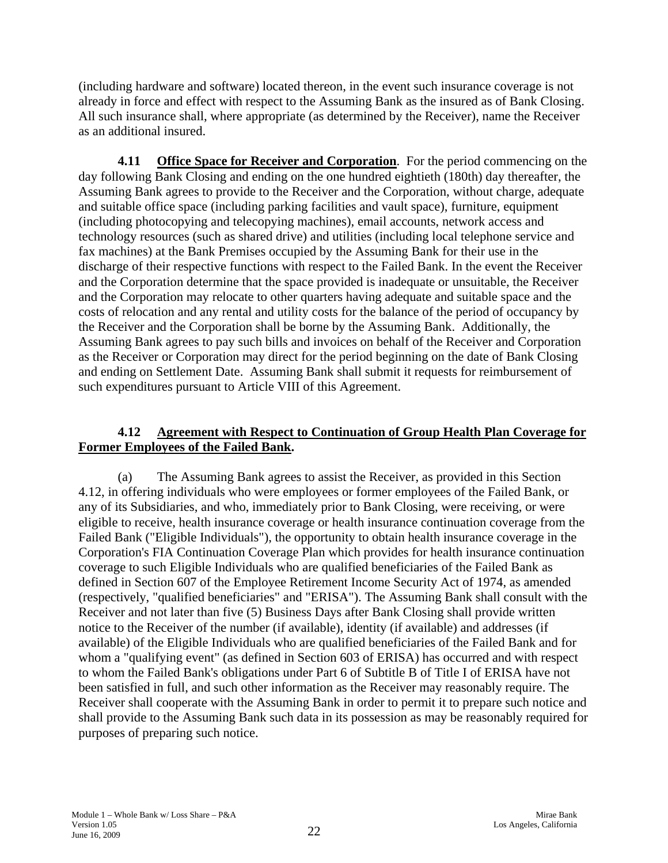(including hardware and software) located thereon, in the event such insurance coverage is not already in force and effect with respect to the Assuming Bank as the insured as of Bank Closing. All such insurance shall, where appropriate (as determined by the Receiver), name the Receiver as an additional insured.

<span id="page-25-0"></span>**4.11** Office Space for Receiver and Corporation. For the period commencing on the day following Bank Closing and ending on the one hundred eightieth (180th) day thereafter, the Assuming Bank agrees to provide to the Receiver and the Corporation, without charge, adequate and suitable office space (including parking facilities and vault space), furniture, equipment (including photocopying and telecopying machines), email accounts, network access and technology resources (such as shared drive) and utilities (including local telephone service and fax machines) at the Bank Premises occupied by the Assuming Bank for their use in the discharge of their respective functions with respect to the Failed Bank. In the event the Receiver and the Corporation determine that the space provided is inadequate or unsuitable, the Receiver and the Corporation may relocate to other quarters having adequate and suitable space and the costs of relocation and any rental and utility costs for the balance of the period of occupancy by the Receiver and the Corporation shall be borne by the Assuming Bank. Additionally, the Assuming Bank agrees to pay such bills and invoices on behalf of the Receiver and Corporation as the Receiver or Corporation may direct for the period beginning on the date of Bank Closing and ending on Settlement Date. Assuming Bank shall submit it requests for reimbursement of such expenditures pursuant to Article VIII of this Agreement.

## <span id="page-25-1"></span>**4.12 Agreement with Respect to Continuation of Group Health Plan Coverage for Former Employees of the Failed Bank.**

(a) The Assuming Bank agrees to assist the Receiver, as provided in this Section 4.12, in offering individuals who were employees or former employees of the Failed Bank, or any of its Subsidiaries, and who, immediately prior to Bank Closing, were receiving, or were eligible to receive, health insurance coverage or health insurance continuation coverage from the Failed Bank ("Eligible Individuals"), the opportunity to obtain health insurance coverage in the Corporation's FIA Continuation Coverage Plan which provides for health insurance continuation coverage to such Eligible Individuals who are qualified beneficiaries of the Failed Bank as defined in Section 607 of the Employee Retirement Income Security Act of 1974, as amended (respectively, "qualified beneficiaries" and "ERISA"). The Assuming Bank shall consult with the Receiver and not later than five (5) Business Days after Bank Closing shall provide written notice to the Receiver of the number (if available), identity (if available) and addresses (if available) of the Eligible Individuals who are qualified beneficiaries of the Failed Bank and for whom a "qualifying event" (as defined in Section 603 of ERISA) has occurred and with respect to whom the Failed Bank's obligations under Part 6 of Subtitle B of Title I of ERISA have not been satisfied in full, and such other information as the Receiver may reasonably require. The Receiver shall cooperate with the Assuming Bank in order to permit it to prepare such notice and shall provide to the Assuming Bank such data in its possession as may be reasonably required for purposes of preparing such notice.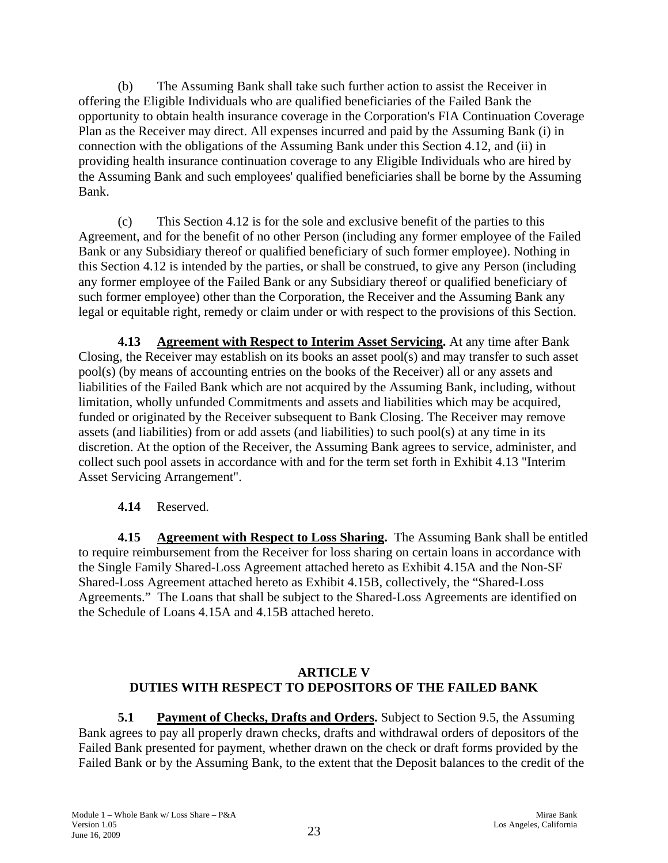(b) The Assuming Bank shall take such further action to assist the Receiver in offering the Eligible Individuals who are qualified beneficiaries of the Failed Bank the opportunity to obtain health insurance coverage in the Corporation's FIA Continuation Coverage Plan as the Receiver may direct. All expenses incurred and paid by the Assuming Bank (i) in connection with the obligations of the Assuming Bank under this Section 4.12, and (ii) in providing health insurance continuation coverage to any Eligible Individuals who are hired by the Assuming Bank and such employees' qualified beneficiaries shall be borne by the Assuming Bank.

(c) This Section 4.12 is for the sole and exclusive benefit of the parties to this Agreement, and for the benefit of no other Person (including any former employee of the Failed Bank or any Subsidiary thereof or qualified beneficiary of such former employee). Nothing in this Section 4.12 is intended by the parties, or shall be construed, to give any Person (including any former employee of the Failed Bank or any Subsidiary thereof or qualified beneficiary of such former employee) other than the Corporation, the Receiver and the Assuming Bank any legal or equitable right, remedy or claim under or with respect to the provisions of this Section.

<span id="page-26-0"></span>**4.13 Agreement with Respect to Interim Asset Servicing.** At any time after Bank Closing, the Receiver may establish on its books an asset pool(s) and may transfer to such asset pool(s) (by means of accounting entries on the books of the Receiver) all or any assets and liabilities of the Failed Bank which are not acquired by the Assuming Bank, including, without limitation, wholly unfunded Commitments and assets and liabilities which may be acquired, funded or originated by the Receiver subsequent to Bank Closing. The Receiver may remove assets (and liabilities) from or add assets (and liabilities) to such pool(s) at any time in its discretion. At the option of the Receiver, the Assuming Bank agrees to service, administer, and collect such pool assets in accordance with and for the term set forth in Exhibit 4.13 "Interim Asset Servicing Arrangement".

**4.14** Reserved.

**4.15 Agreement with Respect to Loss Sharing.** The Assuming Bank shall be entitled to require reimbursement from the Receiver for loss sharing on certain loans in accordance with the Single Family Shared-Loss Agreement attached hereto as Exhibit 4.15A and the Non-SF Shared-Loss Agreement attached hereto as Exhibit 4.15B, collectively, the "Shared-Loss Agreements." The Loans that shall be subject to the Shared-Loss Agreements are identified on the Schedule of Loans 4.15A and 4.15B attached hereto.

# **ARTICLE V DUTIES WITH RESPECT TO DEPOSITORS OF THE FAILED BANK**

<span id="page-26-2"></span><span id="page-26-1"></span> **5.1 Payment of Checks, Drafts and Orders.** Subject to Section 9.5, the Assuming Bank agrees to pay all properly drawn checks, drafts and withdrawal orders of depositors of the Failed Bank presented for payment, whether drawn on the check or draft forms provided by the Failed Bank or by the Assuming Bank, to the extent that the Deposit balances to the credit of the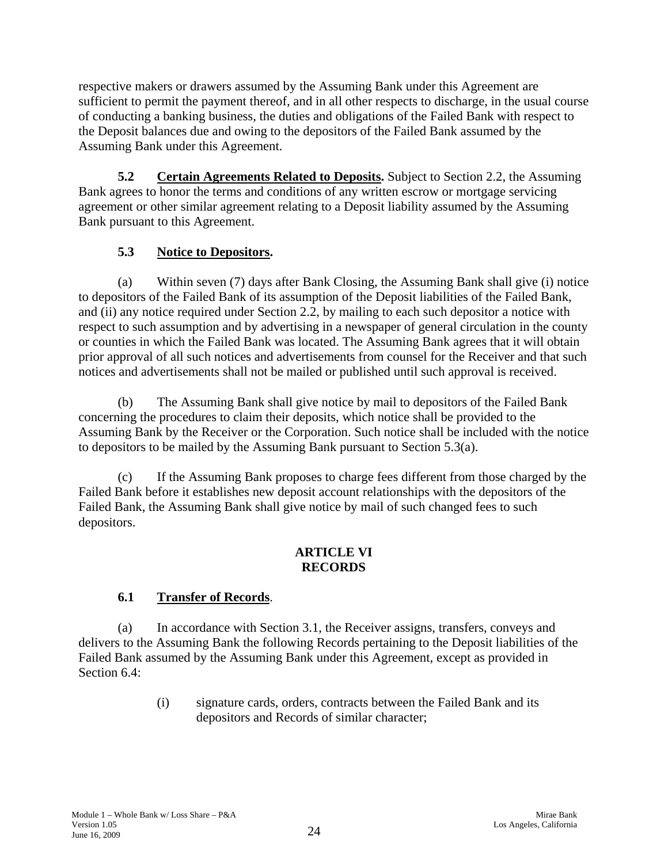respective makers or drawers assumed by the Assuming Bank under this Agreement are sufficient to permit the payment thereof, and in all other respects to discharge, in the usual course of conducting a banking business, the duties and obligations of the Failed Bank with respect to the Deposit balances due and owing to the depositors of the Failed Bank assumed by the Assuming Bank under this Agreement.

<span id="page-27-0"></span>**5.2** Certain Agreements Related to Deposits. Subject to Section 2.2, the Assuming Bank agrees to honor the terms and conditions of any written escrow or mortgage servicing agreement or other similar agreement relating to a Deposit liability assumed by the Assuming Bank pursuant to this Agreement.

# **5.3 Notice to Depositors.**

<span id="page-27-1"></span>(a) Within seven (7) days after Bank Closing, the Assuming Bank shall give (i) notice to depositors of the Failed Bank of its assumption of the Deposit liabilities of the Failed Bank, and (ii) any notice required under Section 2.2, by mailing to each such depositor a notice with respect to such assumption and by advertising in a newspaper of general circulation in the county or counties in which the Failed Bank was located. The Assuming Bank agrees that it will obtain prior approval of all such notices and advertisements from counsel for the Receiver and that such notices and advertisements shall not be mailed or published until such approval is received.

(b) The Assuming Bank shall give notice by mail to depositors of the Failed Bank concerning the procedures to claim their deposits, which notice shall be provided to the Assuming Bank by the Receiver or the Corporation. Such notice shall be included with the notice to depositors to be mailed by the Assuming Bank pursuant to Section 5.3(a).

(c) If the Assuming Bank proposes to charge fees different from those charged by the Failed Bank before it establishes new deposit account relationships with the depositors of the Failed Bank, the Assuming Bank shall give notice by mail of such changed fees to such depositors.

## **ARTICLE VI RECORDS**

# **6.1 Transfer of Records**.

<span id="page-27-3"></span><span id="page-27-2"></span>(a) In accordance with Section 3.1, the Receiver assigns, transfers, conveys and delivers to the Assuming Bank the following Records pertaining to the Deposit liabilities of the Failed Bank assumed by the Assuming Bank under this Agreement, except as provided in Section 6.4:

> (i) signature cards, orders, contracts between the Failed Bank and its depositors and Records of similar character;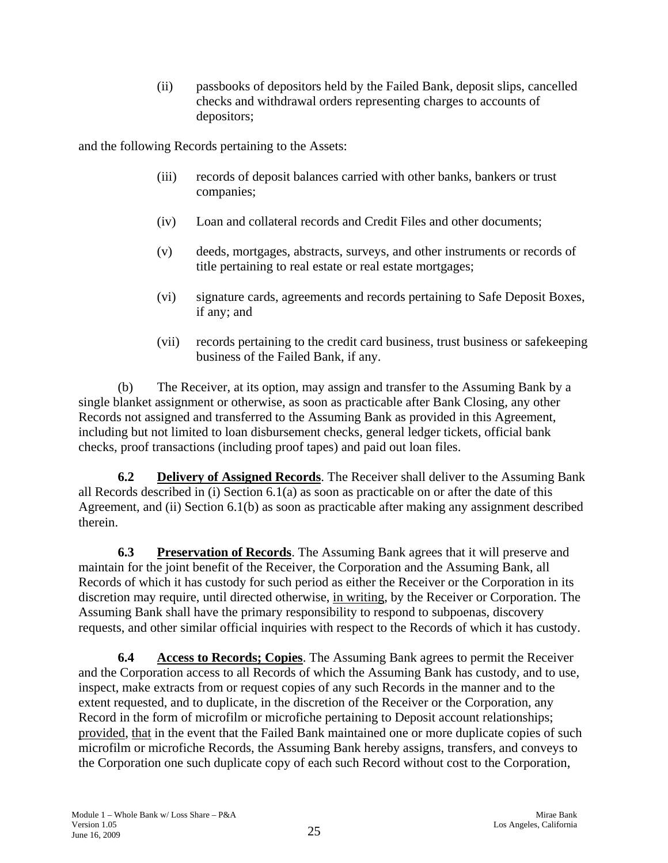(ii) passbooks of depositors held by the Failed Bank, deposit slips, cancelled checks and withdrawal orders representing charges to accounts of depositors;

and the following Records pertaining to the Assets:

- (iii) records of deposit balances carried with other banks, bankers or trust companies;
- (iv) Loan and collateral records and Credit Files and other documents;
- (v) deeds, mortgages, abstracts, surveys, and other instruments or records of title pertaining to real estate or real estate mortgages;
- (vi) signature cards, agreements and records pertaining to Safe Deposit Boxes, if any; and
- (vii) records pertaining to the credit card business, trust business or safekeeping business of the Failed Bank, if any.

(b) The Receiver, at its option, may assign and transfer to the Assuming Bank by a single blanket assignment or otherwise, as soon as practicable after Bank Closing, any other Records not assigned and transferred to the Assuming Bank as provided in this Agreement, including but not limited to loan disbursement checks, general ledger tickets, official bank checks, proof transactions (including proof tapes) and paid out loan files.

<span id="page-28-0"></span>**6.2 Delivery of Assigned Records**. The Receiver shall deliver to the Assuming Bank all Records described in (i) Section 6.1(a) as soon as practicable on or after the date of this Agreement, and (ii) Section 6.1(b) as soon as practicable after making any assignment described therein.

<span id="page-28-1"></span>**6.3 Preservation of Records**. The Assuming Bank agrees that it will preserve and maintain for the joint benefit of the Receiver, the Corporation and the Assuming Bank, all Records of which it has custody for such period as either the Receiver or the Corporation in its discretion may require, until directed otherwise, in writing, by the Receiver or Corporation. The Assuming Bank shall have the primary responsibility to respond to subpoenas, discovery requests, and other similar official inquiries with respect to the Records of which it has custody.

**6.4 Access to Records; Copies**. The Assuming Bank agrees to permit the Receiver and the Corporation access to all Records of which the Assuming Bank has custody, and to use, inspect, make extracts from or request copies of any such Records in the manner and to the extent requested, and to duplicate, in the discretion of the Receiver or the Corporation, any Record in the form of microfilm or microfiche pertaining to Deposit account relationships; provided, that in the event that the Failed Bank maintained one or more duplicate copies of such microfilm or microfiche Records, the Assuming Bank hereby assigns, transfers, and conveys to the Corporation one such duplicate copy of each such Record without cost to the Corporation,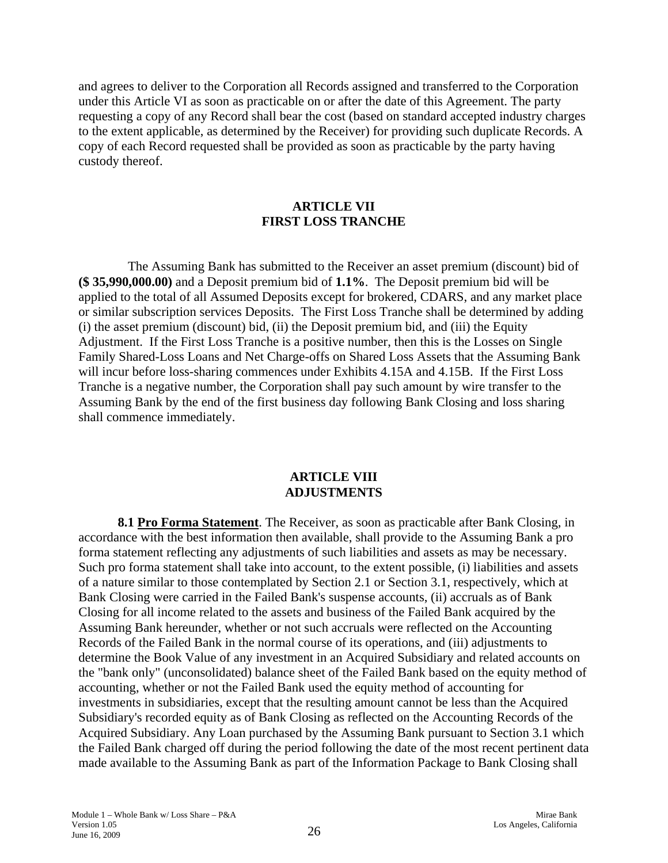and agrees to deliver to the Corporation all Records assigned and transferred to the Corporation under this Article VI as soon as practicable on or after the date of this Agreement. The party requesting a copy of any Record shall bear the cost (based on standard accepted industry charges to the extent applicable, as determined by the Receiver) for providing such duplicate Records. A copy of each Record requested shall be provided as soon as practicable by the party having custody thereof.

### **ARTICLE VII FIRST LOSS TRANCHE**

 The Assuming Bank has submitted to the Receiver an asset premium (discount) bid of **(\$ 35,990,000.00)** and a Deposit premium bid of **1.1%**. The Deposit premium bid will be applied to the total of all Assumed Deposits except for brokered, CDARS, and any market place or similar subscription services Deposits. The First Loss Tranche shall be determined by adding (i) the asset premium (discount) bid, (ii) the Deposit premium bid, and (iii) the Equity Adjustment. If the First Loss Tranche is a positive number, then this is the Losses on Single Family Shared-Loss Loans and Net Charge-offs on Shared Loss Assets that the Assuming Bank will incur before loss-sharing commences under Exhibits 4.15A and 4.15B. If the First Loss Tranche is a negative number, the Corporation shall pay such amount by wire transfer to the Assuming Bank by the end of the first business day following Bank Closing and loss sharing shall commence immediately.

#### **ARTICLE VIII ADJUSTMENTS**

<span id="page-29-1"></span><span id="page-29-0"></span>**8.1 Pro Forma Statement**. The Receiver, as soon as practicable after Bank Closing, in accordance with the best information then available, shall provide to the Assuming Bank a pro forma statement reflecting any adjustments of such liabilities and assets as may be necessary. Such pro forma statement shall take into account, to the extent possible, (i) liabilities and assets of a nature similar to those contemplated by Section 2.1 or Section 3.1, respectively, which at Bank Closing were carried in the Failed Bank's suspense accounts, (ii) accruals as of Bank Closing for all income related to the assets and business of the Failed Bank acquired by the Assuming Bank hereunder, whether or not such accruals were reflected on the Accounting Records of the Failed Bank in the normal course of its operations, and (iii) adjustments to determine the Book Value of any investment in an Acquired Subsidiary and related accounts on the "bank only" (unconsolidated) balance sheet of the Failed Bank based on the equity method of accounting, whether or not the Failed Bank used the equity method of accounting for investments in subsidiaries, except that the resulting amount cannot be less than the Acquired Subsidiary's recorded equity as of Bank Closing as reflected on the Accounting Records of the Acquired Subsidiary. Any Loan purchased by the Assuming Bank pursuant to Section 3.1 which the Failed Bank charged off during the period following the date of the most recent pertinent data made available to the Assuming Bank as part of the Information Package to Bank Closing shall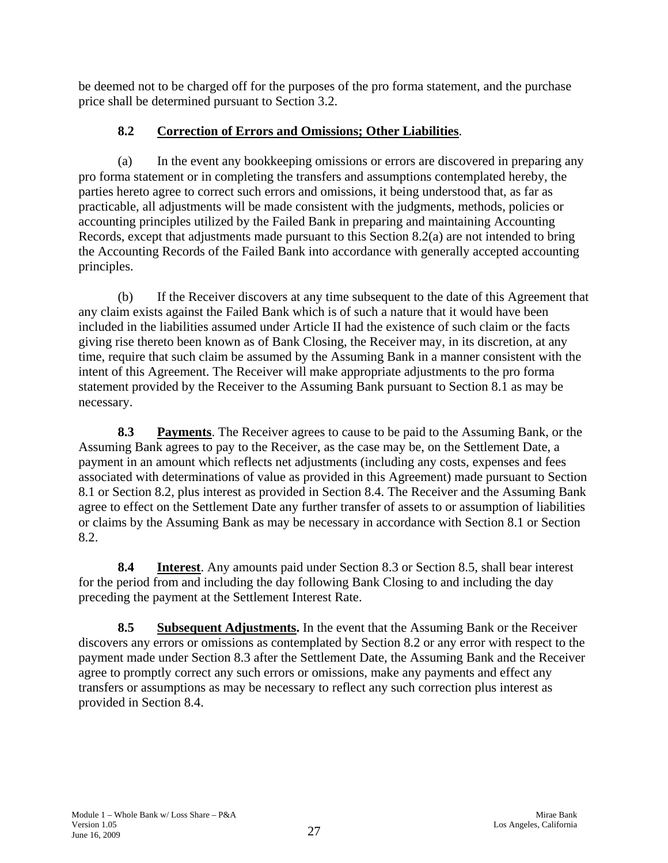be deemed not to be charged off for the purposes of the pro forma statement, and the purchase price shall be determined pursuant to Section 3.2.

# **8.2 Correction of Errors and Omissions; Other Liabilities**.

(a) In the event any bookkeeping omissions or errors are discovered in preparing any pro forma statement or in completing the transfers and assumptions contemplated hereby, the parties hereto agree to correct such errors and omissions, it being understood that, as far as practicable, all adjustments will be made consistent with the judgments, methods, policies or accounting principles utilized by the Failed Bank in preparing and maintaining Accounting Records, except that adjustments made pursuant to this Section 8.2(a) are not intended to bring the Accounting Records of the Failed Bank into accordance with generally accepted accounting principles.

(b) If the Receiver discovers at any time subsequent to the date of this Agreement that any claim exists against the Failed Bank which is of such a nature that it would have been included in the liabilities assumed under Article II had the existence of such claim or the facts giving rise thereto been known as of Bank Closing, the Receiver may, in its discretion, at any time, require that such claim be assumed by the Assuming Bank in a manner consistent with the intent of this Agreement. The Receiver will make appropriate adjustments to the pro forma statement provided by the Receiver to the Assuming Bank pursuant to Section 8.1 as may be necessary.

<span id="page-30-0"></span>**8.3 Payments**. The Receiver agrees to cause to be paid to the Assuming Bank, or the Assuming Bank agrees to pay to the Receiver, as the case may be, on the Settlement Date, a payment in an amount which reflects net adjustments (including any costs, expenses and fees associated with determinations of value as provided in this Agreement) made pursuant to Section 8.1 or Section 8.2, plus interest as provided in Section 8.4. The Receiver and the Assuming Bank agree to effect on the Settlement Date any further transfer of assets to or assumption of liabilities or claims by the Assuming Bank as may be necessary in accordance with Section 8.1 or Section 8.2.

<span id="page-30-1"></span>**8.4 Interest**. Any amounts paid under Section 8.3 or Section 8.5, shall bear interest for the period from and including the day following Bank Closing to and including the day preceding the payment at the Settlement Interest Rate.

<span id="page-30-2"></span>**8.5 Subsequent Adjustments.** In the event that the Assuming Bank or the Receiver discovers any errors or omissions as contemplated by Section 8.2 or any error with respect to the payment made under Section 8.3 after the Settlement Date, the Assuming Bank and the Receiver agree to promptly correct any such errors or omissions, make any payments and effect any transfers or assumptions as may be necessary to reflect any such correction plus interest as provided in Section 8.4.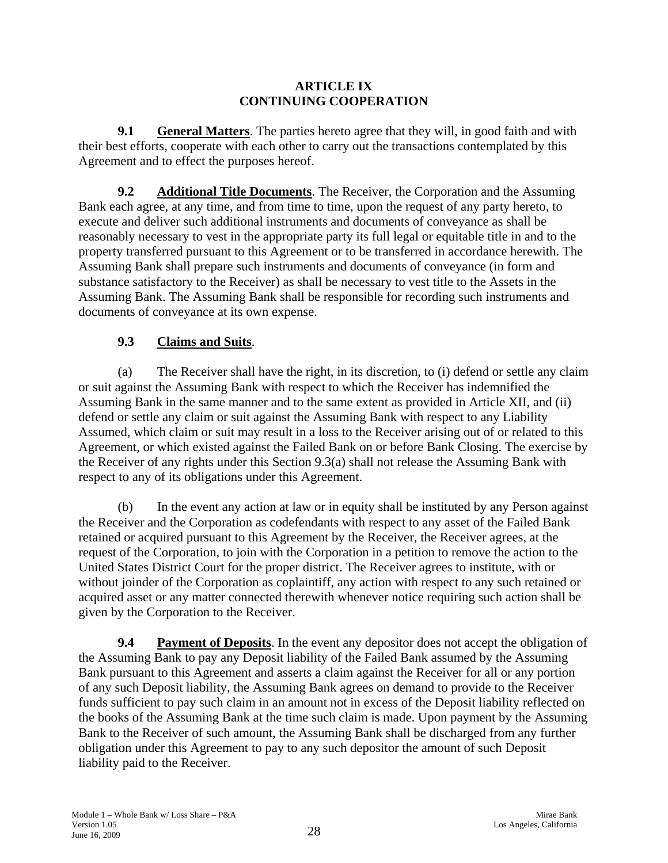### **ARTICLE IX CONTINUING COOPERATION**

<span id="page-31-1"></span><span id="page-31-0"></span>**9.1** General Matters. The parties hereto agree that they will, in good faith and with their best efforts, cooperate with each other to carry out the transactions contemplated by this Agreement and to effect the purposes hereof.

<span id="page-31-2"></span>**9.2 Additional Title Documents**. The Receiver, the Corporation and the Assuming Bank each agree, at any time, and from time to time, upon the request of any party hereto, to execute and deliver such additional instruments and documents of conveyance as shall be reasonably necessary to vest in the appropriate party its full legal or equitable title in and to the property transferred pursuant to this Agreement or to be transferred in accordance herewith. The Assuming Bank shall prepare such instruments and documents of conveyance (in form and substance satisfactory to the Receiver) as shall be necessary to vest title to the Assets in the Assuming Bank. The Assuming Bank shall be responsible for recording such instruments and documents of conveyance at its own expense.

# **9.3 Claims and Suits**.

<span id="page-31-3"></span>(a) The Receiver shall have the right, in its discretion, to (i) defend or settle any claim or suit against the Assuming Bank with respect to which the Receiver has indemnified the Assuming Bank in the same manner and to the same extent as provided in Article XII, and (ii) defend or settle any claim or suit against the Assuming Bank with respect to any Liability Assumed, which claim or suit may result in a loss to the Receiver arising out of or related to this Agreement, or which existed against the Failed Bank on or before Bank Closing. The exercise by the Receiver of any rights under this Section 9.3(a) shall not release the Assuming Bank with respect to any of its obligations under this Agreement.

(b) In the event any action at law or in equity shall be instituted by any Person against the Receiver and the Corporation as codefendants with respect to any asset of the Failed Bank retained or acquired pursuant to this Agreement by the Receiver, the Receiver agrees, at the request of the Corporation, to join with the Corporation in a petition to remove the action to the United States District Court for the proper district. The Receiver agrees to institute, with or without joinder of the Corporation as coplaintiff, any action with respect to any such retained or acquired asset or any matter connected therewith whenever notice requiring such action shall be given by the Corporation to the Receiver.

<span id="page-31-4"></span>**9.4 Payment of Deposits**. In the event any depositor does not accept the obligation of the Assuming Bank to pay any Deposit liability of the Failed Bank assumed by the Assuming Bank pursuant to this Agreement and asserts a claim against the Receiver for all or any portion of any such Deposit liability, the Assuming Bank agrees on demand to provide to the Receiver funds sufficient to pay such claim in an amount not in excess of the Deposit liability reflected on the books of the Assuming Bank at the time such claim is made. Upon payment by the Assuming Bank to the Receiver of such amount, the Assuming Bank shall be discharged from any further obligation under this Agreement to pay to any such depositor the amount of such Deposit liability paid to the Receiver.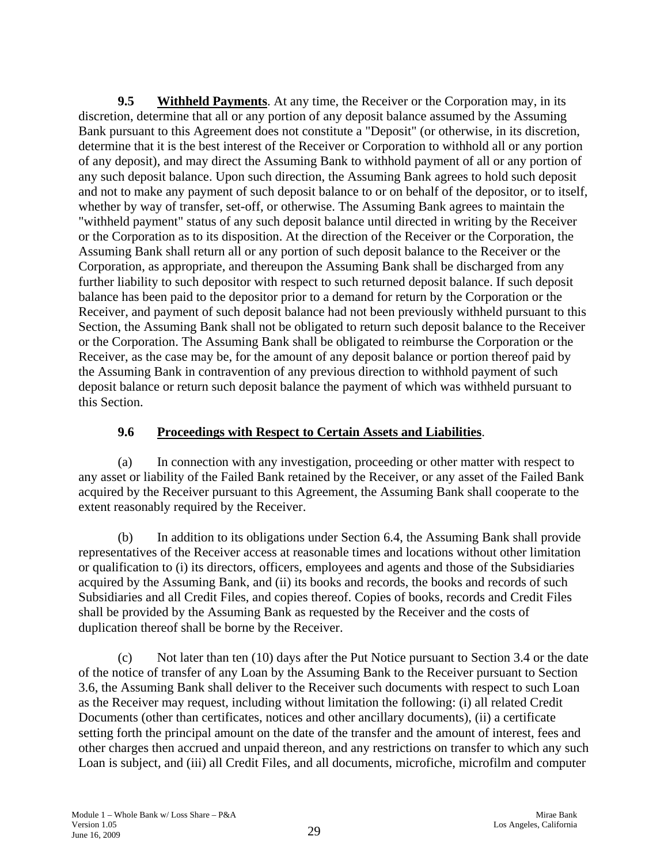<span id="page-32-0"></span>**9.5** Withheld Payments. At any time, the Receiver or the Corporation may, in its discretion, determine that all or any portion of any deposit balance assumed by the Assuming Bank pursuant to this Agreement does not constitute a "Deposit" (or otherwise, in its discretion, determine that it is the best interest of the Receiver or Corporation to withhold all or any portion of any deposit), and may direct the Assuming Bank to withhold payment of all or any portion of any such deposit balance. Upon such direction, the Assuming Bank agrees to hold such deposit and not to make any payment of such deposit balance to or on behalf of the depositor, or to itself, whether by way of transfer, set-off, or otherwise. The Assuming Bank agrees to maintain the "withheld payment" status of any such deposit balance until directed in writing by the Receiver or the Corporation as to its disposition. At the direction of the Receiver or the Corporation, the Assuming Bank shall return all or any portion of such deposit balance to the Receiver or the Corporation, as appropriate, and thereupon the Assuming Bank shall be discharged from any further liability to such depositor with respect to such returned deposit balance. If such deposit balance has been paid to the depositor prior to a demand for return by the Corporation or the Receiver, and payment of such deposit balance had not been previously withheld pursuant to this Section, the Assuming Bank shall not be obligated to return such deposit balance to the Receiver or the Corporation. The Assuming Bank shall be obligated to reimburse the Corporation or the Receiver, as the case may be, for the amount of any deposit balance or portion thereof paid by the Assuming Bank in contravention of any previous direction to withhold payment of such deposit balance or return such deposit balance the payment of which was withheld pursuant to this Section.

# **9.6 Proceedings with Respect to Certain Assets and Liabilities**.

<span id="page-32-1"></span>(a) In connection with any investigation, proceeding or other matter with respect to any asset or liability of the Failed Bank retained by the Receiver, or any asset of the Failed Bank acquired by the Receiver pursuant to this Agreement, the Assuming Bank shall cooperate to the extent reasonably required by the Receiver.

(b) In addition to its obligations under Section 6.4, the Assuming Bank shall provide representatives of the Receiver access at reasonable times and locations without other limitation or qualification to (i) its directors, officers, employees and agents and those of the Subsidiaries acquired by the Assuming Bank, and (ii) its books and records, the books and records of such Subsidiaries and all Credit Files, and copies thereof. Copies of books, records and Credit Files shall be provided by the Assuming Bank as requested by the Receiver and the costs of duplication thereof shall be borne by the Receiver.

(c) Not later than ten (10) days after the Put Notice pursuant to Section 3.4 or the date of the notice of transfer of any Loan by the Assuming Bank to the Receiver pursuant to Section 3.6, the Assuming Bank shall deliver to the Receiver such documents with respect to such Loan as the Receiver may request, including without limitation the following: (i) all related Credit Documents (other than certificates, notices and other ancillary documents), (ii) a certificate setting forth the principal amount on the date of the transfer and the amount of interest, fees and other charges then accrued and unpaid thereon, and any restrictions on transfer to which any such Loan is subject, and (iii) all Credit Files, and all documents, microfiche, microfilm and computer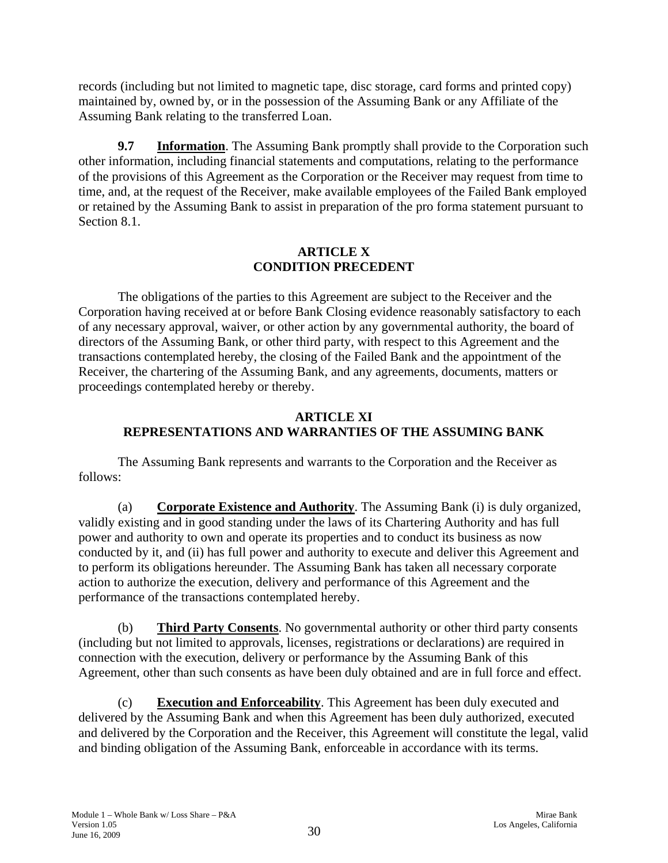records (including but not limited to magnetic tape, disc storage, card forms and printed copy) maintained by, owned by, or in the possession of the Assuming Bank or any Affiliate of the Assuming Bank relating to the transferred Loan.

<span id="page-33-0"></span>**9.7** Information. The Assuming Bank promptly shall provide to the Corporation such other information, including financial statements and computations, relating to the performance of the provisions of this Agreement as the Corporation or the Receiver may request from time to time, and, at the request of the Receiver, make available employees of the Failed Bank employed or retained by the Assuming Bank to assist in preparation of the pro forma statement pursuant to Section 8.1.

## **ARTICLE X CONDITION PRECEDENT**

<span id="page-33-1"></span>The obligations of the parties to this Agreement are subject to the Receiver and the Corporation having received at or before Bank Closing evidence reasonably satisfactory to each of any necessary approval, waiver, or other action by any governmental authority, the board of directors of the Assuming Bank, or other third party, with respect to this Agreement and the transactions contemplated hereby, the closing of the Failed Bank and the appointment of the Receiver, the chartering of the Assuming Bank, and any agreements, documents, matters or proceedings contemplated hereby or thereby.

## **ARTICLE XI REPRESENTATIONS AND WARRANTIES OF THE ASSUMING BANK**

<span id="page-33-2"></span>The Assuming Bank represents and warrants to the Corporation and the Receiver as follows:

(a) **Corporate Existence and Authority**. The Assuming Bank (i) is duly organized, validly existing and in good standing under the laws of its Chartering Authority and has full power and authority to own and operate its properties and to conduct its business as now conducted by it, and (ii) has full power and authority to execute and deliver this Agreement and to perform its obligations hereunder. The Assuming Bank has taken all necessary corporate action to authorize the execution, delivery and performance of this Agreement and the performance of the transactions contemplated hereby.

(b) **Third Party Consents**. No governmental authority or other third party consents (including but not limited to approvals, licenses, registrations or declarations) are required in connection with the execution, delivery or performance by the Assuming Bank of this Agreement, other than such consents as have been duly obtained and are in full force and effect.

(c) **Execution and Enforceability**. This Agreement has been duly executed and delivered by the Assuming Bank and when this Agreement has been duly authorized, executed and delivered by the Corporation and the Receiver, this Agreement will constitute the legal, valid and binding obligation of the Assuming Bank, enforceable in accordance with its terms.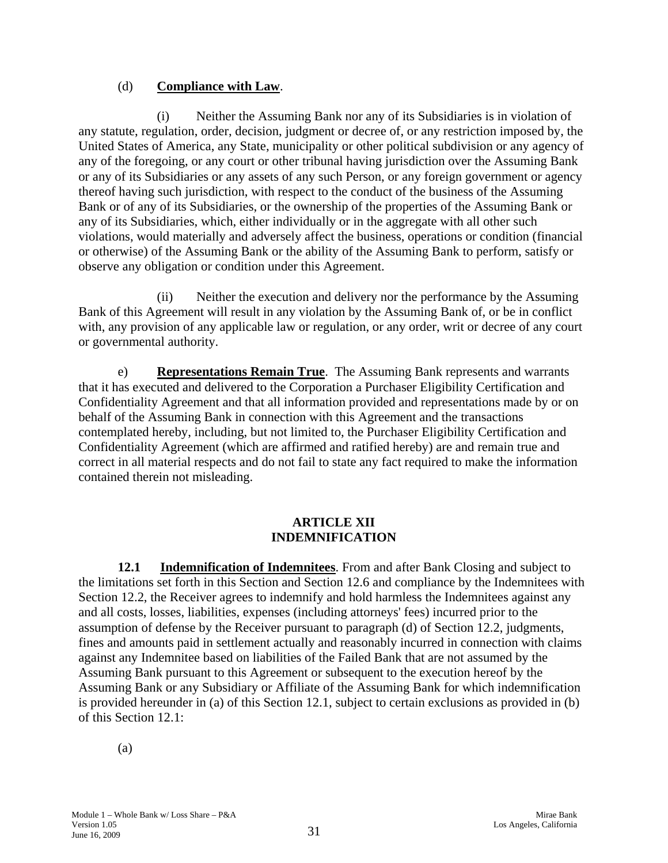### (d) **Compliance with Law**.

(i) Neither the Assuming Bank nor any of its Subsidiaries is in violation of any statute, regulation, order, decision, judgment or decree of, or any restriction imposed by, the United States of America, any State, municipality or other political subdivision or any agency of any of the foregoing, or any court or other tribunal having jurisdiction over the Assuming Bank or any of its Subsidiaries or any assets of any such Person, or any foreign government or agency thereof having such jurisdiction, with respect to the conduct of the business of the Assuming Bank or of any of its Subsidiaries, or the ownership of the properties of the Assuming Bank or any of its Subsidiaries, which, either individually or in the aggregate with all other such violations, would materially and adversely affect the business, operations or condition (financial or otherwise) of the Assuming Bank or the ability of the Assuming Bank to perform, satisfy or observe any obligation or condition under this Agreement.

(ii) Neither the execution and delivery nor the performance by the Assuming Bank of this Agreement will result in any violation by the Assuming Bank of, or be in conflict with, any provision of any applicable law or regulation, or any order, writ or decree of any court or governmental authority.

e) **Representations Remain True**. The Assuming Bank represents and warrants that it has executed and delivered to the Corporation a Purchaser Eligibility Certification and Confidentiality Agreement and that all information provided and representations made by or on behalf of the Assuming Bank in connection with this Agreement and the transactions contemplated hereby, including, but not limited to, the Purchaser Eligibility Certification and Confidentiality Agreement (which are affirmed and ratified hereby) are and remain true and correct in all material respects and do not fail to state any fact required to make the information contained therein not misleading.

### **ARTICLE XII INDEMNIFICATION**

<span id="page-34-0"></span>**12.1 Indemnification of Indemnitees**. From and after Bank Closing and subject to the limitations set forth in this Section and Section 12.6 and compliance by the Indemnitees with Section 12.2, the Receiver agrees to indemnify and hold harmless the Indemnitees against any and all costs, losses, liabilities, expenses (including attorneys' fees) incurred prior to the assumption of defense by the Receiver pursuant to paragraph (d) of Section 12.2, judgments, fines and amounts paid in settlement actually and reasonably incurred in connection with claims against any Indemnitee based on liabilities of the Failed Bank that are not assumed by the Assuming Bank pursuant to this Agreement or subsequent to the execution hereof by the Assuming Bank or any Subsidiary or Affiliate of the Assuming Bank for which indemnification is provided hereunder in (a) of this Section 12.1, subject to certain exclusions as provided in (b) of this Section 12.1:

(a)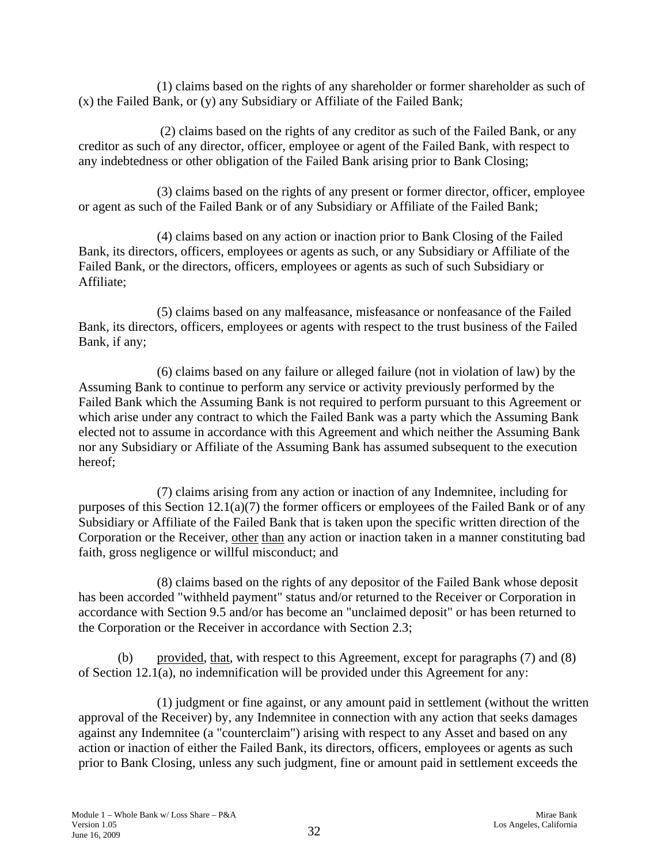(1) claims based on the rights of any shareholder or former shareholder as such of (x) the Failed Bank, or (y) any Subsidiary or Affiliate of the Failed Bank;

(2) claims based on the rights of any creditor as such of the Failed Bank, or any creditor as such of any director, officer, employee or agent of the Failed Bank, with respect to any indebtedness or other obligation of the Failed Bank arising prior to Bank Closing;

(3) claims based on the rights of any present or former director, officer, employee or agent as such of the Failed Bank or of any Subsidiary or Affiliate of the Failed Bank;

(4) claims based on any action or inaction prior to Bank Closing of the Failed Bank, its directors, officers, employees or agents as such, or any Subsidiary or Affiliate of the Failed Bank, or the directors, officers, employees or agents as such of such Subsidiary or Affiliate;

(5) claims based on any malfeasance, misfeasance or nonfeasance of the Failed Bank, its directors, officers, employees or agents with respect to the trust business of the Failed Bank, if any;

(6) claims based on any failure or alleged failure (not in violation of law) by the Assuming Bank to continue to perform any service or activity previously performed by the Failed Bank which the Assuming Bank is not required to perform pursuant to this Agreement or which arise under any contract to which the Failed Bank was a party which the Assuming Bank elected not to assume in accordance with this Agreement and which neither the Assuming Bank nor any Subsidiary or Affiliate of the Assuming Bank has assumed subsequent to the execution hereof;

(7) claims arising from any action or inaction of any Indemnitee, including for purposes of this Section 12.1(a)(7) the former officers or employees of the Failed Bank or of any Subsidiary or Affiliate of the Failed Bank that is taken upon the specific written direction of the Corporation or the Receiver, other than any action or inaction taken in a manner constituting bad faith, gross negligence or willful misconduct; and

(8) claims based on the rights of any depositor of the Failed Bank whose deposit has been accorded "withheld payment" status and/or returned to the Receiver or Corporation in accordance with Section 9.5 and/or has become an "unclaimed deposit" or has been returned to the Corporation or the Receiver in accordance with Section 2.3;

(b) provided, that, with respect to this Agreement, except for paragraphs (7) and (8) of Section 12.1(a), no indemnification will be provided under this Agreement for any:

(1) judgment or fine against, or any amount paid in settlement (without the written approval of the Receiver) by, any Indemnitee in connection with any action that seeks damages against any Indemnitee (a "counterclaim") arising with respect to any Asset and based on any action or inaction of either the Failed Bank, its directors, officers, employees or agents as such prior to Bank Closing, unless any such judgment, fine or amount paid in settlement exceeds the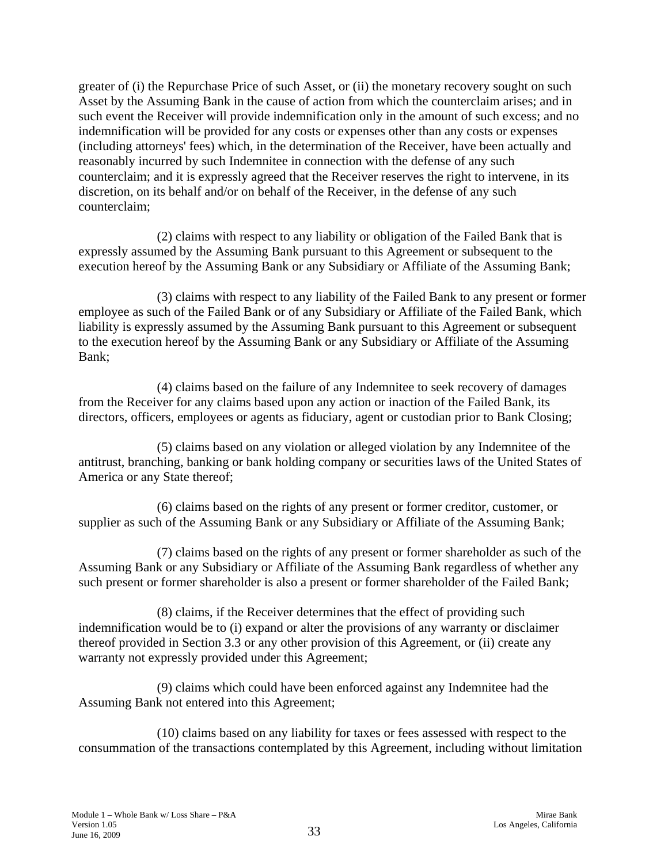greater of (i) the Repurchase Price of such Asset, or (ii) the monetary recovery sought on such Asset by the Assuming Bank in the cause of action from which the counterclaim arises; and in such event the Receiver will provide indemnification only in the amount of such excess; and no indemnification will be provided for any costs or expenses other than any costs or expenses (including attorneys' fees) which, in the determination of the Receiver, have been actually and reasonably incurred by such Indemnitee in connection with the defense of any such counterclaim; and it is expressly agreed that the Receiver reserves the right to intervene, in its discretion, on its behalf and/or on behalf of the Receiver, in the defense of any such counterclaim;

(2) claims with respect to any liability or obligation of the Failed Bank that is expressly assumed by the Assuming Bank pursuant to this Agreement or subsequent to the execution hereof by the Assuming Bank or any Subsidiary or Affiliate of the Assuming Bank;

(3) claims with respect to any liability of the Failed Bank to any present or former employee as such of the Failed Bank or of any Subsidiary or Affiliate of the Failed Bank, which liability is expressly assumed by the Assuming Bank pursuant to this Agreement or subsequent to the execution hereof by the Assuming Bank or any Subsidiary or Affiliate of the Assuming Bank;

(4) claims based on the failure of any Indemnitee to seek recovery of damages from the Receiver for any claims based upon any action or inaction of the Failed Bank, its directors, officers, employees or agents as fiduciary, agent or custodian prior to Bank Closing;

(5) claims based on any violation or alleged violation by any Indemnitee of the antitrust, branching, banking or bank holding company or securities laws of the United States of America or any State thereof;

(6) claims based on the rights of any present or former creditor, customer, or supplier as such of the Assuming Bank or any Subsidiary or Affiliate of the Assuming Bank;

(7) claims based on the rights of any present or former shareholder as such of the Assuming Bank or any Subsidiary or Affiliate of the Assuming Bank regardless of whether any such present or former shareholder is also a present or former shareholder of the Failed Bank;

(8) claims, if the Receiver determines that the effect of providing such indemnification would be to (i) expand or alter the provisions of any warranty or disclaimer thereof provided in Section 3.3 or any other provision of this Agreement, or (ii) create any warranty not expressly provided under this Agreement;

(9) claims which could have been enforced against any Indemnitee had the Assuming Bank not entered into this Agreement;

(10) claims based on any liability for taxes or fees assessed with respect to the consummation of the transactions contemplated by this Agreement, including without limitation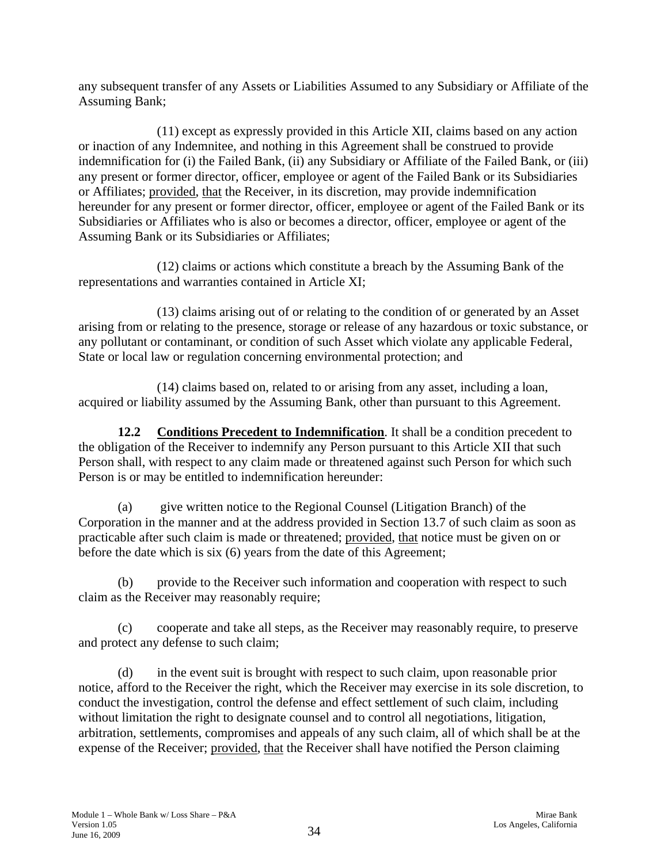any subsequent transfer of any Assets or Liabilities Assumed to any Subsidiary or Affiliate of the Assuming Bank;

(11) except as expressly provided in this Article XII, claims based on any action or inaction of any Indemnitee, and nothing in this Agreement shall be construed to provide indemnification for (i) the Failed Bank, (ii) any Subsidiary or Affiliate of the Failed Bank, or (iii) any present or former director, officer, employee or agent of the Failed Bank or its Subsidiaries or Affiliates; provided, that the Receiver, in its discretion, may provide indemnification hereunder for any present or former director, officer, employee or agent of the Failed Bank or its Subsidiaries or Affiliates who is also or becomes a director, officer, employee or agent of the Assuming Bank or its Subsidiaries or Affiliates;

(12) claims or actions which constitute a breach by the Assuming Bank of the representations and warranties contained in Article XI;

(13) claims arising out of or relating to the condition of or generated by an Asset arising from or relating to the presence, storage or release of any hazardous or toxic substance, or any pollutant or contaminant, or condition of such Asset which violate any applicable Federal, State or local law or regulation concerning environmental protection; and

(14) claims based on, related to or arising from any asset, including a loan, acquired or liability assumed by the Assuming Bank, other than pursuant to this Agreement.

**12.2 Conditions Precedent to Indemnification**. It shall be a condition precedent to the obligation of the Receiver to indemnify any Person pursuant to this Article XII that such Person shall, with respect to any claim made or threatened against such Person for which such Person is or may be entitled to indemnification hereunder:

(a) give written notice to the Regional Counsel (Litigation Branch) of the Corporation in the manner and at the address provided in Section 13.7 of such claim as soon as practicable after such claim is made or threatened; provided, that notice must be given on or before the date which is six (6) years from the date of this Agreement;

(b) provide to the Receiver such information and cooperation with respect to such claim as the Receiver may reasonably require;

(c) cooperate and take all steps, as the Receiver may reasonably require, to preserve and protect any defense to such claim;

(d) in the event suit is brought with respect to such claim, upon reasonable prior notice, afford to the Receiver the right, which the Receiver may exercise in its sole discretion, to conduct the investigation, control the defense and effect settlement of such claim, including without limitation the right to designate counsel and to control all negotiations, litigation, arbitration, settlements, compromises and appeals of any such claim, all of which shall be at the expense of the Receiver; provided, that the Receiver shall have notified the Person claiming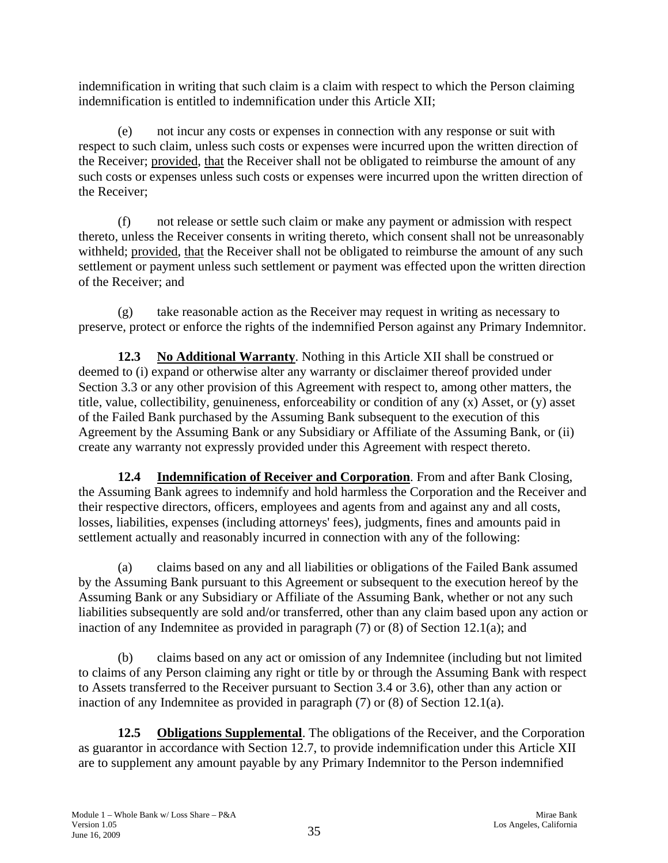indemnification in writing that such claim is a claim with respect to which the Person claiming indemnification is entitled to indemnification under this Article XII;

(e) not incur any costs or expenses in connection with any response or suit with respect to such claim, unless such costs or expenses were incurred upon the written direction of the Receiver; provided, that the Receiver shall not be obligated to reimburse the amount of any such costs or expenses unless such costs or expenses were incurred upon the written direction of the Receiver;

(f) not release or settle such claim or make any payment or admission with respect thereto, unless the Receiver consents in writing thereto, which consent shall not be unreasonably withheld; provided, that the Receiver shall not be obligated to reimburse the amount of any such settlement or payment unless such settlement or payment was effected upon the written direction of the Receiver; and

(g) take reasonable action as the Receiver may request in writing as necessary to preserve, protect or enforce the rights of the indemnified Person against any Primary Indemnitor.

**12.3 No Additional Warranty**. Nothing in this Article XII shall be construed or deemed to (i) expand or otherwise alter any warranty or disclaimer thereof provided under Section 3.3 or any other provision of this Agreement with respect to, among other matters, the title, value, collectibility, genuineness, enforceability or condition of any (x) Asset, or (y) asset of the Failed Bank purchased by the Assuming Bank subsequent to the execution of this Agreement by the Assuming Bank or any Subsidiary or Affiliate of the Assuming Bank, or (ii) create any warranty not expressly provided under this Agreement with respect thereto.

**12.4 Indemnification of Receiver and Corporation**. From and after Bank Closing, the Assuming Bank agrees to indemnify and hold harmless the Corporation and the Receiver and their respective directors, officers, employees and agents from and against any and all costs, losses, liabilities, expenses (including attorneys' fees), judgments, fines and amounts paid in settlement actually and reasonably incurred in connection with any of the following:

(a) claims based on any and all liabilities or obligations of the Failed Bank assumed by the Assuming Bank pursuant to this Agreement or subsequent to the execution hereof by the Assuming Bank or any Subsidiary or Affiliate of the Assuming Bank, whether or not any such liabilities subsequently are sold and/or transferred, other than any claim based upon any action or inaction of any Indemnitee as provided in paragraph (7) or (8) of Section 12.1(a); and

(b) claims based on any act or omission of any Indemnitee (including but not limited to claims of any Person claiming any right or title by or through the Assuming Bank with respect to Assets transferred to the Receiver pursuant to Section 3.4 or 3.6), other than any action or inaction of any Indemnitee as provided in paragraph (7) or (8) of Section 12.1(a).

**12.5 Obligations Supplemental**. The obligations of the Receiver, and the Corporation as guarantor in accordance with Section 12.7, to provide indemnification under this Article XII are to supplement any amount payable by any Primary Indemnitor to the Person indemnified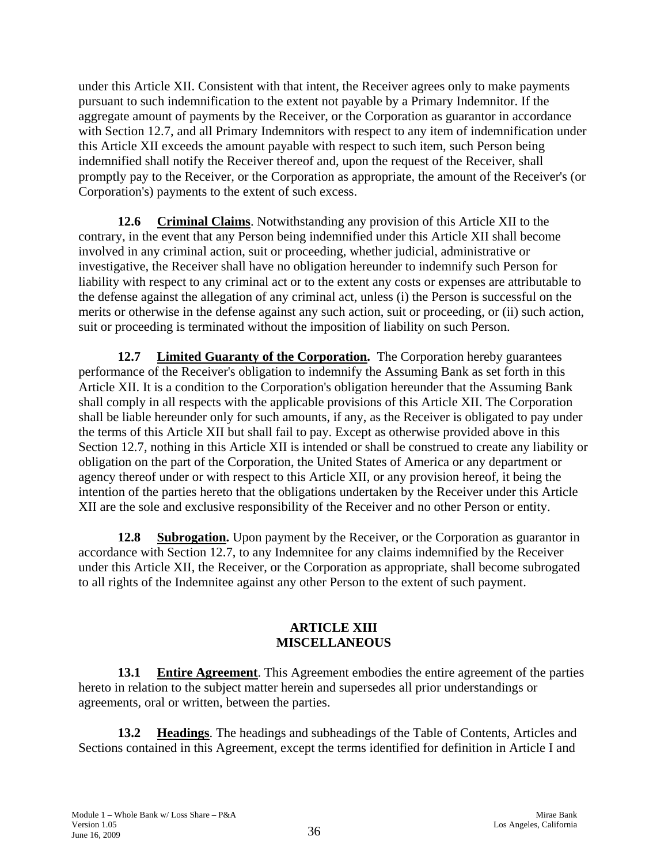under this Article XII. Consistent with that intent, the Receiver agrees only to make payments pursuant to such indemnification to the extent not payable by a Primary Indemnitor. If the aggregate amount of payments by the Receiver, or the Corporation as guarantor in accordance with Section 12.7, and all Primary Indemnitors with respect to any item of indemnification under this Article XII exceeds the amount payable with respect to such item, such Person being indemnified shall notify the Receiver thereof and, upon the request of the Receiver, shall promptly pay to the Receiver, or the Corporation as appropriate, the amount of the Receiver's (or Corporation's) payments to the extent of such excess.

**12.6 Criminal Claims**. Notwithstanding any provision of this Article XII to the contrary, in the event that any Person being indemnified under this Article XII shall become involved in any criminal action, suit or proceeding, whether judicial, administrative or investigative, the Receiver shall have no obligation hereunder to indemnify such Person for liability with respect to any criminal act or to the extent any costs or expenses are attributable to the defense against the allegation of any criminal act, unless (i) the Person is successful on the merits or otherwise in the defense against any such action, suit or proceeding, or (ii) such action, suit or proceeding is terminated without the imposition of liability on such Person.

**12.7 Limited Guaranty of the Corporation.** The Corporation hereby guarantees performance of the Receiver's obligation to indemnify the Assuming Bank as set forth in this Article XII. It is a condition to the Corporation's obligation hereunder that the Assuming Bank shall comply in all respects with the applicable provisions of this Article XII. The Corporation shall be liable hereunder only for such amounts, if any, as the Receiver is obligated to pay under the terms of this Article XII but shall fail to pay. Except as otherwise provided above in this Section 12.7, nothing in this Article XII is intended or shall be construed to create any liability or obligation on the part of the Corporation, the United States of America or any department or agency thereof under or with respect to this Article XII, or any provision hereof, it being the intention of the parties hereto that the obligations undertaken by the Receiver under this Article XII are the sole and exclusive responsibility of the Receiver and no other Person or entity.

**12.8 Subrogation.** Upon payment by the Receiver, or the Corporation as guarantor in accordance with Section 12.7, to any Indemnitee for any claims indemnified by the Receiver under this Article XII, the Receiver, or the Corporation as appropriate, shall become subrogated to all rights of the Indemnitee against any other Person to the extent of such payment.

### **ARTICLE XIII MISCELLANEOUS**

**13.1 Entire Agreement**. This Agreement embodies the entire agreement of the parties hereto in relation to the subject matter herein and supersedes all prior understandings or agreements, oral or written, between the parties.

**13.2 Headings**. The headings and subheadings of the Table of Contents, Articles and Sections contained in this Agreement, except the terms identified for definition in Article I and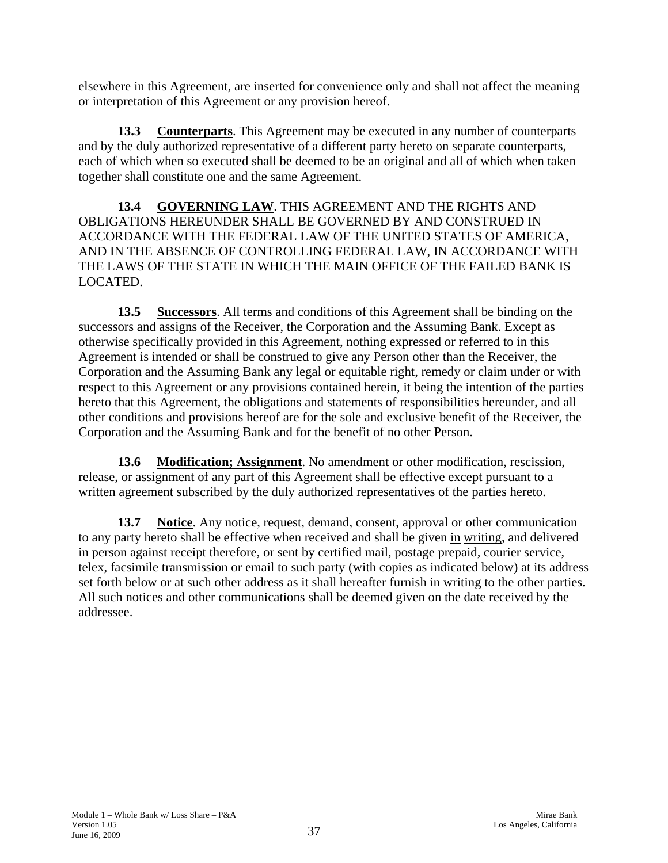elsewhere in this Agreement, are inserted for convenience only and shall not affect the meaning or interpretation of this Agreement or any provision hereof.

**13.3 Counterparts**. This Agreement may be executed in any number of counterparts and by the duly authorized representative of a different party hereto on separate counterparts, each of which when so executed shall be deemed to be an original and all of which when taken together shall constitute one and the same Agreement.

**13.4 GOVERNING LAW**. THIS AGREEMENT AND THE RIGHTS AND OBLIGATIONS HEREUNDER SHALL BE GOVERNED BY AND CONSTRUED IN ACCORDANCE WITH THE FEDERAL LAW OF THE UNITED STATES OF AMERICA, AND IN THE ABSENCE OF CONTROLLING FEDERAL LAW, IN ACCORDANCE WITH THE LAWS OF THE STATE IN WHICH THE MAIN OFFICE OF THE FAILED BANK IS LOCATED.

 **13.5 Successors**. All terms and conditions of this Agreement shall be binding on the successors and assigns of the Receiver, the Corporation and the Assuming Bank. Except as otherwise specifically provided in this Agreement, nothing expressed or referred to in this Agreement is intended or shall be construed to give any Person other than the Receiver, the Corporation and the Assuming Bank any legal or equitable right, remedy or claim under or with respect to this Agreement or any provisions contained herein, it being the intention of the parties hereto that this Agreement, the obligations and statements of responsibilities hereunder, and all other conditions and provisions hereof are for the sole and exclusive benefit of the Receiver, the Corporation and the Assuming Bank and for the benefit of no other Person.

**13.6 Modification; Assignment**. No amendment or other modification, rescission, release, or assignment of any part of this Agreement shall be effective except pursuant to a written agreement subscribed by the duly authorized representatives of the parties hereto.

**13.7 Notice**. Any notice, request, demand, consent, approval or other communication to any party hereto shall be effective when received and shall be given in writing, and delivered in person against receipt therefore, or sent by certified mail, postage prepaid, courier service, telex, facsimile transmission or email to such party (with copies as indicated below) at its address set forth below or at such other address as it shall hereafter furnish in writing to the other parties. All such notices and other communications shall be deemed given on the date received by the addressee.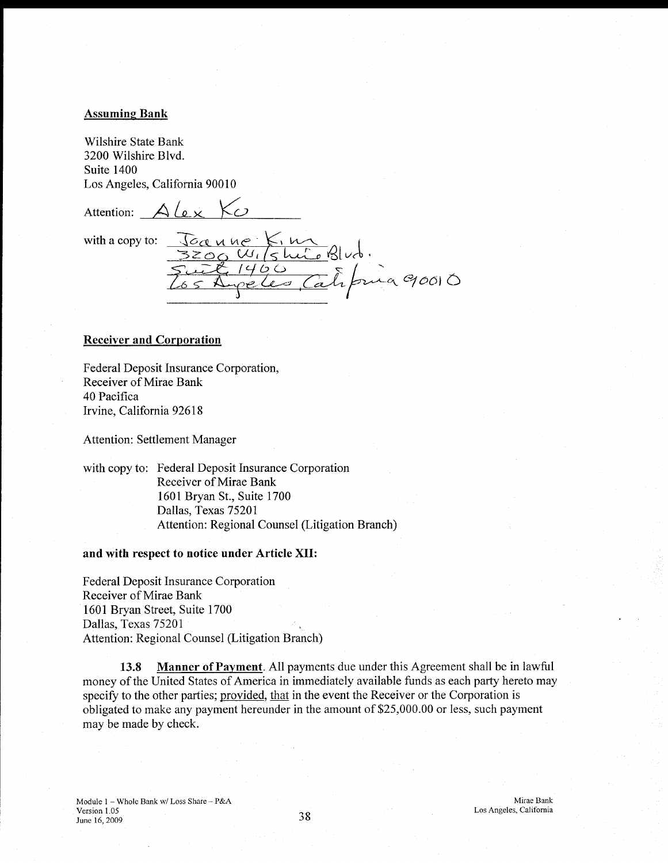#### **Assuming Bank**

Wilshire State Bank 3200 Wilshire Blvd. Suite 1400 Los Angeles, California 90010

Attention:  $\triangle$  lex  $\times$ with a copy to:  $\sqrt{\alpha} \alpha$   $\mu \alpha \in K$ ,  $\mu \alpha$  $S$ hico Blud.  $\mathcal{U}_I$ VIIS Mio 18/00.<br>1400 California 90010

#### **Receiver and Corporation**

Federal Deposit Insurance Corporation, Receiver of Mirae Bank 40 Pacifica Irvine, California 92618

Attention: Settlement Manager

with copy to: Federal Deposit Insurance Corporation Receiver of Mirae Bank 1601 Bryan St., Suite 1700 Dallas, Texas 75201 Attention: Regional Counsel (Litigation Branch)

#### **and with respect to notice under Article** XII:

Federal Deposit Insurance Corporation Receiver of Mirae Bank 1601 Bryan Street, Suite 1700 Dallas, Texas 75201 Attention: Regional Counsel (Litigation Branch)

**13.8 Manner of Payment.** All payments due under this Agreement shall be in lawful money of the United States of America in immediately available funds as each party hereto may specify to the other parties; provided, that in the event the Receiver or the Corporation is obligated to make any payment hereunder in the amount of \$25,000.00 or less, such payment may be made by check.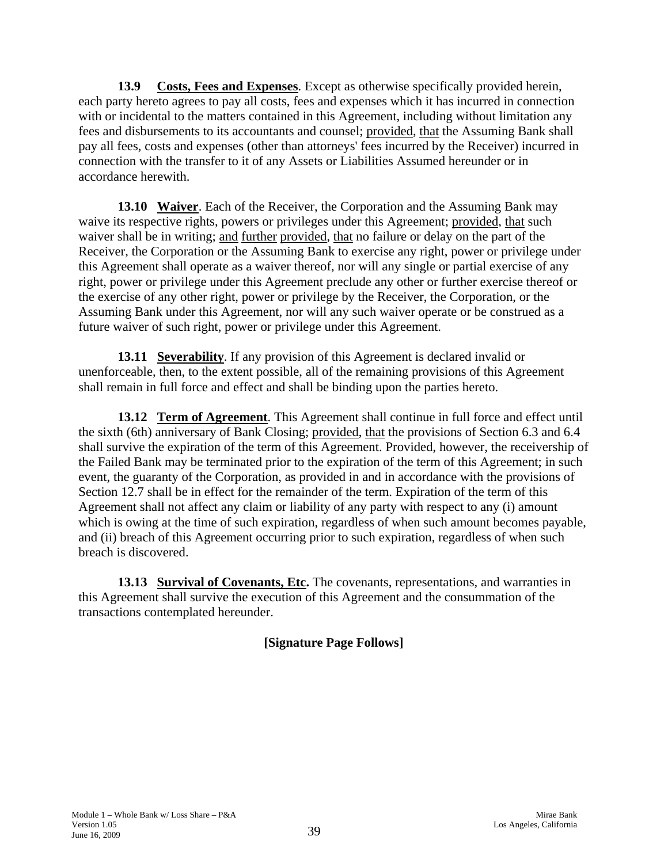**13.9 Costs, Fees and Expenses**. Except as otherwise specifically provided herein, each party hereto agrees to pay all costs, fees and expenses which it has incurred in connection with or incidental to the matters contained in this Agreement, including without limitation any fees and disbursements to its accountants and counsel; provided, that the Assuming Bank shall pay all fees, costs and expenses (other than attorneys' fees incurred by the Receiver) incurred in connection with the transfer to it of any Assets or Liabilities Assumed hereunder or in accordance herewith.

**13.10 Waiver**. Each of the Receiver, the Corporation and the Assuming Bank may waive its respective rights, powers or privileges under this Agreement; provided, that such waiver shall be in writing; and further provided, that no failure or delay on the part of the Receiver, the Corporation or the Assuming Bank to exercise any right, power or privilege under this Agreement shall operate as a waiver thereof, nor will any single or partial exercise of any right, power or privilege under this Agreement preclude any other or further exercise thereof or the exercise of any other right, power or privilege by the Receiver, the Corporation, or the Assuming Bank under this Agreement, nor will any such waiver operate or be construed as a future waiver of such right, power or privilege under this Agreement.

**13.11 Severability**. If any provision of this Agreement is declared invalid or unenforceable, then, to the extent possible, all of the remaining provisions of this Agreement shall remain in full force and effect and shall be binding upon the parties hereto.

**13.12 Term of Agreement**. This Agreement shall continue in full force and effect until the sixth (6th) anniversary of Bank Closing; provided, that the provisions of Section 6.3 and 6.4 shall survive the expiration of the term of this Agreement. Provided, however, the receivership of the Failed Bank may be terminated prior to the expiration of the term of this Agreement; in such event, the guaranty of the Corporation, as provided in and in accordance with the provisions of Section 12.7 shall be in effect for the remainder of the term. Expiration of the term of this Agreement shall not affect any claim or liability of any party with respect to any (i) amount which is owing at the time of such expiration, regardless of when such amount becomes payable, and (ii) breach of this Agreement occurring prior to such expiration, regardless of when such breach is discovered.

**13.13 Survival of Covenants, Etc.** The covenants, representations, and warranties in this Agreement shall survive the execution of this Agreement and the consummation of the transactions contemplated hereunder.

## **[Signature Page Follows]**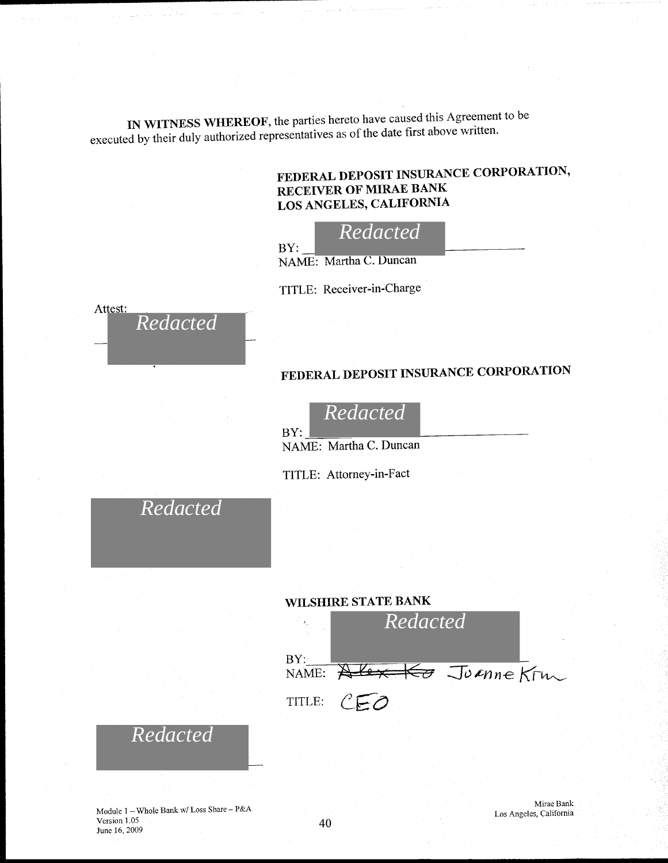**IN WITNESS WHEREOF,** the parties hereto have caused this Agreement to be executed by their duly authorized representatives as of the date first above written.

## **FEDERAL DEPOSIT INSURANCE CORPORATION, RECEIVER OF MIRAE BANK LOS ANGELES, CALIFORNIA**



TITLE: Receiver-in-Charge



# **FEDERAL DEPOSIT INSURANCE CORPORATION**



NAME: Martha C. Duncan

TITLE: Attorney-in-Fact

 $BY:$ 



#### **WILSHIRE STATE BANK**





Module I -Whole Bank w/ Loss Share- P&A Version 1.05 June 16, 2009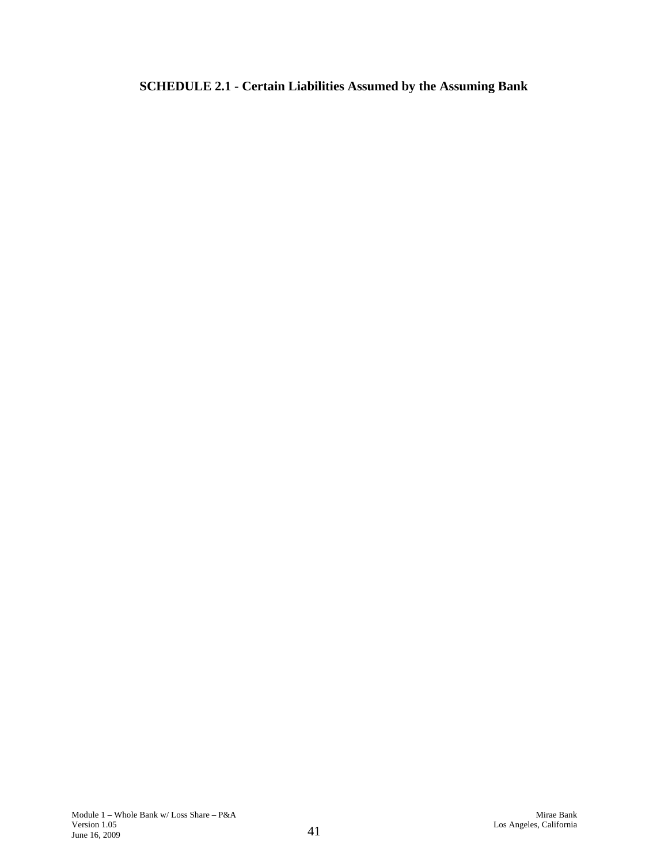**SCHEDULE 2.1 - Certain Liabilities Assumed by the Assuming Bank**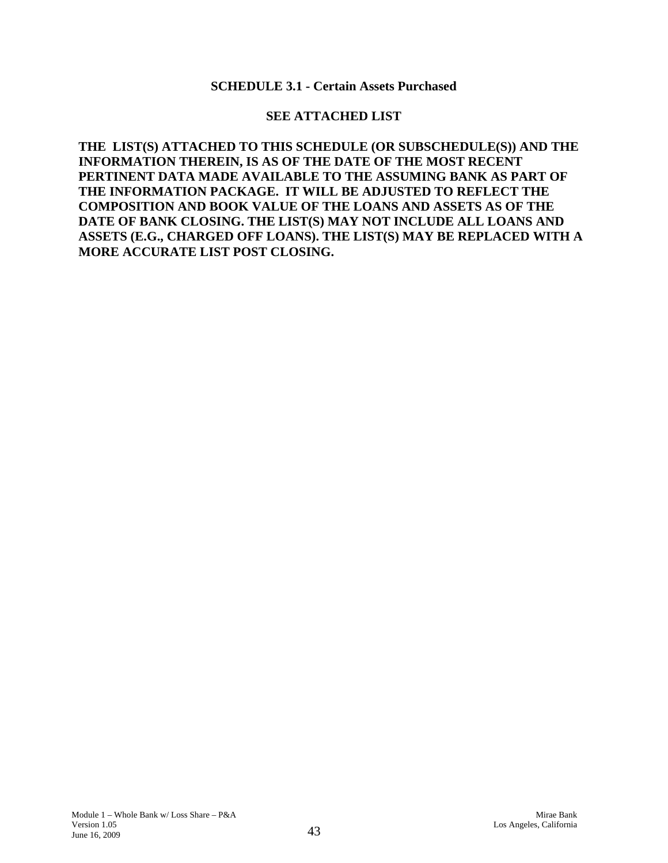#### **SCHEDULE 3.1 - Certain Assets Purchased**

#### **SEE ATTACHED LIST**

THE LIST(S) ATTACHED TO THIS SCHEDULE (OR SUBSCHEDULE(S)) AND THE **INFORMATION THEREIN, IS AS OF THE DATE OF THE MOST RECENT PERTINENT DATA MADE AVAILABLE TO THE ASSUMING BANK AS PART OF THE INFORMATION PACKAGE. IT WILL BE ADJUSTED TO REFLECT THE COMPOSITION AND BOOK VALUE OF THE LOANS AND ASSETS AS OF THE DATE OF BANK CLOSING. THE LIST(S) MAY NOT INCLUDE ALL LOANS AND ASSETS (E.G., CHARGED OFF LOANS). THE LIST(S) MAY BE REPLACED WITH A MORE ACCURATE LIST POST CLOSING.**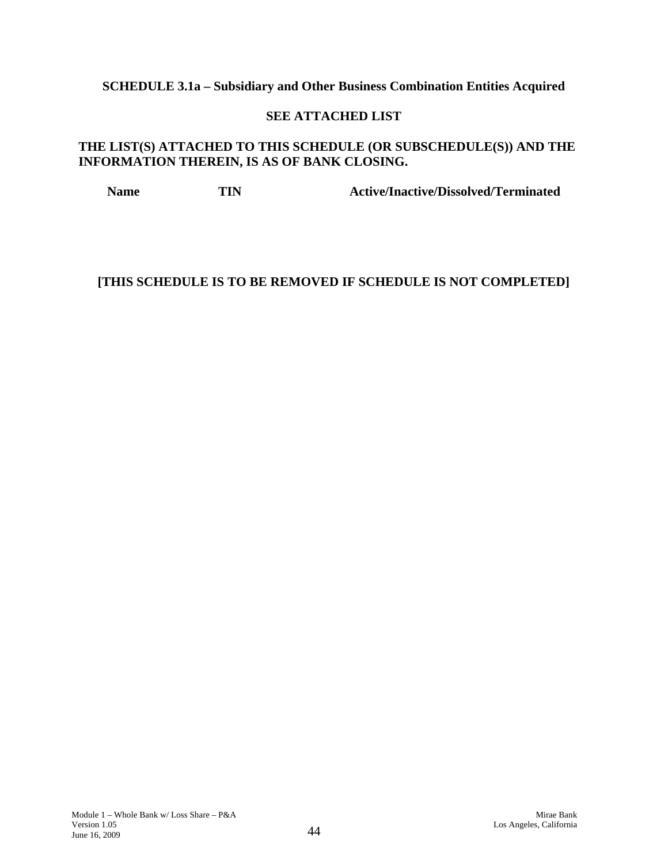## **SCHEDULE 3.1a – Subsidiary and Other Business Combination Entities Acquired**

### **SEE ATTACHED LIST**

## **THE LIST(S) ATTACHED TO THIS SCHEDULE (OR SUBSCHEDULE(S)) AND THE INFORMATION THEREIN, IS AS OF BANK CLOSING.**

**Name TIN Active/Inactive/Dissolved/Terminated** 

## **[THIS SCHEDULE IS TO BE REMOVED IF SCHEDULE IS NOT COMPLETED]**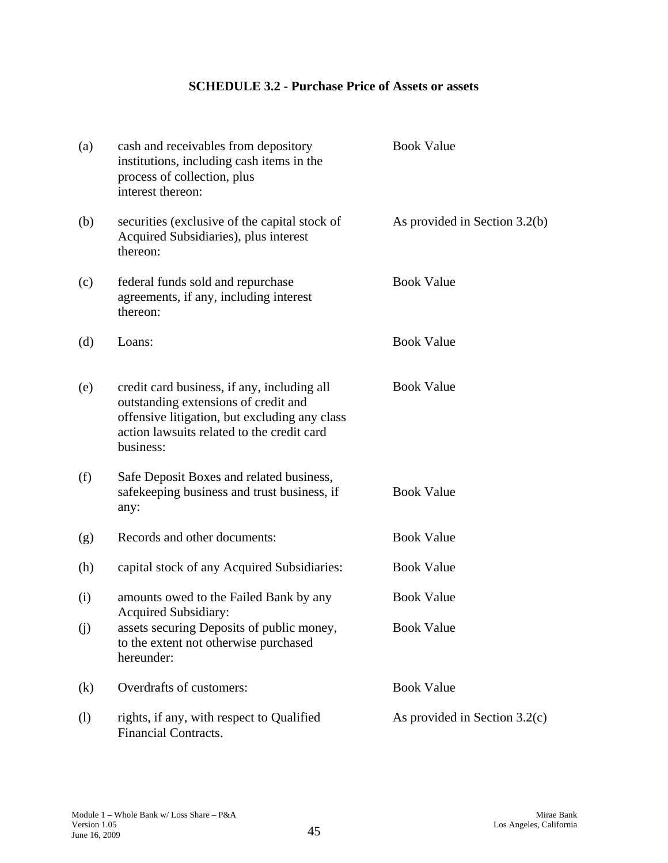## **SCHEDULE 3.2 - Purchase Price of Assets or assets**

| (a) | cash and receivables from depository<br>institutions, including cash items in the<br>process of collection, plus<br>interest thereon:                                                           | <b>Book Value</b>               |
|-----|-------------------------------------------------------------------------------------------------------------------------------------------------------------------------------------------------|---------------------------------|
| (b) | securities (exclusive of the capital stock of<br>Acquired Subsidiaries), plus interest<br>thereon:                                                                                              | As provided in Section 3.2(b)   |
| (c) | federal funds sold and repurchase<br>agreements, if any, including interest<br>thereon:                                                                                                         | <b>Book Value</b>               |
| (d) | Loans:                                                                                                                                                                                          | <b>Book Value</b>               |
| (e) | credit card business, if any, including all<br>outstanding extensions of credit and<br>offensive litigation, but excluding any class<br>action lawsuits related to the credit card<br>business: | <b>Book Value</b>               |
| (f) | Safe Deposit Boxes and related business,<br>safekeeping business and trust business, if<br>any:                                                                                                 | <b>Book Value</b>               |
| (g) | Records and other documents:                                                                                                                                                                    | <b>Book Value</b>               |
| (h) | capital stock of any Acquired Subsidiaries:                                                                                                                                                     | <b>Book Value</b>               |
| (i) | amounts owed to the Failed Bank by any                                                                                                                                                          | <b>Book Value</b>               |
| (j) | <b>Acquired Subsidiary:</b><br>assets securing Deposits of public money,<br>to the extent not otherwise purchased<br>hereunder:                                                                 | <b>Book Value</b>               |
| (k) | Overdrafts of customers:                                                                                                                                                                        | <b>Book Value</b>               |
| (1) | rights, if any, with respect to Qualified<br>Financial Contracts.                                                                                                                               | As provided in Section $3.2(c)$ |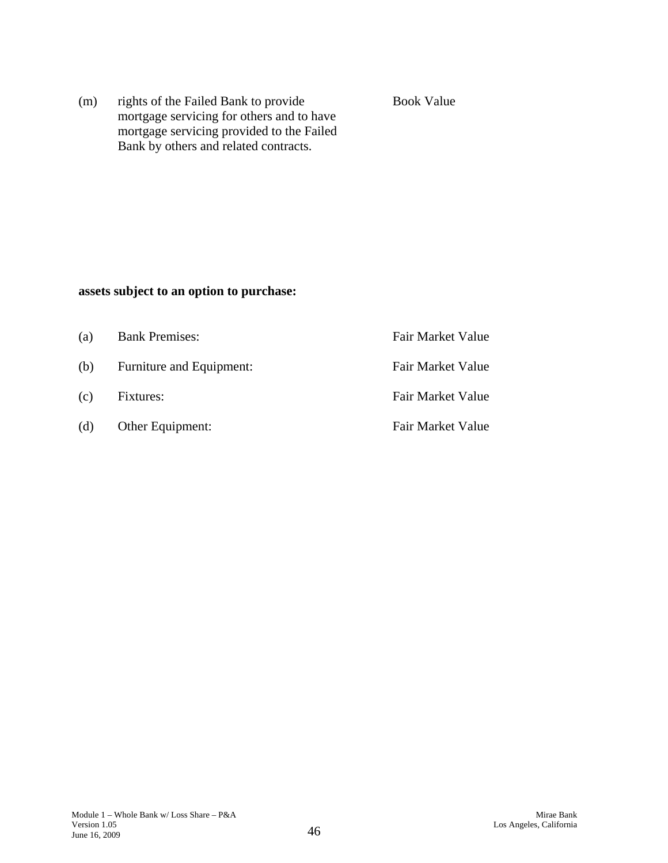(m) rights of the Failed Bank to provide Book Value mortgage servicing for others and to have mortgage servicing provided to the Failed Bank by others and related contracts.

## **assets subject to an option to purchase:**

| (a) | <b>Bank Premises:</b>    | Fair Market Value |
|-----|--------------------------|-------------------|
| (b) | Furniture and Equipment: | Fair Market Value |
| (c) | Fixtures:                | Fair Market Value |
| (d) | Other Equipment:         | Fair Market Value |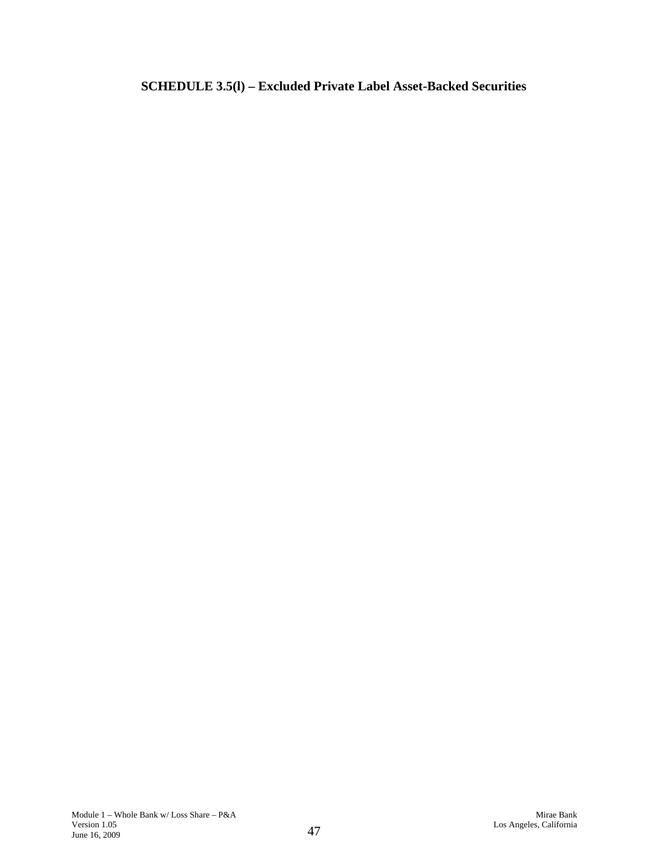## **SCHEDULE 3.5(l) – Excluded Private Label Asset-Backed Securities**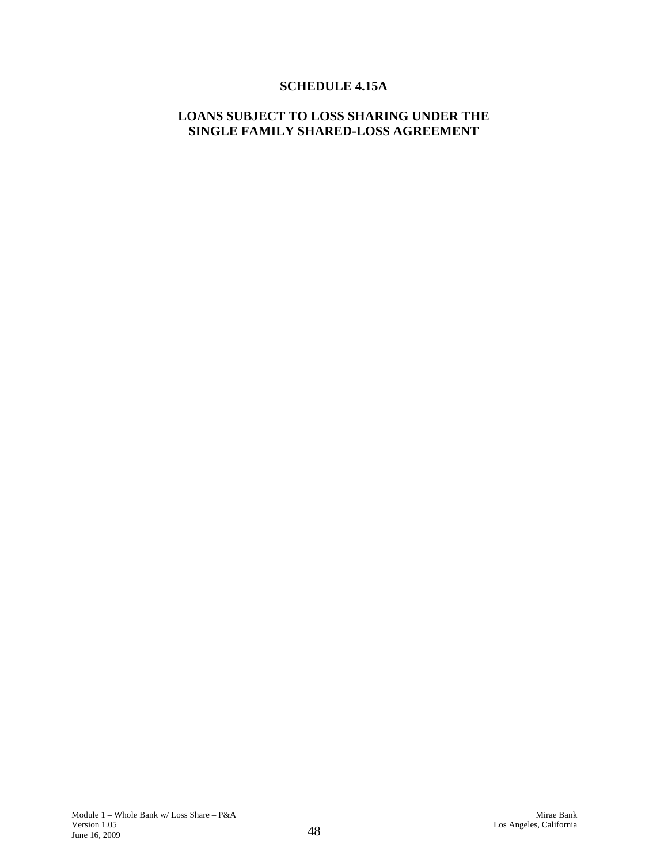## **SCHEDULE 4.15A**

## **LOANS SUBJECT TO LOSS SHARING UNDER THE SINGLE FAMILY SHARED-LOSS AGREEMENT**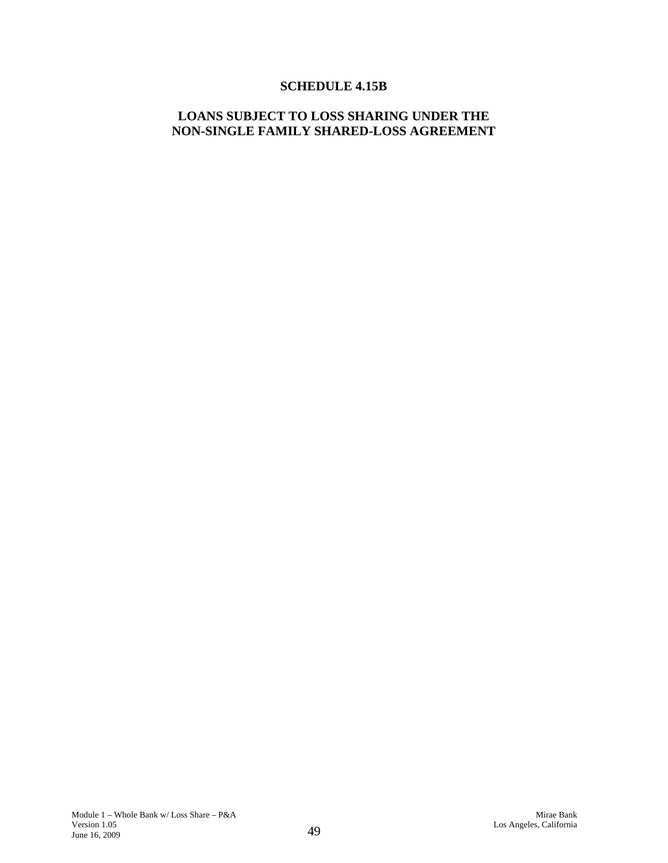## **SCHEDULE 4.15B**

## **LOANS SUBJECT TO LOSS SHARING UNDER THE NON-SINGLE FAMILY SHARED-LOSS AGREEMENT**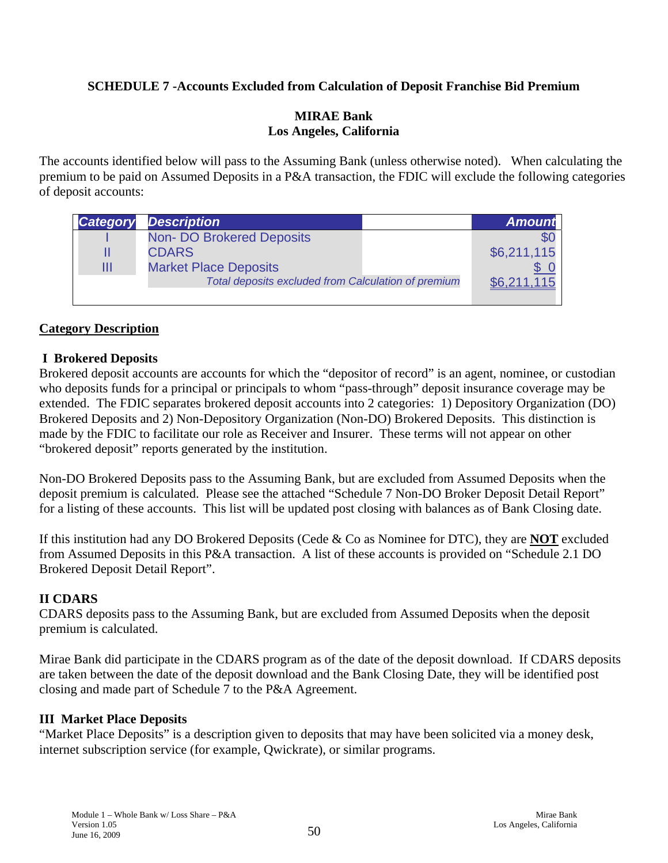## **SCHEDULE 7 -Accounts Excluded from Calculation of Deposit Franchise Bid Premium**

## **MIRAE Bank Los Angeles, California**

The accounts identified below will pass to the Assuming Bank (unless otherwise noted). When calculating the premium to be paid on Assumed Deposits in a P&A transaction, the FDIC will exclude the following categories of deposit accounts:

| <b>Category</b> | <b>Description</b>                                  | <b>Amount</b> |
|-----------------|-----------------------------------------------------|---------------|
|                 | <b>Non-DO Brokered Deposits</b>                     | \$0           |
|                 | <b>CDARS</b>                                        | \$6,211,115   |
| Ш               | <b>Market Place Deposits</b>                        |               |
|                 | Total deposits excluded from Calculation of premium | \$6.211.115   |
|                 |                                                     |               |

## **Category Description**

### **I Brokered Deposits**

Brokered deposit accounts are accounts for which the "depositor of record" is an agent, nominee, or custodian who deposits funds for a principal or principals to whom "pass-through" deposit insurance coverage may be extended. The FDIC separates brokered deposit accounts into 2 categories: 1) Depository Organization (DO) Brokered Deposits and 2) Non-Depository Organization (Non-DO) Brokered Deposits. This distinction is made by the FDIC to facilitate our role as Receiver and Insurer. These terms will not appear on other "brokered deposit" reports generated by the institution.

Non-DO Brokered Deposits pass to the Assuming Bank, but are excluded from Assumed Deposits when the deposit premium is calculated. Please see the attached "Schedule 7 Non-DO Broker Deposit Detail Report" for a listing of these accounts. This list will be updated post closing with balances as of Bank Closing date.

If this institution had any DO Brokered Deposits (Cede & Co as Nominee for DTC), they are **NOT** excluded from Assumed Deposits in this P&A transaction. A list of these accounts is provided on "Schedule 2.1 DO Brokered Deposit Detail Report".

#### **II CDARS**

CDARS deposits pass to the Assuming Bank, but are excluded from Assumed Deposits when the deposit premium is calculated.

Mirae Bank did participate in the CDARS program as of the date of the deposit download. If CDARS deposits are taken between the date of the deposit download and the Bank Closing Date, they will be identified post closing and made part of Schedule 7 to the P&A Agreement.

#### **III Market Place Deposits**

"Market Place Deposits" is a description given to deposits that may have been solicited via a money desk, internet subscription service (for example, Qwickrate), or similar programs.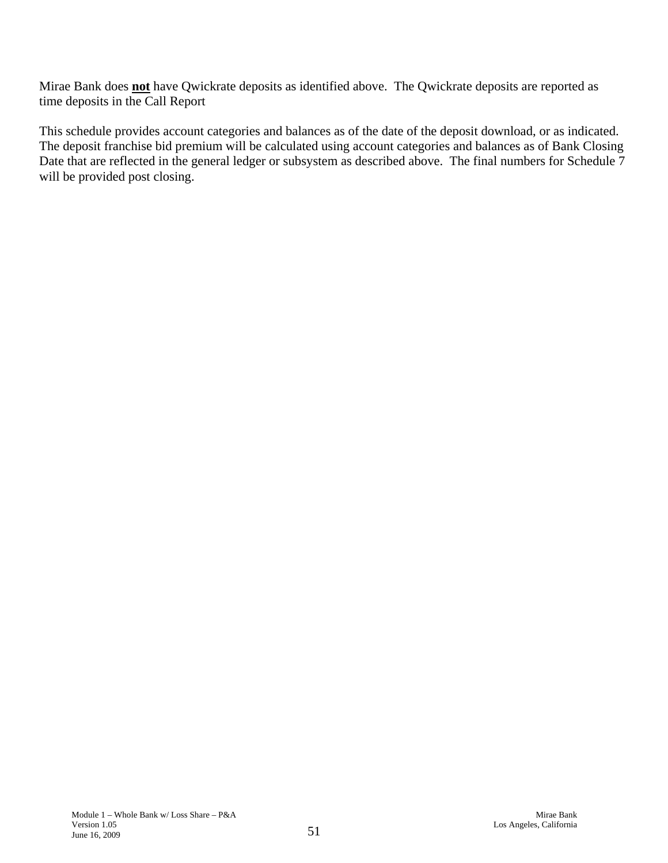Mirae Bank does **not** have Qwickrate deposits as identified above. The Qwickrate deposits are reported as time deposits in the Call Report

This schedule provides account categories and balances as of the date of the deposit download, or as indicated. The deposit franchise bid premium will be calculated using account categories and balances as of Bank Closing Date that are reflected in the general ledger or subsystem as described above. The final numbers for Schedule 7 will be provided post closing.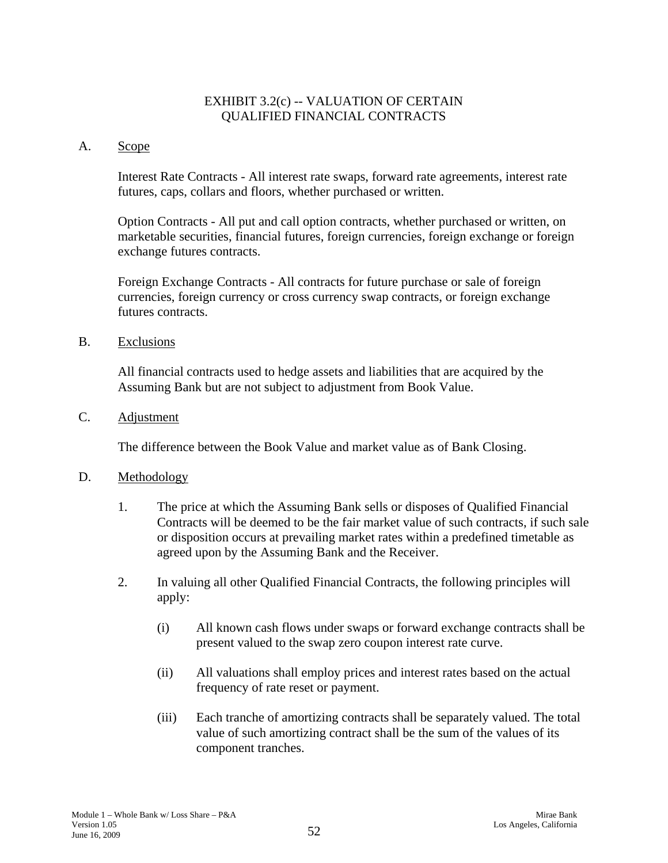## EXHIBIT 3.2(c) -- VALUATION OF CERTAIN QUALIFIED FINANCIAL CONTRACTS

#### A. Scope

Interest Rate Contracts - All interest rate swaps, forward rate agreements, interest rate futures, caps, collars and floors, whether purchased or written.

Option Contracts - All put and call option contracts, whether purchased or written, on marketable securities, financial futures, foreign currencies, foreign exchange or foreign exchange futures contracts.

Foreign Exchange Contracts - All contracts for future purchase or sale of foreign currencies, foreign currency or cross currency swap contracts, or foreign exchange futures contracts.

#### B. Exclusions

All financial contracts used to hedge assets and liabilities that are acquired by the Assuming Bank but are not subject to adjustment from Book Value.

### C. Adjustment

The difference between the Book Value and market value as of Bank Closing.

## D. Methodology

- 1. The price at which the Assuming Bank sells or disposes of Qualified Financial Contracts will be deemed to be the fair market value of such contracts, if such sale or disposition occurs at prevailing market rates within a predefined timetable as agreed upon by the Assuming Bank and the Receiver.
- 2. In valuing all other Qualified Financial Contracts, the following principles will apply:
	- (i) All known cash flows under swaps or forward exchange contracts shall be present valued to the swap zero coupon interest rate curve.
	- (ii) All valuations shall employ prices and interest rates based on the actual frequency of rate reset or payment.
	- (iii) Each tranche of amortizing contracts shall be separately valued. The total value of such amortizing contract shall be the sum of the values of its component tranches.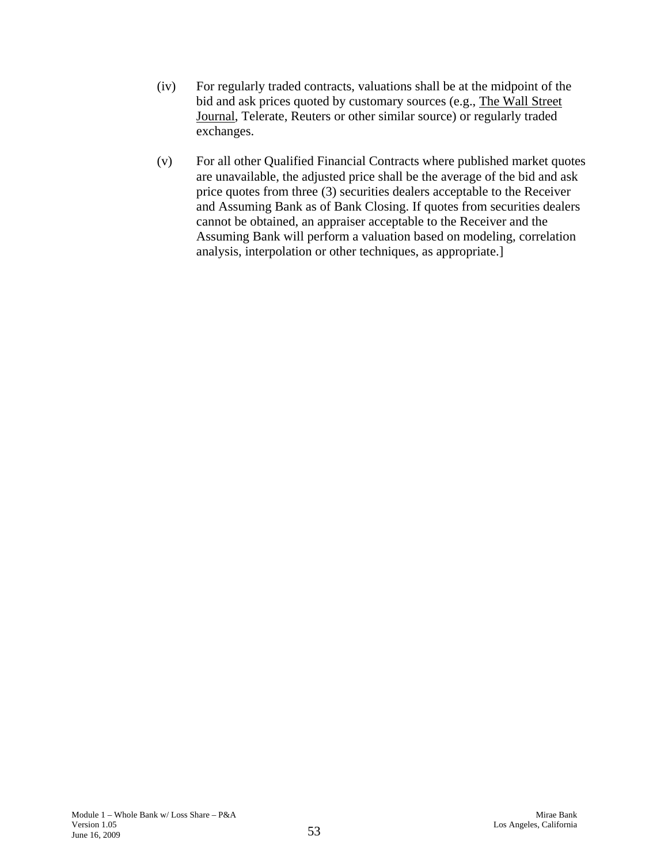- (iv) For regularly traded contracts, valuations shall be at the midpoint of the bid and ask prices quoted by customary sources (e.g., The Wall Street Journal, Telerate, Reuters or other similar source) or regularly traded exchanges.
- (v) For all other Qualified Financial Contracts where published market quotes are unavailable, the adjusted price shall be the average of the bid and ask price quotes from three (3) securities dealers acceptable to the Receiver and Assuming Bank as of Bank Closing. If quotes from securities dealers cannot be obtained, an appraiser acceptable to the Receiver and the Assuming Bank will perform a valuation based on modeling, correlation analysis, interpolation or other techniques, as appropriate.]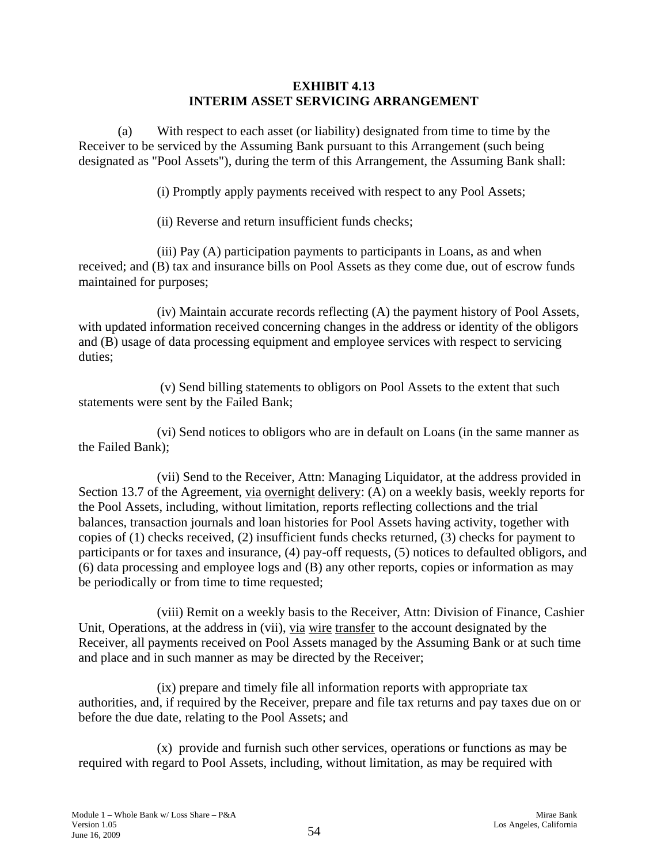### **EXHIBIT 4.13 INTERIM ASSET SERVICING ARRANGEMENT**

(a) With respect to each asset (or liability) designated from time to time by the Receiver to be serviced by the Assuming Bank pursuant to this Arrangement (such being designated as "Pool Assets"), during the term of this Arrangement, the Assuming Bank shall:

(i) Promptly apply payments received with respect to any Pool Assets;

(ii) Reverse and return insufficient funds checks;

(iii) Pay (A) participation payments to participants in Loans, as and when received; and (B) tax and insurance bills on Pool Assets as they come due, out of escrow funds maintained for purposes;

(iv) Maintain accurate records reflecting (A) the payment history of Pool Assets, with updated information received concerning changes in the address or identity of the obligors and (B) usage of data processing equipment and employee services with respect to servicing duties;

 (v) Send billing statements to obligors on Pool Assets to the extent that such statements were sent by the Failed Bank;

(vi) Send notices to obligors who are in default on Loans (in the same manner as the Failed Bank);

(vii) Send to the Receiver, Attn: Managing Liquidator, at the address provided in Section 13.7 of the Agreement, via overnight delivery: (A) on a weekly basis, weekly reports for the Pool Assets, including, without limitation, reports reflecting collections and the trial balances, transaction journals and loan histories for Pool Assets having activity, together with copies of (1) checks received, (2) insufficient funds checks returned, (3) checks for payment to participants or for taxes and insurance, (4) pay-off requests, (5) notices to defaulted obligors, and (6) data processing and employee logs and (B) any other reports, copies or information as may be periodically or from time to time requested;

(viii) Remit on a weekly basis to the Receiver, Attn: Division of Finance, Cashier Unit, Operations, at the address in (vii), via wire transfer to the account designated by the Receiver, all payments received on Pool Assets managed by the Assuming Bank or at such time and place and in such manner as may be directed by the Receiver;

(ix) prepare and timely file all information reports with appropriate tax authorities, and, if required by the Receiver, prepare and file tax returns and pay taxes due on or before the due date, relating to the Pool Assets; and

(x) provide and furnish such other services, operations or functions as may be required with regard to Pool Assets, including, without limitation, as may be required with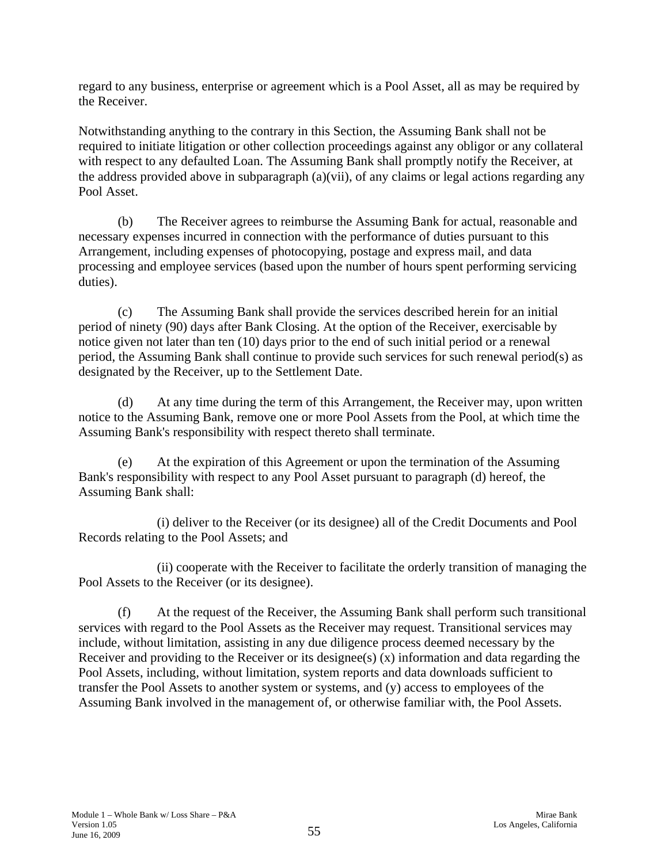regard to any business, enterprise or agreement which is a Pool Asset, all as may be required by the Receiver.

Notwithstanding anything to the contrary in this Section, the Assuming Bank shall not be required to initiate litigation or other collection proceedings against any obligor or any collateral with respect to any defaulted Loan. The Assuming Bank shall promptly notify the Receiver, at the address provided above in subparagraph (a)(vii), of any claims or legal actions regarding any Pool Asset.

(b) The Receiver agrees to reimburse the Assuming Bank for actual, reasonable and necessary expenses incurred in connection with the performance of duties pursuant to this Arrangement, including expenses of photocopying, postage and express mail, and data processing and employee services (based upon the number of hours spent performing servicing duties).

(c) The Assuming Bank shall provide the services described herein for an initial period of ninety (90) days after Bank Closing. At the option of the Receiver, exercisable by notice given not later than ten (10) days prior to the end of such initial period or a renewal period, the Assuming Bank shall continue to provide such services for such renewal period(s) as designated by the Receiver, up to the Settlement Date.

(d) At any time during the term of this Arrangement, the Receiver may, upon written notice to the Assuming Bank, remove one or more Pool Assets from the Pool, at which time the Assuming Bank's responsibility with respect thereto shall terminate.

(e) At the expiration of this Agreement or upon the termination of the Assuming Bank's responsibility with respect to any Pool Asset pursuant to paragraph (d) hereof, the Assuming Bank shall:

(i) deliver to the Receiver (or its designee) all of the Credit Documents and Pool Records relating to the Pool Assets; and

(ii) cooperate with the Receiver to facilitate the orderly transition of managing the Pool Assets to the Receiver (or its designee).

(f) At the request of the Receiver, the Assuming Bank shall perform such transitional services with regard to the Pool Assets as the Receiver may request. Transitional services may include, without limitation, assisting in any due diligence process deemed necessary by the Receiver and providing to the Receiver or its designee(s) (x) information and data regarding the Pool Assets, including, without limitation, system reports and data downloads sufficient to transfer the Pool Assets to another system or systems, and (y) access to employees of the Assuming Bank involved in the management of, or otherwise familiar with, the Pool Assets.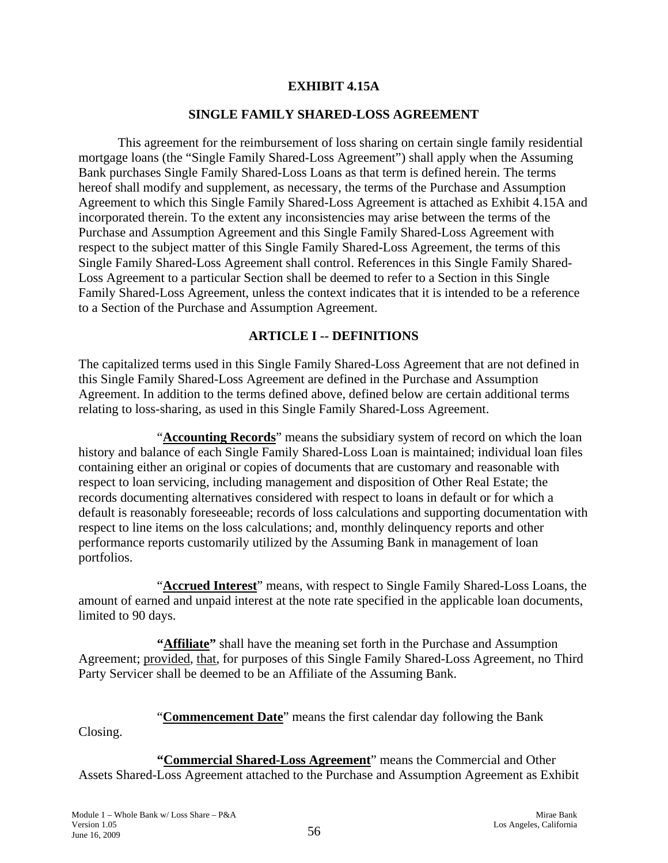#### **EXHIBIT 4.15A**

#### **SINGLE FAMILY SHARED-LOSS AGREEMENT**

This agreement for the reimbursement of loss sharing on certain single family residential mortgage loans (the "Single Family Shared-Loss Agreement") shall apply when the Assuming Bank purchases Single Family Shared-Loss Loans as that term is defined herein. The terms hereof shall modify and supplement, as necessary, the terms of the Purchase and Assumption Agreement to which this Single Family Shared-Loss Agreement is attached as Exhibit 4.15A and incorporated therein. To the extent any inconsistencies may arise between the terms of the Purchase and Assumption Agreement and this Single Family Shared-Loss Agreement with respect to the subject matter of this Single Family Shared-Loss Agreement, the terms of this Single Family Shared-Loss Agreement shall control. References in this Single Family Shared-Loss Agreement to a particular Section shall be deemed to refer to a Section in this Single Family Shared-Loss Agreement, unless the context indicates that it is intended to be a reference to a Section of the Purchase and Assumption Agreement.

### **ARTICLE I -- DEFINITIONS**

The capitalized terms used in this Single Family Shared-Loss Agreement that are not defined in this Single Family Shared-Loss Agreement are defined in the Purchase and Assumption Agreement. In addition to the terms defined above, defined below are certain additional terms relating to loss-sharing, as used in this Single Family Shared-Loss Agreement.

"**Accounting Records**" means the subsidiary system of record on which the loan history and balance of each Single Family Shared-Loss Loan is maintained; individual loan files containing either an original or copies of documents that are customary and reasonable with respect to loan servicing, including management and disposition of Other Real Estate; the records documenting alternatives considered with respect to loans in default or for which a default is reasonably foreseeable; records of loss calculations and supporting documentation with respect to line items on the loss calculations; and, monthly delinquency reports and other performance reports customarily utilized by the Assuming Bank in management of loan portfolios.

"**Accrued Interest**" means, with respect to Single Family Shared-Loss Loans, the amount of earned and unpaid interest at the note rate specified in the applicable loan documents, limited to 90 days.

**"Affiliate"** shall have the meaning set forth in the Purchase and Assumption Agreement; provided, that, for purposes of this Single Family Shared-Loss Agreement, no Third Party Servicer shall be deemed to be an Affiliate of the Assuming Bank.

"**Commencement Date**" means the first calendar day following the Bank

Closing.

**"Commercial Shared-Loss Agreement**" means the Commercial and Other Assets Shared-Loss Agreement attached to the Purchase and Assumption Agreement as Exhibit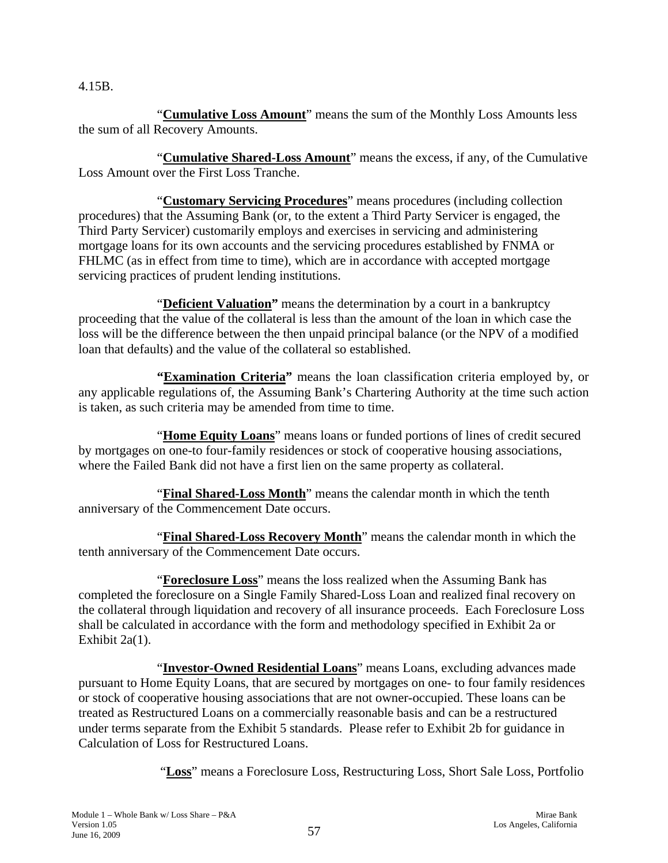4.15B.

"**Cumulative Loss Amount**" means the sum of the Monthly Loss Amounts less the sum of all Recovery Amounts.

"**Cumulative Shared-Loss Amount**" means the excess, if any, of the Cumulative Loss Amount over the First Loss Tranche.

"**Customary Servicing Procedures**" means procedures (including collection procedures) that the Assuming Bank (or, to the extent a Third Party Servicer is engaged, the Third Party Servicer) customarily employs and exercises in servicing and administering mortgage loans for its own accounts and the servicing procedures established by FNMA or FHLMC (as in effect from time to time), which are in accordance with accepted mortgage servicing practices of prudent lending institutions.

"**Deficient Valuation"** means the determination by a court in a bankruptcy proceeding that the value of the collateral is less than the amount of the loan in which case the loss will be the difference between the then unpaid principal balance (or the NPV of a modified loan that defaults) and the value of the collateral so established.

**"Examination Criteria"** means the loan classification criteria employed by, or any applicable regulations of, the Assuming Bank's Chartering Authority at the time such action is taken, as such criteria may be amended from time to time.

"**Home Equity Loans**" means loans or funded portions of lines of credit secured by mortgages on one-to four-family residences or stock of cooperative housing associations, where the Failed Bank did not have a first lien on the same property as collateral.

"**Final Shared-Loss Month**" means the calendar month in which the tenth anniversary of the Commencement Date occurs.

"**Final Shared-Loss Recovery Month**" means the calendar month in which the tenth anniversary of the Commencement Date occurs.

"**Foreclosure Loss**" means the loss realized when the Assuming Bank has completed the foreclosure on a Single Family Shared-Loss Loan and realized final recovery on the collateral through liquidation and recovery of all insurance proceeds. Each Foreclosure Loss shall be calculated in accordance with the form and methodology specified in Exhibit 2a or Exhibit 2a(1).

"**Investor-Owned Residential Loans**" means Loans, excluding advances made pursuant to Home Equity Loans, that are secured by mortgages on one- to four family residences or stock of cooperative housing associations that are not owner-occupied. These loans can be treated as Restructured Loans on a commercially reasonable basis and can be a restructured under terms separate from the Exhibit 5 standards. Please refer to Exhibit 2b for guidance in Calculation of Loss for Restructured Loans.

"**Loss**" means a Foreclosure Loss, Restructuring Loss, Short Sale Loss, Portfolio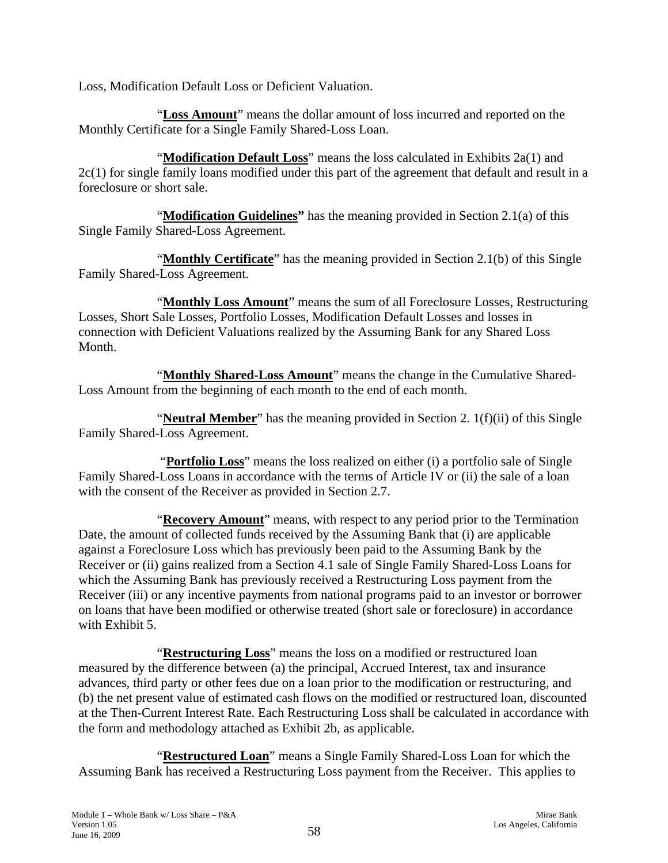Loss, Modification Default Loss or Deficient Valuation.

"**Loss Amount**" means the dollar amount of loss incurred and reported on the Monthly Certificate for a Single Family Shared-Loss Loan.

"**Modification Default Loss**" means the loss calculated in Exhibits 2a(1) and 2c(1) for single family loans modified under this part of the agreement that default and result in a foreclosure or short sale.

"**Modification Guidelines**" has the meaning provided in Section 2.1(a) of this Single Family Shared-Loss Agreement.

"**Monthly Certificate**" has the meaning provided in Section 2.1(b) of this Single Family Shared-Loss Agreement.

"**Monthly Loss Amount**" means the sum of all Foreclosure Losses, Restructuring Losses, Short Sale Losses, Portfolio Losses, Modification Default Losses and losses in connection with Deficient Valuations realized by the Assuming Bank for any Shared Loss Month.

"**Monthly Shared-Loss Amount**" means the change in the Cumulative Shared-Loss Amount from the beginning of each month to the end of each month.

**"Neutral Member**" has the meaning provided in Section 2. 1(f)(ii) of this Single Family Shared-Loss Agreement.

"**Portfolio Loss**" means the loss realized on either (i) a portfolio sale of Single Family Shared-Loss Loans in accordance with the terms of Article IV or (ii) the sale of a loan with the consent of the Receiver as provided in Section 2.7.

"**Recovery Amount**" means, with respect to any period prior to the Termination Date, the amount of collected funds received by the Assuming Bank that (i) are applicable against a Foreclosure Loss which has previously been paid to the Assuming Bank by the Receiver or (ii) gains realized from a Section 4.1 sale of Single Family Shared-Loss Loans for which the Assuming Bank has previously received a Restructuring Loss payment from the Receiver (iii) or any incentive payments from national programs paid to an investor or borrower on loans that have been modified or otherwise treated (short sale or foreclosure) in accordance with Exhibit 5.

"**Restructuring Loss**" means the loss on a modified or restructured loan measured by the difference between (a) the principal, Accrued Interest, tax and insurance advances, third party or other fees due on a loan prior to the modification or restructuring, and (b) the net present value of estimated cash flows on the modified or restructured loan, discounted at the Then-Current Interest Rate. Each Restructuring Loss shall be calculated in accordance with the form and methodology attached as Exhibit 2b, as applicable.

"**Restructured Loan**" means a Single Family Shared-Loss Loan for which the Assuming Bank has received a Restructuring Loss payment from the Receiver. This applies to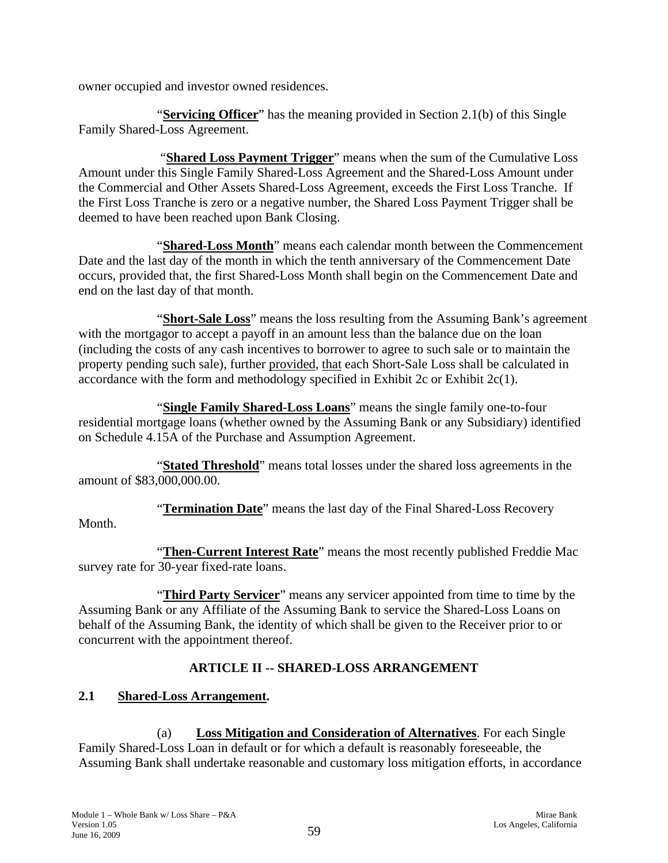owner occupied and investor owned residences.

"**Servicing Officer**" has the meaning provided in Section 2.1(b) of this Single Family Shared-Loss Agreement.

"**Shared Loss Payment Trigger**" means when the sum of the Cumulative Loss Amount under this Single Family Shared-Loss Agreement and the Shared-Loss Amount under the Commercial and Other Assets Shared-Loss Agreement, exceeds the First Loss Tranche. If the First Loss Tranche is zero or a negative number, the Shared Loss Payment Trigger shall be deemed to have been reached upon Bank Closing.

"**Shared-Loss Month**" means each calendar month between the Commencement Date and the last day of the month in which the tenth anniversary of the Commencement Date occurs, provided that, the first Shared-Loss Month shall begin on the Commencement Date and end on the last day of that month.

"**Short-Sale Loss**" means the loss resulting from the Assuming Bank's agreement with the mortgagor to accept a payoff in an amount less than the balance due on the loan (including the costs of any cash incentives to borrower to agree to such sale or to maintain the property pending such sale), further provided, that each Short-Sale Loss shall be calculated in accordance with the form and methodology specified in Exhibit 2c or Exhibit  $2c(1)$ .

"**Single Family Shared-Loss Loans**" means the single family one-to-four residential mortgage loans (whether owned by the Assuming Bank or any Subsidiary) identified on Schedule 4.15A of the Purchase and Assumption Agreement.

"**Stated Threshold**" means total losses under the shared loss agreements in the amount of \$83,000,000.00.

"**Termination Date**" means the last day of the Final Shared-Loss Recovery Month.

"**Then-Current Interest Rate**" means the most recently published Freddie Mac survey rate for 30-year fixed-rate loans.

"**Third Party Servicer**" means any servicer appointed from time to time by the Assuming Bank or any Affiliate of the Assuming Bank to service the Shared-Loss Loans on behalf of the Assuming Bank, the identity of which shall be given to the Receiver prior to or concurrent with the appointment thereof.

## **ARTICLE II -- SHARED-LOSS ARRANGEMENT**

## **2.1 Shared-Loss Arrangement.**

(a) **Loss Mitigation and Consideration of Alternatives**. For each Single Family Shared-Loss Loan in default or for which a default is reasonably foreseeable, the Assuming Bank shall undertake reasonable and customary loss mitigation efforts, in accordance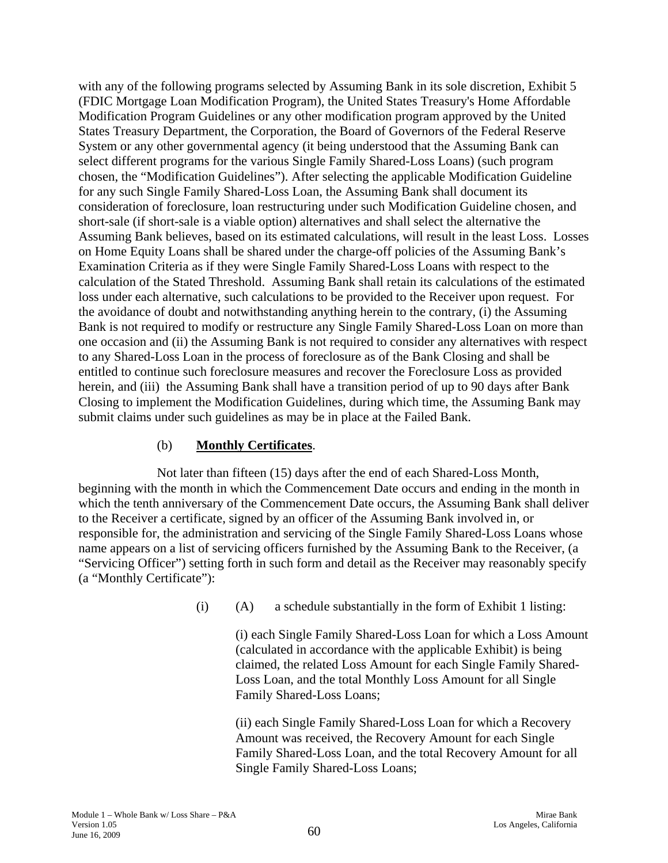with any of the following programs selected by Assuming Bank in its sole discretion, Exhibit 5 (FDIC Mortgage Loan Modification Program), the United States Treasury's Home Affordable Modification Program Guidelines or any other modification program approved by the United States Treasury Department, the Corporation, the Board of Governors of the Federal Reserve System or any other governmental agency (it being understood that the Assuming Bank can select different programs for the various Single Family Shared-Loss Loans) (such program chosen, the "Modification Guidelines"). After selecting the applicable Modification Guideline for any such Single Family Shared-Loss Loan, the Assuming Bank shall document its consideration of foreclosure, loan restructuring under such Modification Guideline chosen, and short-sale (if short-sale is a viable option) alternatives and shall select the alternative the Assuming Bank believes, based on its estimated calculations, will result in the least Loss. Losses on Home Equity Loans shall be shared under the charge-off policies of the Assuming Bank's Examination Criteria as if they were Single Family Shared-Loss Loans with respect to the calculation of the Stated Threshold. Assuming Bank shall retain its calculations of the estimated loss under each alternative, such calculations to be provided to the Receiver upon request. For the avoidance of doubt and notwithstanding anything herein to the contrary, (i) the Assuming Bank is not required to modify or restructure any Single Family Shared-Loss Loan on more than one occasion and (ii) the Assuming Bank is not required to consider any alternatives with respect to any Shared-Loss Loan in the process of foreclosure as of the Bank Closing and shall be entitled to continue such foreclosure measures and recover the Foreclosure Loss as provided herein, and (iii) the Assuming Bank shall have a transition period of up to 90 days after Bank Closing to implement the Modification Guidelines, during which time, the Assuming Bank may submit claims under such guidelines as may be in place at the Failed Bank.

## (b) **Monthly Certificates**.

Not later than fifteen (15) days after the end of each Shared-Loss Month, beginning with the month in which the Commencement Date occurs and ending in the month in which the tenth anniversary of the Commencement Date occurs, the Assuming Bank shall deliver to the Receiver a certificate, signed by an officer of the Assuming Bank involved in, or responsible for, the administration and servicing of the Single Family Shared-Loss Loans whose name appears on a list of servicing officers furnished by the Assuming Bank to the Receiver, (a "Servicing Officer") setting forth in such form and detail as the Receiver may reasonably specify (a "Monthly Certificate"):

 $(i)$  (A) a schedule substantially in the form of Exhibit 1 listing:

(i) each Single Family Shared-Loss Loan for which a Loss Amount (calculated in accordance with the applicable Exhibit) is being claimed, the related Loss Amount for each Single Family Shared-Loss Loan, and the total Monthly Loss Amount for all Single Family Shared-Loss Loans;

(ii) each Single Family Shared-Loss Loan for which a Recovery Amount was received, the Recovery Amount for each Single Family Shared-Loss Loan, and the total Recovery Amount for all Single Family Shared-Loss Loans;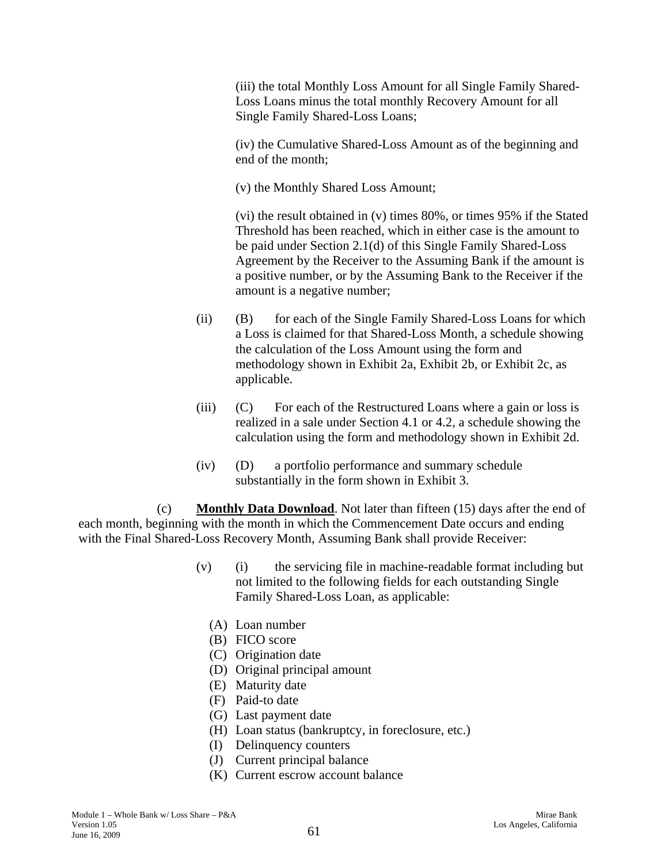(iii) the total Monthly Loss Amount for all Single Family Shared-Loss Loans minus the total monthly Recovery Amount for all Single Family Shared-Loss Loans;

(iv) the Cumulative Shared-Loss Amount as of the beginning and end of the month;

(v) the Monthly Shared Loss Amount;

(vi) the result obtained in (v) times 80%, or times 95% if the Stated Threshold has been reached, which in either case is the amount to be paid under Section 2.1(d) of this Single Family Shared-Loss Agreement by the Receiver to the Assuming Bank if the amount is a positive number, or by the Assuming Bank to the Receiver if the amount is a negative number;

- (ii) (B) for each of the Single Family Shared-Loss Loans for which a Loss is claimed for that Shared-Loss Month, a schedule showing the calculation of the Loss Amount using the form and methodology shown in Exhibit 2a, Exhibit 2b, or Exhibit 2c, as applicable.
- (iii) (C) For each of the Restructured Loans where a gain or loss is realized in a sale under Section 4.1 or 4.2, a schedule showing the calculation using the form and methodology shown in Exhibit 2d.
- (iv) (D) a portfolio performance and summary schedule substantially in the form shown in Exhibit 3.

(c) **Monthly Data Download**. Not later than fifteen (15) days after the end of each month, beginning with the month in which the Commencement Date occurs and ending with the Final Shared-Loss Recovery Month, Assuming Bank shall provide Receiver:

- $(v)$  (i) the servicing file in machine-readable format including but not limited to the following fields for each outstanding Single Family Shared-Loss Loan, as applicable:
	- (A) Loan number
	- (B) FICO score
	- (C) Origination date
	- (D) Original principal amount
	- (E) Maturity date
	- (F) Paid-to date
	- (G) Last payment date
	- (H) Loan status (bankruptcy, in foreclosure, etc.)
	- (I) Delinquency counters
	- (J) Current principal balance
	- (K) Current escrow account balance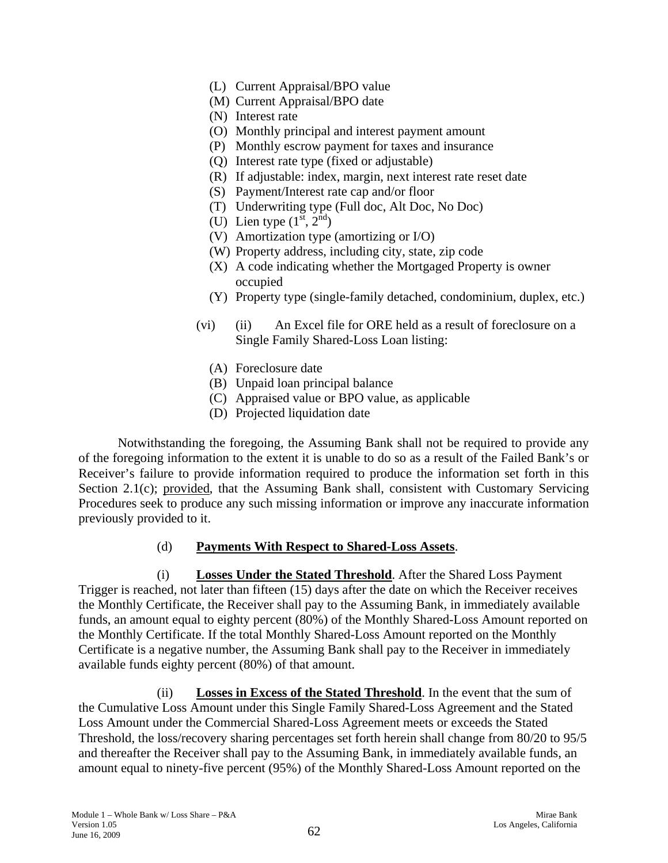- (L) Current Appraisal/BPO value
- (M) Current Appraisal/BPO date
- (N) Interest rate
- (O) Monthly principal and interest payment amount
- (P) Monthly escrow payment for taxes and insurance
- (Q) Interest rate type (fixed or adjustable)
- (R) If adjustable: index, margin, next interest rate reset date
- (S) Payment/Interest rate cap and/or floor
- (T) Underwriting type (Full doc, Alt Doc, No Doc)
- (U) Lien type  $(1<sup>st</sup>, 2<sup>nd</sup>)$
- (V) Amortization type (amortizing or I/O)
- (W) Property address, including city, state, zip code
- (X) A code indicating whether the Mortgaged Property is owner occupied
- (Y) Property type (single-family detached, condominium, duplex, etc.)
- (vi) (ii) An Excel file for ORE held as a result of foreclosure on a Single Family Shared-Loss Loan listing:
	- (A) Foreclosure date
	- (B) Unpaid loan principal balance
	- (C) Appraised value or BPO value, as applicable
	- (D) Projected liquidation date

Notwithstanding the foregoing, the Assuming Bank shall not be required to provide any of the foregoing information to the extent it is unable to do so as a result of the Failed Bank's or Receiver's failure to provide information required to produce the information set forth in this Section 2.1(c); provided, that the Assuming Bank shall, consistent with Customary Servicing Procedures seek to produce any such missing information or improve any inaccurate information previously provided to it.

#### (d) **Payments With Respect to Shared-Loss Assets**.

(i) **Losses Under the Stated Threshold**. After the Shared Loss Payment Trigger is reached, not later than fifteen (15) days after the date on which the Receiver receives the Monthly Certificate, the Receiver shall pay to the Assuming Bank, in immediately available funds, an amount equal to eighty percent (80%) of the Monthly Shared-Loss Amount reported on the Monthly Certificate. If the total Monthly Shared-Loss Amount reported on the Monthly Certificate is a negative number, the Assuming Bank shall pay to the Receiver in immediately available funds eighty percent (80%) of that amount.

(ii) **Losses in Excess of the Stated Threshold**. In the event that the sum of the Cumulative Loss Amount under this Single Family Shared-Loss Agreement and the Stated Loss Amount under the Commercial Shared-Loss Agreement meets or exceeds the Stated Threshold, the loss/recovery sharing percentages set forth herein shall change from 80/20 to 95/5 and thereafter the Receiver shall pay to the Assuming Bank, in immediately available funds, an amount equal to ninety-five percent (95%) of the Monthly Shared-Loss Amount reported on the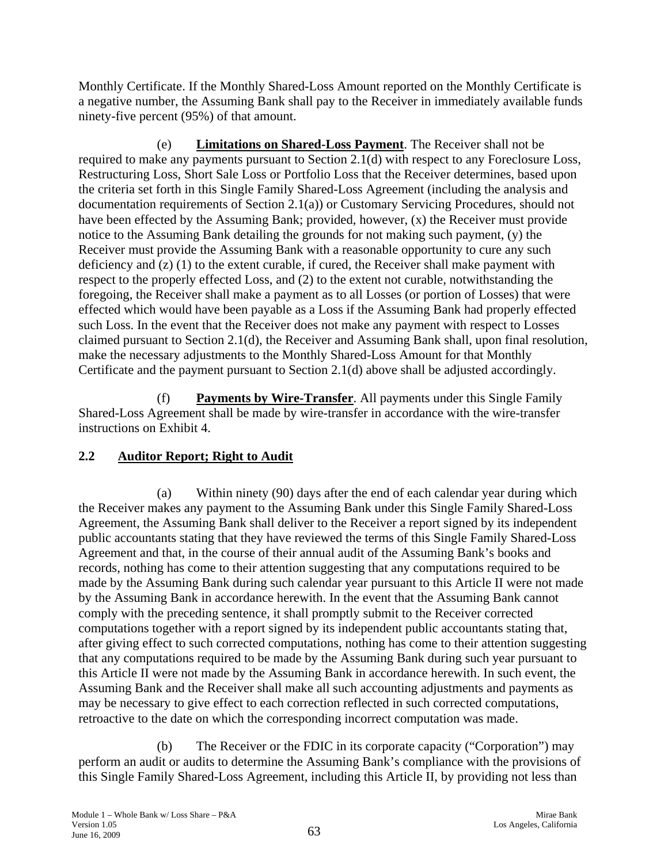Monthly Certificate. If the Monthly Shared-Loss Amount reported on the Monthly Certificate is a negative number, the Assuming Bank shall pay to the Receiver in immediately available funds ninety-five percent (95%) of that amount.

(e) **Limitations on Shared-Loss Payment**. The Receiver shall not be required to make any payments pursuant to Section 2.1(d) with respect to any Foreclosure Loss, Restructuring Loss, Short Sale Loss or Portfolio Loss that the Receiver determines, based upon the criteria set forth in this Single Family Shared-Loss Agreement (including the analysis and documentation requirements of Section 2.1(a)) or Customary Servicing Procedures, should not have been effected by the Assuming Bank; provided, however, (x) the Receiver must provide notice to the Assuming Bank detailing the grounds for not making such payment, (y) the Receiver must provide the Assuming Bank with a reasonable opportunity to cure any such deficiency and (z) (1) to the extent curable, if cured, the Receiver shall make payment with respect to the properly effected Loss, and (2) to the extent not curable, notwithstanding the foregoing, the Receiver shall make a payment as to all Losses (or portion of Losses) that were effected which would have been payable as a Loss if the Assuming Bank had properly effected such Loss. In the event that the Receiver does not make any payment with respect to Losses claimed pursuant to Section 2.1(d), the Receiver and Assuming Bank shall, upon final resolution, make the necessary adjustments to the Monthly Shared-Loss Amount for that Monthly Certificate and the payment pursuant to Section 2.1(d) above shall be adjusted accordingly.

(f) **Payments by Wire-Transfer**. All payments under this Single Family Shared-Loss Agreement shall be made by wire-transfer in accordance with the wire-transfer instructions on Exhibit 4.

## **2.2 Auditor Report; Right to Audit**

(a) Within ninety (90) days after the end of each calendar year during which the Receiver makes any payment to the Assuming Bank under this Single Family Shared-Loss Agreement, the Assuming Bank shall deliver to the Receiver a report signed by its independent public accountants stating that they have reviewed the terms of this Single Family Shared-Loss Agreement and that, in the course of their annual audit of the Assuming Bank's books and records, nothing has come to their attention suggesting that any computations required to be made by the Assuming Bank during such calendar year pursuant to this Article II were not made by the Assuming Bank in accordance herewith. In the event that the Assuming Bank cannot comply with the preceding sentence, it shall promptly submit to the Receiver corrected computations together with a report signed by its independent public accountants stating that, after giving effect to such corrected computations, nothing has come to their attention suggesting that any computations required to be made by the Assuming Bank during such year pursuant to this Article II were not made by the Assuming Bank in accordance herewith. In such event, the Assuming Bank and the Receiver shall make all such accounting adjustments and payments as may be necessary to give effect to each correction reflected in such corrected computations, retroactive to the date on which the corresponding incorrect computation was made.

(b) The Receiver or the FDIC in its corporate capacity ("Corporation") may perform an audit or audits to determine the Assuming Bank's compliance with the provisions of this Single Family Shared-Loss Agreement, including this Article II, by providing not less than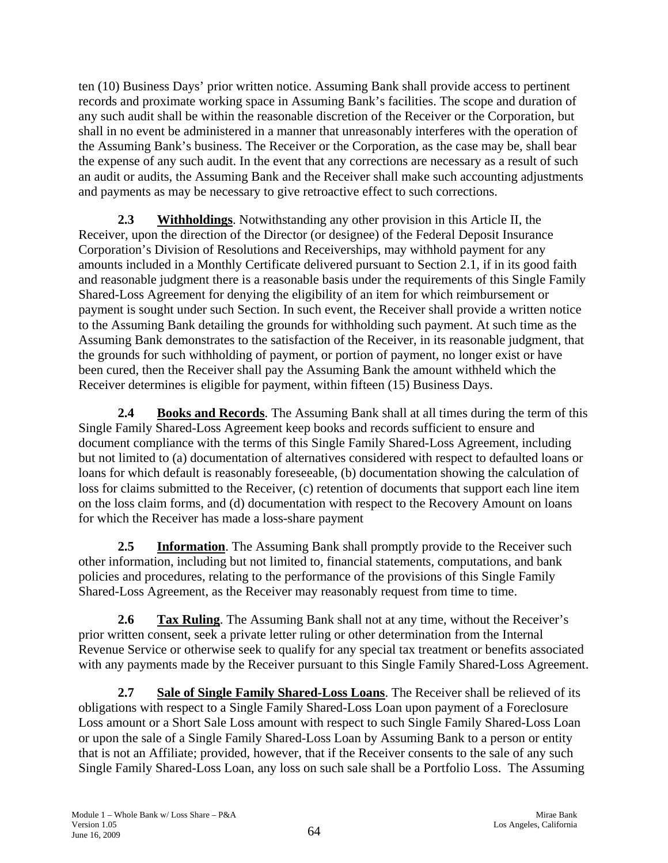ten (10) Business Days' prior written notice. Assuming Bank shall provide access to pertinent records and proximate working space in Assuming Bank's facilities. The scope and duration of any such audit shall be within the reasonable discretion of the Receiver or the Corporation, but shall in no event be administered in a manner that unreasonably interferes with the operation of the Assuming Bank's business. The Receiver or the Corporation, as the case may be, shall bear the expense of any such audit. In the event that any corrections are necessary as a result of such an audit or audits, the Assuming Bank and the Receiver shall make such accounting adjustments and payments as may be necessary to give retroactive effect to such corrections.

**2.3 Withholdings**. Notwithstanding any other provision in this Article II, the Receiver, upon the direction of the Director (or designee) of the Federal Deposit Insurance Corporation's Division of Resolutions and Receiverships, may withhold payment for any amounts included in a Monthly Certificate delivered pursuant to Section 2.1, if in its good faith and reasonable judgment there is a reasonable basis under the requirements of this Single Family Shared-Loss Agreement for denying the eligibility of an item for which reimbursement or payment is sought under such Section. In such event, the Receiver shall provide a written notice to the Assuming Bank detailing the grounds for withholding such payment. At such time as the Assuming Bank demonstrates to the satisfaction of the Receiver, in its reasonable judgment, that the grounds for such withholding of payment, or portion of payment, no longer exist or have been cured, then the Receiver shall pay the Assuming Bank the amount withheld which the Receiver determines is eligible for payment, within fifteen (15) Business Days.

**2.4 Books and Records**. The Assuming Bank shall at all times during the term of this Single Family Shared-Loss Agreement keep books and records sufficient to ensure and document compliance with the terms of this Single Family Shared-Loss Agreement, including but not limited to (a) documentation of alternatives considered with respect to defaulted loans or loans for which default is reasonably foreseeable, (b) documentation showing the calculation of loss for claims submitted to the Receiver, (c) retention of documents that support each line item on the loss claim forms, and (d) documentation with respect to the Recovery Amount on loans for which the Receiver has made a loss-share payment

**2.5 Information**. The Assuming Bank shall promptly provide to the Receiver such other information, including but not limited to, financial statements, computations, and bank policies and procedures, relating to the performance of the provisions of this Single Family Shared-Loss Agreement, as the Receiver may reasonably request from time to time.

**2.6 Tax Ruling**. The Assuming Bank shall not at any time, without the Receiver's prior written consent, seek a private letter ruling or other determination from the Internal Revenue Service or otherwise seek to qualify for any special tax treatment or benefits associated with any payments made by the Receiver pursuant to this Single Family Shared-Loss Agreement.

**2.7 Sale of Single Family Shared-Loss Loans**. The Receiver shall be relieved of its obligations with respect to a Single Family Shared-Loss Loan upon payment of a Foreclosure Loss amount or a Short Sale Loss amount with respect to such Single Family Shared-Loss Loan or upon the sale of a Single Family Shared-Loss Loan by Assuming Bank to a person or entity that is not an Affiliate; provided, however, that if the Receiver consents to the sale of any such Single Family Shared-Loss Loan, any loss on such sale shall be a Portfolio Loss. The Assuming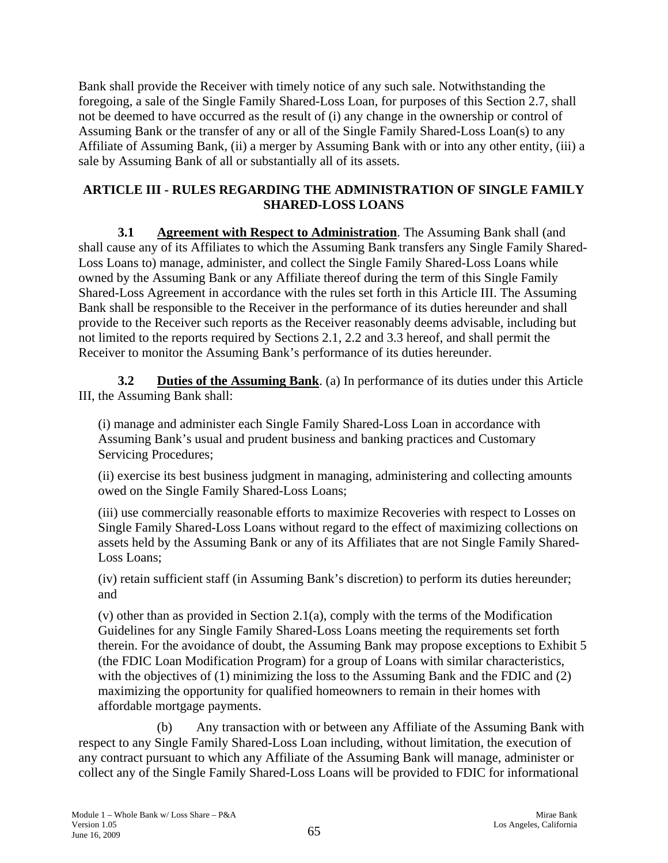Bank shall provide the Receiver with timely notice of any such sale. Notwithstanding the foregoing, a sale of the Single Family Shared-Loss Loan, for purposes of this Section 2.7, shall not be deemed to have occurred as the result of (i) any change in the ownership or control of Assuming Bank or the transfer of any or all of the Single Family Shared-Loss Loan(s) to any Affiliate of Assuming Bank, (ii) a merger by Assuming Bank with or into any other entity, (iii) a sale by Assuming Bank of all or substantially all of its assets.

## **ARTICLE III - RULES REGARDING THE ADMINISTRATION OF SINGLE FAMILY SHARED-LOSS LOANS**

**3.1 Agreement with Respect to Administration**. The Assuming Bank shall (and shall cause any of its Affiliates to which the Assuming Bank transfers any Single Family Shared-Loss Loans to) manage, administer, and collect the Single Family Shared-Loss Loans while owned by the Assuming Bank or any Affiliate thereof during the term of this Single Family Shared-Loss Agreement in accordance with the rules set forth in this Article III. The Assuming Bank shall be responsible to the Receiver in the performance of its duties hereunder and shall provide to the Receiver such reports as the Receiver reasonably deems advisable, including but not limited to the reports required by Sections 2.1, 2.2 and 3.3 hereof, and shall permit the Receiver to monitor the Assuming Bank's performance of its duties hereunder.

**3.2** Duties of the Assuming Bank. (a) In performance of its duties under this Article III, the Assuming Bank shall:

(i) manage and administer each Single Family Shared-Loss Loan in accordance with Assuming Bank's usual and prudent business and banking practices and Customary Servicing Procedures;

(ii) exercise its best business judgment in managing, administering and collecting amounts owed on the Single Family Shared-Loss Loans;

(iii) use commercially reasonable efforts to maximize Recoveries with respect to Losses on Single Family Shared-Loss Loans without regard to the effect of maximizing collections on assets held by the Assuming Bank or any of its Affiliates that are not Single Family Shared-Loss Loans;

(iv) retain sufficient staff (in Assuming Bank's discretion) to perform its duties hereunder; and

(v) other than as provided in Section 2.1(a), comply with the terms of the Modification Guidelines for any Single Family Shared-Loss Loans meeting the requirements set forth therein. For the avoidance of doubt, the Assuming Bank may propose exceptions to Exhibit 5 (the FDIC Loan Modification Program) for a group of Loans with similar characteristics, with the objectives of (1) minimizing the loss to the Assuming Bank and the FDIC and (2) maximizing the opportunity for qualified homeowners to remain in their homes with affordable mortgage payments.

(b) Any transaction with or between any Affiliate of the Assuming Bank with respect to any Single Family Shared-Loss Loan including, without limitation, the execution of any contract pursuant to which any Affiliate of the Assuming Bank will manage, administer or collect any of the Single Family Shared-Loss Loans will be provided to FDIC for informational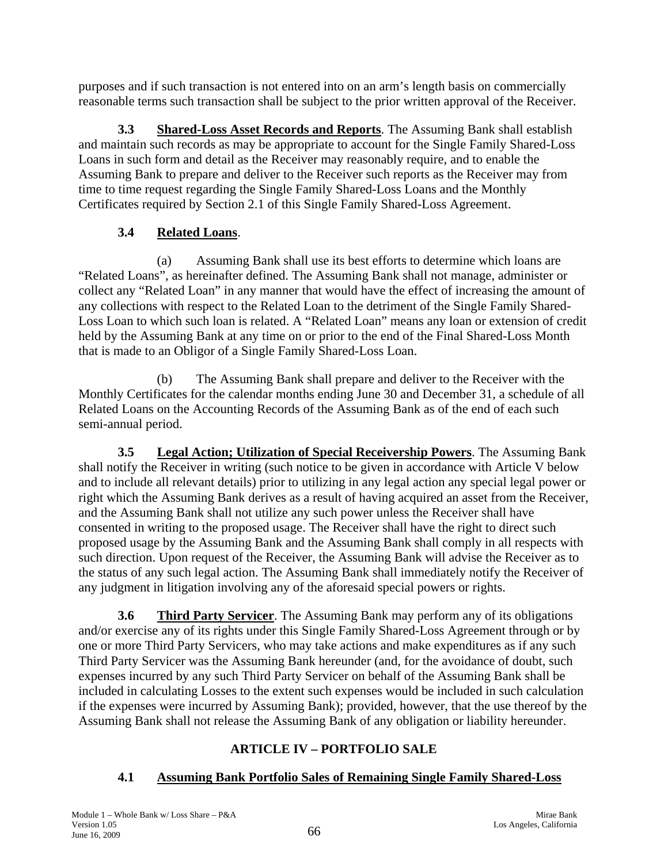purposes and if such transaction is not entered into on an arm's length basis on commercially reasonable terms such transaction shall be subject to the prior written approval of the Receiver.

**3.3 Shared-Loss Asset Records and Reports**. The Assuming Bank shall establish and maintain such records as may be appropriate to account for the Single Family Shared-Loss Loans in such form and detail as the Receiver may reasonably require, and to enable the Assuming Bank to prepare and deliver to the Receiver such reports as the Receiver may from time to time request regarding the Single Family Shared-Loss Loans and the Monthly Certificates required by Section 2.1 of this Single Family Shared-Loss Agreement.

## **3.4 Related Loans**.

(a) Assuming Bank shall use its best efforts to determine which loans are "Related Loans", as hereinafter defined. The Assuming Bank shall not manage, administer or collect any "Related Loan" in any manner that would have the effect of increasing the amount of any collections with respect to the Related Loan to the detriment of the Single Family Shared-Loss Loan to which such loan is related. A "Related Loan" means any loan or extension of credit held by the Assuming Bank at any time on or prior to the end of the Final Shared-Loss Month that is made to an Obligor of a Single Family Shared-Loss Loan.

(b) The Assuming Bank shall prepare and deliver to the Receiver with the Monthly Certificates for the calendar months ending June 30 and December 31, a schedule of all Related Loans on the Accounting Records of the Assuming Bank as of the end of each such semi-annual period.

**3.5 Legal Action; Utilization of Special Receivership Powers**. The Assuming Bank shall notify the Receiver in writing (such notice to be given in accordance with Article V below and to include all relevant details) prior to utilizing in any legal action any special legal power or right which the Assuming Bank derives as a result of having acquired an asset from the Receiver, and the Assuming Bank shall not utilize any such power unless the Receiver shall have consented in writing to the proposed usage. The Receiver shall have the right to direct such proposed usage by the Assuming Bank and the Assuming Bank shall comply in all respects with such direction. Upon request of the Receiver, the Assuming Bank will advise the Receiver as to the status of any such legal action. The Assuming Bank shall immediately notify the Receiver of any judgment in litigation involving any of the aforesaid special powers or rights.

**3.6** Third Party Servicer. The Assuming Bank may perform any of its obligations and/or exercise any of its rights under this Single Family Shared-Loss Agreement through or by one or more Third Party Servicers, who may take actions and make expenditures as if any such Third Party Servicer was the Assuming Bank hereunder (and, for the avoidance of doubt, such expenses incurred by any such Third Party Servicer on behalf of the Assuming Bank shall be included in calculating Losses to the extent such expenses would be included in such calculation if the expenses were incurred by Assuming Bank); provided, however, that the use thereof by the Assuming Bank shall not release the Assuming Bank of any obligation or liability hereunder.

# **ARTICLE IV – PORTFOLIO SALE**

# **4.1 Assuming Bank Portfolio Sales of Remaining Single Family Shared-Loss**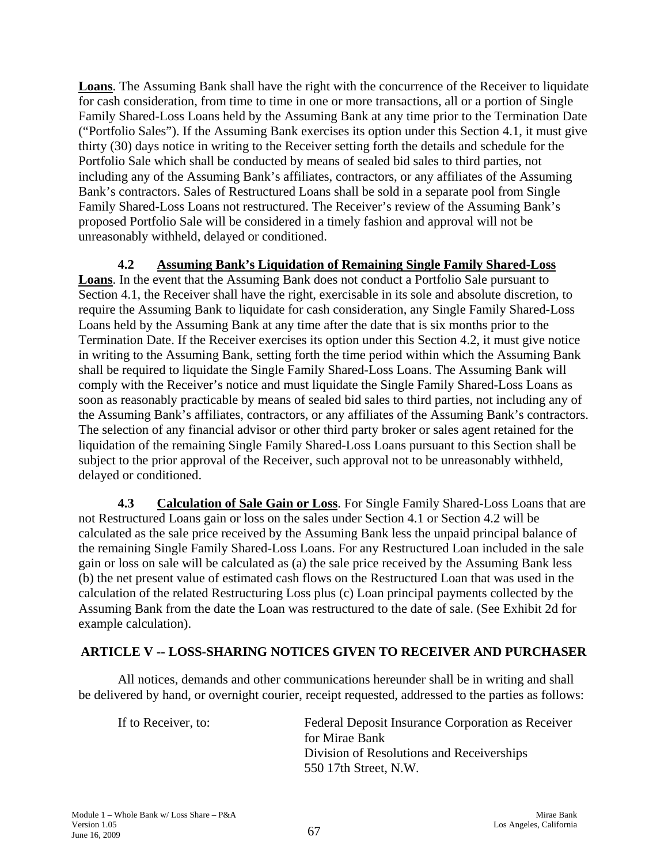**Loans**. The Assuming Bank shall have the right with the concurrence of the Receiver to liquidate for cash consideration, from time to time in one or more transactions, all or a portion of Single Family Shared-Loss Loans held by the Assuming Bank at any time prior to the Termination Date ("Portfolio Sales"). If the Assuming Bank exercises its option under this Section 4.1, it must give thirty (30) days notice in writing to the Receiver setting forth the details and schedule for the Portfolio Sale which shall be conducted by means of sealed bid sales to third parties, not including any of the Assuming Bank's affiliates, contractors, or any affiliates of the Assuming Bank's contractors. Sales of Restructured Loans shall be sold in a separate pool from Single Family Shared-Loss Loans not restructured. The Receiver's review of the Assuming Bank's proposed Portfolio Sale will be considered in a timely fashion and approval will not be unreasonably withheld, delayed or conditioned.

## **4.2 Assuming Bank's Liquidation of Remaining Single Family Shared-Loss**

**Loans**. In the event that the Assuming Bank does not conduct a Portfolio Sale pursuant to Section 4.1, the Receiver shall have the right, exercisable in its sole and absolute discretion, to require the Assuming Bank to liquidate for cash consideration, any Single Family Shared-Loss Loans held by the Assuming Bank at any time after the date that is six months prior to the Termination Date. If the Receiver exercises its option under this Section 4.2, it must give notice in writing to the Assuming Bank, setting forth the time period within which the Assuming Bank shall be required to liquidate the Single Family Shared-Loss Loans. The Assuming Bank will comply with the Receiver's notice and must liquidate the Single Family Shared-Loss Loans as soon as reasonably practicable by means of sealed bid sales to third parties, not including any of the Assuming Bank's affiliates, contractors, or any affiliates of the Assuming Bank's contractors. The selection of any financial advisor or other third party broker or sales agent retained for the liquidation of the remaining Single Family Shared-Loss Loans pursuant to this Section shall be subject to the prior approval of the Receiver, such approval not to be unreasonably withheld, delayed or conditioned.

**4.3 Calculation of Sale Gain or Loss**. For Single Family Shared-Loss Loans that are not Restructured Loans gain or loss on the sales under Section 4.1 or Section 4.2 will be calculated as the sale price received by the Assuming Bank less the unpaid principal balance of the remaining Single Family Shared-Loss Loans. For any Restructured Loan included in the sale gain or loss on sale will be calculated as (a) the sale price received by the Assuming Bank less (b) the net present value of estimated cash flows on the Restructured Loan that was used in the calculation of the related Restructuring Loss plus (c) Loan principal payments collected by the Assuming Bank from the date the Loan was restructured to the date of sale. (See Exhibit 2d for example calculation).

## **ARTICLE V -- LOSS-SHARING NOTICES GIVEN TO RECEIVER AND PURCHASER**

All notices, demands and other communications hereunder shall be in writing and shall be delivered by hand, or overnight courier, receipt requested, addressed to the parties as follows:

| If to Receiver, to: | <b>Federal Deposit Insurance Corporation as Receiver</b> |
|---------------------|----------------------------------------------------------|
|                     | for Mirae Bank                                           |
|                     | Division of Resolutions and Receiverships                |
|                     | 550 17th Street, N.W.                                    |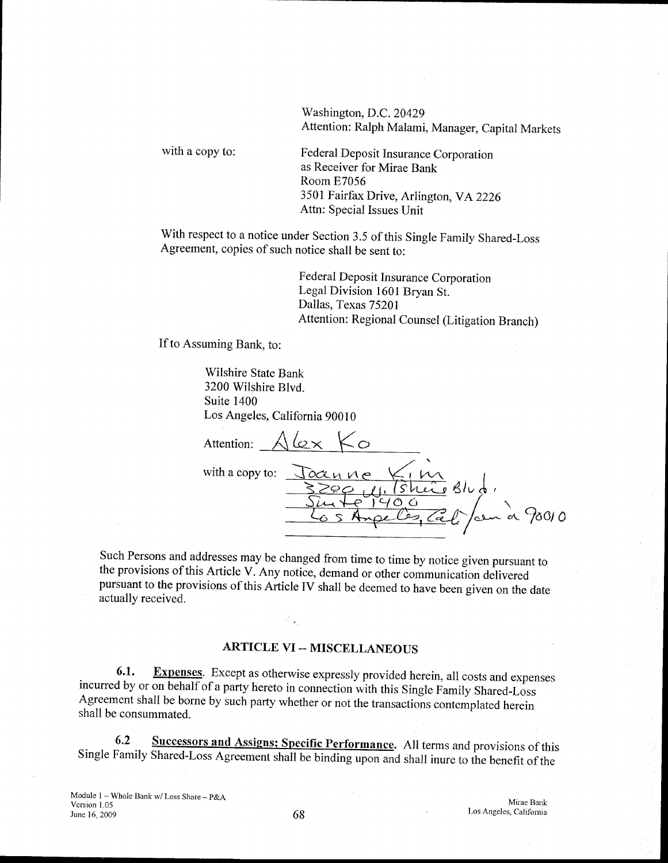Washington, D.C. 20429 Attention: Ralph Malami, Manager, Capital Markets

with a copy to: Federal Deposit Insurance Corporation as Receiver for Mirae Bank RoomE7056 3501 Fairfax Drive, Arlington, VA 2226 Attn: Special Issues Unit

With respect to a notice under Section 3.5 of this Single Family Shared-Loss Agreement, copies of such notice shall be sent to:

> Federal Deposit Insurance Corporation Legal Division 1601 Bryan St. Dallas, Texas 75201 Attention: Regional Counsel (Litigation Branch)

If to Assuming Bank, to:

Wilshire State Bank 3200 Wilshire Blvd. Suite 1400 Los Angeles, California 90010

Attention:  $\bigwedge$   $\bigwedge$ with a copy to:  $Jocenne$ Len à 90010

Such Persons and addresses may be changed from time to time by notice given pursuant to the provisions ofthis Article V. Any notice, demand or other communication delivered pursuant to the provisions of this Article IV shall be deemed to have been given on the date actually received.

### ARTICLE VI-- MISCELLANEOUS

6.1. Expenses. Except as otherwise expressly provided herein, all costs and expenses incurred by or on behalf ofa party hereto in connection with this Single Family Shared-Loss Agreement shall be borne by such party whether or not the transactions contemplated herein shall be consummated.

6.2 Successors and Assigns; Specific Performance. All terms and provisions of this Single Family Shared-Loss Agreement shall be binding upon and shall inure to the benefit of the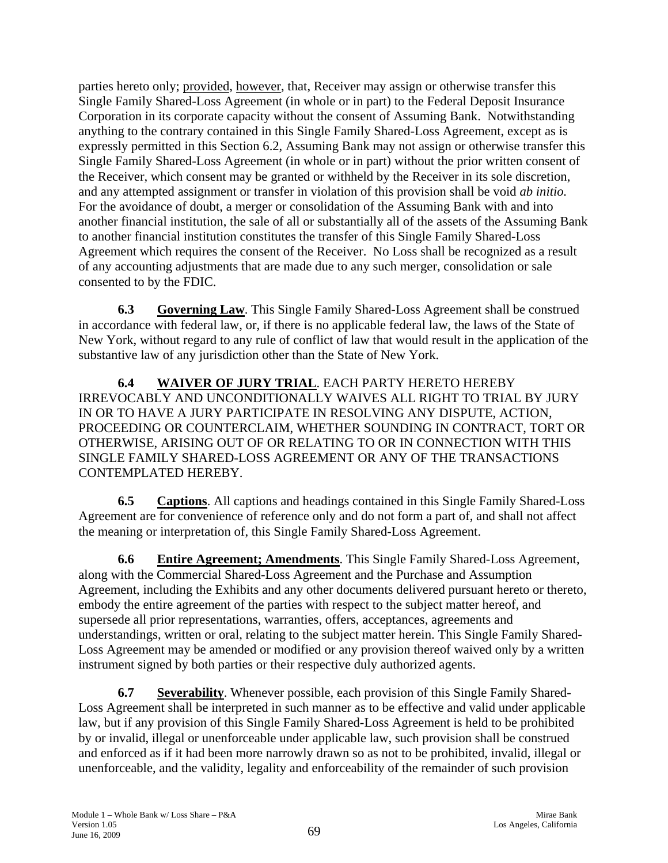parties hereto only; provided, however, that, Receiver may assign or otherwise transfer this Single Family Shared-Loss Agreement (in whole or in part) to the Federal Deposit Insurance Corporation in its corporate capacity without the consent of Assuming Bank. Notwithstanding anything to the contrary contained in this Single Family Shared-Loss Agreement, except as is expressly permitted in this Section 6.2, Assuming Bank may not assign or otherwise transfer this Single Family Shared-Loss Agreement (in whole or in part) without the prior written consent of the Receiver, which consent may be granted or withheld by the Receiver in its sole discretion, and any attempted assignment or transfer in violation of this provision shall be void *ab initio.*  For the avoidance of doubt, a merger or consolidation of the Assuming Bank with and into another financial institution, the sale of all or substantially all of the assets of the Assuming Bank to another financial institution constitutes the transfer of this Single Family Shared-Loss Agreement which requires the consent of the Receiver. No Loss shall be recognized as a result of any accounting adjustments that are made due to any such merger, consolidation or sale consented to by the FDIC.

**6.3 Governing Law**. This Single Family Shared-Loss Agreement shall be construed in accordance with federal law, or, if there is no applicable federal law, the laws of the State of New York, without regard to any rule of conflict of law that would result in the application of the substantive law of any jurisdiction other than the State of New York.

**6.4 WAIVER OF JURY TRIAL**. EACH PARTY HERETO HEREBY IRREVOCABLY AND UNCONDITIONALLY WAIVES ALL RIGHT TO TRIAL BY JURY IN OR TO HAVE A JURY PARTICIPATE IN RESOLVING ANY DISPUTE, ACTION, PROCEEDING OR COUNTERCLAIM, WHETHER SOUNDING IN CONTRACT, TORT OR OTHERWISE, ARISING OUT OF OR RELATING TO OR IN CONNECTION WITH THIS SINGLE FAMILY SHARED-LOSS AGREEMENT OR ANY OF THE TRANSACTIONS CONTEMPLATED HEREBY.

**6.5 Captions**. All captions and headings contained in this Single Family Shared-Loss Agreement are for convenience of reference only and do not form a part of, and shall not affect the meaning or interpretation of, this Single Family Shared-Loss Agreement.

**6.6 Entire Agreement; Amendments**. This Single Family Shared-Loss Agreement, along with the Commercial Shared-Loss Agreement and the Purchase and Assumption Agreement, including the Exhibits and any other documents delivered pursuant hereto or thereto, embody the entire agreement of the parties with respect to the subject matter hereof, and supersede all prior representations, warranties, offers, acceptances, agreements and understandings, written or oral, relating to the subject matter herein. This Single Family Shared-Loss Agreement may be amended or modified or any provision thereof waived only by a written instrument signed by both parties or their respective duly authorized agents.

**6.7 Severability**. Whenever possible, each provision of this Single Family Shared-Loss Agreement shall be interpreted in such manner as to be effective and valid under applicable law, but if any provision of this Single Family Shared-Loss Agreement is held to be prohibited by or invalid, illegal or unenforceable under applicable law, such provision shall be construed and enforced as if it had been more narrowly drawn so as not to be prohibited, invalid, illegal or unenforceable, and the validity, legality and enforceability of the remainder of such provision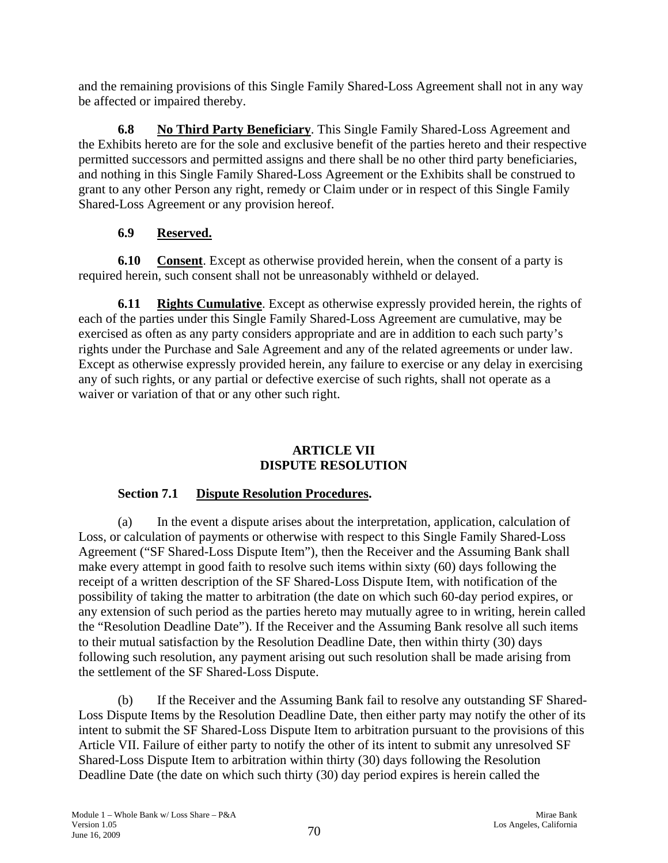and the remaining provisions of this Single Family Shared-Loss Agreement shall not in any way be affected or impaired thereby.

**6.8 No Third Party Beneficiary.** This Single Family Shared-Loss Agreement and the Exhibits hereto are for the sole and exclusive benefit of the parties hereto and their respective permitted successors and permitted assigns and there shall be no other third party beneficiaries, and nothing in this Single Family Shared-Loss Agreement or the Exhibits shall be construed to grant to any other Person any right, remedy or Claim under or in respect of this Single Family Shared-Loss Agreement or any provision hereof.

# **6.9 Reserved.**

**6.10 Consent**. Except as otherwise provided herein, when the consent of a party is required herein, such consent shall not be unreasonably withheld or delayed.

**6.11 Rights Cumulative.** Except as otherwise expressly provided herein, the rights of each of the parties under this Single Family Shared-Loss Agreement are cumulative, may be exercised as often as any party considers appropriate and are in addition to each such party's rights under the Purchase and Sale Agreement and any of the related agreements or under law. Except as otherwise expressly provided herein, any failure to exercise or any delay in exercising any of such rights, or any partial or defective exercise of such rights, shall not operate as a waiver or variation of that or any other such right.

# **ARTICLE VII DISPUTE RESOLUTION**

# **Section 7.1 Dispute Resolution Procedures.**

(a) In the event a dispute arises about the interpretation, application, calculation of Loss, or calculation of payments or otherwise with respect to this Single Family Shared-Loss Agreement ("SF Shared-Loss Dispute Item"), then the Receiver and the Assuming Bank shall make every attempt in good faith to resolve such items within sixty (60) days following the receipt of a written description of the SF Shared-Loss Dispute Item, with notification of the possibility of taking the matter to arbitration (the date on which such 60-day period expires, or any extension of such period as the parties hereto may mutually agree to in writing, herein called the "Resolution Deadline Date"). If the Receiver and the Assuming Bank resolve all such items to their mutual satisfaction by the Resolution Deadline Date, then within thirty (30) days following such resolution, any payment arising out such resolution shall be made arising from the settlement of the SF Shared-Loss Dispute.

(b) If the Receiver and the Assuming Bank fail to resolve any outstanding SF Shared-Loss Dispute Items by the Resolution Deadline Date, then either party may notify the other of its intent to submit the SF Shared-Loss Dispute Item to arbitration pursuant to the provisions of this Article VII. Failure of either party to notify the other of its intent to submit any unresolved SF Shared-Loss Dispute Item to arbitration within thirty (30) days following the Resolution Deadline Date (the date on which such thirty (30) day period expires is herein called the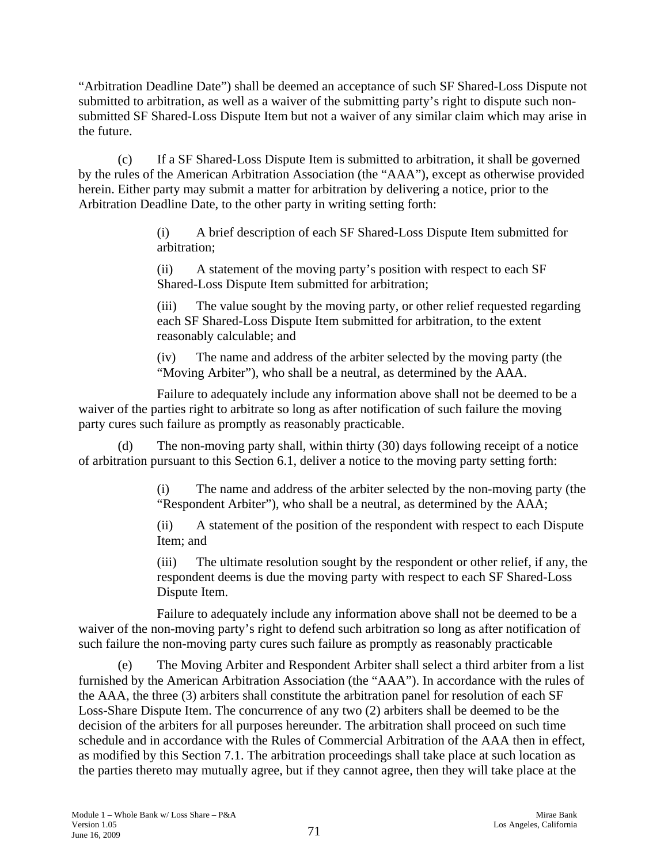"Arbitration Deadline Date") shall be deemed an acceptance of such SF Shared-Loss Dispute not submitted to arbitration, as well as a waiver of the submitting party's right to dispute such nonsubmitted SF Shared-Loss Dispute Item but not a waiver of any similar claim which may arise in the future.

(c) If a SF Shared-Loss Dispute Item is submitted to arbitration, it shall be governed by the rules of the American Arbitration Association (the "AAA"), except as otherwise provided herein. Either party may submit a matter for arbitration by delivering a notice, prior to the Arbitration Deadline Date, to the other party in writing setting forth:

> (i) A brief description of each SF Shared-Loss Dispute Item submitted for arbitration;

(ii) A statement of the moving party's position with respect to each SF Shared-Loss Dispute Item submitted for arbitration;

(iii) The value sought by the moving party, or other relief requested regarding each SF Shared-Loss Dispute Item submitted for arbitration, to the extent reasonably calculable; and

(iv) The name and address of the arbiter selected by the moving party (the "Moving Arbiter"), who shall be a neutral, as determined by the AAA.

Failure to adequately include any information above shall not be deemed to be a waiver of the parties right to arbitrate so long as after notification of such failure the moving party cures such failure as promptly as reasonably practicable.

(d) The non-moving party shall, within thirty (30) days following receipt of a notice of arbitration pursuant to this Section 6.1, deliver a notice to the moving party setting forth:

> (i) The name and address of the arbiter selected by the non-moving party (the "Respondent Arbiter"), who shall be a neutral, as determined by the AAA;

> (ii) A statement of the position of the respondent with respect to each Dispute Item; and

> (iii) The ultimate resolution sought by the respondent or other relief, if any, the respondent deems is due the moving party with respect to each SF Shared-Loss Dispute Item.

Failure to adequately include any information above shall not be deemed to be a waiver of the non-moving party's right to defend such arbitration so long as after notification of such failure the non-moving party cures such failure as promptly as reasonably practicable

(e) The Moving Arbiter and Respondent Arbiter shall select a third arbiter from a list furnished by the American Arbitration Association (the "AAA"). In accordance with the rules of the AAA, the three (3) arbiters shall constitute the arbitration panel for resolution of each SF Loss-Share Dispute Item. The concurrence of any two (2) arbiters shall be deemed to be the decision of the arbiters for all purposes hereunder. The arbitration shall proceed on such time schedule and in accordance with the Rules of Commercial Arbitration of the AAA then in effect, as modified by this Section 7.1. The arbitration proceedings shall take place at such location as the parties thereto may mutually agree, but if they cannot agree, then they will take place at the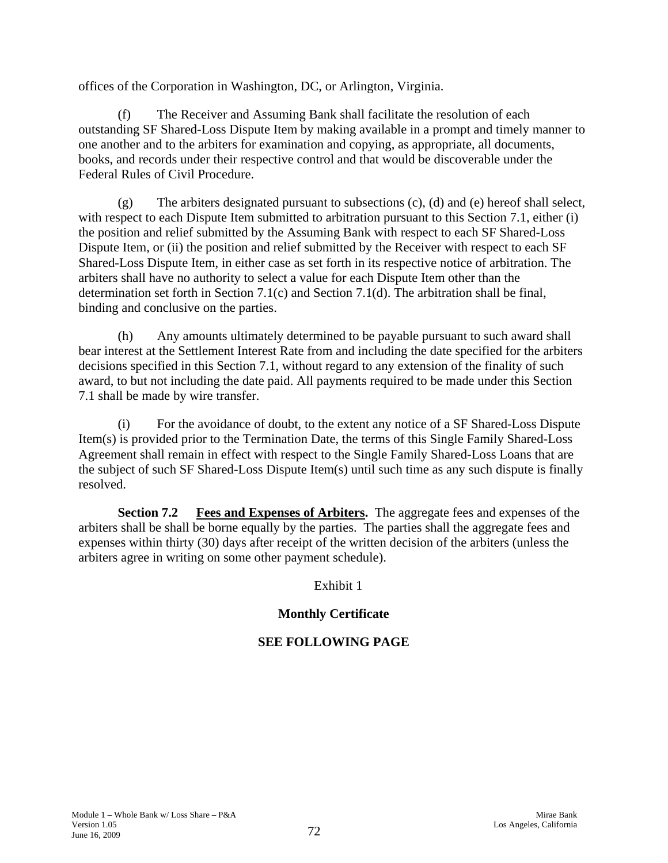offices of the Corporation in Washington, DC, or Arlington, Virginia.

(f) The Receiver and Assuming Bank shall facilitate the resolution of each outstanding SF Shared-Loss Dispute Item by making available in a prompt and timely manner to one another and to the arbiters for examination and copying, as appropriate, all documents, books, and records under their respective control and that would be discoverable under the Federal Rules of Civil Procedure.

(g) The arbiters designated pursuant to subsections (c), (d) and (e) hereof shall select, with respect to each Dispute Item submitted to arbitration pursuant to this Section 7.1, either (i) the position and relief submitted by the Assuming Bank with respect to each SF Shared-Loss Dispute Item, or (ii) the position and relief submitted by the Receiver with respect to each SF Shared-Loss Dispute Item, in either case as set forth in its respective notice of arbitration. The arbiters shall have no authority to select a value for each Dispute Item other than the determination set forth in Section 7.1(c) and Section 7.1(d). The arbitration shall be final, binding and conclusive on the parties.

(h) Any amounts ultimately determined to be payable pursuant to such award shall bear interest at the Settlement Interest Rate from and including the date specified for the arbiters decisions specified in this Section 7.1, without regard to any extension of the finality of such award, to but not including the date paid. All payments required to be made under this Section 7.1 shall be made by wire transfer.

(i) For the avoidance of doubt, to the extent any notice of a SF Shared-Loss Dispute Item(s) is provided prior to the Termination Date, the terms of this Single Family Shared-Loss Agreement shall remain in effect with respect to the Single Family Shared-Loss Loans that are the subject of such SF Shared-Loss Dispute Item(s) until such time as any such dispute is finally resolved.

**Section 7.2 Fees and Expenses of Arbiters.** The aggregate fees and expenses of the arbiters shall be shall be borne equally by the parties. The parties shall the aggregate fees and expenses within thirty (30) days after receipt of the written decision of the arbiters (unless the arbiters agree in writing on some other payment schedule).

Exhibit 1

# **Monthly Certificate**

# **SEE FOLLOWING PAGE**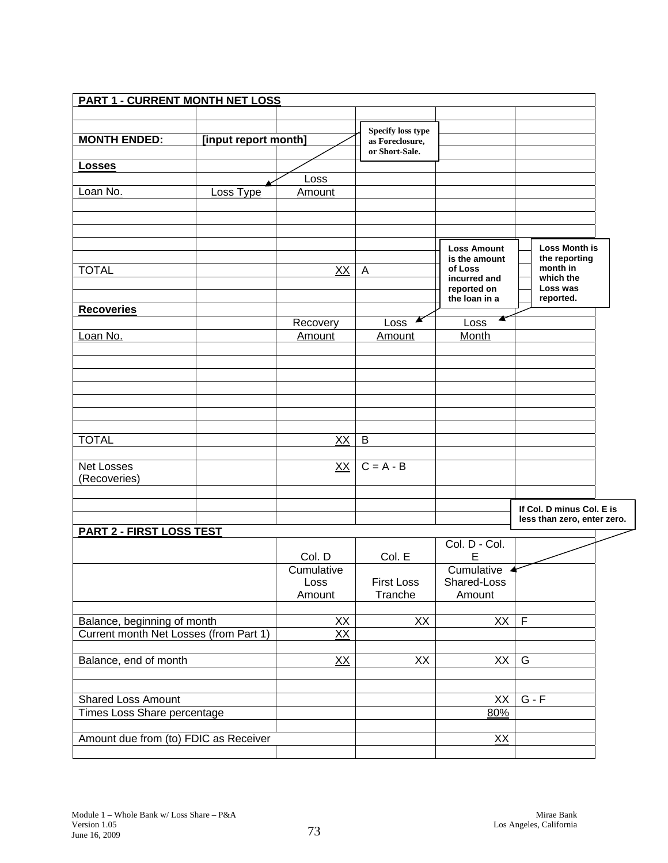| <b>PART 1 - CURRENT MONTH NET LOSS</b> |                      |            |                                   |                             |                             |
|----------------------------------------|----------------------|------------|-----------------------------------|-----------------------------|-----------------------------|
|                                        |                      |            |                                   |                             |                             |
|                                        |                      |            | <b>Specify loss type</b>          |                             |                             |
| <b>MONTH ENDED:</b>                    | [input report month] |            | as Foreclosure,<br>or Short-Sale. |                             |                             |
| <b>Losses</b>                          |                      |            |                                   |                             |                             |
|                                        |                      | Loss       |                                   |                             |                             |
| Loan No.                               | Loss Type            | Amount     |                                   |                             |                             |
|                                        |                      |            |                                   |                             |                             |
|                                        |                      |            |                                   |                             |                             |
|                                        |                      |            |                                   |                             |                             |
|                                        |                      |            |                                   | <b>Loss Amount</b>          | <b>Loss Month is</b>        |
|                                        |                      |            |                                   | is the amount               | the reporting               |
| <b>TOTAL</b>                           |                      | XX         | A                                 | of Loss                     | month in<br>which the       |
|                                        |                      |            |                                   | incurred and<br>reported on | Loss was                    |
|                                        |                      |            |                                   | the loan in a               | reported.                   |
| <b>Recoveries</b>                      |                      |            |                                   | ×                           |                             |
|                                        |                      | Recovery   | $Loss \nightharpoonup$            | Loss                        |                             |
| Loan No.                               |                      | Amount     | Amount                            | Month                       |                             |
|                                        |                      |            |                                   |                             |                             |
|                                        |                      |            |                                   |                             |                             |
|                                        |                      |            |                                   |                             |                             |
|                                        |                      |            |                                   |                             |                             |
|                                        |                      |            |                                   |                             |                             |
|                                        |                      |            |                                   |                             |                             |
| <b>TOTAL</b>                           |                      | XX         | $\mathsf B$                       |                             |                             |
|                                        |                      |            |                                   |                             |                             |
| <b>Net Losses</b>                      |                      | XX         | $C = A - B$                       |                             |                             |
| (Recoveries)                           |                      |            |                                   |                             |                             |
|                                        |                      |            |                                   |                             |                             |
|                                        |                      |            |                                   |                             | If Col. D minus Col. E is   |
|                                        |                      |            |                                   |                             | less than zero, enter zero. |
| <b>PART 2 - FIRST LOSS TEST</b>        |                      |            |                                   |                             |                             |
|                                        |                      |            |                                   | Col. D - Col.               |                             |
|                                        |                      | Col. D     | Col. E                            | Е                           |                             |
|                                        |                      | Cumulative |                                   | Cumulative                  |                             |
|                                        |                      | Loss       | First Loss                        | Shared-Loss                 |                             |
|                                        |                      | Amount     | Tranche                           | Amount                      |                             |
|                                        |                      |            |                                   |                             |                             |
| Balance, beginning of month            |                      | XX         | XX                                | XX                          | $\mathsf F$                 |
| Current month Net Losses (from Part 1) |                      | XX         |                                   |                             |                             |
| Balance, end of month                  |                      | XX         | XX                                | XX                          | G                           |
|                                        |                      |            |                                   |                             |                             |
|                                        |                      |            |                                   |                             |                             |
| Shared Loss Amount                     |                      |            |                                   | XX                          | $G - F$                     |
| Times Loss Share percentage            |                      |            |                                   | 80%                         |                             |
|                                        |                      |            |                                   |                             |                             |
| Amount due from (to) FDIC as Receiver  |                      |            |                                   | <u>XX</u>                   |                             |
|                                        |                      |            |                                   |                             |                             |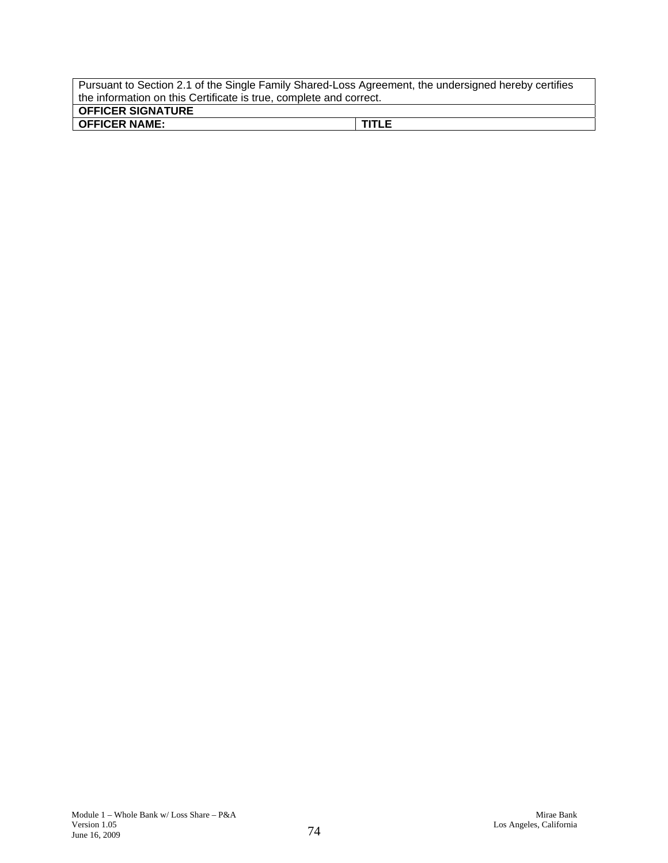| Pursuant to Section 2.1 of the Single Family Shared-Loss Agreement, the undersigned hereby certifies |  |  |  |  |
|------------------------------------------------------------------------------------------------------|--|--|--|--|
| the information on this Certificate is true, complete and correct.                                   |  |  |  |  |
| <b>OFFICER SIGNATURE</b>                                                                             |  |  |  |  |
| <b>TITLE</b><br><b>OFFICER NAME:</b>                                                                 |  |  |  |  |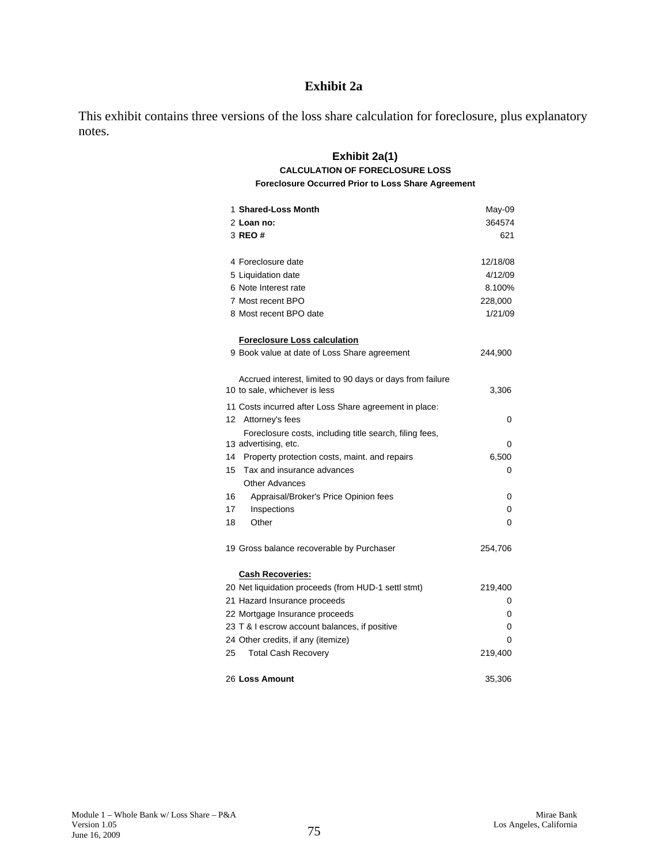## **Exhibit 2a**

This exhibit contains three versions of the loss share calculation for foreclosure, plus explanatory notes.

### **Exhibit 2a(1) CALCULATION OF FORECLOSURE LOSS Foreclosure Occurred Prior to Loss Share Agreement**

|    | 1 Shared-Loss Month<br>2 Loan no:<br>3 REO #              | May-09<br>364574<br>621 |
|----|-----------------------------------------------------------|-------------------------|
|    | 4 Foreclosure date                                        | 12/18/08                |
|    | 5 Liquidation date                                        | 4/12/09                 |
|    | 6 Note Interest rate                                      | 8.100%                  |
|    | 7 Most recent BPO                                         | 228,000                 |
|    | 8 Most recent BPO date                                    | 1/21/09                 |
|    | <b>Foreclosure Loss calculation</b>                       |                         |
|    | 9 Book value at date of Loss Share agreement              | 244,900                 |
|    | Accrued interest, limited to 90 days or days from failure |                         |
|    | 10 to sale, whichever is less                             | 3,306                   |
|    | 11 Costs incurred after Loss Share agreement in place:    |                         |
| 12 | Attorney's fees                                           | 0                       |
|    | Foreclosure costs, including title search, filing fees,   |                         |
|    | 13 advertising, etc.                                      | 0                       |
| 14 | Property protection costs, maint. and repairs             | 6,500                   |
| 15 | Tax and insurance advances                                | 0                       |
|    | <b>Other Advances</b>                                     |                         |
| 16 | Appraisal/Broker's Price Opinion fees                     | 0                       |
| 17 | Inspections                                               | 0                       |
| 18 | Other                                                     | 0                       |
|    | 19 Gross balance recoverable by Purchaser                 | 254,706                 |
|    | <b>Cash Recoveries:</b>                                   |                         |
|    | 20 Net liquidation proceeds (from HUD-1 settl stmt)       | 219,400                 |
|    | 21 Hazard Insurance proceeds                              | 0                       |
|    | 22 Mortgage Insurance proceeds                            | 0                       |
|    | 23 T & I escrow account balances, if positive             | 0                       |
|    | 24 Other credits, if any (itemize)                        | 0                       |
| 25 | <b>Total Cash Recovery</b>                                | 219,400                 |
|    | 26 Loss Amount                                            | 35,306                  |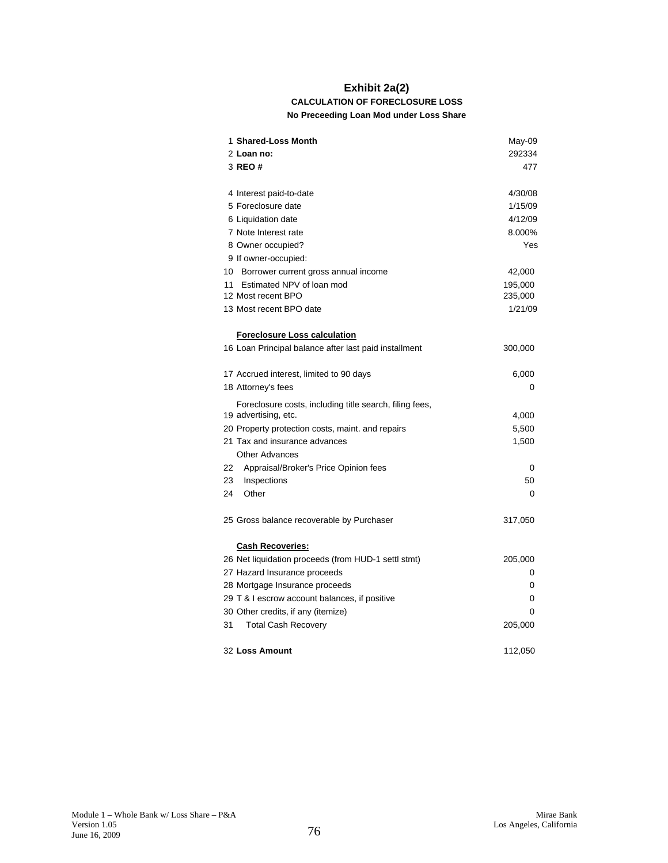### **Exhibit 2a(2)**

### **CALCULATION OF FORECLOSURE LOSS**

#### **No Preceeding Loan Mod under Loss Share**

| 1 Shared-Loss Month                                                             | May-09  |
|---------------------------------------------------------------------------------|---------|
| 2 Loan no:                                                                      | 292334  |
| 3 REO #                                                                         | 477     |
| 4 Interest paid-to-date                                                         | 4/30/08 |
| 5 Foreclosure date                                                              | 1/15/09 |
| 6 Liquidation date                                                              | 4/12/09 |
| 7 Note Interest rate                                                            | 8.000%  |
| 8 Owner occupied?                                                               | Yes     |
| 9 If owner-occupied:                                                            |         |
| 10<br>Borrower current gross annual income                                      | 42,000  |
| 11<br>Estimated NPV of loan mod                                                 | 195,000 |
| 12 Most recent BPO                                                              | 235,000 |
| 13 Most recent BPO date                                                         | 1/21/09 |
| <b>Foreclosure Loss calculation</b>                                             |         |
| 16 Loan Principal balance after last paid installment                           | 300,000 |
| 17 Accrued interest, limited to 90 days                                         | 6,000   |
| 18 Attorney's fees                                                              | 0       |
| Foreclosure costs, including title search, filing fees,<br>19 advertising, etc. | 4,000   |
| 20 Property protection costs, maint. and repairs                                | 5,500   |
| 21 Tax and insurance advances                                                   | 1,500   |
| <b>Other Advances</b>                                                           |         |
| 22<br>Appraisal/Broker's Price Opinion fees                                     | 0       |
| 23<br>Inspections                                                               | 50      |
| 24<br>Other                                                                     | 0       |
| 25 Gross balance recoverable by Purchaser                                       | 317,050 |
| <b>Cash Recoveries:</b>                                                         |         |
| 26 Net liquidation proceeds (from HUD-1 settl stmt)                             | 205,000 |
| 27 Hazard Insurance proceeds                                                    | 0       |
| 28 Mortgage Insurance proceeds                                                  | 0       |
| 29 T & I escrow account balances, if positive                                   | 0       |
| 30 Other credits, if any (itemize)                                              | 0       |
| 31<br><b>Total Cash Recovery</b>                                                | 205,000 |
| 32 Loss Amount                                                                  | 112,050 |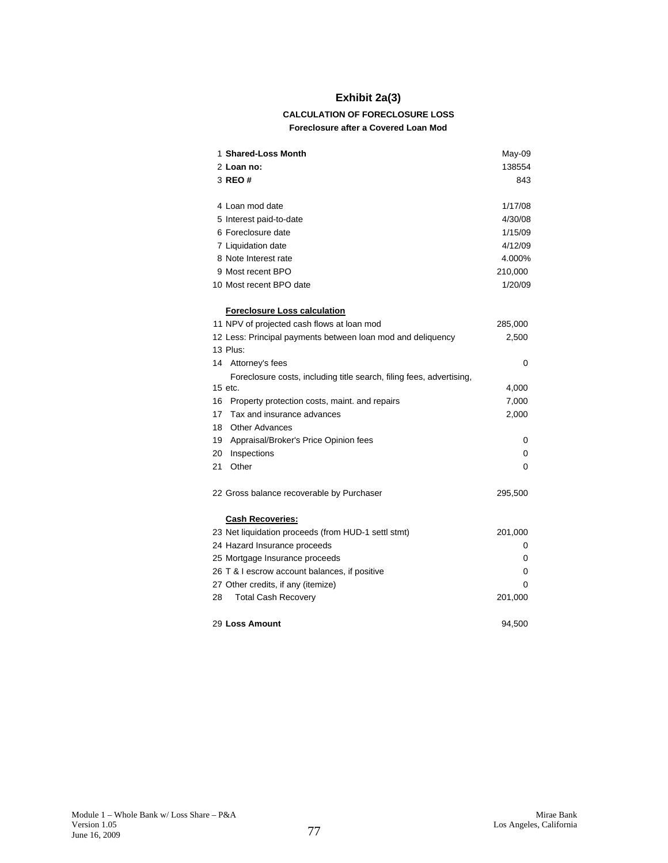## **Exhibit 2a(3)**

#### **CALCULATION OF FORECLOSURE LOSS Foreclosure after a Covered Loan Mod**

| 1 Shared-Loss Month                                                  | May-09  |
|----------------------------------------------------------------------|---------|
| 2 Loan no:                                                           | 138554  |
| 3 REO #                                                              | 843     |
|                                                                      |         |
| 4 Loan mod date                                                      | 1/17/08 |
| 5 Interest paid-to-date                                              | 4/30/08 |
| 6 Foreclosure date                                                   | 1/15/09 |
| 7 Liquidation date                                                   | 4/12/09 |
| 8 Note Interest rate                                                 | 4.000%  |
| 9 Most recent BPO                                                    | 210,000 |
| 10 Most recent BPO date                                              | 1/20/09 |
|                                                                      |         |
| <b>Foreclosure Loss calculation</b>                                  |         |
| 11 NPV of projected cash flows at loan mod                           | 285,000 |
| 12 Less: Principal payments between loan mod and deliquency          | 2,500   |
| 13 Plus:                                                             |         |
| Attorney's fees<br>14                                                | 0       |
| Foreclosure costs, including title search, filing fees, advertising, |         |
| 15 etc.                                                              | 4,000   |
| 16<br>Property protection costs, maint. and repairs                  | 7,000   |
| 17<br>Tax and insurance advances                                     | 2,000   |
| 18<br><b>Other Advances</b>                                          |         |
| 19 Appraisal/Broker's Price Opinion fees                             | 0       |
| 20<br>Inspections                                                    | 0       |
| 21<br>Other                                                          | 0       |
|                                                                      |         |
| 22 Gross balance recoverable by Purchaser                            | 295,500 |
| <b>Cash Recoveries:</b>                                              |         |
| 23 Net liquidation proceeds (from HUD-1 settl stmt)                  | 201,000 |
| 24 Hazard Insurance proceeds                                         | 0       |
| 25 Mortgage Insurance proceeds                                       | 0       |
| 26 T & I escrow account balances, if positive                        | 0       |
| 27 Other credits, if any (itemize)                                   | 0       |
| 28<br><b>Total Cash Recovery</b>                                     | 201,000 |
|                                                                      |         |
| 29 Loss Amount                                                       | 94,500  |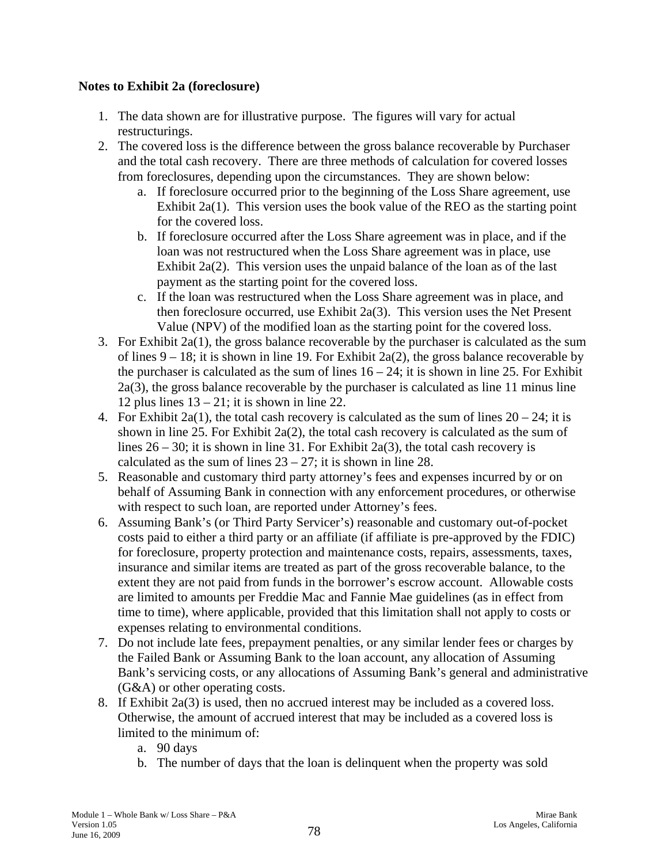## **Notes to Exhibit 2a (foreclosure)**

- 1. The data shown are for illustrative purpose. The figures will vary for actual restructurings.
- 2. The covered loss is the difference between the gross balance recoverable by Purchaser and the total cash recovery. There are three methods of calculation for covered losses from foreclosures, depending upon the circumstances. They are shown below:
	- a. If foreclosure occurred prior to the beginning of the Loss Share agreement, use Exhibit 2a(1). This version uses the book value of the REO as the starting point for the covered loss.
	- b. If foreclosure occurred after the Loss Share agreement was in place, and if the loan was not restructured when the Loss Share agreement was in place, use Exhibit 2a(2). This version uses the unpaid balance of the loan as of the last payment as the starting point for the covered loss.
	- c. If the loan was restructured when the Loss Share agreement was in place, and then foreclosure occurred, use Exhibit 2a(3). This version uses the Net Present Value (NPV) of the modified loan as the starting point for the covered loss.
- 3. For Exhibit  $2a(1)$ , the gross balance recoverable by the purchaser is calculated as the sum of lines  $9 - 18$ ; it is shown in line 19. For Exhibit 2a(2), the gross balance recoverable by the purchaser is calculated as the sum of lines  $16 - 24$ ; it is shown in line 25. For Exhibit 2a(3), the gross balance recoverable by the purchaser is calculated as line 11 minus line 12 plus lines  $13 - 21$ ; it is shown in line 22.
- 4. For Exhibit 2a(1), the total cash recovery is calculated as the sum of lines  $20 24$ ; it is shown in line 25. For Exhibit 2a(2), the total cash recovery is calculated as the sum of lines  $26 - 30$ ; it is shown in line 31. For Exhibit 2a(3), the total cash recovery is calculated as the sum of lines  $23 - 27$ ; it is shown in line 28.
- 5. Reasonable and customary third party attorney's fees and expenses incurred by or on behalf of Assuming Bank in connection with any enforcement procedures, or otherwise with respect to such loan, are reported under Attorney's fees.
- 6. Assuming Bank's (or Third Party Servicer's) reasonable and customary out-of-pocket costs paid to either a third party or an affiliate (if affiliate is pre-approved by the FDIC) for foreclosure, property protection and maintenance costs, repairs, assessments, taxes, insurance and similar items are treated as part of the gross recoverable balance, to the extent they are not paid from funds in the borrower's escrow account. Allowable costs are limited to amounts per Freddie Mac and Fannie Mae guidelines (as in effect from time to time), where applicable, provided that this limitation shall not apply to costs or expenses relating to environmental conditions.
- 7. Do not include late fees, prepayment penalties, or any similar lender fees or charges by the Failed Bank or Assuming Bank to the loan account, any allocation of Assuming Bank's servicing costs, or any allocations of Assuming Bank's general and administrative (G&A) or other operating costs.
- 8. If Exhibit  $2a(3)$  is used, then no accrued interest may be included as a covered loss. Otherwise, the amount of accrued interest that may be included as a covered loss is limited to the minimum of:
	- a. 90 days
	- b. The number of days that the loan is delinquent when the property was sold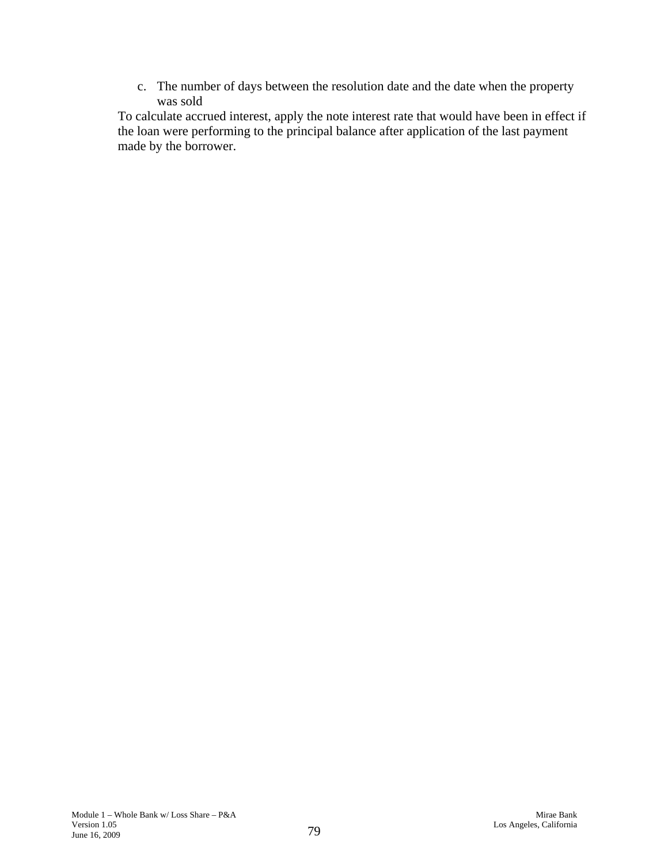c. The number of days between the resolution date and the date when the property was sold

To calculate accrued interest, apply the note interest rate that would have been in effect if the loan were performing to the principal balance after application of the last payment made by the borrower.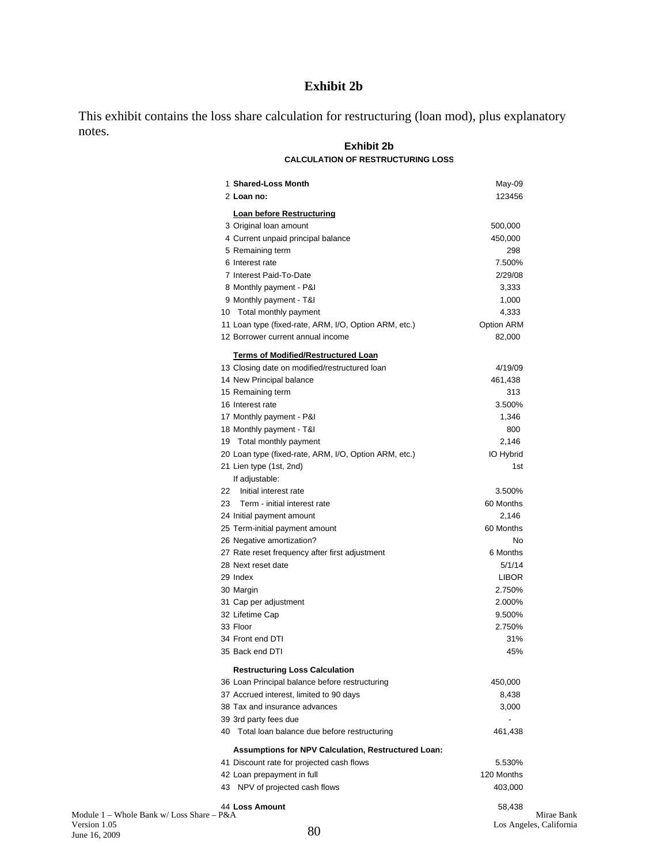# **Exhibit 2b**

This exhibit contains the loss share calculation for restructuring (loan mod), plus explanatory notes.

### **Exhibit 2b CALCULATION OF RESTRUCTURING LOSS**

|                                                         |    | 1 Shared-Loss Month                                   | May-09                    |
|---------------------------------------------------------|----|-------------------------------------------------------|---------------------------|
|                                                         |    | 2 Loan no:                                            | 123456                    |
|                                                         |    | <b>Loan before Restructuring</b>                      |                           |
|                                                         |    | 3 Original loan amount                                | 500,000                   |
|                                                         |    | 4 Current unpaid principal balance                    | 450,000                   |
|                                                         |    | 5 Remaining term                                      | 298                       |
|                                                         |    | 6 Interest rate                                       | 7.500%                    |
|                                                         |    | 7 Interest Paid-To-Date                               | 2/29/08                   |
|                                                         |    | 8 Monthly payment - P&I                               | 3,333                     |
|                                                         |    | 9 Monthly payment - T&I                               | 1,000                     |
|                                                         |    | 10 Total monthly payment                              | 4,333                     |
|                                                         |    | 11 Loan type (fixed-rate, ARM, I/O, Option ARM, etc.) | <b>Option ARM</b>         |
|                                                         |    | 12 Borrower current annual income                     | 82,000                    |
|                                                         |    | <b>Terms of Modified/Restructured Loan</b>            |                           |
|                                                         |    | 13 Closing date on modified/restructured loan         | 4/19/09                   |
|                                                         |    | 14 New Principal balance                              | 461,438                   |
|                                                         |    | 15 Remaining term                                     | 313                       |
|                                                         |    | 16 Interest rate                                      | 3.500%                    |
|                                                         |    | 17 Monthly payment - P&I                              | 1,346                     |
|                                                         |    | 18 Monthly payment - T&I                              | 800                       |
|                                                         |    | 19 Total monthly payment                              | 2,146                     |
|                                                         |    | 20 Loan type (fixed-rate, ARM, I/O, Option ARM, etc.) | IO Hybrid                 |
|                                                         |    | 21 Lien type (1st, 2nd)                               | 1st                       |
|                                                         |    | If adjustable:                                        |                           |
|                                                         | 22 | Initial interest rate                                 | 3.500%                    |
|                                                         | 23 | Term - initial interest rate                          | 60 Months                 |
|                                                         |    | 24 Initial payment amount                             | 2,146                     |
|                                                         |    | 25 Term-initial payment amount                        | 60 Months                 |
|                                                         |    | 26 Negative amortization?                             | No                        |
|                                                         |    | 27 Rate reset frequency after first adjustment        | 6 Months                  |
|                                                         |    | 28 Next reset date                                    | 5/1/14                    |
|                                                         |    | 29 Index                                              | <b>LIBOR</b>              |
|                                                         |    | 30 Margin                                             | 2.750%                    |
|                                                         |    | 31 Cap per adjustment                                 | 2.000%                    |
|                                                         |    | 32 Lifetime Cap                                       | 9.500%                    |
|                                                         |    | 33 Floor                                              | 2.750%                    |
|                                                         |    | 34 Front end DTI                                      | 31%                       |
|                                                         |    | 35 Back end DTI                                       | 45%                       |
|                                                         |    | <b>Restructuring Loss Calculation</b>                 |                           |
|                                                         |    | 36 Loan Principal balance before restructuring        | 450,000                   |
|                                                         |    | 37 Accrued interest, limited to 90 days               | 8,438                     |
|                                                         |    | 38 Tax and insurance advances                         | 3,000                     |
|                                                         |    | 39 3rd party fees due                                 |                           |
|                                                         |    | 40 Total loan balance due before restructuring        | 461,438                   |
|                                                         |    | Assumptions for NPV Calculation, Restructured Loan:   |                           |
|                                                         |    | 41 Discount rate for projected cash flows             | 5.530%                    |
|                                                         |    | 42 Loan prepayment in full                            | 120 Months                |
|                                                         |    | 43 NPV of projected cash flows                        | 403,000                   |
|                                                         |    | 44 Loss Amount                                        | 58,438                    |
| Module 1 – Whole Bank w/ Loss Share – P&A<br>$\sin 105$ |    |                                                       | Mirae Bank<br>$C-1$ : $C$ |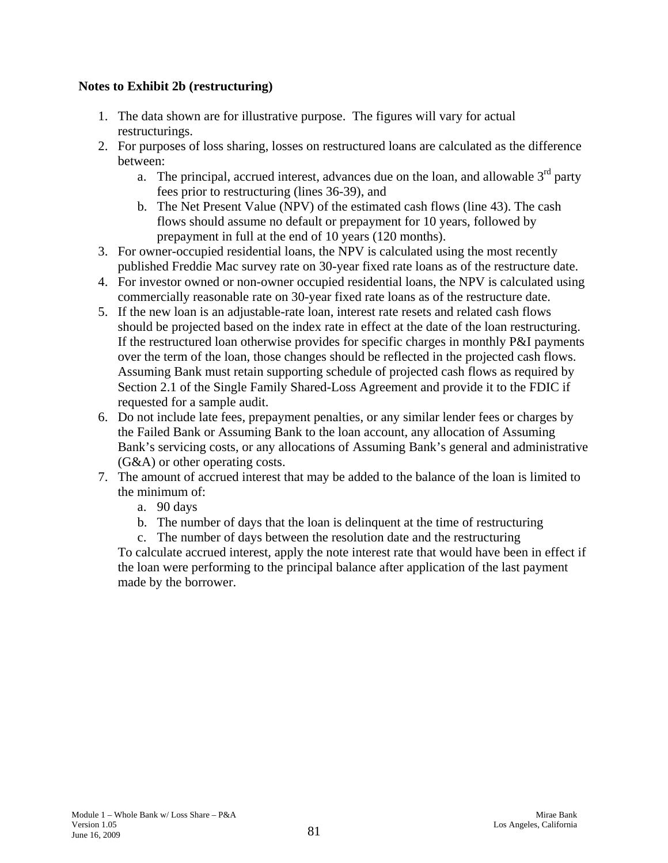## **Notes to Exhibit 2b (restructuring)**

- 1. The data shown are for illustrative purpose. The figures will vary for actual restructurings.
- 2. For purposes of loss sharing, losses on restructured loans are calculated as the difference between:
	- a. The principal, accrued interest, advances due on the loan, and allowable  $3<sup>rd</sup>$  party fees prior to restructuring (lines 36-39), and
	- b. The Net Present Value (NPV) of the estimated cash flows (line 43). The cash flows should assume no default or prepayment for 10 years, followed by prepayment in full at the end of 10 years (120 months).
- 3. For owner-occupied residential loans, the NPV is calculated using the most recently published Freddie Mac survey rate on 30-year fixed rate loans as of the restructure date.
- 4. For investor owned or non-owner occupied residential loans, the NPV is calculated using commercially reasonable rate on 30-year fixed rate loans as of the restructure date.
- 5. If the new loan is an adjustable-rate loan, interest rate resets and related cash flows should be projected based on the index rate in effect at the date of the loan restructuring. If the restructured loan otherwise provides for specific charges in monthly P&I payments over the term of the loan, those changes should be reflected in the projected cash flows. Assuming Bank must retain supporting schedule of projected cash flows as required by Section 2.1 of the Single Family Shared-Loss Agreement and provide it to the FDIC if requested for a sample audit.
- 6. Do not include late fees, prepayment penalties, or any similar lender fees or charges by the Failed Bank or Assuming Bank to the loan account, any allocation of Assuming Bank's servicing costs, or any allocations of Assuming Bank's general and administrative (G&A) or other operating costs.
- 7. The amount of accrued interest that may be added to the balance of the loan is limited to the minimum of:
	- a. 90 days
	- b. The number of days that the loan is delinquent at the time of restructuring

c. The number of days between the resolution date and the restructuring To calculate accrued interest, apply the note interest rate that would have been in effect if the loan were performing to the principal balance after application of the last payment made by the borrower.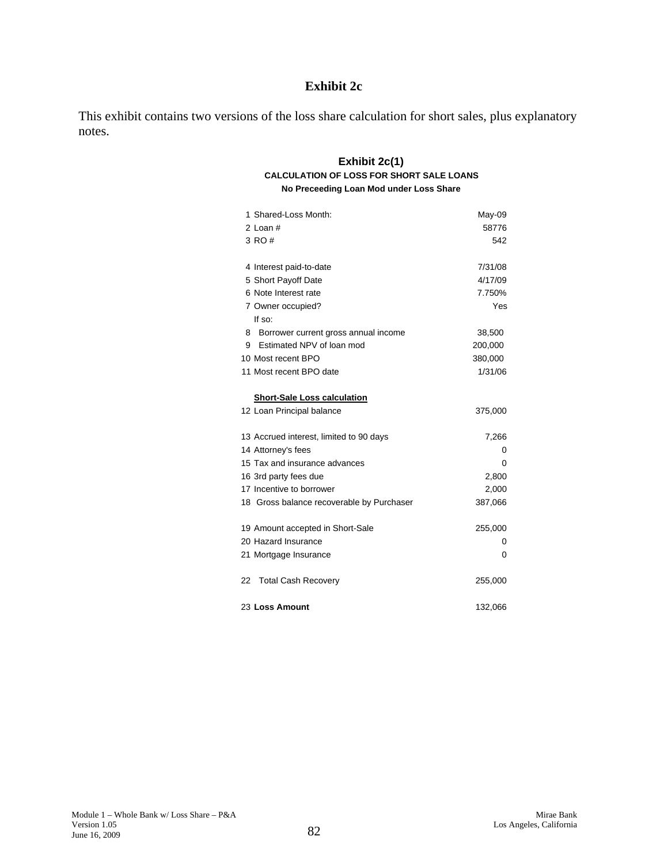## **Exhibit 2c**

This exhibit contains two versions of the loss share calculation for short sales, plus explanatory notes.

### **Exhibit 2c(1) CALCULATION OF LOSS FOR SHORT SALE LOANS No Preceeding Loan Mod under Loss Share**

| 1 Shared-Loss Month:                      | May-09  |
|-------------------------------------------|---------|
| 2 Loan #                                  | 58776   |
| 3 RO #                                    | 542     |
|                                           |         |
| 4 Interest paid-to-date                   | 7/31/08 |
| 5 Short Payoff Date                       | 4/17/09 |
| 6 Note Interest rate                      | 7.750%  |
| 7 Owner occupied?                         | Yes     |
| If so:                                    |         |
| Borrower current gross annual income<br>8 | 38,500  |
| Estimated NPV of loan mod<br>9            | 200,000 |
| 10 Most recent BPO                        | 380,000 |
| 11 Most recent BPO date                   | 1/31/06 |
|                                           |         |
| <b>Short-Sale Loss calculation</b>        |         |
| 12 Loan Principal balance                 | 375,000 |
|                                           |         |
| 13 Accrued interest, limited to 90 days   | 7,266   |
| 14 Attorney's fees                        | 0       |
| 15 Tax and insurance advances             | 0       |
| 16 3rd party fees due                     | 2,800   |
| 17 Incentive to borrower                  | 2,000   |
| 18 Gross balance recoverable by Purchaser | 387,066 |
|                                           |         |
| 19 Amount accepted in Short-Sale          | 255,000 |
| 20 Hazard Insurance                       | 0       |
| 21 Mortgage Insurance                     | 0       |
|                                           |         |
| 22 Total Cash Recovery                    | 255,000 |
|                                           |         |
| 23 Loss Amount                            | 132,066 |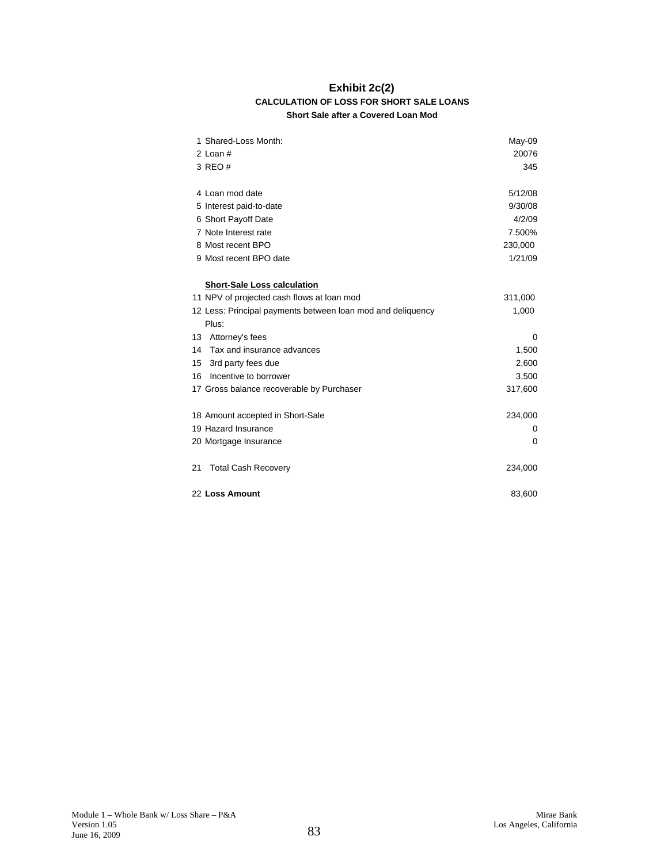### **Exhibit 2c(2) CALCULATION OF LOSS FOR SHORT SALE LOANS Short Sale after a Covered Loan Mod**

| 1 Shared-Loss Month:                                        | May-09  |
|-------------------------------------------------------------|---------|
| 2 Loan $#$                                                  | 20076   |
| 3 REO #                                                     | 345     |
|                                                             |         |
| 4 Loan mod date                                             | 5/12/08 |
| 5 Interest paid-to-date                                     | 9/30/08 |
| 6 Short Payoff Date                                         | 4/2/09  |
| 7 Note Interest rate                                        | 7.500%  |
| 8 Most recent BPO                                           | 230,000 |
| 9 Most recent BPO date                                      | 1/21/09 |
|                                                             |         |
| <b>Short-Sale Loss calculation</b>                          |         |
| 11 NPV of projected cash flows at loan mod                  | 311,000 |
| 12 Less: Principal payments between loan mod and deliquency | 1,000   |
| Plus:                                                       |         |
| 13<br>Attorney's fees                                       | 0       |
| Tax and insurance advances<br>14                            | 1,500   |
| 15<br>3rd party fees due                                    | 2,600   |
| Incentive to borrower<br>16                                 | 3,500   |
| 17 Gross balance recoverable by Purchaser                   | 317,600 |
|                                                             |         |
| 18 Amount accepted in Short-Sale                            | 234,000 |
| 19 Hazard Insurance                                         | 0       |
| 20 Mortgage Insurance                                       | 0       |
|                                                             |         |
| <b>Total Cash Recovery</b><br>21                            | 234,000 |
|                                                             |         |
| 22 Loss Amount                                              | 83,600  |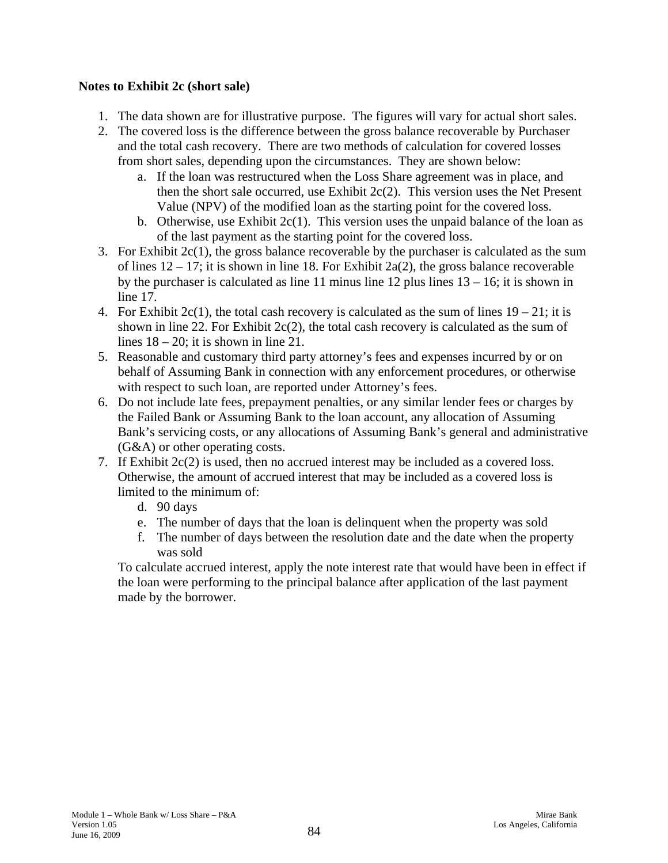## **Notes to Exhibit 2c (short sale)**

- 1. The data shown are for illustrative purpose. The figures will vary for actual short sales.
- 2. The covered loss is the difference between the gross balance recoverable by Purchaser and the total cash recovery. There are two methods of calculation for covered losses from short sales, depending upon the circumstances. They are shown below:
	- a. If the loan was restructured when the Loss Share agreement was in place, and then the short sale occurred, use Exhibit  $2c(2)$ . This version uses the Net Present Value (NPV) of the modified loan as the starting point for the covered loss.
	- b. Otherwise, use Exhibit  $2c(1)$ . This version uses the unpaid balance of the loan as of the last payment as the starting point for the covered loss.
- 3. For Exhibit  $2c(1)$ , the gross balance recoverable by the purchaser is calculated as the sum of lines  $12 - 17$ ; it is shown in line 18. For Exhibit 2a(2), the gross balance recoverable by the purchaser is calculated as line 11 minus line 12 plus lines 13 – 16; it is shown in line 17.
- 4. For Exhibit 2c(1), the total cash recovery is calculated as the sum of lines  $19 21$ ; it is shown in line 22. For Exhibit  $2c(2)$ , the total cash recovery is calculated as the sum of lines  $18 - 20$ ; it is shown in line 21.
- 5. Reasonable and customary third party attorney's fees and expenses incurred by or on behalf of Assuming Bank in connection with any enforcement procedures, or otherwise with respect to such loan, are reported under Attorney's fees.
- 6. Do not include late fees, prepayment penalties, or any similar lender fees or charges by the Failed Bank or Assuming Bank to the loan account, any allocation of Assuming Bank's servicing costs, or any allocations of Assuming Bank's general and administrative (G&A) or other operating costs.
- 7. If Exhibit  $2c(2)$  is used, then no accrued interest may be included as a covered loss. Otherwise, the amount of accrued interest that may be included as a covered loss is limited to the minimum of:
	- d. 90 days
	- e. The number of days that the loan is delinquent when the property was sold
	- f. The number of days between the resolution date and the date when the property was sold

To calculate accrued interest, apply the note interest rate that would have been in effect if the loan were performing to the principal balance after application of the last payment made by the borrower.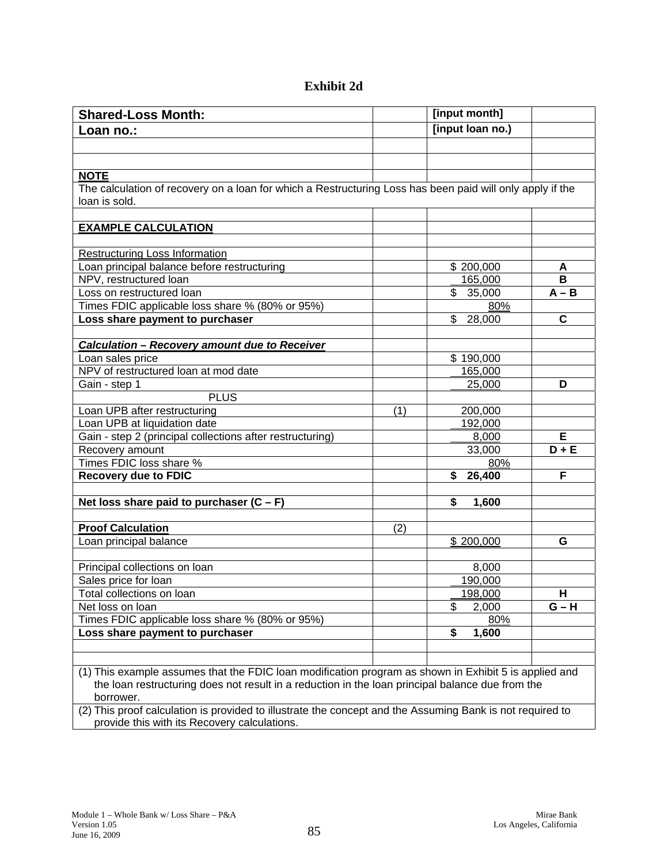# **Exhibit 2d**

| <b>Shared-Loss Month:</b>                                                                                                                                                                                 |     |                    |         |
|-----------------------------------------------------------------------------------------------------------------------------------------------------------------------------------------------------------|-----|--------------------|---------|
| Loan no.:                                                                                                                                                                                                 |     | [input loan no.)   |         |
|                                                                                                                                                                                                           |     |                    |         |
|                                                                                                                                                                                                           |     |                    |         |
| <b>NOTE</b>                                                                                                                                                                                               |     |                    |         |
| The calculation of recovery on a loan for which a Restructuring Loss has been paid will only apply if the                                                                                                 |     |                    |         |
| loan is sold.                                                                                                                                                                                             |     |                    |         |
|                                                                                                                                                                                                           |     |                    |         |
| <b>EXAMPLE CALCULATION</b>                                                                                                                                                                                |     |                    |         |
|                                                                                                                                                                                                           |     |                    |         |
| <b>Restructuring Loss Information</b>                                                                                                                                                                     |     |                    |         |
| Loan principal balance before restructuring                                                                                                                                                               |     | \$200,000          | A       |
| NPV, restructured loan                                                                                                                                                                                    |     | 165,000            | B       |
| Loss on restructured loan                                                                                                                                                                                 |     | \$35,000           | $A - B$ |
| Times FDIC applicable loss share % (80% or 95%)                                                                                                                                                           |     | 80%                |         |
| Loss share payment to purchaser                                                                                                                                                                           |     | \$28,000           | C       |
|                                                                                                                                                                                                           |     |                    |         |
| Calculation - Recovery amount due to Receiver                                                                                                                                                             |     |                    |         |
| Loan sales price                                                                                                                                                                                          |     | \$190,000          |         |
| NPV of restructured loan at mod date                                                                                                                                                                      |     | 165,000            |         |
| Gain - step 1                                                                                                                                                                                             |     | 25,000             | D       |
| <b>PLUS</b>                                                                                                                                                                                               |     |                    |         |
| Loan UPB after restructuring                                                                                                                                                                              | (1) | 200,000<br>192,000 |         |
| Loan UPB at liquidation date<br>Gain - step 2 (principal collections after restructuring)                                                                                                                 |     | 8,000              | Е       |
| Recovery amount                                                                                                                                                                                           |     | 33,000             | $D + E$ |
| Times FDIC loss share %                                                                                                                                                                                   |     | 80%                |         |
| <b>Recovery due to FDIC</b>                                                                                                                                                                               |     | \$26,400           | F       |
|                                                                                                                                                                                                           |     |                    |         |
| Net loss share paid to purchaser $(C - F)$                                                                                                                                                                |     | \$<br>1,600        |         |
|                                                                                                                                                                                                           |     |                    |         |
| <b>Proof Calculation</b>                                                                                                                                                                                  | (2) |                    |         |
| Loan principal balance                                                                                                                                                                                    |     | \$200,000          | G       |
|                                                                                                                                                                                                           |     |                    |         |
| Principal collections on loan                                                                                                                                                                             |     | 8,000              |         |
| Sales price for loan                                                                                                                                                                                      |     | 190,000            |         |
| Total collections on loan                                                                                                                                                                                 |     | 198,000            | H       |
| Net loss on loan                                                                                                                                                                                          |     | \$<br>2,000        | G – H   |
| Times FDIC applicable loss share % (80% or 95%)                                                                                                                                                           |     | 80%                |         |
| Loss share payment to purchaser                                                                                                                                                                           |     | 1,600<br>\$        |         |
|                                                                                                                                                                                                           |     |                    |         |
|                                                                                                                                                                                                           |     |                    |         |
| (1) This example assumes that the FDIC loan modification program as shown in Exhibit 5 is applied and<br>the loan restructuring does not result in a reduction in the loan principal balance due from the |     |                    |         |
| borrower.                                                                                                                                                                                                 |     |                    |         |
| (2) This proof calculation is provided to illustrate the concept and the Assuming Bank is not required to                                                                                                 |     |                    |         |
| provide this with its Recovery calculations.                                                                                                                                                              |     |                    |         |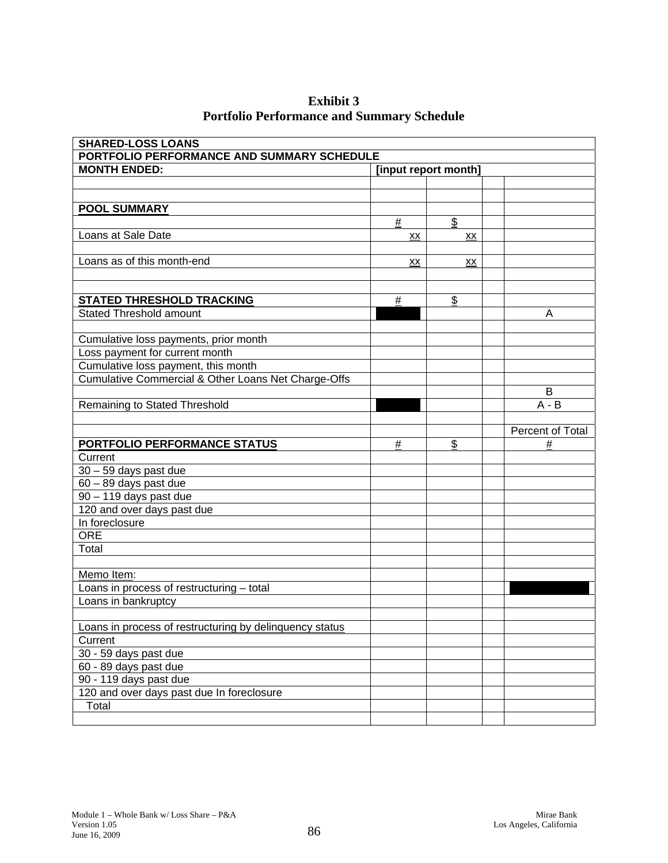| <b>SHARED-LOSS LOANS</b><br>PORTFOLIO PERFORMANCE AND SUMMARY SCHEDULE |                      |    |                  |  |
|------------------------------------------------------------------------|----------------------|----|------------------|--|
| <b>MONTH ENDED:</b>                                                    | [input report month] |    |                  |  |
|                                                                        |                      |    |                  |  |
|                                                                        |                      |    |                  |  |
| <b>POOL SUMMARY</b>                                                    |                      |    |                  |  |
|                                                                        | $\#$                 | \$ |                  |  |
| Loans at Sale Date                                                     | XX                   | XX |                  |  |
|                                                                        |                      |    |                  |  |
| Loans as of this month-end                                             | XX                   | XX |                  |  |
| <b>STATED THRESHOLD TRACKING</b>                                       | $\#$                 | \$ |                  |  |
| <b>Stated Threshold amount</b>                                         |                      |    | A                |  |
|                                                                        |                      |    |                  |  |
| Cumulative loss payments, prior month                                  |                      |    |                  |  |
| Loss payment for current month                                         |                      |    |                  |  |
| Cumulative loss payment, this month                                    |                      |    |                  |  |
| Cumulative Commercial & Other Loans Net Charge-Offs                    |                      |    |                  |  |
|                                                                        |                      |    | B                |  |
| Remaining to Stated Threshold                                          |                      |    | $A - B$          |  |
|                                                                        |                      |    |                  |  |
|                                                                        |                      |    | Percent of Total |  |
| <b>PORTFOLIO PERFORMANCE STATUS</b>                                    | $\#$                 | \$ | $\#$             |  |
| Current                                                                |                      |    |                  |  |
| $30 - 59$ days past due                                                |                      |    |                  |  |
| $60 - 89$ days past due                                                |                      |    |                  |  |
| $90 - 119$ days past due                                               |                      |    |                  |  |
| 120 and over days past due                                             |                      |    |                  |  |
| In foreclosure                                                         |                      |    |                  |  |
| <b>ORE</b>                                                             |                      |    |                  |  |
| Total                                                                  |                      |    |                  |  |
|                                                                        |                      |    |                  |  |
| Memo Item:                                                             |                      |    |                  |  |
| Loans in process of restructuring - total                              |                      |    |                  |  |
| Loans in bankruptcy                                                    |                      |    |                  |  |
|                                                                        |                      |    |                  |  |
| Loans in process of restructuring by delinguency status                |                      |    |                  |  |
| Current                                                                |                      |    |                  |  |
| 30 - 59 days past due                                                  |                      |    |                  |  |
| 60 - 89 days past due                                                  |                      |    |                  |  |
| 90 - 119 days past due                                                 |                      |    |                  |  |
| 120 and over days past due In foreclosure                              |                      |    |                  |  |
| Total                                                                  |                      |    |                  |  |
|                                                                        |                      |    |                  |  |

# **Exhibit 3 Portfolio Performance and Summary Schedule**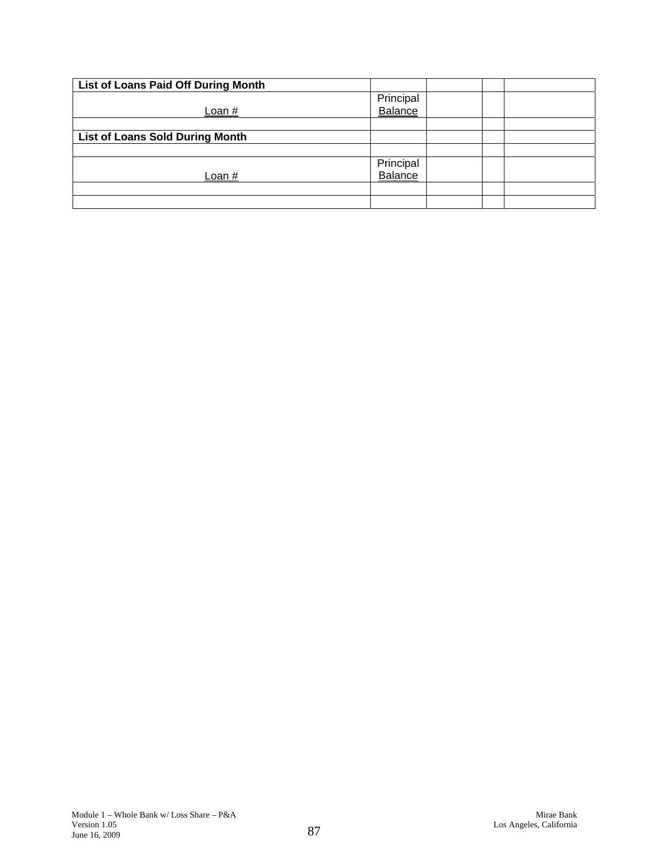| List of Loans Paid Off During Month    |                      |  |  |
|----------------------------------------|----------------------|--|--|
|                                        | Principal            |  |  |
| Loan #                                 | <b>Balance</b>       |  |  |
|                                        |                      |  |  |
| <b>List of Loans Sold During Month</b> |                      |  |  |
|                                        |                      |  |  |
|                                        | Principal<br>Balance |  |  |
| Loan #                                 |                      |  |  |
|                                        |                      |  |  |
|                                        |                      |  |  |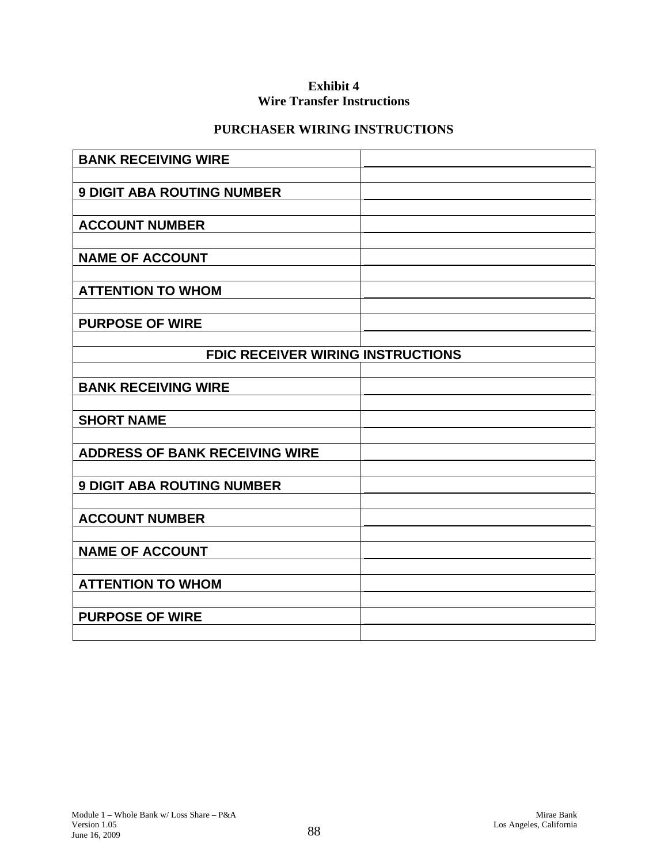## **Exhibit 4 Wire Transfer Instructions**

# **PURCHASER WIRING INSTRUCTIONS**

| <b>BANK RECEIVING WIRE</b>            |  |
|---------------------------------------|--|
|                                       |  |
| <b>9 DIGIT ABA ROUTING NUMBER</b>     |  |
|                                       |  |
| <b>ACCOUNT NUMBER</b>                 |  |
|                                       |  |
| <b>NAME OF ACCOUNT</b>                |  |
|                                       |  |
| <b>ATTENTION TO WHOM</b>              |  |
| <b>PURPOSE OF WIRE</b>                |  |
|                                       |  |
| FDIC RECEIVER WIRING INSTRUCTIONS     |  |
|                                       |  |
| <b>BANK RECEIVING WIRE</b>            |  |
|                                       |  |
| <b>SHORT NAME</b>                     |  |
|                                       |  |
| <b>ADDRESS OF BANK RECEIVING WIRE</b> |  |
|                                       |  |
| <b>9 DIGIT ABA ROUTING NUMBER</b>     |  |
|                                       |  |
| <b>ACCOUNT NUMBER</b>                 |  |
|                                       |  |
| <b>NAME OF ACCOUNT</b>                |  |
| <b>ATTENTION TO WHOM</b>              |  |
|                                       |  |
| <b>PURPOSE OF WIRE</b>                |  |
|                                       |  |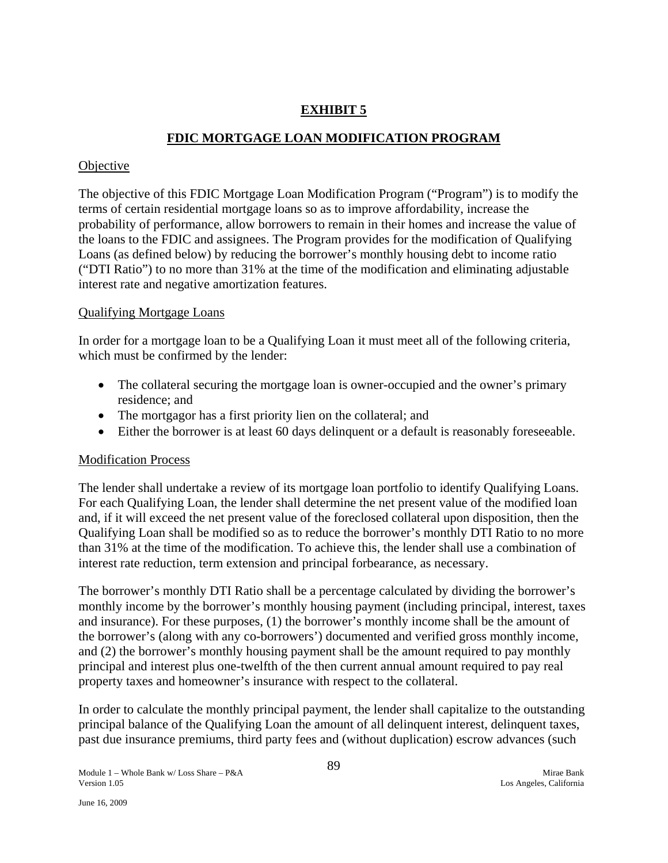# **EXHIBIT 5**

# **FDIC MORTGAGE LOAN MODIFICATION PROGRAM**

## **Objective**

The objective of this FDIC Mortgage Loan Modification Program ("Program") is to modify the terms of certain residential mortgage loans so as to improve affordability, increase the probability of performance, allow borrowers to remain in their homes and increase the value of the loans to the FDIC and assignees. The Program provides for the modification of Qualifying Loans (as defined below) by reducing the borrower's monthly housing debt to income ratio ("DTI Ratio") to no more than 31% at the time of the modification and eliminating adjustable interest rate and negative amortization features.

## Qualifying Mortgage Loans

In order for a mortgage loan to be a Qualifying Loan it must meet all of the following criteria, which must be confirmed by the lender:

- The collateral securing the mortgage loan is owner-occupied and the owner's primary residence; and
- The mortgagor has a first priority lien on the collateral; and
- Either the borrower is at least 60 days delinquent or a default is reasonably foreseeable.

## Modification Process

The lender shall undertake a review of its mortgage loan portfolio to identify Qualifying Loans. For each Qualifying Loan, the lender shall determine the net present value of the modified loan and, if it will exceed the net present value of the foreclosed collateral upon disposition, then the Qualifying Loan shall be modified so as to reduce the borrower's monthly DTI Ratio to no more than 31% at the time of the modification. To achieve this, the lender shall use a combination of interest rate reduction, term extension and principal forbearance, as necessary.

The borrower's monthly DTI Ratio shall be a percentage calculated by dividing the borrower's monthly income by the borrower's monthly housing payment (including principal, interest, taxes and insurance). For these purposes, (1) the borrower's monthly income shall be the amount of the borrower's (along with any co-borrowers') documented and verified gross monthly income, and (2) the borrower's monthly housing payment shall be the amount required to pay monthly principal and interest plus one-twelfth of the then current annual amount required to pay real property taxes and homeowner's insurance with respect to the collateral.

In order to calculate the monthly principal payment, the lender shall capitalize to the outstanding principal balance of the Qualifying Loan the amount of all delinquent interest, delinquent taxes, past due insurance premiums, third party fees and (without duplication) escrow advances (such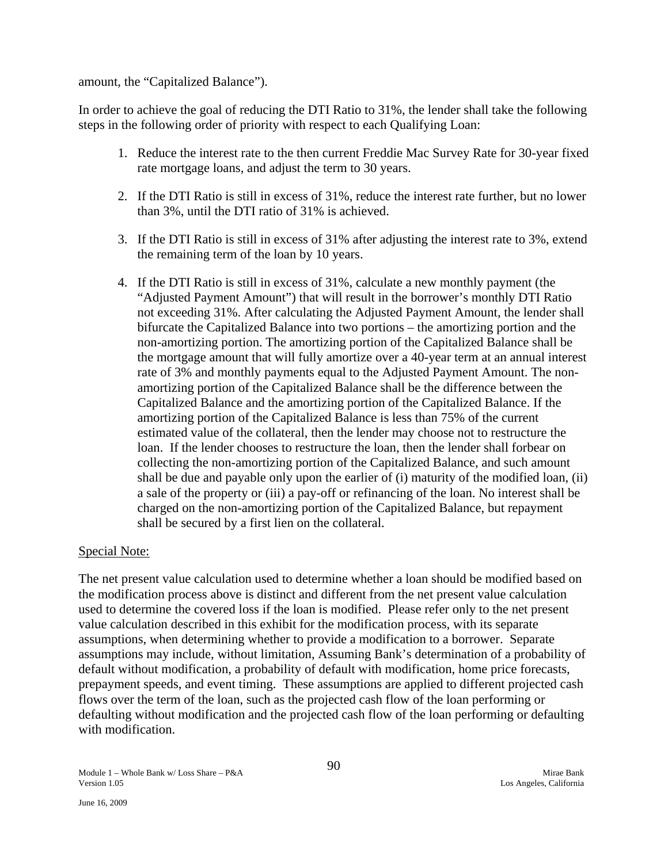amount, the "Capitalized Balance").

In order to achieve the goal of reducing the DTI Ratio to 31%, the lender shall take the following steps in the following order of priority with respect to each Qualifying Loan:

- 1. Reduce the interest rate to the then current Freddie Mac Survey Rate for 30-year fixed rate mortgage loans, and adjust the term to 30 years.
- 2. If the DTI Ratio is still in excess of 31%, reduce the interest rate further, but no lower than 3%, until the DTI ratio of 31% is achieved.
- 3. If the DTI Ratio is still in excess of 31% after adjusting the interest rate to 3%, extend the remaining term of the loan by 10 years.
- 4. If the DTI Ratio is still in excess of 31%, calculate a new monthly payment (the "Adjusted Payment Amount") that will result in the borrower's monthly DTI Ratio not exceeding 31%. After calculating the Adjusted Payment Amount, the lender shall bifurcate the Capitalized Balance into two portions – the amortizing portion and the non-amortizing portion. The amortizing portion of the Capitalized Balance shall be the mortgage amount that will fully amortize over a 40-year term at an annual interest rate of 3% and monthly payments equal to the Adjusted Payment Amount. The nonamortizing portion of the Capitalized Balance shall be the difference between the Capitalized Balance and the amortizing portion of the Capitalized Balance. If the amortizing portion of the Capitalized Balance is less than 75% of the current estimated value of the collateral, then the lender may choose not to restructure the loan. If the lender chooses to restructure the loan, then the lender shall forbear on collecting the non-amortizing portion of the Capitalized Balance, and such amount shall be due and payable only upon the earlier of (i) maturity of the modified loan, (ii) a sale of the property or (iii) a pay-off or refinancing of the loan. No interest shall be charged on the non-amortizing portion of the Capitalized Balance, but repayment shall be secured by a first lien on the collateral.

## Special Note:

The net present value calculation used to determine whether a loan should be modified based on the modification process above is distinct and different from the net present value calculation used to determine the covered loss if the loan is modified. Please refer only to the net present value calculation described in this exhibit for the modification process, with its separate assumptions, when determining whether to provide a modification to a borrower. Separate assumptions may include, without limitation, Assuming Bank's determination of a probability of default without modification, a probability of default with modification, home price forecasts, prepayment speeds, and event timing. These assumptions are applied to different projected cash flows over the term of the loan, such as the projected cash flow of the loan performing or defaulting without modification and the projected cash flow of the loan performing or defaulting with modification.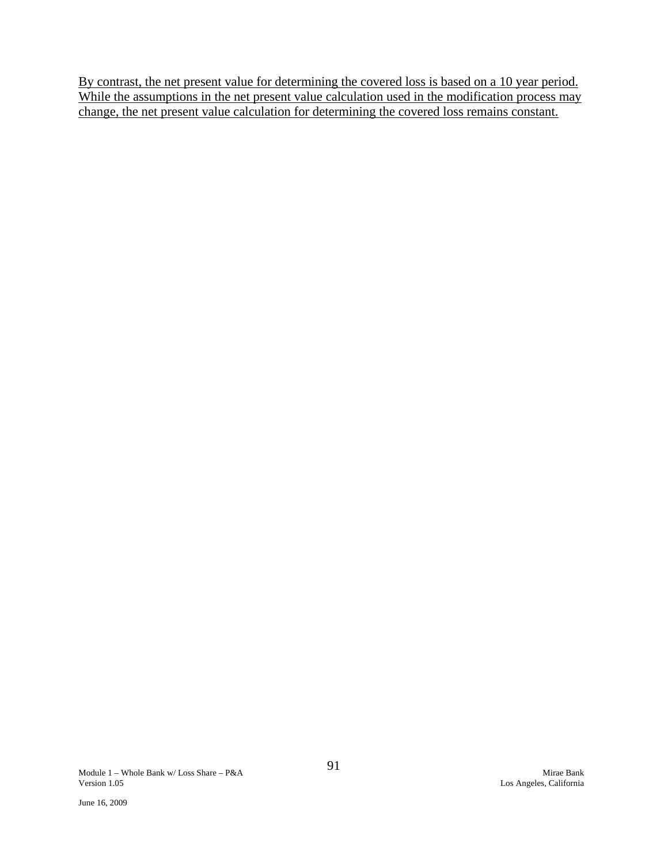change, the net present value calculation for determining the covered loss remains constant. By contrast, the net present value for determining the covered loss is based on a 10 year period. While the assumptions in the net present value calculation used in the modification process may change, the net present value calculation for determining the covered loss remains constant. Model of the present value calculation for determining the covered loss remains constant.  $91$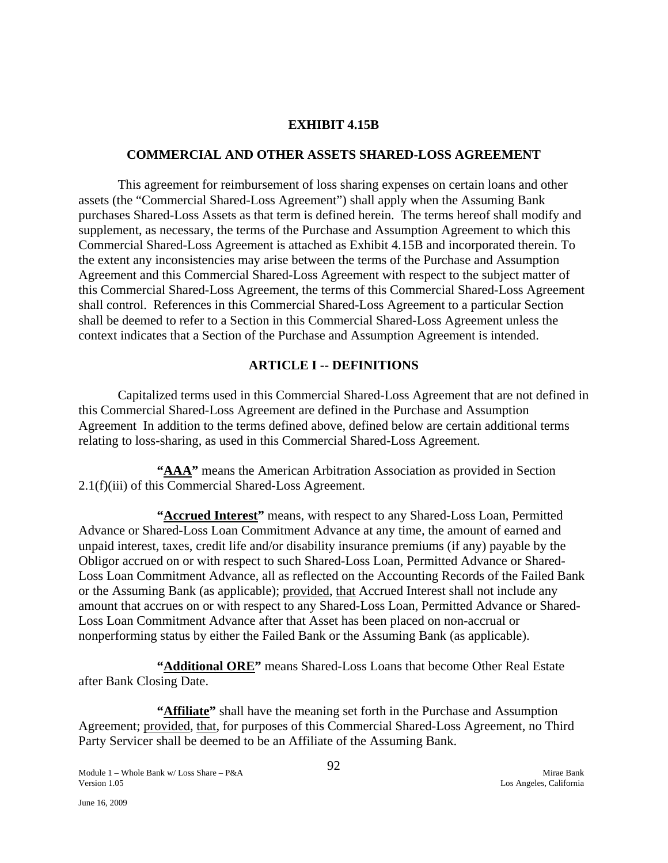### **EXHIBIT 4.15B**

### **COMMERCIAL AND OTHER ASSETS SHARED-LOSS AGREEMENT**

This agreement for reimbursement of loss sharing expenses on certain loans and other assets (the "Commercial Shared-Loss Agreement") shall apply when the Assuming Bank purchases Shared-Loss Assets as that term is defined herein. The terms hereof shall modify and supplement, as necessary, the terms of the Purchase and Assumption Agreement to which this Commercial Shared-Loss Agreement is attached as Exhibit 4.15B and incorporated therein. To the extent any inconsistencies may arise between the terms of the Purchase and Assumption Agreement and this Commercial Shared-Loss Agreement with respect to the subject matter of this Commercial Shared-Loss Agreement, the terms of this Commercial Shared-Loss Agreement shall control. References in this Commercial Shared-Loss Agreement to a particular Section shall be deemed to refer to a Section in this Commercial Shared-Loss Agreement unless the context indicates that a Section of the Purchase and Assumption Agreement is intended.

## **ARTICLE I -- DEFINITIONS**

Capitalized terms used in this Commercial Shared-Loss Agreement that are not defined in this Commercial Shared-Loss Agreement are defined in the Purchase and Assumption Agreement In addition to the terms defined above, defined below are certain additional terms relating to loss-sharing, as used in this Commercial Shared-Loss Agreement.

**"AAA"** means the American Arbitration Association as provided in Section 2.1(f)(iii) of this Commercial Shared-Loss Agreement.

**"Accrued Interest"** means, with respect to any Shared-Loss Loan, Permitted Advance or Shared-Loss Loan Commitment Advance at any time, the amount of earned and unpaid interest, taxes, credit life and/or disability insurance premiums (if any) payable by the Obligor accrued on or with respect to such Shared-Loss Loan, Permitted Advance or Shared-Loss Loan Commitment Advance, all as reflected on the Accounting Records of the Failed Bank or the Assuming Bank (as applicable); provided, that Accrued Interest shall not include any amount that accrues on or with respect to any Shared-Loss Loan, Permitted Advance or Shared-Loss Loan Commitment Advance after that Asset has been placed on non-accrual or nonperforming status by either the Failed Bank or the Assuming Bank (as applicable).

**"Additional ORE"** means Shared-Loss Loans that become Other Real Estate after Bank Closing Date.

**"Affiliate"** shall have the meaning set forth in the Purchase and Assumption Agreement; provided, that, for purposes of this Commercial Shared-Loss Agreement, no Third Party Servicer shall be deemed to be an Affiliate of the Assuming Bank.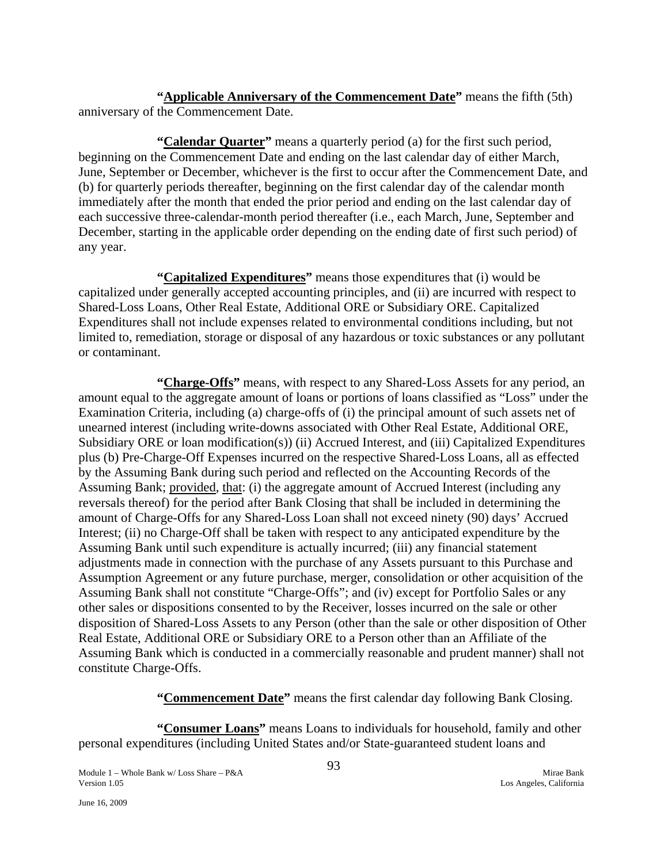**"Applicable Anniversary of the Commencement Date"** means the fifth (5th) anniversary of the Commencement Date.

**"Calendar Quarter"** means a quarterly period (a) for the first such period, beginning on the Commencement Date and ending on the last calendar day of either March, June, September or December, whichever is the first to occur after the Commencement Date, and (b) for quarterly periods thereafter, beginning on the first calendar day of the calendar month immediately after the month that ended the prior period and ending on the last calendar day of each successive three-calendar-month period thereafter (i.e., each March, June, September and December, starting in the applicable order depending on the ending date of first such period) of any year.

**"Capitalized Expenditures"** means those expenditures that (i) would be capitalized under generally accepted accounting principles, and (ii) are incurred with respect to Shared-Loss Loans, Other Real Estate, Additional ORE or Subsidiary ORE. Capitalized Expenditures shall not include expenses related to environmental conditions including, but not limited to, remediation, storage or disposal of any hazardous or toxic substances or any pollutant or contaminant.

**"Charge-Offs"** means, with respect to any Shared-Loss Assets for any period, an amount equal to the aggregate amount of loans or portions of loans classified as "Loss" under the Examination Criteria, including (a) charge-offs of (i) the principal amount of such assets net of unearned interest (including write-downs associated with Other Real Estate, Additional ORE, Subsidiary ORE or loan modification(s)) (ii) Accrued Interest, and (iii) Capitalized Expenditures plus (b) Pre-Charge-Off Expenses incurred on the respective Shared-Loss Loans, all as effected by the Assuming Bank during such period and reflected on the Accounting Records of the Assuming Bank; provided, that: (i) the aggregate amount of Accrued Interest (including any reversals thereof) for the period after Bank Closing that shall be included in determining the amount of Charge-Offs for any Shared-Loss Loan shall not exceed ninety (90) days' Accrued Interest; (ii) no Charge-Off shall be taken with respect to any anticipated expenditure by the Assuming Bank until such expenditure is actually incurred; (iii) any financial statement adjustments made in connection with the purchase of any Assets pursuant to this Purchase and Assumption Agreement or any future purchase, merger, consolidation or other acquisition of the Assuming Bank shall not constitute "Charge-Offs"; and (iv) except for Portfolio Sales or any other sales or dispositions consented to by the Receiver, losses incurred on the sale or other disposition of Shared-Loss Assets to any Person (other than the sale or other disposition of Other Real Estate, Additional ORE or Subsidiary ORE to a Person other than an Affiliate of the Assuming Bank which is conducted in a commercially reasonable and prudent manner) shall not constitute Charge-Offs.

**"Commencement Date"** means the first calendar day following Bank Closing.

**"Consumer Loans"** means Loans to individuals for household, family and other personal expenditures (including United States and/or State-guaranteed student loans and

93 Module 1 – Whole Bank w/ Loss Share – P&A Mirae Bank Version 1.05 Los Angeles, California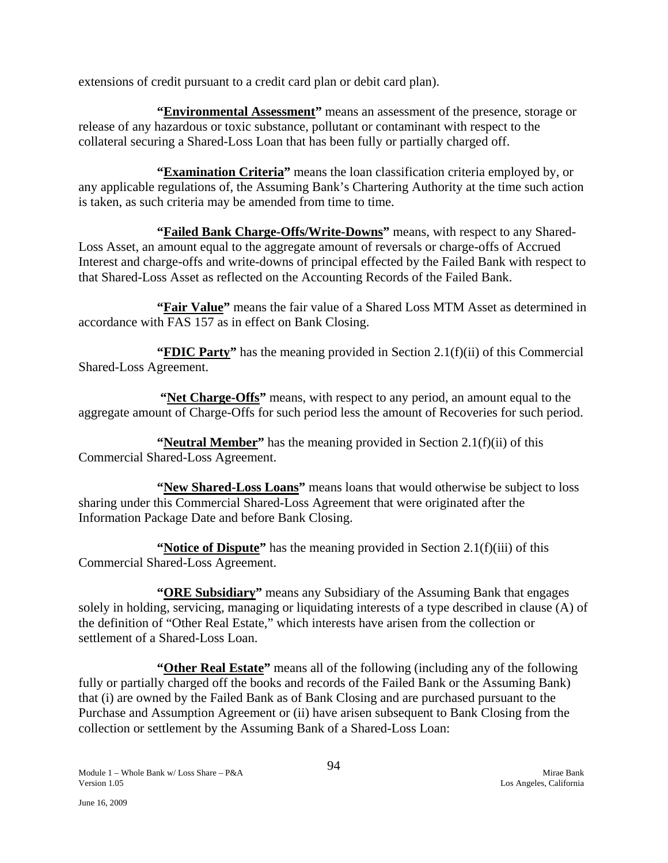extensions of credit pursuant to a credit card plan or debit card plan).

**"Environmental Assessment"** means an assessment of the presence, storage or release of any hazardous or toxic substance, pollutant or contaminant with respect to the collateral securing a Shared-Loss Loan that has been fully or partially charged off.

**"Examination Criteria"** means the loan classification criteria employed by, or any applicable regulations of, the Assuming Bank's Chartering Authority at the time such action is taken, as such criteria may be amended from time to time.

**"Failed Bank Charge-Offs/Write-Downs"** means, with respect to any Shared-Loss Asset, an amount equal to the aggregate amount of reversals or charge-offs of Accrued Interest and charge-offs and write-downs of principal effected by the Failed Bank with respect to that Shared-Loss Asset as reflected on the Accounting Records of the Failed Bank.

**"Fair Value"** means the fair value of a Shared Loss MTM Asset as determined in accordance with FAS 157 as in effect on Bank Closing.

**"FDIC Party"** has the meaning provided in Section 2.1(f)(ii) of this Commercial Shared-Loss Agreement.

**"Net Charge-Offs"** means, with respect to any period, an amount equal to the aggregate amount of Charge-Offs for such period less the amount of Recoveries for such period.

 Commercial Shared-Loss Agreement. **"Neutral Member"** has the meaning provided in Section 2.1(f)(ii) of this

**"New Shared-Loss Loans"** means loans that would otherwise be subject to loss sharing under this Commercial Shared-Loss Agreement that were originated after the Information Package Date and before Bank Closing.

**"Notice of Dispute"** has the meaning provided in Section 2.1(f)(iii) of this Commercial Shared-Loss Agreement.

**"ORE Subsidiary"** means any Subsidiary of the Assuming Bank that engages solely in holding, servicing, managing or liquidating interests of a type described in clause (A) of the definition of "Other Real Estate," which interests have arisen from the collection or settlement of a Shared-Loss Loan.

**"Other Real Estate"** means all of the following (including any of the following fully or partially charged off the books and records of the Failed Bank or the Assuming Bank) that (i) are owned by the Failed Bank as of Bank Closing and are purchased pursuant to the Purchase and Assumption Agreement or (ii) have arisen subsequent to Bank Closing from the collection or settlement by the Assuming Bank of a Shared-Loss Loan: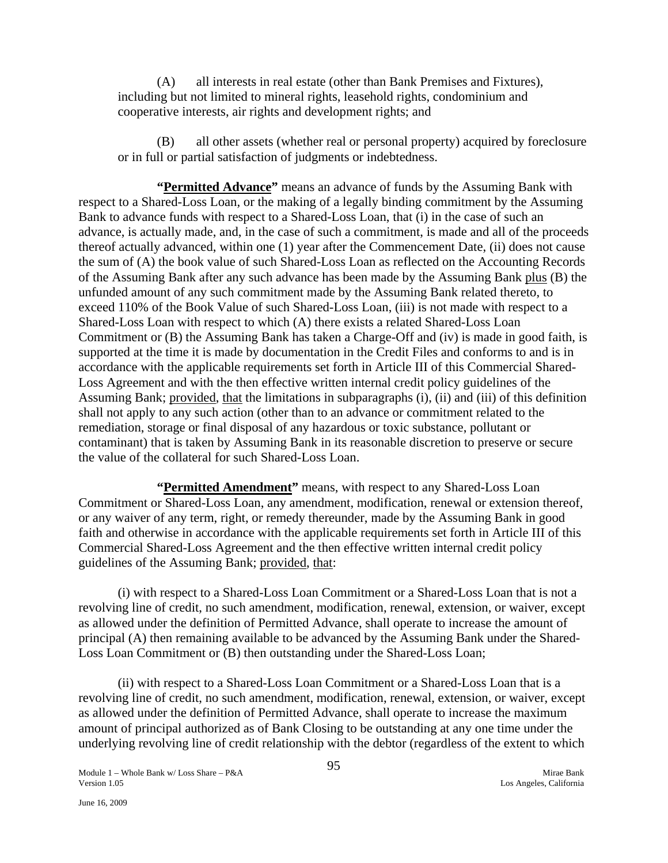(A) all interests in real estate (other than Bank Premises and Fixtures), including but not limited to mineral rights, leasehold rights, condominium and cooperative interests, air rights and development rights; and

(B) all other assets (whether real or personal property) acquired by foreclosure or in full or partial satisfaction of judgments or indebtedness.

**"Permitted Advance"** means an advance of funds by the Assuming Bank with respect to a Shared-Loss Loan, or the making of a legally binding commitment by the Assuming Bank to advance funds with respect to a Shared-Loss Loan, that (i) in the case of such an advance, is actually made, and, in the case of such a commitment, is made and all of the proceeds thereof actually advanced, within one (1) year after the Commencement Date, (ii) does not cause the sum of (A) the book value of such Shared-Loss Loan as reflected on the Accounting Records of the Assuming Bank after any such advance has been made by the Assuming Bank plus (B) the unfunded amount of any such commitment made by the Assuming Bank related thereto, to exceed 110% of the Book Value of such Shared-Loss Loan, (iii) is not made with respect to a Shared-Loss Loan with respect to which (A) there exists a related Shared-Loss Loan Commitment or (B) the Assuming Bank has taken a Charge-Off and (iv) is made in good faith, is supported at the time it is made by documentation in the Credit Files and conforms to and is in accordance with the applicable requirements set forth in Article III of this Commercial Shared-Loss Agreement and with the then effective written internal credit policy guidelines of the Assuming Bank; provided, that the limitations in subparagraphs (i), (ii) and (iii) of this definition shall not apply to any such action (other than to an advance or commitment related to the remediation, storage or final disposal of any hazardous or toxic substance, pollutant or contaminant) that is taken by Assuming Bank in its reasonable discretion to preserve or secure the value of the collateral for such Shared-Loss Loan.

**"Permitted Amendment"** means, with respect to any Shared-Loss Loan Commitment or Shared-Loss Loan, any amendment, modification, renewal or extension thereof, or any waiver of any term, right, or remedy thereunder, made by the Assuming Bank in good faith and otherwise in accordance with the applicable requirements set forth in Article III of this Commercial Shared-Loss Agreement and the then effective written internal credit policy guidelines of the Assuming Bank; provided, that:

(i) with respect to a Shared-Loss Loan Commitment or a Shared-Loss Loan that is not a revolving line of credit, no such amendment, modification, renewal, extension, or waiver, except as allowed under the definition of Permitted Advance, shall operate to increase the amount of principal (A) then remaining available to be advanced by the Assuming Bank under the Shared-Loss Loan Commitment or (B) then outstanding under the Shared-Loss Loan;

(ii) with respect to a Shared-Loss Loan Commitment or a Shared-Loss Loan that is a revolving line of credit, no such amendment, modification, renewal, extension, or waiver, except as allowed under the definition of Permitted Advance, shall operate to increase the maximum amount of principal authorized as of Bank Closing to be outstanding at any one time under the underlying revolving line of credit relationship with the debtor (regardless of the extent to which

95 Module 1 – Whole Bank w/ Loss Share – P&A Mirae Bank Version 1.05 Los Angeles, California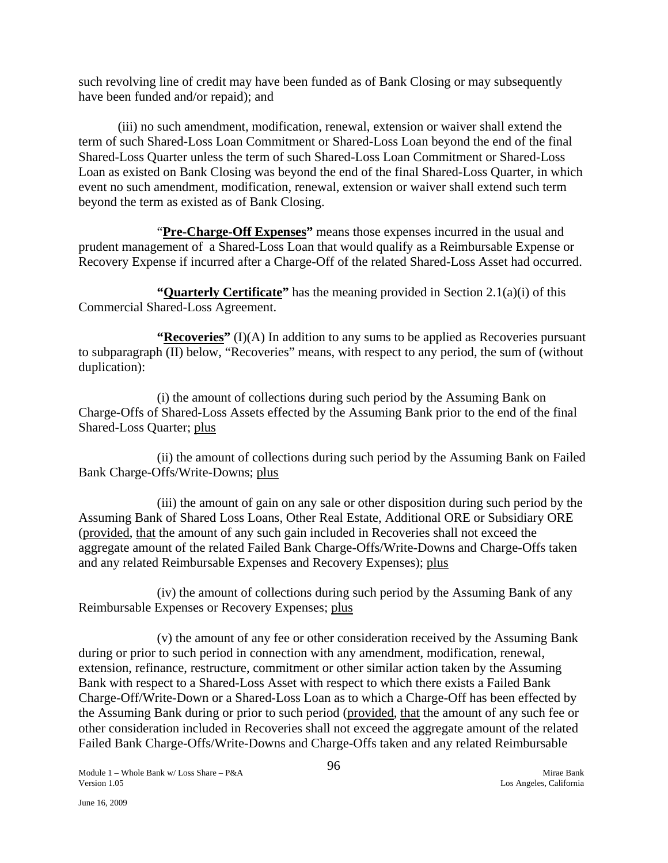such revolving line of credit may have been funded as of Bank Closing or may subsequently have been funded and/or repaid); and

(iii) no such amendment, modification, renewal, extension or waiver shall extend the term of such Shared-Loss Loan Commitment or Shared-Loss Loan beyond the end of the final Shared-Loss Quarter unless the term of such Shared-Loss Loan Commitment or Shared-Loss Loan as existed on Bank Closing was beyond the end of the final Shared-Loss Quarter, in which event no such amendment, modification, renewal, extension or waiver shall extend such term beyond the term as existed as of Bank Closing.

"**Pre-Charge-Off Expenses"** means those expenses incurred in the usual and prudent management of a Shared-Loss Loan that would qualify as a Reimbursable Expense or Recovery Expense if incurred after a Charge-Off of the related Shared-Loss Asset had occurred.

**"Quarterly Certificate"** has the meaning provided in Section 2.1(a)(i) of this Commercial Shared-Loss Agreement.

**"Recoveries"** (I)(A) In addition to any sums to be applied as Recoveries pursuant to subparagraph (II) below, "Recoveries" means, with respect to any period, the sum of (without duplication):

**Shared-Loss Quarter; plus** (i) the amount of collections during such period by the Assuming Bank on Charge-Offs of Shared-Loss Assets effected by the Assuming Bank prior to the end of the final

(ii) the amount of collections during such period by the Assuming Bank on Failed Bank Charge-Offs/Write-Downs; plus

(iii) the amount of gain on any sale or other disposition during such period by the Assuming Bank of Shared Loss Loans, Other Real Estate, Additional ORE or Subsidiary ORE (provided, that the amount of any such gain included in Recoveries shall not exceed the aggregate amount of the related Failed Bank Charge-Offs/Write-Downs and Charge-Offs taken and any related Reimbursable Expenses and Recovery Expenses); plus

(iv) the amount of collections during such period by the Assuming Bank of any Reimbursable Expenses or Recovery Expenses; plus

(v) the amount of any fee or other consideration received by the Assuming Bank during or prior to such period in connection with any amendment, modification, renewal, extension, refinance, restructure, commitment or other similar action taken by the Assuming Bank with respect to a Shared-Loss Asset with respect to which there exists a Failed Bank Charge-Off/Write-Down or a Shared-Loss Loan as to which a Charge-Off has been effected by the Assuming Bank during or prior to such period (provided, that the amount of any such fee or other consideration included in Recoveries shall not exceed the aggregate amount of the related Failed Bank Charge-Offs/Write-Downs and Charge-Offs taken and any related Reimbursable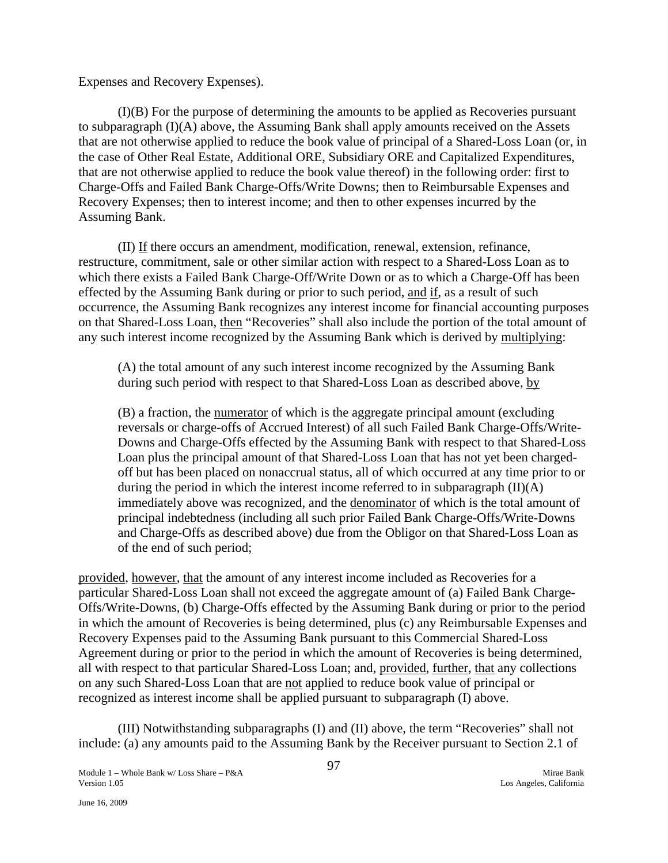Expenses and Recovery Expenses).

(I)(B) For the purpose of determining the amounts to be applied as Recoveries pursuant to subparagraph (I)(A) above, the Assuming Bank shall apply amounts received on the Assets that are not otherwise applied to reduce the book value of principal of a Shared-Loss Loan (or, in the case of Other Real Estate, Additional ORE, Subsidiary ORE and Capitalized Expenditures, that are not otherwise applied to reduce the book value thereof) in the following order: first to Charge-Offs and Failed Bank Charge-Offs/Write Downs; then to Reimbursable Expenses and Recovery Expenses; then to interest income; and then to other expenses incurred by the Assuming Bank.

(II) If there occurs an amendment, modification, renewal, extension, refinance, restructure, commitment, sale or other similar action with respect to a Shared-Loss Loan as to which there exists a Failed Bank Charge-Off/Write Down or as to which a Charge-Off has been effected by the Assuming Bank during or prior to such period, and if, as a result of such occurrence, the Assuming Bank recognizes any interest income for financial accounting purposes on that Shared-Loss Loan, then "Recoveries" shall also include the portion of the total amount of any such interest income recognized by the Assuming Bank which is derived by multiplying:

(A) the total amount of any such interest income recognized by the Assuming Bank during such period with respect to that Shared-Loss Loan as described above, by

(B) a fraction, the numerator of which is the aggregate principal amount (excluding reversals or charge-offs of Accrued Interest) of all such Failed Bank Charge-Offs/Write-Downs and Charge-Offs effected by the Assuming Bank with respect to that Shared-Loss Loan plus the principal amount of that Shared-Loss Loan that has not yet been chargedoff but has been placed on nonaccrual status, all of which occurred at any time prior to or during the period in which the interest income referred to in subparagraph  $(II)(A)$ immediately above was recognized, and the denominator of which is the total amount of principal indebtedness (including all such prior Failed Bank Charge-Offs/Write-Downs and Charge-Offs as described above) due from the Obligor on that Shared-Loss Loan as of the end of such period;

provided, however, that the amount of any interest income included as Recoveries for a particular Shared-Loss Loan shall not exceed the aggregate amount of (a) Failed Bank Charge-Offs/Write-Downs, (b) Charge-Offs effected by the Assuming Bank during or prior to the period in which the amount of Recoveries is being determined, plus (c) any Reimbursable Expenses and Recovery Expenses paid to the Assuming Bank pursuant to this Commercial Shared-Loss Agreement during or prior to the period in which the amount of Recoveries is being determined, all with respect to that particular Shared-Loss Loan; and, provided, further, that any collections on any such Shared-Loss Loan that are not applied to reduce book value of principal or recognized as interest income shall be applied pursuant to subparagraph (I) above.

(III) Notwithstanding subparagraphs (I) and (II) above, the term "Recoveries" shall not include: (a) any amounts paid to the Assuming Bank by the Receiver pursuant to Section 2.1 of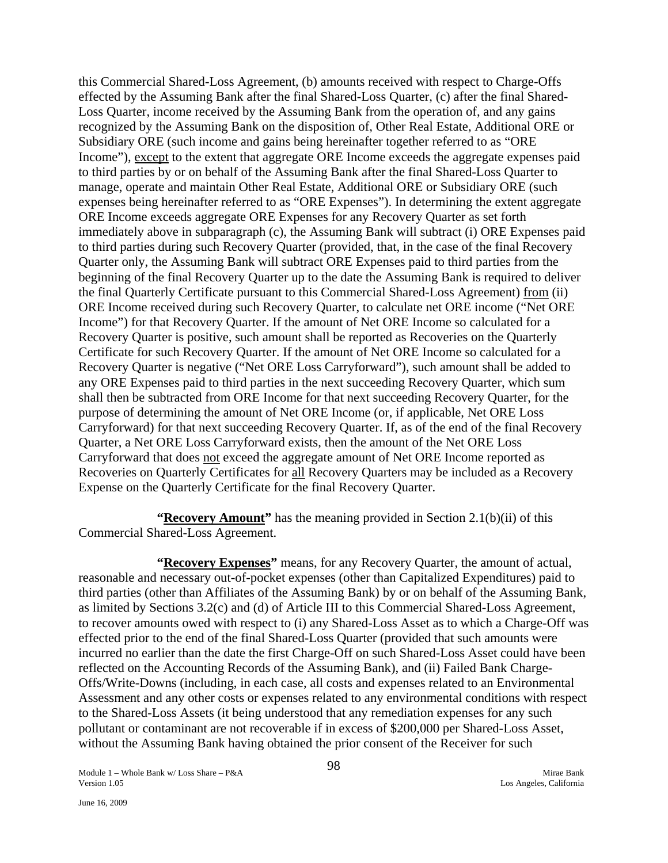this Commercial Shared-Loss Agreement, (b) amounts received with respect to Charge-Offs effected by the Assuming Bank after the final Shared-Loss Quarter, (c) after the final Shared-Loss Quarter, income received by the Assuming Bank from the operation of, and any gains recognized by the Assuming Bank on the disposition of, Other Real Estate, Additional ORE or Subsidiary ORE (such income and gains being hereinafter together referred to as "ORE Income"), except to the extent that aggregate ORE Income exceeds the aggregate expenses paid to third parties by or on behalf of the Assuming Bank after the final Shared-Loss Quarter to manage, operate and maintain Other Real Estate, Additional ORE or Subsidiary ORE (such expenses being hereinafter referred to as "ORE Expenses"). In determining the extent aggregate ORE Income exceeds aggregate ORE Expenses for any Recovery Quarter as set forth immediately above in subparagraph (c), the Assuming Bank will subtract (i) ORE Expenses paid to third parties during such Recovery Quarter (provided, that, in the case of the final Recovery Quarter only, the Assuming Bank will subtract ORE Expenses paid to third parties from the beginning of the final Recovery Quarter up to the date the Assuming Bank is required to deliver the final Quarterly Certificate pursuant to this Commercial Shared-Loss Agreement) from (ii) ORE Income received during such Recovery Quarter, to calculate net ORE income ("Net ORE Income") for that Recovery Quarter. If the amount of Net ORE Income so calculated for a Recovery Quarter is positive, such amount shall be reported as Recoveries on the Quarterly Certificate for such Recovery Quarter. If the amount of Net ORE Income so calculated for a Recovery Quarter is negative ("Net ORE Loss Carryforward"), such amount shall be added to any ORE Expenses paid to third parties in the next succeeding Recovery Quarter, which sum shall then be subtracted from ORE Income for that next succeeding Recovery Quarter, for the purpose of determining the amount of Net ORE Income (or, if applicable, Net ORE Loss Carryforward) for that next succeeding Recovery Quarter. If, as of the end of the final Recovery Quarter, a Net ORE Loss Carryforward exists, then the amount of the Net ORE Loss Carryforward that does not exceed the aggregate amount of Net ORE Income reported as Recoveries on Quarterly Certificates for all Recovery Quarters may be included as a Recovery Expense on the Quarterly Certificate for the final Recovery Quarter.

**"Recovery Amount"** has the meaning provided in Section 2.1(b)(ii) of this Commercial Shared-Loss Agreement.

**"Recovery Expenses"** means, for any Recovery Quarter, the amount of actual, reasonable and necessary out-of-pocket expenses (other than Capitalized Expenditures) paid to third parties (other than Affiliates of the Assuming Bank) by or on behalf of the Assuming Bank, as limited by Sections 3.2(c) and (d) of Article III to this Commercial Shared-Loss Agreement, to recover amounts owed with respect to (i) any Shared-Loss Asset as to which a Charge-Off was effected prior to the end of the final Shared-Loss Quarter (provided that such amounts were incurred no earlier than the date the first Charge-Off on such Shared-Loss Asset could have been reflected on the Accounting Records of the Assuming Bank), and (ii) Failed Bank Charge-Offs/Write-Downs (including, in each case, all costs and expenses related to an Environmental Assessment and any other costs or expenses related to any environmental conditions with respect to the Shared-Loss Assets (it being understood that any remediation expenses for any such pollutant or contaminant are not recoverable if in excess of \$200,000 per Shared-Loss Asset, without the Assuming Bank having obtained the prior consent of the Receiver for such

Module 1 – Whole Bank w/Loss Share – P&A 98 Mirae Bank Mirae Bank Version 1.05 Los Angeles, California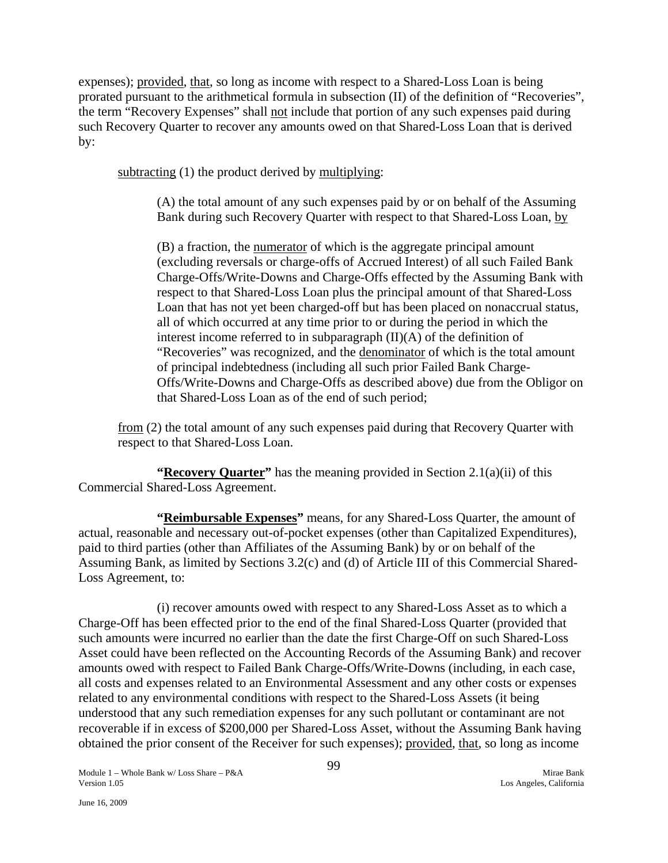expenses); provided, that, so long as income with respect to a Shared-Loss Loan is being prorated pursuant to the arithmetical formula in subsection (II) of the definition of "Recoveries", the term "Recovery Expenses" shall not include that portion of any such expenses paid during such Recovery Quarter to recover any amounts owed on that Shared-Loss Loan that is derived by:

subtracting (1) the product derived by <u>multiplying</u>:

(A) the total amount of any such expenses paid by or on behalf of the Assuming Bank during such Recovery Quarter with respect to that Shared-Loss Loan, by

(B) a fraction, the numerator of which is the aggregate principal amount (excluding reversals or charge-offs of Accrued Interest) of all such Failed Bank Charge-Offs/Write-Downs and Charge-Offs effected by the Assuming Bank with respect to that Shared-Loss Loan plus the principal amount of that Shared-Loss Loan that has not yet been charged-off but has been placed on nonaccrual status, all of which occurred at any time prior to or during the period in which the interest income referred to in subparagraph  $(II)(A)$  of the definition of "Recoveries" was recognized, and the denominator of which is the total amount of principal indebtedness (including all such prior Failed Bank Charge-Offs/Write-Downs and Charge-Offs as described above) due from the Obligor on that Shared-Loss Loan as of the end of such period;

from (2) the total amount of any such expenses paid during that Recovery Quarter with respect to that Shared-Loss Loan.

**"Recovery Quarter"** has the meaning provided in Section 2.1(a)(ii) of this Commercial Shared-Loss Agreement.

**"Reimbursable Expenses"** means, for any Shared-Loss Quarter, the amount of actual, reasonable and necessary out-of-pocket expenses (other than Capitalized Expenditures), paid to third parties (other than Affiliates of the Assuming Bank) by or on behalf of the Assuming Bank, as limited by Sections 3.2(c) and (d) of Article III of this Commercial Shared-Loss Agreement, to:

(i) recover amounts owed with respect to any Shared-Loss Asset as to which a Charge-Off has been effected prior to the end of the final Shared-Loss Quarter (provided that such amounts were incurred no earlier than the date the first Charge-Off on such Shared-Loss Asset could have been reflected on the Accounting Records of the Assuming Bank) and recover amounts owed with respect to Failed Bank Charge-Offs/Write-Downs (including, in each case, all costs and expenses related to an Environmental Assessment and any other costs or expenses related to any environmental conditions with respect to the Shared-Loss Assets (it being understood that any such remediation expenses for any such pollutant or contaminant are not recoverable if in excess of \$200,000 per Shared-Loss Asset, without the Assuming Bank having obtained the prior consent of the Receiver for such expenses); provided, that, so long as income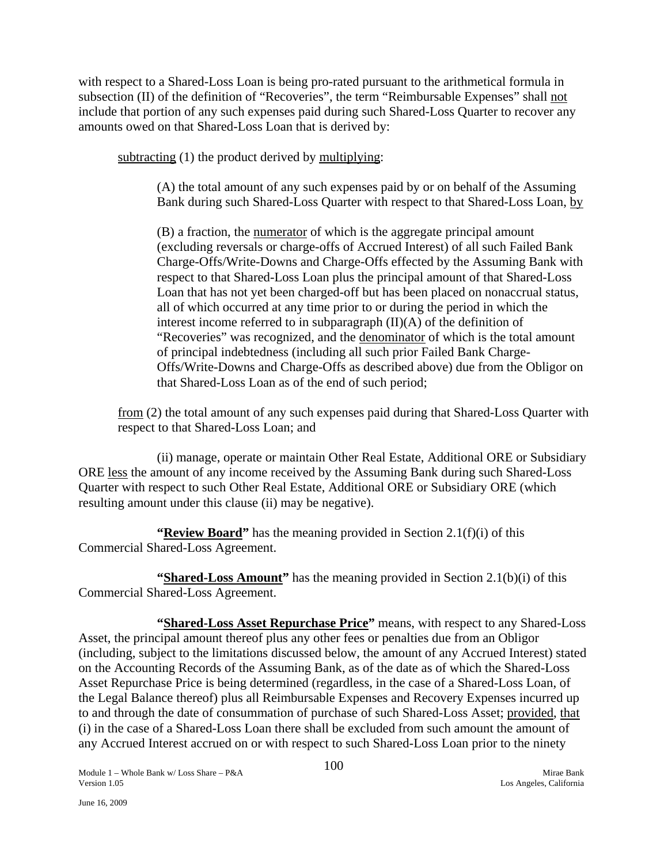with respect to a Shared-Loss Loan is being pro-rated pursuant to the arithmetical formula in subsection (II) of the definition of "Recoveries", the term "Reimbursable Expenses" shall not include that portion of any such expenses paid during such Shared-Loss Quarter to recover any amounts owed on that Shared-Loss Loan that is derived by:

subtracting (1) the product derived by multiplying:

(A) the total amount of any such expenses paid by or on behalf of the Assuming Bank during such Shared-Loss Quarter with respect to that Shared-Loss Loan, by

(B) a fraction, the numerator of which is the aggregate principal amount (excluding reversals or charge-offs of Accrued Interest) of all such Failed Bank Charge-Offs/Write-Downs and Charge-Offs effected by the Assuming Bank with respect to that Shared-Loss Loan plus the principal amount of that Shared-Loss Loan that has not yet been charged-off but has been placed on nonaccrual status, all of which occurred at any time prior to or during the period in which the interest income referred to in subparagraph  $(II)(A)$  of the definition of "Recoveries" was recognized, and the denominator of which is the total amount of principal indebtedness (including all such prior Failed Bank Charge-Offs/Write-Downs and Charge-Offs as described above) due from the Obligor on that Shared-Loss Loan as of the end of such period;

from (2) the total amount of any such expenses paid during that Shared-Loss Quarter with respect to that Shared-Loss Loan; and

(ii) manage, operate or maintain Other Real Estate, Additional ORE or Subsidiary ORE less the amount of any income received by the Assuming Bank during such Shared-Loss Quarter with respect to such Other Real Estate, Additional ORE or Subsidiary ORE (which resulting amount under this clause (ii) may be negative).

**"Review Board"** has the meaning provided in Section 2.1(f)(i) of this Commercial Shared-Loss Agreement.

**"Shared-Loss Amount"** has the meaning provided in Section 2.1(b)(i) of this Commercial Shared-Loss Agreement.

**"Shared-Loss Asset Repurchase Price"** means, with respect to any Shared-Loss Asset, the principal amount thereof plus any other fees or penalties due from an Obligor (including, subject to the limitations discussed below, the amount of any Accrued Interest) stated on the Accounting Records of the Assuming Bank, as of the date as of which the Shared-Loss Asset Repurchase Price is being determined (regardless, in the case of a Shared-Loss Loan, of the Legal Balance thereof) plus all Reimbursable Expenses and Recovery Expenses incurred up to and through the date of consummation of purchase of such Shared-Loss Asset; provided, that (i) in the case of a Shared-Loss Loan there shall be excluded from such amount the amount of any Accrued Interest accrued on or with respect to such Shared-Loss Loan prior to the ninety

 $100$  Module 1 – Whole Bank w/Loss Share – P&A  $100$ Version 1.05 Los Angeles, California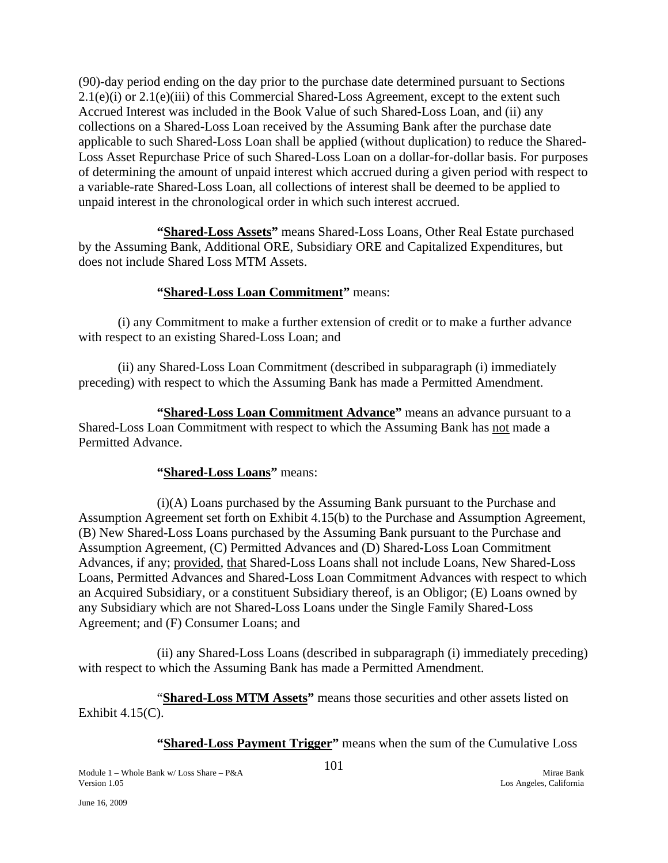(90)-day period ending on the day prior to the purchase date determined pursuant to Sections 2.1(e)(i) or 2.1(e)(iii) of this Commercial Shared-Loss Agreement, except to the extent such Accrued Interest was included in the Book Value of such Shared-Loss Loan, and (ii) any collections on a Shared-Loss Loan received by the Assuming Bank after the purchase date applicable to such Shared-Loss Loan shall be applied (without duplication) to reduce the Shared-Loss Asset Repurchase Price of such Shared-Loss Loan on a dollar-for-dollar basis. For purposes of determining the amount of unpaid interest which accrued during a given period with respect to a variable-rate Shared-Loss Loan, all collections of interest shall be deemed to be applied to unpaid interest in the chronological order in which such interest accrued.

**"Shared-Loss Assets"** means Shared-Loss Loans, Other Real Estate purchased by the Assuming Bank, Additional ORE, Subsidiary ORE and Capitalized Expenditures, but does not include Shared Loss MTM Assets.

## **"Shared-Loss Loan Commitment"** means:

(i) any Commitment to make a further extension of credit or to make a further advance with respect to an existing Shared-Loss Loan; and

(ii) any Shared-Loss Loan Commitment (described in subparagraph (i) immediately preceding) with respect to which the Assuming Bank has made a Permitted Amendment.

**"Shared-Loss Loan Commitment Advance"** means an advance pursuant to a Shared-Loss Loan Commitment with respect to which the Assuming Bank has not made a Permitted Advance.

## **"Shared-Loss Loans"** means:

(i)(A) Loans purchased by the Assuming Bank pursuant to the Purchase and Assumption Agreement set forth on Exhibit 4.15(b) to the Purchase and Assumption Agreement, (B) New Shared-Loss Loans purchased by the Assuming Bank pursuant to the Purchase and Assumption Agreement, (C) Permitted Advances and (D) Shared-Loss Loan Commitment Advances, if any; provided, that Shared-Loss Loans shall not include Loans, New Shared-Loss Loans, Permitted Advances and Shared-Loss Loan Commitment Advances with respect to which an Acquired Subsidiary, or a constituent Subsidiary thereof, is an Obligor; (E) Loans owned by any Subsidiary which are not Shared-Loss Loans under the Single Family Shared-Loss Agreement; and (F) Consumer Loans; and

(ii) any Shared-Loss Loans (described in subparagraph (i) immediately preceding) with respect to which the Assuming Bank has made a Permitted Amendment.

"**Shared-Loss MTM Assets"** means those securities and other assets listed on Exhibit  $4.15(C)$ .

**"Shared-Loss Payment Trigger"** means when the sum of the Cumulative Loss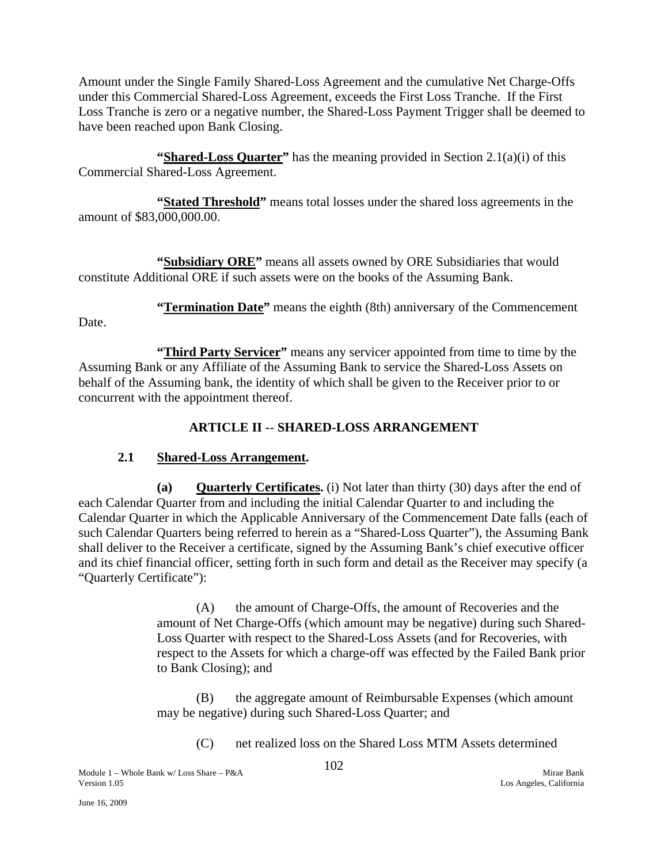Amount under the Single Family Shared-Loss Agreement and the cumulative Net Charge-Offs under this Commercial Shared-Loss Agreement, exceeds the First Loss Tranche. If the First Loss Tranche is zero or a negative number, the Shared-Loss Payment Trigger shall be deemed to have been reached upon Bank Closing.

**"Shared-Loss Quarter"** has the meaning provided in Section 2.1(a)(i) of this Commercial Shared-Loss Agreement.

**"Stated Threshold"** means total losses under the shared loss agreements in the amount of \$83,000,000.00.

**"Subsidiary ORE"** means all assets owned by ORE Subsidiaries that would constitute Additional ORE if such assets were on the books of the Assuming Bank.

**"Termination Date"** means the eighth (8th) anniversary of the Commencement

Date.

**"Third Party Servicer"** means any servicer appointed from time to time by the Assuming Bank or any Affiliate of the Assuming Bank to service the Shared-Loss Assets on behalf of the Assuming bank, the identity of which shall be given to the Receiver prior to or concurrent with the appointment thereof.

# **ARTICLE II** -- **SHARED-LOSS ARRANGEMENT**

# **2.1 Shared-Loss Arrangement.**

**(a) Quarterly Certificates.** (i) Not later than thirty (30) days after the end of each Calendar Quarter from and including the initial Calendar Quarter to and including the Calendar Quarter in which the Applicable Anniversary of the Commencement Date falls (each of such Calendar Quarters being referred to herein as a "Shared-Loss Quarter"), the Assuming Bank shall deliver to the Receiver a certificate, signed by the Assuming Bank's chief executive officer and its chief financial officer, setting forth in such form and detail as the Receiver may specify (a "Quarterly Certificate"):

> (A) the amount of Charge-Offs, the amount of Recoveries and the amount of Net Charge-Offs (which amount may be negative) during such Shared-Loss Quarter with respect to the Shared-Loss Assets (and for Recoveries, with respect to the Assets for which a charge-off was effected by the Failed Bank prior to Bank Closing); and

(B) the aggregate amount of Reimbursable Expenses (which amount may be negative) during such Shared-Loss Quarter; and

(C) net realized loss on the Shared Loss MTM Assets determined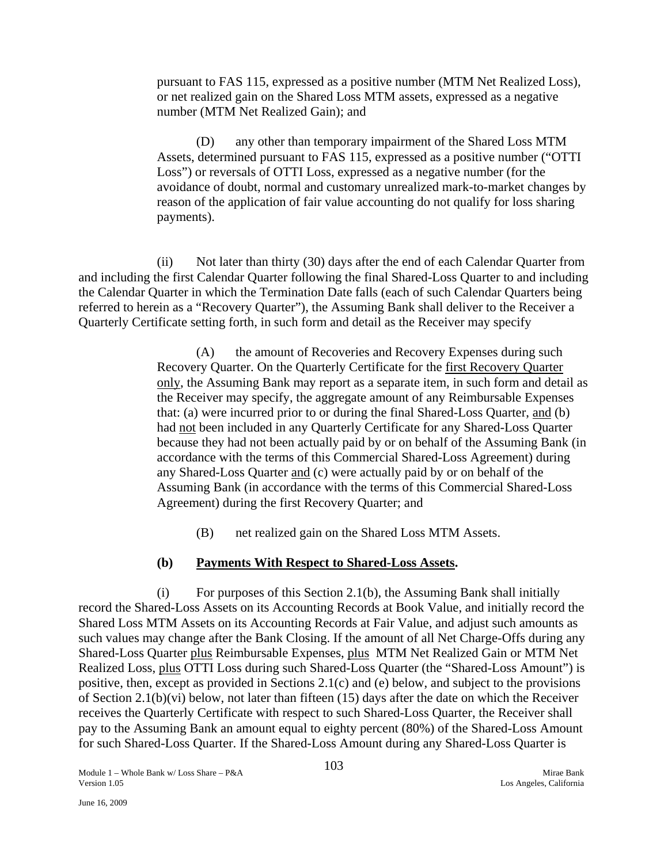pursuant to FAS 115, expressed as a positive number (MTM Net Realized Loss), or net realized gain on the Shared Loss MTM assets, expressed as a negative number (MTM Net Realized Gain); and

(D) any other than temporary impairment of the Shared Loss MTM Assets, determined pursuant to FAS 115, expressed as a positive number ("OTTI Loss") or reversals of OTTI Loss, expressed as a negative number (for the avoidance of doubt, normal and customary unrealized mark-to-market changes by reason of the application of fair value accounting do not qualify for loss sharing payments).

(ii) Not later than thirty (30) days after the end of each Calendar Quarter from and including the first Calendar Quarter following the final Shared-Loss Quarter to and including the Calendar Quarter in which the Termination Date falls (each of such Calendar Quarters being referred to herein as a "Recovery Quarter"), the Assuming Bank shall deliver to the Receiver a Quarterly Certificate setting forth, in such form and detail as the Receiver may specify

> (A) the amount of Recoveries and Recovery Expenses during such Recovery Quarter. On the Quarterly Certificate for the first Recovery Quarter only, the Assuming Bank may report as a separate item, in such form and detail as the Receiver may specify, the aggregate amount of any Reimbursable Expenses that: (a) were incurred prior to or during the final Shared-Loss Quarter, and (b) had not been included in any Quarterly Certificate for any Shared-Loss Quarter because they had not been actually paid by or on behalf of the Assuming Bank (in accordance with the terms of this Commercial Shared-Loss Agreement) during any Shared-Loss Quarter and (c) were actually paid by or on behalf of the Assuming Bank (in accordance with the terms of this Commercial Shared-Loss Agreement) during the first Recovery Quarter; and

(B) net realized gain on the Shared Loss MTM Assets.

## **(b) Payments With Respect to Shared-Loss Assets.**

(i) For purposes of this Section 2.1(b), the Assuming Bank shall initially record the Shared-Loss Assets on its Accounting Records at Book Value, and initially record the Shared Loss MTM Assets on its Accounting Records at Fair Value, and adjust such amounts as such values may change after the Bank Closing. If the amount of all Net Charge-Offs during any Shared-Loss Quarter plus Reimbursable Expenses, plus MTM Net Realized Gain or MTM Net Realized Loss, plus OTTI Loss during such Shared-Loss Quarter (the "Shared-Loss Amount") is positive, then, except as provided in Sections 2.1(c) and (e) below, and subject to the provisions of Section 2.1(b)(vi) below, not later than fifteen (15) days after the date on which the Receiver receives the Quarterly Certificate with respect to such Shared-Loss Quarter, the Receiver shall pay to the Assuming Bank an amount equal to eighty percent (80%) of the Shared-Loss Amount for such Shared-Loss Quarter. If the Shared-Loss Amount during any Shared-Loss Quarter is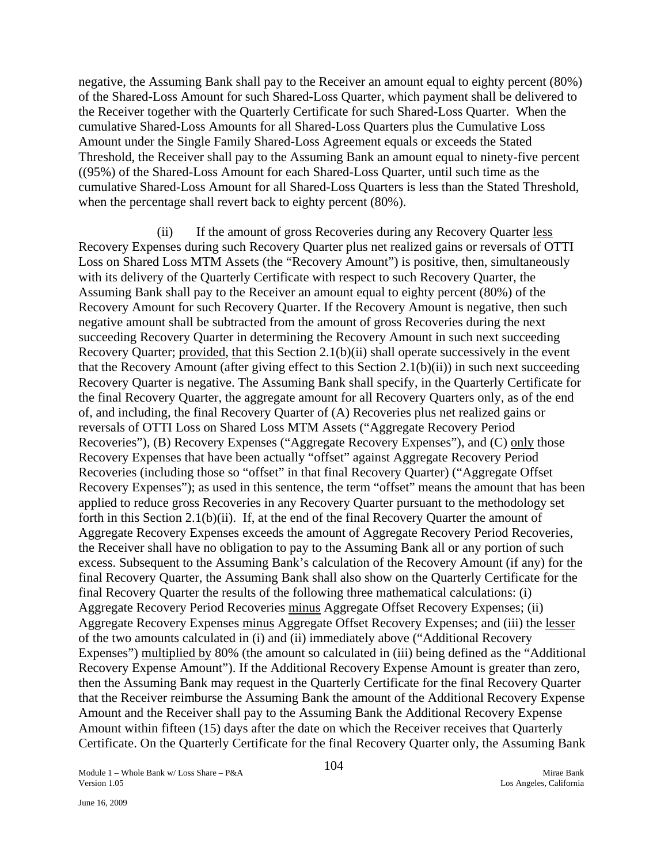negative, the Assuming Bank shall pay to the Receiver an amount equal to eighty percent (80%) of the Shared-Loss Amount for such Shared-Loss Quarter, which payment shall be delivered to the Receiver together with the Quarterly Certificate for such Shared-Loss Quarter. When the cumulative Shared-Loss Amounts for all Shared-Loss Quarters plus the Cumulative Loss Amount under the Single Family Shared-Loss Agreement equals or exceeds the Stated Threshold, the Receiver shall pay to the Assuming Bank an amount equal to ninety-five percent ((95%) of the Shared-Loss Amount for each Shared-Loss Quarter, until such time as the cumulative Shared-Loss Amount for all Shared-Loss Quarters is less than the Stated Threshold, when the percentage shall revert back to eighty percent  $(80\%)$ .

(ii) If the amount of gross Recoveries during any Recovery Quarter less Recovery Expenses during such Recovery Quarter plus net realized gains or reversals of OTTI Loss on Shared Loss MTM Assets (the "Recovery Amount") is positive, then, simultaneously with its delivery of the Quarterly Certificate with respect to such Recovery Quarter, the Assuming Bank shall pay to the Receiver an amount equal to eighty percent (80%) of the Recovery Amount for such Recovery Quarter. If the Recovery Amount is negative, then such negative amount shall be subtracted from the amount of gross Recoveries during the next succeeding Recovery Quarter in determining the Recovery Amount in such next succeeding Recovery Quarter; provided, that this Section 2.1(b)(ii) shall operate successively in the event that the Recovery Amount (after giving effect to this Section 2.1(b)(ii)) in such next succeeding Recovery Quarter is negative. The Assuming Bank shall specify, in the Quarterly Certificate for the final Recovery Quarter, the aggregate amount for all Recovery Quarters only, as of the end of, and including, the final Recovery Quarter of (A) Recoveries plus net realized gains or reversals of OTTI Loss on Shared Loss MTM Assets ("Aggregate Recovery Period Recoveries"), (B) Recovery Expenses ("Aggregate Recovery Expenses"), and (C) only those Recovery Expenses that have been actually "offset" against Aggregate Recovery Period Recoveries (including those so "offset" in that final Recovery Quarter) ("Aggregate Offset Recovery Expenses"); as used in this sentence, the term "offset" means the amount that has been applied to reduce gross Recoveries in any Recovery Quarter pursuant to the methodology set forth in this Section 2.1(b)(ii). If, at the end of the final Recovery Quarter the amount of Aggregate Recovery Expenses exceeds the amount of Aggregate Recovery Period Recoveries, the Receiver shall have no obligation to pay to the Assuming Bank all or any portion of such excess. Subsequent to the Assuming Bank's calculation of the Recovery Amount (if any) for the final Recovery Quarter, the Assuming Bank shall also show on the Quarterly Certificate for the final Recovery Quarter the results of the following three mathematical calculations: (i) Aggregate Recovery Period Recoveries minus Aggregate Offset Recovery Expenses; (ii) Aggregate Recovery Expenses minus Aggregate Offset Recovery Expenses; and (iii) the lesser of the two amounts calculated in (i) and (ii) immediately above ("Additional Recovery Expenses") multiplied by 80% (the amount so calculated in (iii) being defined as the "Additional Recovery Expense Amount"). If the Additional Recovery Expense Amount is greater than zero, then the Assuming Bank may request in the Quarterly Certificate for the final Recovery Quarter that the Receiver reimburse the Assuming Bank the amount of the Additional Recovery Expense Amount and the Receiver shall pay to the Assuming Bank the Additional Recovery Expense Amount within fifteen (15) days after the date on which the Receiver receives that Quarterly Certificate. On the Quarterly Certificate for the final Recovery Quarter only, the Assuming Bank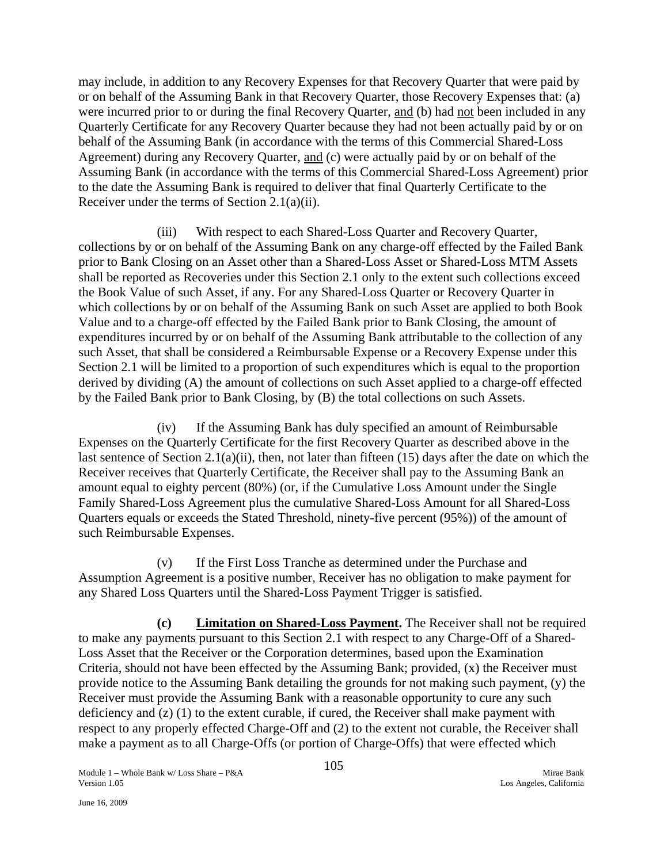may include, in addition to any Recovery Expenses for that Recovery Quarter that were paid by or on behalf of the Assuming Bank in that Recovery Quarter, those Recovery Expenses that: (a) were incurred prior to or during the final Recovery Quarter, and (b) had not been included in any Quarterly Certificate for any Recovery Quarter because they had not been actually paid by or on behalf of the Assuming Bank (in accordance with the terms of this Commercial Shared-Loss Agreement) during any Recovery Quarter, and (c) were actually paid by or on behalf of the Assuming Bank (in accordance with the terms of this Commercial Shared-Loss Agreement) prior to the date the Assuming Bank is required to deliver that final Quarterly Certificate to the Receiver under the terms of Section 2.1(a)(ii).

(iii) With respect to each Shared-Loss Quarter and Recovery Quarter, collections by or on behalf of the Assuming Bank on any charge-off effected by the Failed Bank prior to Bank Closing on an Asset other than a Shared-Loss Asset or Shared-Loss MTM Assets shall be reported as Recoveries under this Section 2.1 only to the extent such collections exceed the Book Value of such Asset, if any. For any Shared-Loss Quarter or Recovery Quarter in which collections by or on behalf of the Assuming Bank on such Asset are applied to both Book Value and to a charge-off effected by the Failed Bank prior to Bank Closing, the amount of expenditures incurred by or on behalf of the Assuming Bank attributable to the collection of any such Asset, that shall be considered a Reimbursable Expense or a Recovery Expense under this Section 2.1 will be limited to a proportion of such expenditures which is equal to the proportion derived by dividing (A) the amount of collections on such Asset applied to a charge-off effected by the Failed Bank prior to Bank Closing, by (B) the total collections on such Assets.

(iv) If the Assuming Bank has duly specified an amount of Reimbursable Expenses on the Quarterly Certificate for the first Recovery Quarter as described above in the last sentence of Section 2.1(a)(ii), then, not later than fifteen (15) days after the date on which the Receiver receives that Quarterly Certificate, the Receiver shall pay to the Assuming Bank an amount equal to eighty percent (80%) (or, if the Cumulative Loss Amount under the Single Family Shared-Loss Agreement plus the cumulative Shared-Loss Amount for all Shared-Loss Quarters equals or exceeds the Stated Threshold, ninety-five percent (95%)) of the amount of such Reimbursable Expenses.

(v) If the First Loss Tranche as determined under the Purchase and Assumption Agreement is a positive number, Receiver has no obligation to make payment for any Shared Loss Quarters until the Shared-Loss Payment Trigger is satisfied.

**(c) Limitation on Shared-Loss Payment.** The Receiver shall not be required to make any payments pursuant to this Section 2.1 with respect to any Charge-Off of a Shared-Loss Asset that the Receiver or the Corporation determines, based upon the Examination Criteria, should not have been effected by the Assuming Bank; provided, (x) the Receiver must provide notice to the Assuming Bank detailing the grounds for not making such payment, (y) the Receiver must provide the Assuming Bank with a reasonable opportunity to cure any such deficiency and (z) (1) to the extent curable, if cured, the Receiver shall make payment with respect to any properly effected Charge-Off and (2) to the extent not curable, the Receiver shall make a payment as to all Charge-Offs (or portion of Charge-Offs) that were effected which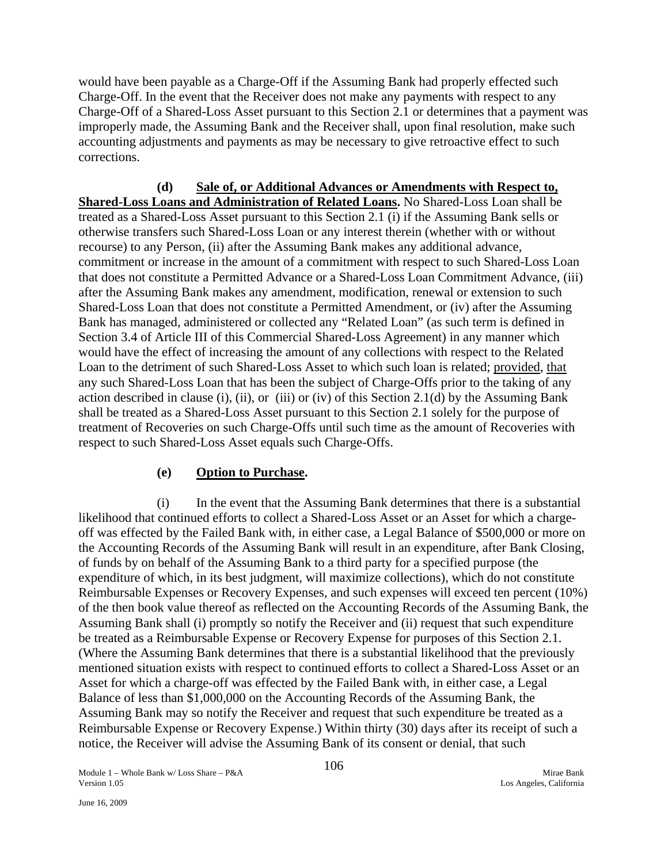would have been payable as a Charge-Off if the Assuming Bank had properly effected such Charge-Off. In the event that the Receiver does not make any payments with respect to any Charge-Off of a Shared-Loss Asset pursuant to this Section 2.1 or determines that a payment was improperly made, the Assuming Bank and the Receiver shall, upon final resolution, make such accounting adjustments and payments as may be necessary to give retroactive effect to such corrections.

Loan to the detriment of such Shared-Loss Asset to which such loan is related; provided, that **(d) Sale of, or Additional Advances or Amendments with Respect to, Shared-Loss Loans and Administration of Related Loans.** No Shared-Loss Loan shall be treated as a Shared-Loss Asset pursuant to this Section 2.1 (i) if the Assuming Bank sells or otherwise transfers such Shared-Loss Loan or any interest therein (whether with or without recourse) to any Person, (ii) after the Assuming Bank makes any additional advance, commitment or increase in the amount of a commitment with respect to such Shared-Loss Loan that does not constitute a Permitted Advance or a Shared-Loss Loan Commitment Advance, (iii) after the Assuming Bank makes any amendment, modification, renewal or extension to such Shared-Loss Loan that does not constitute a Permitted Amendment, or (iv) after the Assuming Bank has managed, administered or collected any "Related Loan" (as such term is defined in Section 3.4 of Article III of this Commercial Shared-Loss Agreement) in any manner which would have the effect of increasing the amount of any collections with respect to the Related any such Shared-Loss Loan that has been the subject of Charge-Offs prior to the taking of any action described in clause (i), (ii), or (iii) or (iv) of this Section 2.1(d) by the Assuming Bank shall be treated as a Shared-Loss Asset pursuant to this Section 2.1 solely for the purpose of treatment of Recoveries on such Charge-Offs until such time as the amount of Recoveries with respect to such Shared-Loss Asset equals such Charge-Offs.

#### **(e) Option to Purchase.**

(i) In the event that the Assuming Bank determines that there is a substantial likelihood that continued efforts to collect a Shared-Loss Asset or an Asset for which a chargeoff was effected by the Failed Bank with, in either case, a Legal Balance of \$500,000 or more on the Accounting Records of the Assuming Bank will result in an expenditure, after Bank Closing, of funds by on behalf of the Assuming Bank to a third party for a specified purpose (the expenditure of which, in its best judgment, will maximize collections), which do not constitute Reimbursable Expenses or Recovery Expenses, and such expenses will exceed ten percent (10%) of the then book value thereof as reflected on the Accounting Records of the Assuming Bank, the Assuming Bank shall (i) promptly so notify the Receiver and (ii) request that such expenditure be treated as a Reimbursable Expense or Recovery Expense for purposes of this Section 2.1. (Where the Assuming Bank determines that there is a substantial likelihood that the previously mentioned situation exists with respect to continued efforts to collect a Shared-Loss Asset or an Asset for which a charge-off was effected by the Failed Bank with, in either case, a Legal Balance of less than \$1,000,000 on the Accounting Records of the Assuming Bank, the Assuming Bank may so notify the Receiver and request that such expenditure be treated as a Reimbursable Expense or Recovery Expense.) Within thirty (30) days after its receipt of such a notice, the Receiver will advise the Assuming Bank of its consent or denial, that such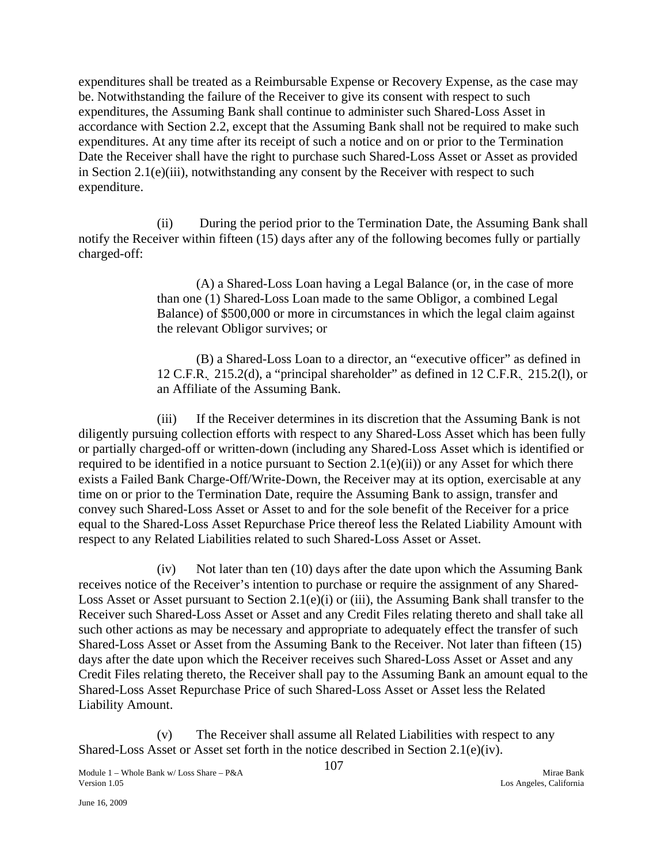expenditures shall be treated as a Reimbursable Expense or Recovery Expense, as the case may be. Notwithstanding the failure of the Receiver to give its consent with respect to such expenditures, the Assuming Bank shall continue to administer such Shared-Loss Asset in accordance with Section 2.2, except that the Assuming Bank shall not be required to make such expenditures. At any time after its receipt of such a notice and on or prior to the Termination Date the Receiver shall have the right to purchase such Shared-Loss Asset or Asset as provided in Section 2.1(e)(iii), notwithstanding any consent by the Receiver with respect to such expenditure.

(ii) During the period prior to the Termination Date, the Assuming Bank shall notify the Receiver within fifteen (15) days after any of the following becomes fully or partially charged-off:

> (A) a Shared-Loss Loan having a Legal Balance (or, in the case of more than one (1) Shared-Loss Loan made to the same Obligor, a combined Legal Balance) of \$500,000 or more in circumstances in which the legal claim against the relevant Obligor survives; or

(B) a Shared-Loss Loan to a director, an "executive officer" as defined in 12 C.F.R. 215.2(d), a "principal shareholder" as defined in 12 C.F.R. 215.2(l), or an Affiliate of the Assuming Bank.

(iii) If the Receiver determines in its discretion that the Assuming Bank is not diligently pursuing collection efforts with respect to any Shared-Loss Asset which has been fully or partially charged-off or written-down (including any Shared-Loss Asset which is identified or required to be identified in a notice pursuant to Section 2.1(e)(ii)) or any Asset for which there exists a Failed Bank Charge-Off/Write-Down, the Receiver may at its option, exercisable at any time on or prior to the Termination Date, require the Assuming Bank to assign, transfer and convey such Shared-Loss Asset or Asset to and for the sole benefit of the Receiver for a price equal to the Shared-Loss Asset Repurchase Price thereof less the Related Liability Amount with respect to any Related Liabilities related to such Shared-Loss Asset or Asset.

(iv) Not later than ten (10) days after the date upon which the Assuming Bank receives notice of the Receiver's intention to purchase or require the assignment of any Shared-Loss Asset or Asset pursuant to Section 2.1(e)(i) or (iii), the Assuming Bank shall transfer to the Receiver such Shared-Loss Asset or Asset and any Credit Files relating thereto and shall take all such other actions as may be necessary and appropriate to adequately effect the transfer of such Shared-Loss Asset or Asset from the Assuming Bank to the Receiver. Not later than fifteen (15) days after the date upon which the Receiver receives such Shared-Loss Asset or Asset and any Credit Files relating thereto, the Receiver shall pay to the Assuming Bank an amount equal to the Shared-Loss Asset Repurchase Price of such Shared-Loss Asset or Asset less the Related Liability Amount.

(v) The Receiver shall assume all Related Liabilities with respect to any Shared-Loss Asset or Asset set forth in the notice described in Section 2.1(e)(iv).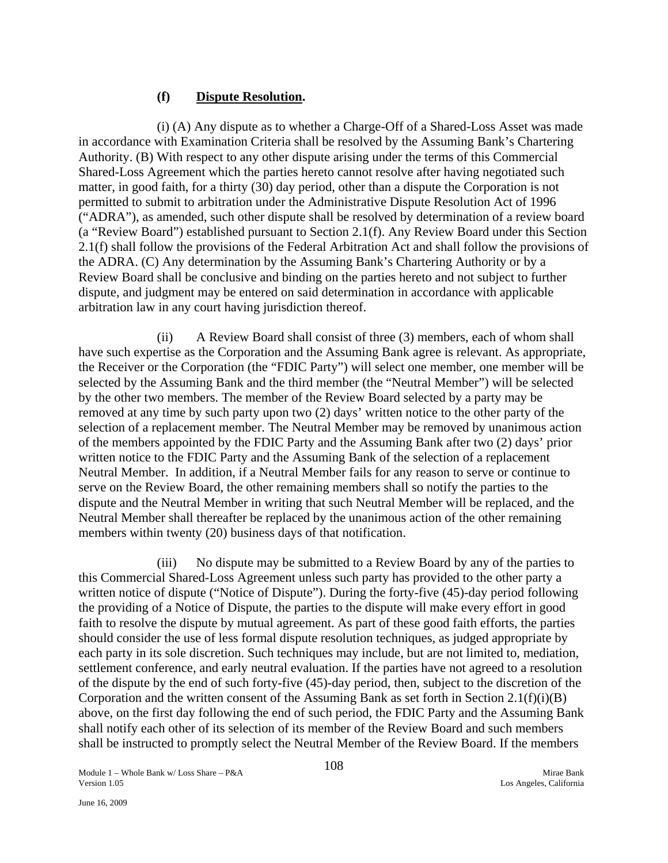#### **(f) Dispute Resolution.**

(i) (A) Any dispute as to whether a Charge-Off of a Shared-Loss Asset was made in accordance with Examination Criteria shall be resolved by the Assuming Bank's Chartering Authority. (B) With respect to any other dispute arising under the terms of this Commercial Shared-Loss Agreement which the parties hereto cannot resolve after having negotiated such matter, in good faith, for a thirty (30) day period, other than a dispute the Corporation is not permitted to submit to arbitration under the Administrative Dispute Resolution Act of 1996 ("ADRA"), as amended, such other dispute shall be resolved by determination of a review board (a "Review Board") established pursuant to Section 2.1(f). Any Review Board under this Section 2.1(f) shall follow the provisions of the Federal Arbitration Act and shall follow the provisions of the ADRA. (C) Any determination by the Assuming Bank's Chartering Authority or by a Review Board shall be conclusive and binding on the parties hereto and not subject to further dispute, and judgment may be entered on said determination in accordance with applicable arbitration law in any court having jurisdiction thereof.

(ii) A Review Board shall consist of three (3) members, each of whom shall have such expertise as the Corporation and the Assuming Bank agree is relevant. As appropriate, the Receiver or the Corporation (the "FDIC Party") will select one member, one member will be selected by the Assuming Bank and the third member (the "Neutral Member") will be selected by the other two members. The member of the Review Board selected by a party may be removed at any time by such party upon two (2) days' written notice to the other party of the selection of a replacement member. The Neutral Member may be removed by unanimous action of the members appointed by the FDIC Party and the Assuming Bank after two (2) days' prior written notice to the FDIC Party and the Assuming Bank of the selection of a replacement Neutral Member. In addition, if a Neutral Member fails for any reason to serve or continue to serve on the Review Board, the other remaining members shall so notify the parties to the dispute and the Neutral Member in writing that such Neutral Member will be replaced, and the Neutral Member shall thereafter be replaced by the unanimous action of the other remaining members within twenty (20) business days of that notification.

(iii) No dispute may be submitted to a Review Board by any of the parties to this Commercial Shared-Loss Agreement unless such party has provided to the other party a written notice of dispute ("Notice of Dispute"). During the forty-five (45)-day period following the providing of a Notice of Dispute, the parties to the dispute will make every effort in good faith to resolve the dispute by mutual agreement. As part of these good faith efforts, the parties should consider the use of less formal dispute resolution techniques, as judged appropriate by each party in its sole discretion. Such techniques may include, but are not limited to, mediation, settlement conference, and early neutral evaluation. If the parties have not agreed to a resolution of the dispute by the end of such forty-five (45)-day period, then, subject to the discretion of the Corporation and the written consent of the Assuming Bank as set forth in Section  $2.1(f)(i)(B)$ above, on the first day following the end of such period, the FDIC Party and the Assuming Bank shall notify each other of its selection of its member of the Review Board and such members shall be instructed to promptly select the Neutral Member of the Review Board. If the members

 $108$  Module 1 – Whole Bank w/Loss Share – P&A  $108$ Version 1.05 Los Angeles, California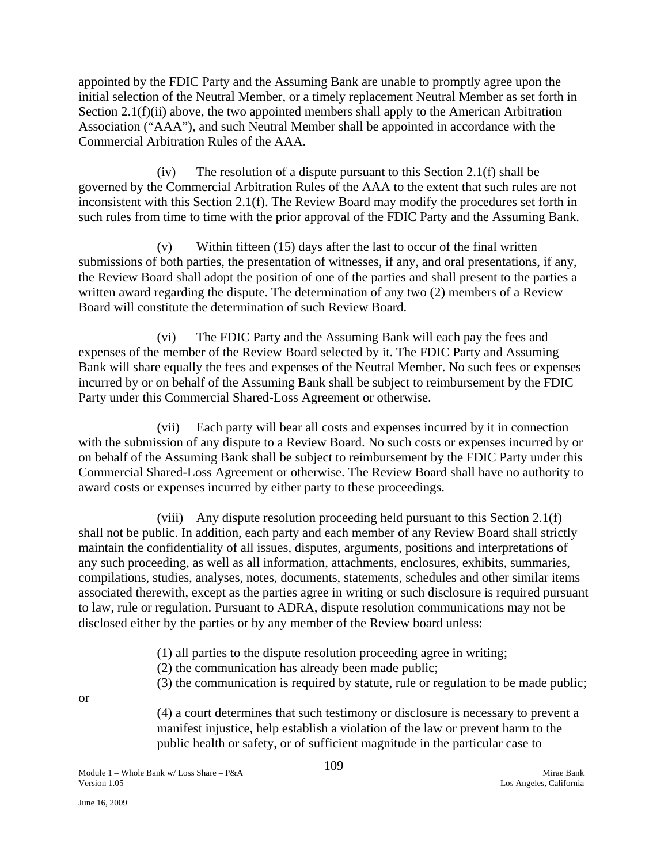appointed by the FDIC Party and the Assuming Bank are unable to promptly agree upon the initial selection of the Neutral Member, or a timely replacement Neutral Member as set forth in Section 2.1(f)(ii) above, the two appointed members shall apply to the American Arbitration Association ("AAA"), and such Neutral Member shall be appointed in accordance with the Commercial Arbitration Rules of the AAA.

(iv) The resolution of a dispute pursuant to this Section 2.1(f) shall be governed by the Commercial Arbitration Rules of the AAA to the extent that such rules are not inconsistent with this Section 2.1(f). The Review Board may modify the procedures set forth in such rules from time to time with the prior approval of the FDIC Party and the Assuming Bank.

(v) Within fifteen (15) days after the last to occur of the final written submissions of both parties, the presentation of witnesses, if any, and oral presentations, if any, the Review Board shall adopt the position of one of the parties and shall present to the parties a written award regarding the dispute. The determination of any two (2) members of a Review Board will constitute the determination of such Review Board.

(vi) The FDIC Party and the Assuming Bank will each pay the fees and expenses of the member of the Review Board selected by it. The FDIC Party and Assuming Bank will share equally the fees and expenses of the Neutral Member. No such fees or expenses incurred by or on behalf of the Assuming Bank shall be subject to reimbursement by the FDIC Party under this Commercial Shared-Loss Agreement or otherwise.

(vii) Each party will bear all costs and expenses incurred by it in connection with the submission of any dispute to a Review Board. No such costs or expenses incurred by or on behalf of the Assuming Bank shall be subject to reimbursement by the FDIC Party under this Commercial Shared-Loss Agreement or otherwise. The Review Board shall have no authority to award costs or expenses incurred by either party to these proceedings.

(viii) Any dispute resolution proceeding held pursuant to this Section 2.1(f) shall not be public. In addition, each party and each member of any Review Board shall strictly maintain the confidentiality of all issues, disputes, arguments, positions and interpretations of any such proceeding, as well as all information, attachments, enclosures, exhibits, summaries, compilations, studies, analyses, notes, documents, statements, schedules and other similar items associated therewith, except as the parties agree in writing or such disclosure is required pursuant to law, rule or regulation. Pursuant to ADRA, dispute resolution communications may not be disclosed either by the parties or by any member of the Review board unless:

(1) all parties to the dispute resolution proceeding agree in writing;

- (2) the communication has already been made public;
- (3) the communication is required by statute, rule or regulation to be made public;

or

(4) a court determines that such testimony or disclosure is necessary to prevent a manifest injustice, help establish a violation of the law or prevent harm to the public health or safety, or of sufficient magnitude in the particular case to

Module 1 – Whole Bank w/Loss Share – P&A 109 Mirae Bank Version 1.05 Los Angeles, California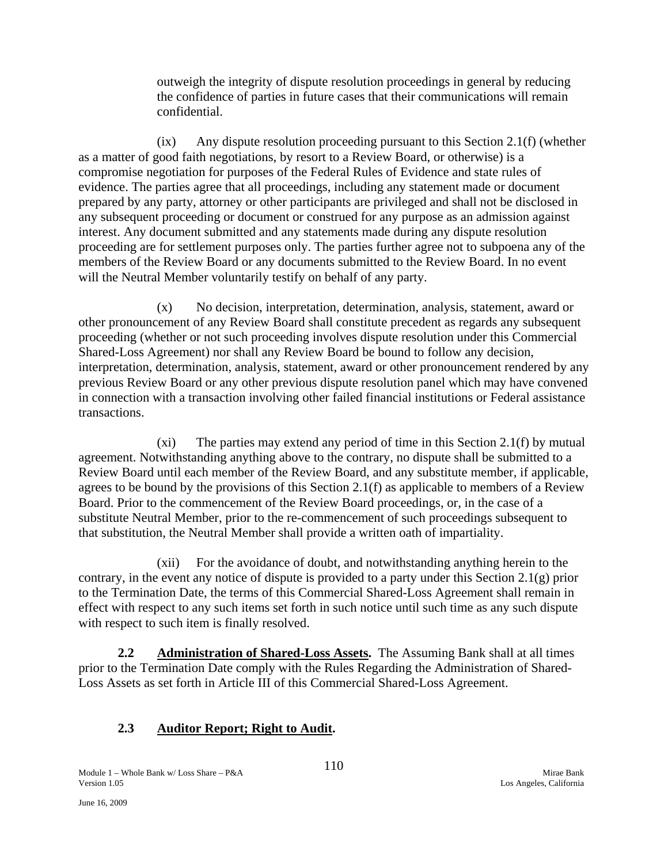outweigh the integrity of dispute resolution proceedings in general by reducing the confidence of parties in future cases that their communications will remain confidential.

(ix) Any dispute resolution proceeding pursuant to this Section 2.1(f) (whether as a matter of good faith negotiations, by resort to a Review Board, or otherwise) is a compromise negotiation for purposes of the Federal Rules of Evidence and state rules of evidence. The parties agree that all proceedings, including any statement made or document prepared by any party, attorney or other participants are privileged and shall not be disclosed in any subsequent proceeding or document or construed for any purpose as an admission against interest. Any document submitted and any statements made during any dispute resolution proceeding are for settlement purposes only. The parties further agree not to subpoena any of the members of the Review Board or any documents submitted to the Review Board. In no event will the Neutral Member voluntarily testify on behalf of any party.

(x) No decision, interpretation, determination, analysis, statement, award or other pronouncement of any Review Board shall constitute precedent as regards any subsequent proceeding (whether or not such proceeding involves dispute resolution under this Commercial Shared-Loss Agreement) nor shall any Review Board be bound to follow any decision, interpretation, determination, analysis, statement, award or other pronouncement rendered by any previous Review Board or any other previous dispute resolution panel which may have convened in connection with a transaction involving other failed financial institutions or Federal assistance transactions.

(xi) The parties may extend any period of time in this Section 2.1(f) by mutual agreement. Notwithstanding anything above to the contrary, no dispute shall be submitted to a Review Board until each member of the Review Board, and any substitute member, if applicable, agrees to be bound by the provisions of this Section 2.1(f) as applicable to members of a Review Board. Prior to the commencement of the Review Board proceedings, or, in the case of a substitute Neutral Member, prior to the re-commencement of such proceedings subsequent to that substitution, the Neutral Member shall provide a written oath of impartiality.

(xii) For the avoidance of doubt, and notwithstanding anything herein to the contrary, in the event any notice of dispute is provided to a party under this Section 2.1(g) prior to the Termination Date, the terms of this Commercial Shared-Loss Agreement shall remain in effect with respect to any such items set forth in such notice until such time as any such dispute with respect to such item is finally resolved.

**2.2 Administration of Shared-Loss Assets.** The Assuming Bank shall at all times prior to the Termination Date comply with the Rules Regarding the Administration of Shared-Loss Assets as set forth in Article III of this Commercial Shared-Loss Agreement.

#### **2.3 Auditor Report; Right to Audit.**

Module 1 – Whole Bank w/Loss Share –  $P$ &A 110 Mirae Bank music et al. Mirae Bank Mirae Bank Version 1.05 Los Angeles, California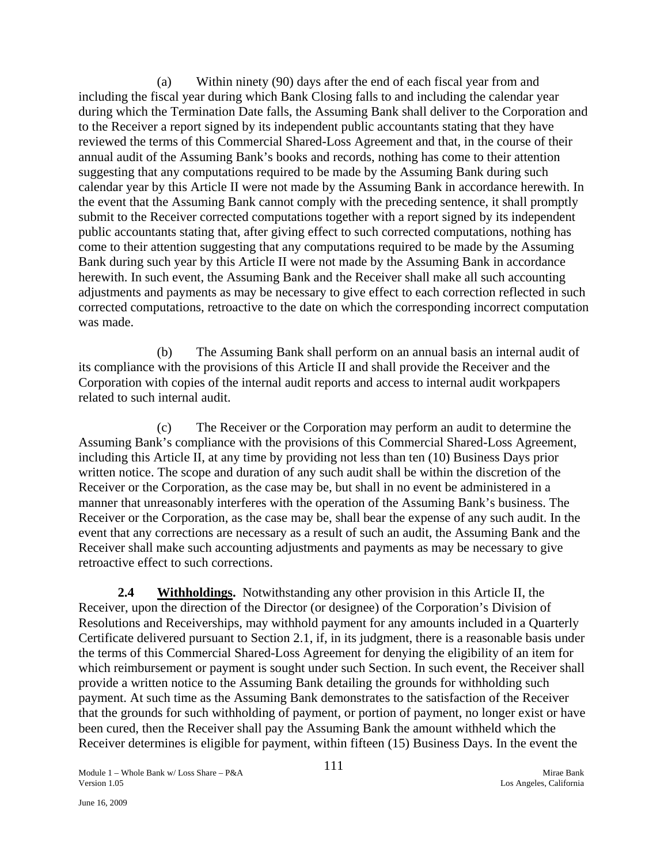(a) Within ninety (90) days after the end of each fiscal year from and including the fiscal year during which Bank Closing falls to and including the calendar year during which the Termination Date falls, the Assuming Bank shall deliver to the Corporation and to the Receiver a report signed by its independent public accountants stating that they have reviewed the terms of this Commercial Shared-Loss Agreement and that, in the course of their annual audit of the Assuming Bank's books and records, nothing has come to their attention suggesting that any computations required to be made by the Assuming Bank during such calendar year by this Article II were not made by the Assuming Bank in accordance herewith. In the event that the Assuming Bank cannot comply with the preceding sentence, it shall promptly submit to the Receiver corrected computations together with a report signed by its independent public accountants stating that, after giving effect to such corrected computations, nothing has come to their attention suggesting that any computations required to be made by the Assuming Bank during such year by this Article II were not made by the Assuming Bank in accordance herewith. In such event, the Assuming Bank and the Receiver shall make all such accounting adjustments and payments as may be necessary to give effect to each correction reflected in such corrected computations, retroactive to the date on which the corresponding incorrect computation was made.

(b) The Assuming Bank shall perform on an annual basis an internal audit of its compliance with the provisions of this Article II and shall provide the Receiver and the Corporation with copies of the internal audit reports and access to internal audit workpapers related to such internal audit.

(c) The Receiver or the Corporation may perform an audit to determine the Assuming Bank's compliance with the provisions of this Commercial Shared-Loss Agreement, including this Article II, at any time by providing not less than ten (10) Business Days prior written notice. The scope and duration of any such audit shall be within the discretion of the Receiver or the Corporation, as the case may be, but shall in no event be administered in a manner that unreasonably interferes with the operation of the Assuming Bank's business. The Receiver or the Corporation, as the case may be, shall bear the expense of any such audit. In the event that any corrections are necessary as a result of such an audit, the Assuming Bank and the Receiver shall make such accounting adjustments and payments as may be necessary to give retroactive effect to such corrections.

**2.4 Withholdings.** Notwithstanding any other provision in this Article II, the Receiver, upon the direction of the Director (or designee) of the Corporation's Division of Resolutions and Receiverships, may withhold payment for any amounts included in a Quarterly Certificate delivered pursuant to Section 2.1, if, in its judgment, there is a reasonable basis under the terms of this Commercial Shared-Loss Agreement for denying the eligibility of an item for which reimbursement or payment is sought under such Section. In such event, the Receiver shall provide a written notice to the Assuming Bank detailing the grounds for withholding such payment. At such time as the Assuming Bank demonstrates to the satisfaction of the Receiver that the grounds for such withholding of payment, or portion of payment, no longer exist or have been cured, then the Receiver shall pay the Assuming Bank the amount withheld which the Receiver determines is eligible for payment, within fifteen (15) Business Days. In the event the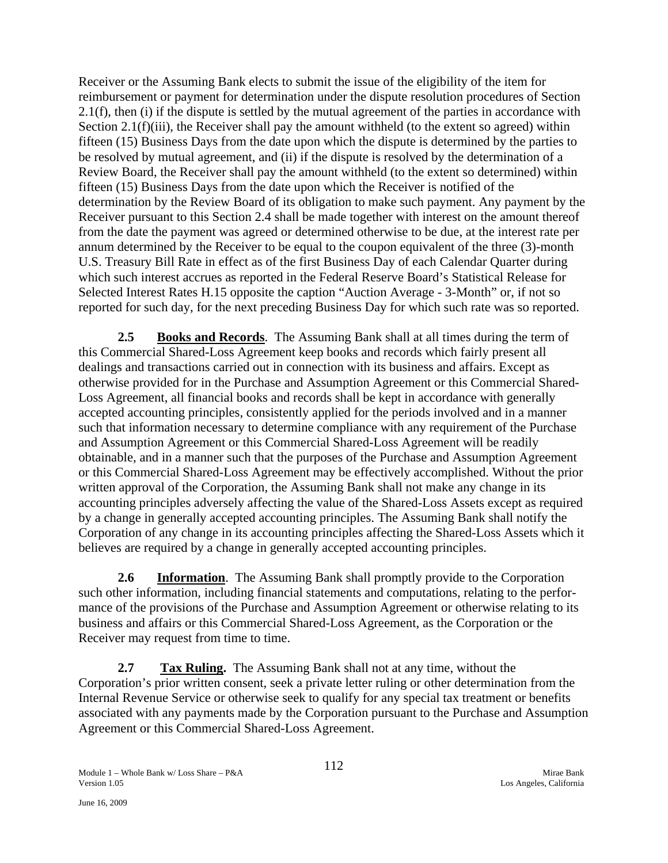Receiver or the Assuming Bank elects to submit the issue of the eligibility of the item for reimbursement or payment for determination under the dispute resolution procedures of Section 2.1(f), then (i) if the dispute is settled by the mutual agreement of the parties in accordance with Section 2.1(f)(iii), the Receiver shall pay the amount withheld (to the extent so agreed) within fifteen (15) Business Days from the date upon which the dispute is determined by the parties to be resolved by mutual agreement, and (ii) if the dispute is resolved by the determination of a Review Board, the Receiver shall pay the amount withheld (to the extent so determined) within fifteen (15) Business Days from the date upon which the Receiver is notified of the determination by the Review Board of its obligation to make such payment. Any payment by the Receiver pursuant to this Section 2.4 shall be made together with interest on the amount thereof from the date the payment was agreed or determined otherwise to be due, at the interest rate per annum determined by the Receiver to be equal to the coupon equivalent of the three (3)-month U.S. Treasury Bill Rate in effect as of the first Business Day of each Calendar Quarter during which such interest accrues as reported in the Federal Reserve Board's Statistical Release for Selected Interest Rates H.15 opposite the caption "Auction Average - 3-Month" or, if not so reported for such day, for the next preceding Business Day for which such rate was so reported.

**2.5 Books and Records**. The Assuming Bank shall at all times during the term of this Commercial Shared-Loss Agreement keep books and records which fairly present all dealings and transactions carried out in connection with its business and affairs. Except as otherwise provided for in the Purchase and Assumption Agreement or this Commercial Shared-Loss Agreement, all financial books and records shall be kept in accordance with generally accepted accounting principles, consistently applied for the periods involved and in a manner such that information necessary to determine compliance with any requirement of the Purchase and Assumption Agreement or this Commercial Shared-Loss Agreement will be readily obtainable, and in a manner such that the purposes of the Purchase and Assumption Agreement or this Commercial Shared-Loss Agreement may be effectively accomplished. Without the prior written approval of the Corporation, the Assuming Bank shall not make any change in its accounting principles adversely affecting the value of the Shared-Loss Assets except as required by a change in generally accepted accounting principles. The Assuming Bank shall notify the Corporation of any change in its accounting principles affecting the Shared-Loss Assets which it believes are required by a change in generally accepted accounting principles.

**2.6 Information**. The Assuming Bank shall promptly provide to the Corporation such other information, including financial statements and computations, relating to the performance of the provisions of the Purchase and Assumption Agreement or otherwise relating to its business and affairs or this Commercial Shared-Loss Agreement, as the Corporation or the Receiver may request from time to time.

**2.7 Tax Ruling.** The Assuming Bank shall not at any time, without the Corporation's prior written consent, seek a private letter ruling or other determination from the Internal Revenue Service or otherwise seek to qualify for any special tax treatment or benefits associated with any payments made by the Corporation pursuant to the Purchase and Assumption Agreement or this Commercial Shared-Loss Agreement.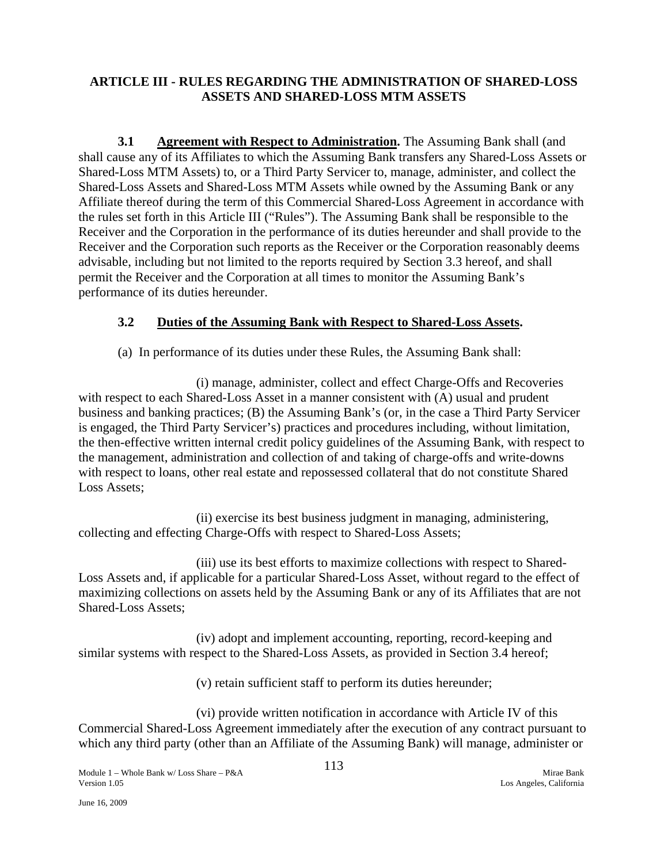# **ARTICLE III - RULES REGARDING THE ADMINISTRATION OF SHARED-LOSS ASSETS AND SHARED-LOSS MTM ASSETS**

**3.1** Agreement with Respect to Administration. The Assuming Bank shall (and shall cause any of its Affiliates to which the Assuming Bank transfers any Shared-Loss Assets or Shared-Loss MTM Assets) to, or a Third Party Servicer to, manage, administer, and collect the Shared-Loss Assets and Shared-Loss MTM Assets while owned by the Assuming Bank or any Affiliate thereof during the term of this Commercial Shared-Loss Agreement in accordance with the rules set forth in this Article III ("Rules"). The Assuming Bank shall be responsible to the Receiver and the Corporation in the performance of its duties hereunder and shall provide to the Receiver and the Corporation such reports as the Receiver or the Corporation reasonably deems advisable, including but not limited to the reports required by Section 3.3 hereof, and shall permit the Receiver and the Corporation at all times to monitor the Assuming Bank's performance of its duties hereunder.

## **3.2 Duties of the Assuming Bank with Respect to Shared-Loss Assets.**

(a) In performance of its duties under these Rules, the Assuming Bank shall:

(i) manage, administer, collect and effect Charge-Offs and Recoveries with respect to each Shared-Loss Asset in a manner consistent with (A) usual and prudent business and banking practices; (B) the Assuming Bank's (or, in the case a Third Party Servicer is engaged, the Third Party Servicer's) practices and procedures including, without limitation, the then-effective written internal credit policy guidelines of the Assuming Bank, with respect to the management, administration and collection of and taking of charge-offs and write-downs with respect to loans, other real estate and repossessed collateral that do not constitute Shared Loss Assets;

(ii) exercise its best business judgment in managing, administering, collecting and effecting Charge-Offs with respect to Shared-Loss Assets;

(iii) use its best efforts to maximize collections with respect to Shared-Loss Assets and, if applicable for a particular Shared-Loss Asset, without regard to the effect of maximizing collections on assets held by the Assuming Bank or any of its Affiliates that are not Shared-Loss Assets;

(iv) adopt and implement accounting, reporting, record-keeping and similar systems with respect to the Shared-Loss Assets, as provided in Section 3.4 hereof;

(v) retain sufficient staff to perform its duties hereunder;

(vi) provide written notification in accordance with Article IV of this Commercial Shared-Loss Agreement immediately after the execution of any contract pursuant to which any third party (other than an Affiliate of the Assuming Bank) will manage, administer or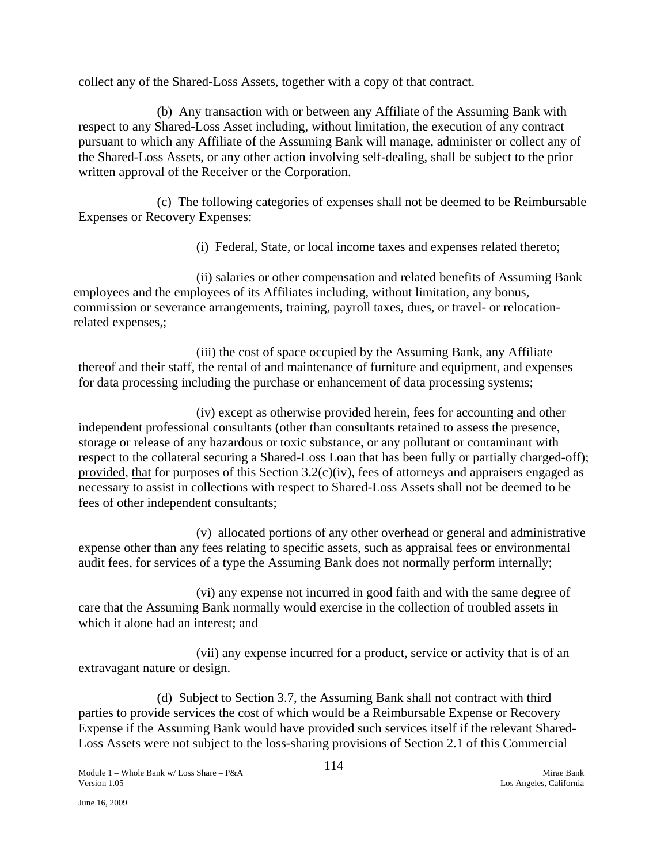collect any of the Shared-Loss Assets, together with a copy of that contract.

(b) Any transaction with or between any Affiliate of the Assuming Bank with respect to any Shared-Loss Asset including, without limitation, the execution of any contract pursuant to which any Affiliate of the Assuming Bank will manage, administer or collect any of the Shared-Loss Assets, or any other action involving self-dealing, shall be subject to the prior written approval of the Receiver or the Corporation.

(c) The following categories of expenses shall not be deemed to be Reimbursable Expenses or Recovery Expenses:

(i) Federal, State, or local income taxes and expenses related thereto;

(ii) salaries or other compensation and related benefits of Assuming Bank employees and the employees of its Affiliates including, without limitation, any bonus, commission or severance arrangements, training, payroll taxes, dues, or travel- or relocationrelated expenses,;

(iii) the cost of space occupied by the Assuming Bank, any Affiliate thereof and their staff, the rental of and maintenance of furniture and equipment, and expenses for data processing including the purchase or enhancement of data processing systems;

(iv) except as otherwise provided herein, fees for accounting and other independent professional consultants (other than consultants retained to assess the presence, storage or release of any hazardous or toxic substance, or any pollutant or contaminant with respect to the collateral securing a Shared-Loss Loan that has been fully or partially charged-off); provided, that for purposes of this Section 3.2(c)(iv), fees of attorneys and appraisers engaged as necessary to assist in collections with respect to Shared-Loss Assets shall not be deemed to be fees of other independent consultants;

(v) allocated portions of any other overhead or general and administrative expense other than any fees relating to specific assets, such as appraisal fees or environmental audit fees, for services of a type the Assuming Bank does not normally perform internally;

(vi) any expense not incurred in good faith and with the same degree of care that the Assuming Bank normally would exercise in the collection of troubled assets in which it alone had an interest; and

(vii) any expense incurred for a product, service or activity that is of an extravagant nature or design.

(d) Subject to Section 3.7, the Assuming Bank shall not contract with third parties to provide services the cost of which would be a Reimbursable Expense or Recovery Expense if the Assuming Bank would have provided such services itself if the relevant Shared-Loss Assets were not subject to the loss-sharing provisions of Section 2.1 of this Commercial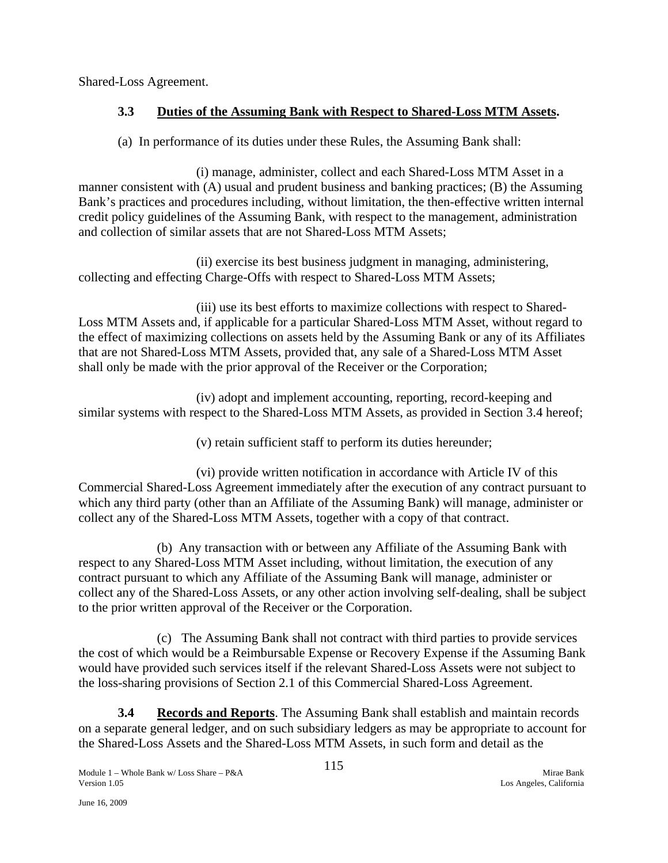Shared-Loss Agreement.

## **3.3 Duties of the Assuming Bank with Respect to Shared-Loss MTM Assets.**

(a) In performance of its duties under these Rules, the Assuming Bank shall:

(i) manage, administer, collect and each Shared-Loss MTM Asset in a manner consistent with (A) usual and prudent business and banking practices; (B) the Assuming Bank's practices and procedures including, without limitation, the then-effective written internal credit policy guidelines of the Assuming Bank, with respect to the management, administration and collection of similar assets that are not Shared-Loss MTM Assets;

(ii) exercise its best business judgment in managing, administering, collecting and effecting Charge-Offs with respect to Shared-Loss MTM Assets;

(iii) use its best efforts to maximize collections with respect to Shared-Loss MTM Assets and, if applicable for a particular Shared-Loss MTM Asset, without regard to the effect of maximizing collections on assets held by the Assuming Bank or any of its Affiliates that are not Shared-Loss MTM Assets, provided that, any sale of a Shared-Loss MTM Asset shall only be made with the prior approval of the Receiver or the Corporation;

(iv) adopt and implement accounting, reporting, record-keeping and similar systems with respect to the Shared-Loss MTM Assets, as provided in Section 3.4 hereof;

(v) retain sufficient staff to perform its duties hereunder;

(vi) provide written notification in accordance with Article IV of this Commercial Shared-Loss Agreement immediately after the execution of any contract pursuant to which any third party (other than an Affiliate of the Assuming Bank) will manage, administer or collect any of the Shared-Loss MTM Assets, together with a copy of that contract.

(b) Any transaction with or between any Affiliate of the Assuming Bank with respect to any Shared-Loss MTM Asset including, without limitation, the execution of any contract pursuant to which any Affiliate of the Assuming Bank will manage, administer or collect any of the Shared-Loss Assets, or any other action involving self-dealing, shall be subject to the prior written approval of the Receiver or the Corporation.

(c) The Assuming Bank shall not contract with third parties to provide services the cost of which would be a Reimbursable Expense or Recovery Expense if the Assuming Bank would have provided such services itself if the relevant Shared-Loss Assets were not subject to the loss-sharing provisions of Section 2.1 of this Commercial Shared-Loss Agreement.

**3.4 Records and Reports**. The Assuming Bank shall establish and maintain records on a separate general ledger, and on such subsidiary ledgers as may be appropriate to account for the Shared-Loss Assets and the Shared-Loss MTM Assets, in such form and detail as the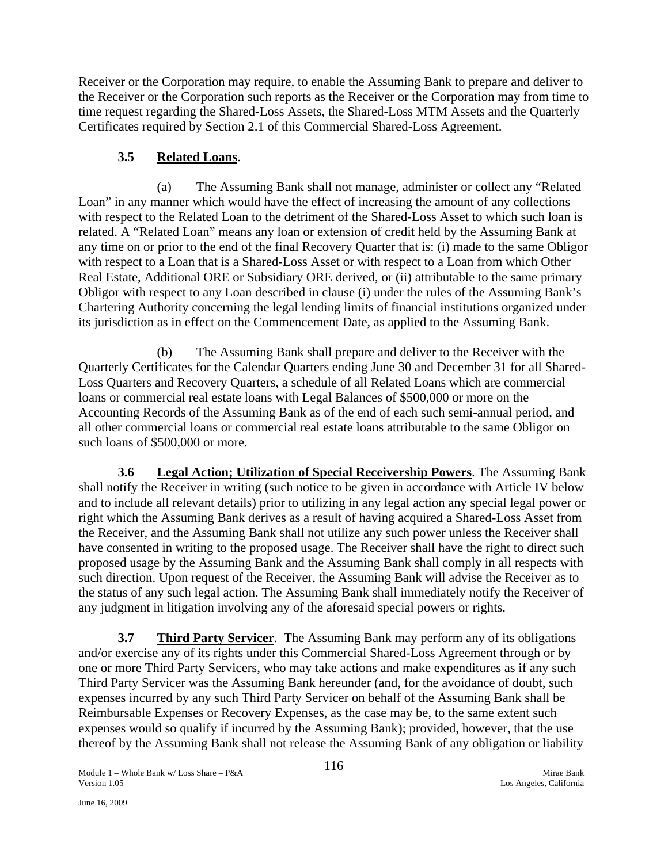Receiver or the Corporation may require, to enable the Assuming Bank to prepare and deliver to the Receiver or the Corporation such reports as the Receiver or the Corporation may from time to time request regarding the Shared-Loss Assets, the Shared-Loss MTM Assets and the Quarterly Certificates required by Section 2.1 of this Commercial Shared-Loss Agreement.

# **3.5 Related Loans**.

(a) The Assuming Bank shall not manage, administer or collect any "Related Loan" in any manner which would have the effect of increasing the amount of any collections with respect to the Related Loan to the detriment of the Shared-Loss Asset to which such loan is related. A "Related Loan" means any loan or extension of credit held by the Assuming Bank at any time on or prior to the end of the final Recovery Quarter that is: (i) made to the same Obligor with respect to a Loan that is a Shared-Loss Asset or with respect to a Loan from which Other Real Estate, Additional ORE or Subsidiary ORE derived, or (ii) attributable to the same primary Obligor with respect to any Loan described in clause (i) under the rules of the Assuming Bank's Chartering Authority concerning the legal lending limits of financial institutions organized under its jurisdiction as in effect on the Commencement Date, as applied to the Assuming Bank.

(b) The Assuming Bank shall prepare and deliver to the Receiver with the Quarterly Certificates for the Calendar Quarters ending June 30 and December 31 for all Shared-Loss Quarters and Recovery Quarters, a schedule of all Related Loans which are commercial loans or commercial real estate loans with Legal Balances of \$500,000 or more on the Accounting Records of the Assuming Bank as of the end of each such semi-annual period, and all other commercial loans or commercial real estate loans attributable to the same Obligor on such loans of \$500,000 or more.

**3.6 Legal Action; Utilization of Special Receivership Powers**. The Assuming Bank shall notify the Receiver in writing (such notice to be given in accordance with Article IV below and to include all relevant details) prior to utilizing in any legal action any special legal power or right which the Assuming Bank derives as a result of having acquired a Shared-Loss Asset from the Receiver, and the Assuming Bank shall not utilize any such power unless the Receiver shall have consented in writing to the proposed usage. The Receiver shall have the right to direct such proposed usage by the Assuming Bank and the Assuming Bank shall comply in all respects with such direction. Upon request of the Receiver, the Assuming Bank will advise the Receiver as to the status of any such legal action. The Assuming Bank shall immediately notify the Receiver of any judgment in litigation involving any of the aforesaid special powers or rights.

**3.7** Third Party Servicer. The Assuming Bank may perform any of its obligations and/or exercise any of its rights under this Commercial Shared-Loss Agreement through or by one or more Third Party Servicers, who may take actions and make expenditures as if any such Third Party Servicer was the Assuming Bank hereunder (and, for the avoidance of doubt, such expenses incurred by any such Third Party Servicer on behalf of the Assuming Bank shall be Reimbursable Expenses or Recovery Expenses, as the case may be, to the same extent such expenses would so qualify if incurred by the Assuming Bank); provided, however, that the use thereof by the Assuming Bank shall not release the Assuming Bank of any obligation or liability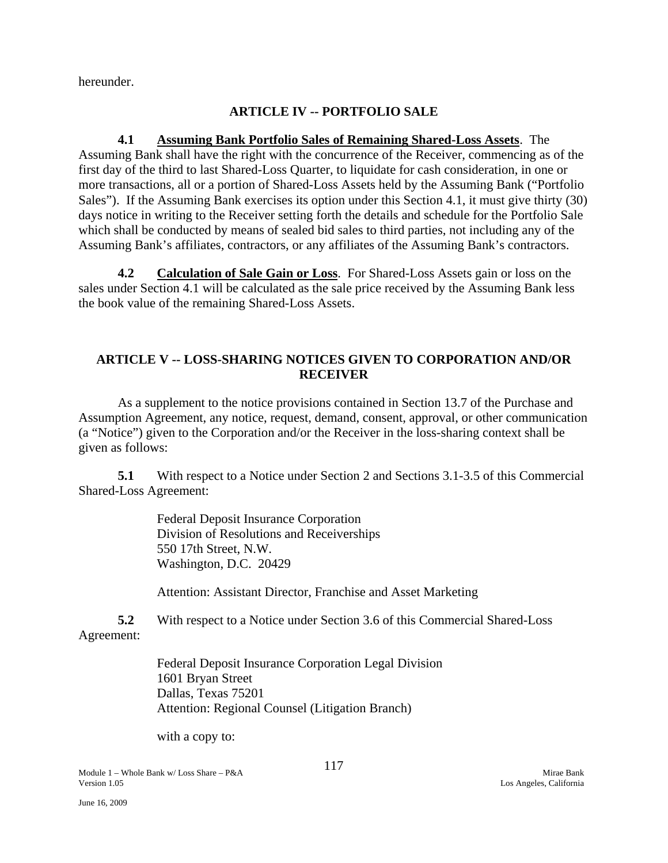hereunder.

# **ARTICLE IV -- PORTFOLIO SALE**

# **4.1 Assuming Bank Portfolio Sales of Remaining Shared-Loss Assets**. The

Assuming Bank shall have the right with the concurrence of the Receiver, commencing as of the first day of the third to last Shared-Loss Quarter, to liquidate for cash consideration, in one or more transactions, all or a portion of Shared-Loss Assets held by the Assuming Bank ("Portfolio Sales"). If the Assuming Bank exercises its option under this Section 4.1, it must give thirty (30) days notice in writing to the Receiver setting forth the details and schedule for the Portfolio Sale which shall be conducted by means of sealed bid sales to third parties, not including any of the Assuming Bank's affiliates, contractors, or any affiliates of the Assuming Bank's contractors.

**4.2 Calculation of Sale Gain or Loss**. For Shared-Loss Assets gain or loss on the sales under Section 4.1 will be calculated as the sale price received by the Assuming Bank less the book value of the remaining Shared-Loss Assets.

## **ARTICLE V -- LOSS-SHARING NOTICES GIVEN TO CORPORATION AND/OR RECEIVER**

As a supplement to the notice provisions contained in Section 13.7 of the Purchase and Assumption Agreement, any notice, request, demand, consent, approval, or other communication (a "Notice") given to the Corporation and/or the Receiver in the loss-sharing context shall be given as follows:

**5.1** With respect to a Notice under Section 2 and Sections 3.1-3.5 of this Commercial Shared-Loss Agreement:

> Federal Deposit Insurance Corporation Division of Resolutions and Receiverships 550 17th Street, N.W. Washington, D.C. 20429

Attention: Assistant Director, Franchise and Asset Marketing

**5.2** With respect to a Notice under Section 3.6 of this Commercial Shared-Loss Agreement:

> Federal Deposit Insurance Corporation Legal Division 1601 Bryan Street Dallas, Texas 75201 Attention: Regional Counsel (Litigation Branch)

with a copy to:

Module 1 – Whole Bank w/Loss Share –  $P\&A$  117 Module 1 – Whole Bank mirae Bank Version 1.05 Los Angeles, California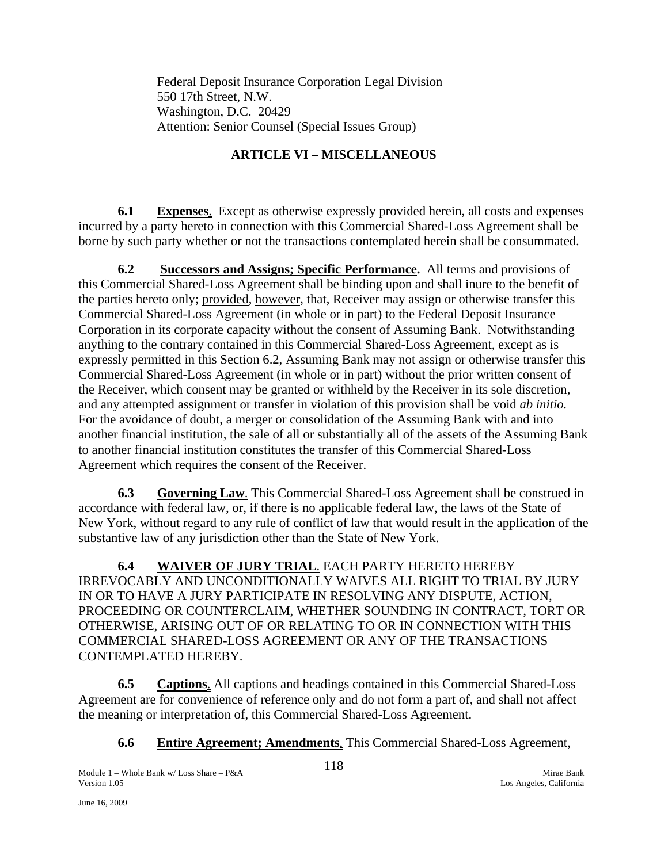Federal Deposit Insurance Corporation Legal Division 550 17th Street, N.W. Washington, D.C. 20429 Attention: Senior Counsel (Special Issues Group)

# **ARTICLE VI – MISCELLANEOUS**

**6.1 Expenses**. Except as otherwise expressly provided herein, all costs and expenses incurred by a party hereto in connection with this Commercial Shared-Loss Agreement shall be borne by such party whether or not the transactions contemplated herein shall be consummated.

**6.2** Successors and Assigns; Specific Performance. All terms and provisions of this Commercial Shared-Loss Agreement shall be binding upon and shall inure to the benefit of the parties hereto only; provided, however, that, Receiver may assign or otherwise transfer this Commercial Shared-Loss Agreement (in whole or in part) to the Federal Deposit Insurance Corporation in its corporate capacity without the consent of Assuming Bank. Notwithstanding anything to the contrary contained in this Commercial Shared-Loss Agreement, except as is expressly permitted in this Section 6.2, Assuming Bank may not assign or otherwise transfer this Commercial Shared-Loss Agreement (in whole or in part) without the prior written consent of the Receiver, which consent may be granted or withheld by the Receiver in its sole discretion, and any attempted assignment or transfer in violation of this provision shall be void *ab initio.*  For the avoidance of doubt, a merger or consolidation of the Assuming Bank with and into another financial institution, the sale of all or substantially all of the assets of the Assuming Bank to another financial institution constitutes the transfer of this Commercial Shared-Loss Agreement which requires the consent of the Receiver.

**6.3 Governing Law**. This Commercial Shared-Loss Agreement shall be construed in accordance with federal law, or, if there is no applicable federal law, the laws of the State of New York, without regard to any rule of conflict of law that would result in the application of the substantive law of any jurisdiction other than the State of New York.

**6.4 WAIVER OF JURY TRIAL**. EACH PARTY HERETO HEREBY IRREVOCABLY AND UNCONDITIONALLY WAIVES ALL RIGHT TO TRIAL BY JURY IN OR TO HAVE A JURY PARTICIPATE IN RESOLVING ANY DISPUTE, ACTION, PROCEEDING OR COUNTERCLAIM, WHETHER SOUNDING IN CONTRACT, TORT OR OTHERWISE, ARISING OUT OF OR RELATING TO OR IN CONNECTION WITH THIS COMMERCIAL SHARED-LOSS AGREEMENT OR ANY OF THE TRANSACTIONS CONTEMPLATED HEREBY.

**6.5 Captions**. All captions and headings contained in this Commercial Shared-Loss Agreement are for convenience of reference only and do not form a part of, and shall not affect the meaning or interpretation of, this Commercial Shared-Loss Agreement.

#### **6.6 Entire Agreement; Amendments**. This Commercial Shared-Loss Agreement,

118 Module 1 – Whole Bank w/ Loss Share – P&A Mirae Bank Version 1.05 Los Angeles, California